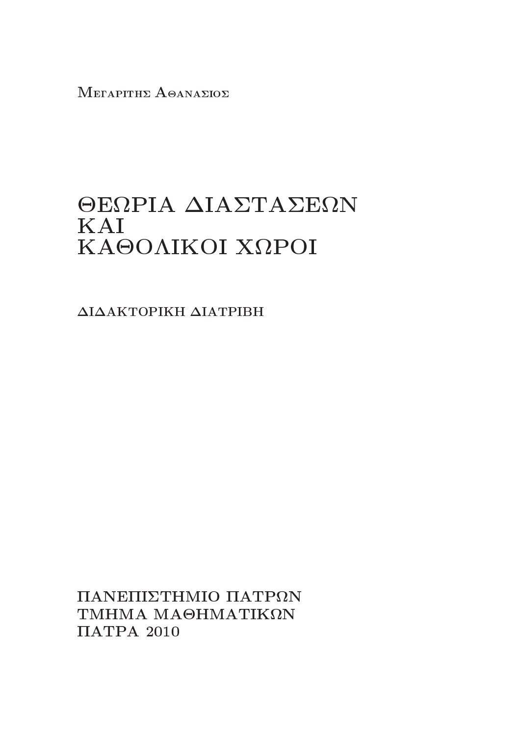ΜΕΓΑΡΙΤΗΣ ΑΘΑΝΑΣΙΟΣ

# ΘΕΩΡΙΑ ΔΙΑΣΤΑΣΕΩΝ KAI ΚΑΘΟΛΙΚΟΙ ΧΩΡΟΙ

ΔΙΔΑΚΤΟΡΙΚΗ ΔΙΑΤΡΙΒΗ

ΠΑΝΕΠΙΣΤΗΜΙΟ ΠΑΤΡΩΝ ΤΜΗΜΑ ΜΑΘΗΜΑΤΙΚΩΝ  $\Pi\text{ATPA}$  2010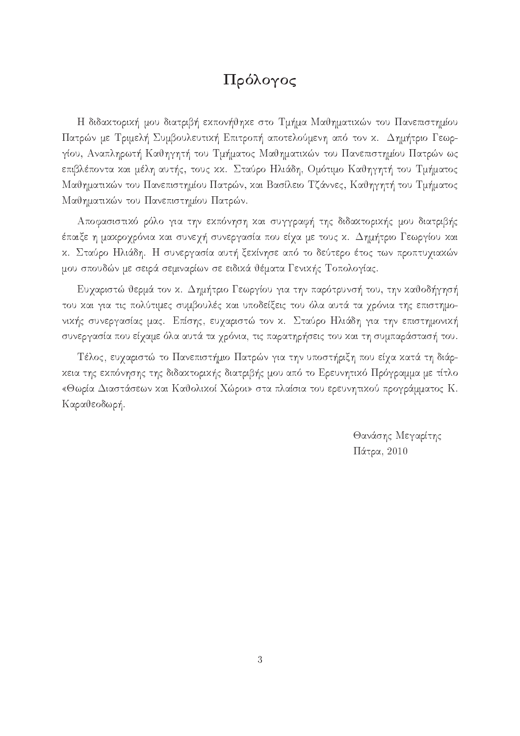### Πρόλογος

H διδακτορική μου διατριβή εκπονήθηκε στο Τμήμα Μαθηματικών του Πανεπιστημίου Πατρών με Τριμελή Συμβουλευτική Επιτροπή αποτελούμενη από τον κ. Δημήτριο Γεωργίου, Αναπληρωτή Καθηγητή του Τμήματος Μαθηματικών του Πανεπιστημίου Πατρών ως επιβλέποντα και μέλη αυτής, τους κκ. Σταύρο Ηλιάδη, Ομότιμο Καθηγητή του Τμήματος Μαθηματικών του Πανεπιστημίου Πατρών, και Βασίλειο Τζάννες, Καθηγητή του Τμήματος Mαθηματικών του Πανεπιστημίου Πατρών.

Αποφασιστικό ρόλο για την εκπόνηση και συγγραφή της διδακτορικής μου διατριβής έπαιξε η μακροχρόνια και συνεχή συνεργασία που είχα με τους κ.  $\Delta$ ημήτριο Γεωργίου και κ. Σταύρο Ηλιάδη. Η συνεργασία αυτή ξεχίνησε από το δεύτερο έτος των προπτυχιαχών μου σπουδών με σειρά σεμιναρίων σε ειδικά θέματα Γενικής Τοπολογίας.

Ευχαριστώ θερμά τον κ. Δημήτριο Γεωργίου για την παρότρυνσή του, την καθοδήγησή του και για τις πολύτιμες συμβουλές και υποδείξεις του όλα αυτά τα χρόνια της επιστημονικής συνεργασίας μας. Επίσης, ευχαριστώ τον κ. Σταύρο Ηλιάδη για την επιστημονική συνεργασία που είχαμε όλα αυτά τα χρόνια, τις παρατηρήσεις του και τη συμπαράστασή του.

Τέλος, ευχαριστώ το Πανεπιστήμιο Πατρών για την υποστήριξη που είχα κατά τη διάρκεια της εκπόνησης της διδακτορικής διατριβής μου από το Ερευνητικό Πρόγραμμα με τίτλο «Θωρία Διαστάσεων και Καθολικοί Χώροι» στα πλαίσια του ερευνητικού προγράμματος Κ. Kαραθεοδωρή.

> Θανάσης Μεγαρίτης  $Πάτρα, 2010$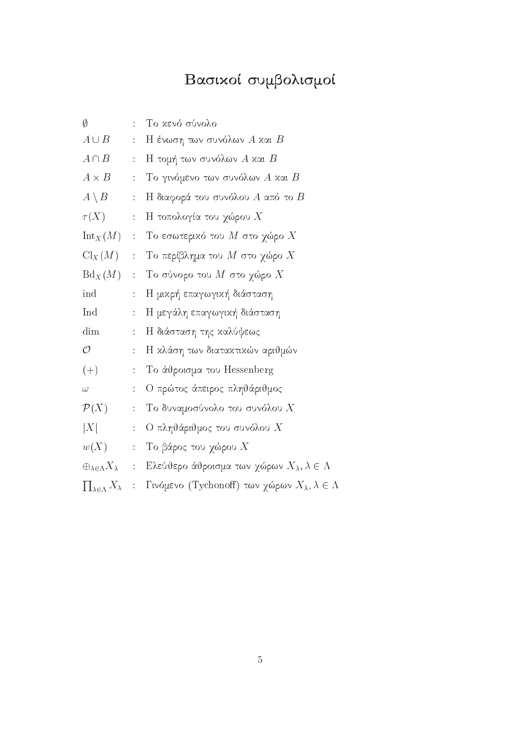# Βασιχοί συμβολισμοί

| Ø                                            | ÷                                    | Το κενό σύνολο                                                    |
|----------------------------------------------|--------------------------------------|-------------------------------------------------------------------|
| $A \cup B$                                   | $\ddot{\cdot}$                       | $H$ ένωση των συνόλων $A$ και $B$                                 |
| $A \cap B$                                   | $\ddot{\ddot{\phantom{0}}}\,$        | $H$ τομή των συνόλων $A$ και $B$                                  |
| $A \times B$                                 | $\ddot{\ddot{\cdot}}$                | $\mathrm{T}$ ο γινόμενο των συνόλων $A$ και $B$                   |
| $A \setminus B$                              | $\ddot{\ddot{\psi}}$                 | Η διαφορά του συνόλου $A$ από το $B$                              |
| $\tau(X)$                                    | $\ddot{\ddot{\phantom{0}}}_\nu$      | Η τοπολογία του χώρου $X$                                         |
| $\text{Int}_X(M)$ :                          |                                      | $\mathrm{T}$ ο εσωτερικό του $M$ στο χώρο $X$                     |
| $\mathrm{Cl}_X(M)$                           | $\frac{1}{2}$                        | Το περίβλημα του $M$ στο χώρο $X$                                 |
| $Bd_X(M)$                                    | $\ddot{\cdot}$                       | $To\$ σύνορο του $M$ στο χώρο $X$                                 |
| ind                                          | ÷.                                   | Η μικρή επαγωγική διάσταση                                        |
| Ind                                          | ÷,                                   | Η μεγάλη επαγωγική διάσταση                                       |
| dim                                          | ÷.                                   | Η διάσταση της καλύψεως                                           |
| $\mathcal{O}$                                | ÷.                                   | Η κλάση των διατακτικών αριθμών                                   |
| $(+)$                                        | $\mathbb{Z}^{\times}$                | Το άθροισμα του Hessenberg                                        |
| $\omega$                                     | $\ddot{\phantom{a}}$                 | Ο πρώτος άπειρος πληθάριθμος                                      |
| $\mathcal{P}(X)$                             | $\mathbb{Z}^{\mathbb{Z}}$            | Το δυναμοσύνολο του συνόλου $X$                                   |
| X                                            | $\ddot{\ddot{\phantom{0}}}\,$        | Ο πληθάριθμος του συνόλου $X$                                     |
| w(X)                                         | $\frac{1}{\pi}$                      | Το βάρος του χώρου $X$                                            |
| $\oplus_{\lambda \in \Lambda} X_{\lambda}$ : |                                      | Ελεύθερο άθροισμα των χώρων $X_{\lambda}, \lambda \in \Lambda$    |
| $\prod_{\lambda \in \Lambda} X_{\lambda}$    | $\ddot{\ddot{\phantom{}}\phantom{}}$ | Γινόμενο (Tychonoff) των χώρων $X_{\lambda}, \lambda \in \Lambda$ |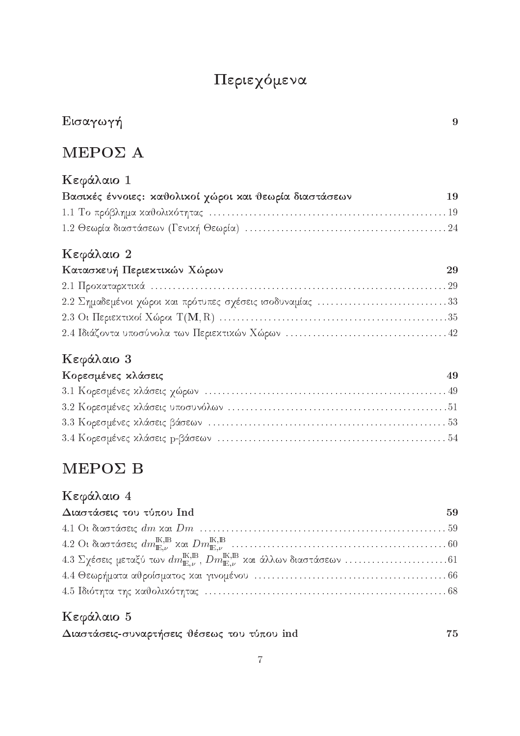# Περιεχόμενα

# $E$ ισαγωγή 9

# $MEPO\Sigma$  A

| Κεφάλαιο 1                                             |    |
|--------------------------------------------------------|----|
| Βασικές έννοιες: καθολικοί χώροι και θεωρία διαστάσεων | 19 |
|                                                        |    |
|                                                        |    |

### Kεφάλαιο 2

| Κατασχευή Περιεχτιχών Χώρων                               | 29 |
|-----------------------------------------------------------|----|
|                                                           |    |
| 2.2 Σημαδεμένοι χώροι και πρότυπες σχέσεις ισοδυναμίας 33 |    |
|                                                           |    |
|                                                           |    |

### Kεφάλαιο 3

| Κορεσμένες κλάσεις | 49 |
|--------------------|----|
|                    |    |
|                    |    |
|                    |    |
|                    |    |

# $\text{MEPO}\Sigma$  B

### Kεφάλαιο 4

| Διαστάσεις του τύπου Ind | 59 |
|--------------------------|----|
|                          |    |
|                          |    |
|                          |    |
|                          |    |
|                          |    |

### Kεφάλαιο 5

| Διαστάσεις-συναρτήσεις θέσεως του τύπου ind |  |  | $\bf 75$ |
|---------------------------------------------|--|--|----------|
|---------------------------------------------|--|--|----------|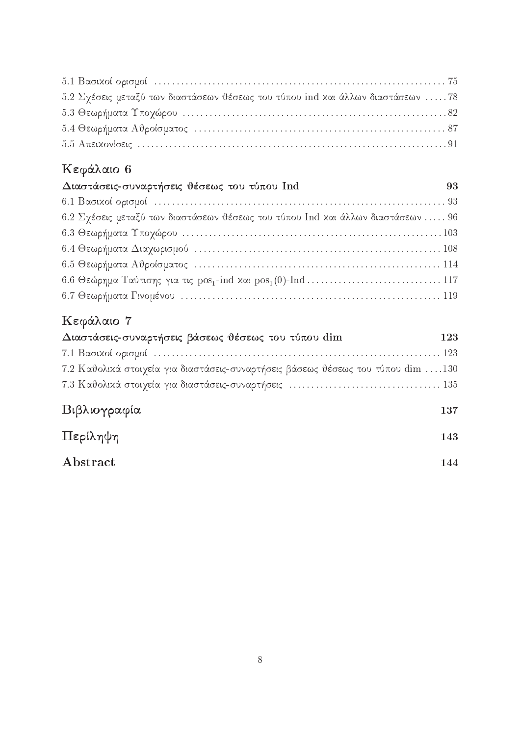| 5.2 Σχέσεις μεταξύ των διαστάσεων θέσεως του τύπου ind και άλλων διαστάσεων 78 |  |
|--------------------------------------------------------------------------------|--|
|                                                                                |  |
|                                                                                |  |
|                                                                                |  |

# Kεφάλαιο 6

| Διαστάσεις-συναρτήσεις θέσεως του τύπου Ind                                     | 93 |
|---------------------------------------------------------------------------------|----|
|                                                                                 |    |
| 6.2 Σχέσεις μεταξύ των διαστάσεων θέσεως του τύπου Ind και άλλων διαστάσεων  96 |    |
|                                                                                 |    |
|                                                                                 |    |
|                                                                                 |    |
|                                                                                 |    |
|                                                                                 |    |

## Kεφάλαιο 7

| Διαστάσεις-συναρτήσεις βάσεως θέσεως του τύπου dim                               | $123\,$ |
|----------------------------------------------------------------------------------|---------|
|                                                                                  |         |
| 7.2 Καθολικά στοιχεία για διαστάσεις-συναρτήσεις βάσεως θέσεως του τύπου dim 130 |         |
|                                                                                  |         |
|                                                                                  |         |
| Βιβλιογραφία                                                                     | 137     |
| Περίληψη                                                                         | 143     |
| Abstract                                                                         | 144     |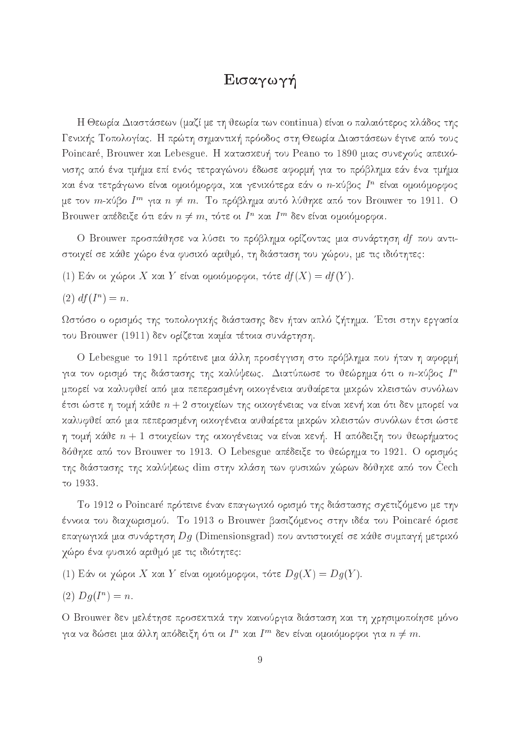### Eισαγωγή

Η Θεωρία Διαστάσεων (μαζί με τη θεωρία των continua) είναι ο παλαιότερος κλάδος της Γενικής Τοπολογίας. Η πρώτη σημαντική πρόοδος στη Θεωρία Διαστάσεων έγινε από τους Poincaré, Brouwer και Lebesgue. Η κατασκευή του Peano το 1890 μιας συνεχούς απεικόνισης από ένα τμήμα επί ενός τετραγώνου έδωσε αφορμή για το πρόβλημα εάν ένα τμήμα και ενα τετραγωνο ειναι ομοιομορφα, και γενικοτερα εαν ο *π*-κύρος *1* - ειναι ομοιομορφος με τον  $m$ -χυρο  $I-\gamma$ ια  $n\neq m.$  Το προρλημα αυτό λύψηχε από τον Brouwer to 1911. O Brouwer απεδείς είστι εαν  $n \neq m$ , τότε of  $I$  - xαι  $I$  - σεν είναι ομοιομορφοί.

O Brouwer προσπάθησε να λύσει το πρόβλημα ορίζοντας μια συνάρτηση df που αντιστοιχεί σε κάθε χώρο ένα φυσικό αριθμό, τη διάσταση του χώρου, με τις ιδιότητες:

(1) Εάν οι χώροι X και Y είναι ομοιόμορφοι, τότε  $df(X) = df(Y)$ .

 $(2)$   $d/(1) = n$ .

Ωστόσο ο ορισμός της τοπολογικής διάστασης δεν ήταν απλό ζήτημα. Έτσι στην εργασία του Brouwer (1911) δεν ορίζεται καμία τέτοια συνάρτηση.

O Lebesgue το 1911 πρότεινε μια άλλη προσέγγιση στο πρόβλημα που ήταν η αφορμή για τον ορισμο της οιαστασης της χαλυψεως. Διατυπωσε το υεωρημα οτι ο  $n$ -χυρος  $I^\sim$ μπορεί να καλυφθεί από μια πεπερασμένη οικογένεια αυθαίρετα μικρών κλειστών συνόλων έτσι ώστε η τομή κάθε  $n + 2$  στοιχείων της οικογένειας να είναι κενή και ότι δεν μπορεί να kαλυφθεί από μια πεπερασμένη οικογένεια αυθαίρετα μικρών κλειστών συνόλων έτσι ώστε η τομή χάθε  $n+1$  στοιχείων της οιχογένειας να είναι χενή. Η απόδειξη του θεωρήματος δόθηκε από τον Brouwer το 1913. O Lebesgue απέδειξε το θεώρημα το 1921. Ο ορισμός της διάστασης της καλύψεως dim στην κλάση των φυσικών χώρων δόθηκε από τον Cech to 1933.

Το 1912 ο Poincaré πρότεινε έναν επαγωγικό ορισμό της διάστασης σχετιζόμενο με την έννοια του διαχωρισμού. Το 1913 ο Brouwer βασιζόμενος στην ιδέα του Poincaré όρισε επαγωγικά μια συνάρτηση  $Dg$  (Dimensionsgrad) που αντιστοιχεί σε κάθε συμπαγή μετρικό γώρο ένα φυσικό αριθμό με τις ιδιότητες:

(1) Εάν οι χώροι X και Y είναι ομοιόμορφοι, τότε  $Dg(X) = Dg(Y)$ .

$$
(2) Dg(I^n) = n.
$$

O Brouwer δεν μελέτησε προσεκτικά την καινούργια διάσταση και τη χρησιμοποίησε μόνο για να οωσει μια αλλη αποσεις η στι στ $I$  - χαι  $I$  - σεν ειναι ομοιομορφοι για  $n \neq m.$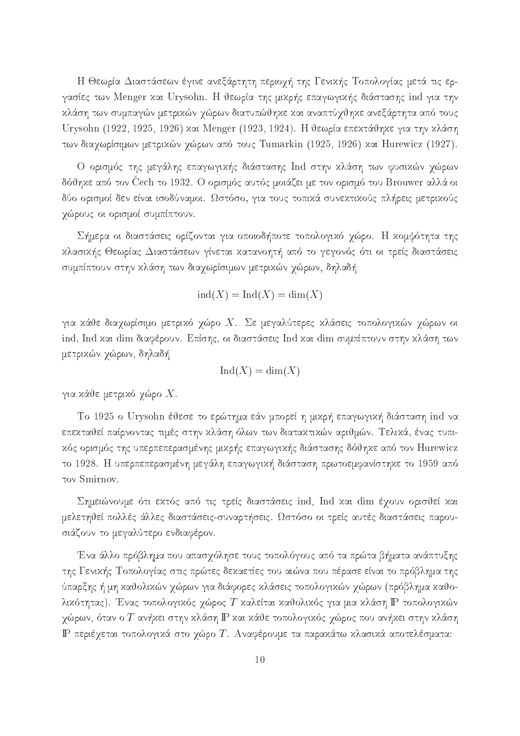Η Θεωρία Διαστάσεων έγινε ανεξάρτητη περιοχή της Γενικής Τοπολογίας μετά τις εργασίες των Menger και Urysohn. Η θεωρία της μικρής επαγωγικής διάστασης ind για την kλάση των συμπαγών μετρικών χώρων διατυπώθηκε και αναπτύχθηκε ανεξάρτητα από τους Urysohn (1922, 1925, 1926) και Menger (1923, 1924). Η θεωρία επεκτάθηκε για την κλάση των διαχωρίσιμων μετρικών χώρων από τους Tumarkin (1925, 1926) και Hurewicz (1927).

Ο ορισμός της μεγάλης επαγωγικής διάστασης Ind στην κλάση των φυσικών χώρων δόθηκε από τον Čech το 1932. Ο ορισμός αυτός μοιάζει με τον ορισμό του Brouwer αλλά οι δύο ορισμοί δεν είναι ισοδύναμοι. Ωστόσο, για τους τοπιχά συνεχτιχούς πλήρεις μετριχούς χώρους οι ορισμοί συμπίπτουν.

Σήμερα οι διαστάσεις ορίζονται για οποιοδήποτε τοπολογικό χώρο. Η κομψότητα της κλασικής Θεωρίας Διαστάσεων γίνεται κατανοητή από το γεγονός ότι οι τρείς διαστάσεις συμπίπτουν στην κλάση των διαχωρίσιμων μετρικών χώρων, δηλαδή

$$
ind(X) = Ind(X) = dim(X)
$$

για κάθε διαχωρίσιμο μετρικό χώρο Χ. Σε μεγαλύτερες κλάσεις τοπολογικών χώρων οι ind, Ind και dim διαφέρουν. Επίσης, οι διαστάσεις Ind και dim συμπίπτουν στην κλάση των μετρικών χώρων, δηλαδή

$$
Ind(X) = dim(X)
$$

για κάθε μετρικό χώρο  $X.$ 

To 1925 o Urysohn έθεσε το ερώτημα εάν μπορεί η μικρή επαγωγική διάσταση ind να επεκταθεί παίρνοντας τιμές στην κλάση όλων των διατακτικών αριθμών. Τελικά, ένας τυπικός ορισμός της υπερπεπερασμένης μικρής επαγωγικής διάστασης δόθηκε από τον Hurewicz το 1928. Η υπερπεπερασμένη μεγάλη επαγωγική διάσταση πρωτοεμφανίστηκε το 1959 από τον Smirnov.

Σημειώνουμε ότι εχτός από τις τρείς διαστάσεις ind, Ind χαι dim έγουν ορισθεί χαι μελετηθεί πολλές άλλες διαστάσεις-συναρτήσεις. Ωστόσο οι τρείς αυτές διαστάσεις παρουσιάζουν το μεγαλύτερο ενδιαφέρον.

Ένα άλλο πρόβλημα που απασχόλησε τους τοπολόγους από τα πρώτα βήματα ανάπτυξης της Γενικής Τοπολογίας στις πρώτες δεκαετίες του αιώνα που πέρασε είναι το πρόβλημα της ύπαρξης ή μη καθολικών χώρων για διάφορες κλάσεις τοπολογικών χώρων (πρόβλημα καθολικότητας). Ένας τοπολογικός χώρος Τ καλείται καθολικός για μια κλάση P τοπολογικών χώρων, όταν ο  $T$  ανήκει στην κλάση  $\mathbb P$  και κάθε τοπολογικός χώρος που ανήκει στην κλάση IP περιέχεται τοπολογικά στο χώρο T. Aναφέρουμε τα παρακάτω κλασικά αποτελέσματα: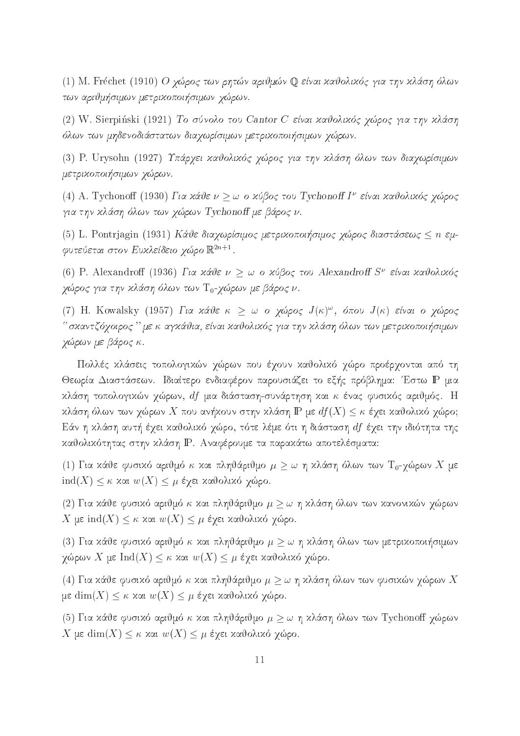(1) M. Fréchet (1910) Ο χώρος των ρητών αριθμών Q είναι καθολικός για την κλάση όλων twa ariju simul simulu metrikopolitikopolitikopolitikopolitiko simulu simulu simulu simulu simulu si

(2) W. Sierpiński (1921) Το σύνολο του Cantor C είναι καθολικός χώρος για την κλάση ìlwn twn mhdenodistatwn diaqwrsimwn metrikopoi simwn q¸rwn.

(3) P. Urysohn (1927) Υπάρχει καθολικός χώρος για την κλάση όλων των διαχωρίσιμων metrikopoi simwn q¸rwn.

(4)  $A$ . Tychonon (1950) Για καυε  $\nu > \omega$  ο χυρος του Τγchonon Γ΄ είναι καυολικός γώρος gia the three contracts in the contract of the contract of the property of the contract of the contract of the

(5) L. Pontriagin (1931) Κάθε διαγωρίσιμος μετρικοποιήσιμος γώρος διαστάσεως < *n* εμφυτεύεται στον Ευχλείδειο γώρο  $\mathbb{R}^{2n+1}$ .

(6) F. Alexandron (1950) Fix xxvs  $\nu > \omega$  o xopog too Alexandron S sival xxvoaixog  $\chi$ ωρος για την κλαση ολών των  $10$ - $\chi$ ωρών με ράρος ν.

(1)  $\Pi$ . Kowaisky (1957) FR XXVE K  $>$   $\omega$  O  $\gamma\omega\rho$ oc J(K), onou J(K) είναι ο  $\gamma\omega\rho$ oc agaan is agkii agus in the simulation and the second against the second international secondary of the second q¸rwn me bro .

Πολλές κλάσεις τοπολογικών χώρων που έχουν καθολικό χώρο προέρχονται από τη Θεωρία Διαστάσεων. Ιδιαίτερο ενδιαφέρον παρουσιάζει το εξής πρόβλημα: Έστω P μια κλάση τοπολογικών χώρων, df μια διάσταση-συνάρτηση και κ ένας φυσικός αριθμός. Η κλάση όλων των χώρων X που ανήκουν στην κλάση IP με  $df(X) \leq \kappa$  έχει καθολικό χώρο; Εάν η κλάση αυτή έχει καθολικό χώρο, τότε λέμε ότι η διάσταση  $df$  έχει την ιδιότητα της καθολικότητας στην κλάση P. Αναφέρουμε τα παρακάτω αποτελέσματα:

(1) Για κάθε φυσικό αριθμό κ και πληθάριθμο  $\mu \geq \omega$  η κλάση όλων των Τ<sub>0</sub>-γώρων X με ind(X)  $\leq$  κ και  $w(X) \leq \mu$  έχει καθολικό χώρο.

(2) Για κάθε φυσικό αριθμό κ και πληθάριθμο  $\mu \geq \omega$  η κλάση όλων των κανονικών χώρων  $X$  με ind $(X) \leq \kappa$  και  $w(X) \leq \mu$  έχει καθολικό χώρο.

(3) Για κάθε φυσικό αριθμό κ και πληθάριθμο  $\mu \geq \omega$  η κλάση όλων των μετρικοποιήσιμων χώρων X με Ind(X)  $\leq \kappa$  και  $w(X) \leq \mu$  έχει καθολικό χώρο.

(4) Για κάθε φυσικό αριθμό κ και πληθάριθμο  $\mu \geq \omega$  η κλάση όλων των φυσικών χώρων  $X$ με  $\dim(X) \leq \kappa$  και  $w(X) \leq \mu$  έχει καθολικό χώρο.

(5) Για κάθε φυσικό αριθμό κ και πληθάριθμο  $\mu \geq \omega$  η κλάση όλων των Tychonoff χώρων X με  $dim(X) \leq \kappa$  και  $w(X) \leq \mu$  έχει καθολικό χώρο.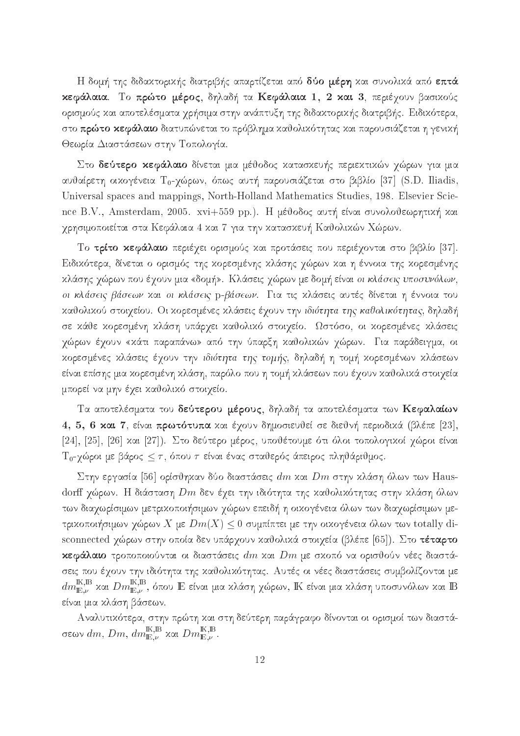Η δομή της διδακτορικής διατριβής απαρτίζεται από δύο μέρη και συνολικά από επτά κεφάλαια. Το πρώτο μέρος, δηλαδή τα Κεφάλαια 1, 2 και 3, περιέχουν βασικούς ορισμούς και αποτελέσματα χρήσιμα στην ανάπτυξη της διδακτορικής διατριβής. Ειδικότερα, στο **πρώτο κεφάλαιο** διατυπώνεται το πρόβλημα καθολικότητας και παρουσιάζεται η γενική Θεωρία Διαστάσεων στην Τοπολογία.

Στο δεύτερο κεφάλαιο δίνεται μια μέθοδος κατασκευής περιεκτικών χώρων για μια αυθαίρετη οικογένεια  $T_0$ -χώρων, όπως αυτή παρουσιάζεται στο βιβλίο [37] (S.D. Iliadis, Universal spaces and mappings, North-Holland Mathematics Studies, 198. Elsevier Science B.V., Amsterdam, 2005. xvi+559 pp.). Η μέθοδος αυτή είναι συνολοθεωρητική και χρησιμοποιείται στα Κεφάλαια 4 και 7 για την κατασκευή Καθολικών Χώρων.

Το τρίτο κεφάλαιο περιέχει ορισμούς και προτάσεις που περιέχονται στο βιβλίο [37]. Ειδικότερα, δίνεται ο ορισμός της κορεσμένης κλάσης χώρων και η έννοια της κορεσμένης κλάσης χώρων που έχουν μια «δομή». Κλάσεις χώρων με δομή είναι *οι κλάσεις υποσυνόλων*, οι κλάσεις βάσεων χαι οι κλάσεις p-βάσεων. Για τις χλάσεις αυτές δίνεται η έννοια του καθολικού στοιχείου. Οι κορεσμένες κλάσεις έχουν την ιδιότητα της καθολικότητας, δηλαδή σε κάθε κορεσμένη κλάση υπάρχει καθολικό στοιχείο. Ωστόσο, οι κορεσμένες κλάσεις  $\chi$ ώρων έχουν «κάτι παραπάνω» από την ύπαρξη καθολικών χώρων. Για παράδειγμα, οι κορεσμένες κλάσεις έχουν την ιδιότητα της τομής, δηλαδή η τομή κορεσμένων κλάσεων είναι επίσης μια κορεσμένη κλάση, παρόλο που η τομή κλάσεων που έχουν καθολικά στοιχεία μπορεί να μην έχει καθολικό στοιχείο.

Τα αποτελέσματα του δεύτερου μέρους, δηλαδή τα αποτελέσματα των Κεφαλαίων 4, 5, 6 xαι 7, είναι πρωτότυπα και έχουν δημοσιευθεί σε διεθνή περιοδικά (βλέπε [23], [24], [25], [26] και [27]). Στο δεύτερο μέρος, υποθέτουμε ότι όλοι τοπολογικοί χώροι είναι  $T_0$ -γώροι με βάρος  $\leq \tau$ , όπου  $\tau$  είναι ένας σταθερός άπειρος πληθάριθμος.

Στην εργασία [56] ορίσθηκαν δύο διαστάσεις  $dm$  και  $Dm$  στην κλάση όλων των Hausdorff χώρων. Η διάσταση  $Dm$  δεν έχει την ιδιότητα της καθολικότητας στην κλάση όλων των διαχωρίσιμων μετρικοποιήσιμων χώρων επειδή η οικογένεια όλων των διαχωρίσιμων μετρικοποιήσιμων χώρων X με  $Dm(X) \leq 0$  συμπίπτει με την οικογένεια όλων των totally disconnected χώρων στην οποία δεν υπάρχουν καθολικά στοιχεία (βλέπε [65]). Στο τέταρτο κεφάλαιο τροποποιούνται οι διαστάσεις  $dm$  και  $Dm$  με σκοπό να ορισθούν νέες διαστάσεις που έχουν την ιδιότητα της χαθολικότητας. Αυτές οι νέες διαστάσεις συμβολίζονται με  $dm_{\mathbb{E},\nu}^{\mathbb{K},\mathbb{B}}$  και  $Dm_{\mathbb{E},\nu}^{\mathbb{K},\mathbb{B}},$  όπου  $\mathbb E$  είναι μια χ $\mathbb E$  είναι μια κλάση υποσυνόλων και  $\mathbb B$ είναι μια κλάση βάσεων.

Aναλυτικότερα, στην πρώτη και στη δεύτερη παράγραφο δίνονται οι ορισμοί των διαστάσεων  $dm,$   $Dm,$   $dm_{\mathbb{E}, \nu}^{\text{IK}, \mathbb{B}}$  και  $Dm_{\mathbb{E}, \nu}^{\text{IK}, \mathbb{B}}.$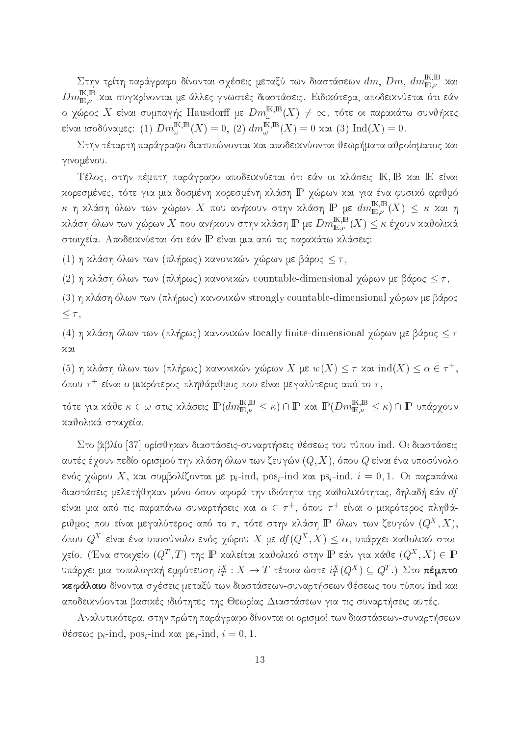Στην τρίτη παράγραφο δίνονται σχέσεις μεταξύ των διαστάσεων  $dm$ ,  $Dm$ ,  $dm^{\mathrm{K,B}}_{\mathrm{E},\nu}$  και  $Dm_{\mathbb{E},\nu}^{\mathbb{K},\mathbb{B}}$  και συγκρίνονται με άλλες γνωστές διαστάσεις. Ειδικότερα, αποδεικνύεται ότι εάν ο χώρος X είναι συμπαγής Hausdorff με  $Dm^{{\rm I\!K},{\rm I\!B}}_{\omega}(X)\neq\infty$ , τότε οι παραχάτω συνθήχες είναι ισοδύναμες: (1)  $Dm_{\omega}^{\mathbb{K},\mathbb{B}}(X) = 0$ , (2)  $dm_{\omega}^{\mathbb{K},\mathbb{B}}(X) = 0$  και (3)  $\mathrm{Ind}(X) = 0$ .

Στην τέταρτη παράγραφο διατυπώνονται και αποδεικνύονται θεωρήματα αθροίσματος και γινομένου.

Τέλος, στην πέμπτη παράγραφο αποδεικνύεται ότι εάν οι κλάσεις ΙΚ, Β και ΙΕ είναι κορεσμένες, τότε για μια δοσμένη κορεσμένη κλάση IP χώρων και για ένα φυσικό αριθμό  $\kappa$ η κλάση όλων των χώρων $X$ που ανήκουν στην κλάση ${\rm I\!P}$ με  $dm^{{\rm I\!K},{\rm I\!B}}_{{\rm I\!E},\nu}(X)$   $\leq$   $\kappa$  και η κλάση όλων των χώρων  $X$  που ανήκουν στην κλάση  $\mathbb P$  με  $Dm_{\mathbb E,\nu}^{\mathbb K,\mathbb B}(X)\leq \kappa$  έχουν καθολικά στοιχεία. Αποδεικνύεται ότι εάν IP είναι μια από τις παρακάτω κλάσεις:

(1) η κλάση όλων των (πλήρως) κανονικών χώρων με βάρος  $\leq \tau$ ,

(2) η κλάση όλων των (πλήρως) κανονικών countable-dimensional χώρων με βάρος  $\leq \tau$ ,

(3) η κλάση όλων των (πλήρως) κανονικών strongly countable-dimensional χώρων με βάρος  $\leq \tau,$ 

(4) η κλάση όλων των (πλήρως) κανονικών locally finite-dimensional χώρων με βάρος  $\leq \tau$ χαι

(5) η κλάση όλων των (πλήρως) κανονικών χώρων X με  $w(X) \leq \tau$  και  $\text{ind}(X) \leq \alpha \in \tau^+$ , όπου  $\tau^+$  είναι ο μιχρότερος πληθάριθμος που είναι μεγαλύτερος από το  $\tau,$ 

τότε για κάθε $\kappa\in\omega$ στις κλάσεις $\mathbb{P}(dm^{\mathbb{K},\mathbb{B}}_{\mathbb{E},\nu}\leq\kappa)\cap\mathbb{P}$ και  $\mathbb{P}(Dm^{\mathbb{K},\mathbb{B}}_{\mathbb{E},\nu}\leq\kappa)\cap\mathbb{P}$ υπάρχουν καθολικά στοιχεία.

Στο βιβλίο [37] ορίσθηκαν διαστάσεις-συναρτήσεις θέσεως του τύπου ind. Οι διαστάσεις αυτές έχουν πεδίο ορισμού την κλάση όλων των ζευγών  $(Q,X)$ , όπου  $Q$  είναι ένα υποσύνολο ενός χώρου X, και συμβολίζονται με p<sub>i</sub>-ind, pos<sub>i</sub>-ind και ps<sub>i</sub>-ind,  $i = 0, 1$ . Οι παραπάνω διαστάσεις μελετήθηκαν μόνο όσον αφορά την ιδιότητα της καθολικότητας, δηλαδή εάν  $df$ είναι μια από τις παραπάνω συναρτήσεις και  $\alpha \,\in\, \tau^+,\,$ όπου  $\tau^+$  είναι ο μικρότερος πληθάριθμος που είναι μεγαλύτερος από το  $\tau,$  τότε στην κλάση  ${\rm I \! P}$  όλων των ζευγών  $(Q^X,X),$ όπου  $Q^X$  είναι ένα υποσύνολο ενός χώρου  $X$  με  $df(Q^X,X)\leq \alpha,$  υπάρχει χαθολικό στοιγείο. (Ένα στοιχείο  $(Q^T,T)$  της  $\mathbb P$  χαλείται χαθολικό στην  $\mathbb P$  εάν για χάθε  $(Q^X,X)\in \mathbb P$ υπάρχει μια τοπολογική εμφύτευση  $i^X_T:X\to T$  τέτοια ώστε  $i^X_T(Q^X)\subseteq Q^T.$ )  $\Sigma$ το **πέμπτο** κεφάλαιο δίνονται σχέσεις μεταξύ των διαστάσεων-συναρτήσεων θέσεως του τύπου ind και αποδεικνύονται βασικές ιδιότητες της Θεωρίας Διαστάσεων για τις συναρτήσεις αυτές.

Αναλυτικότερα, στην πρώτη παράγραφο δίνονται οι ορισμοί των διαστάσεων-συναρτήσεων θέσεως p<sub>i</sub>-ind, pos<sub>i</sub>-ind και ps<sub>i</sub>-ind,  $i = 0, 1$ .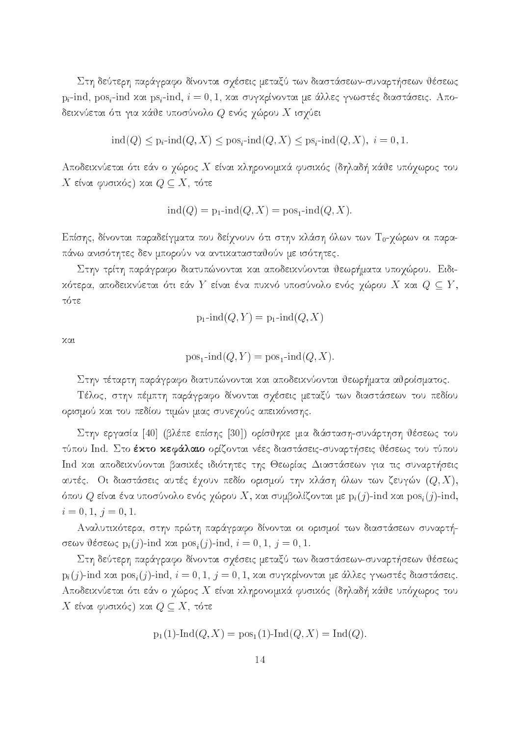Στη δεύτερη παράγραφο δίνονται σχέσεις μεταξύ των διαστάσεων-συναρτήσεων θέσεως  $p_i$ -ind,  $pos_i$ -ind και  $ps_i$ -ind,  $i = 0, 1$ , και συγκρίνονται με άλλες γνωστές διαστάσεις. Αποδειχνύεται ότι για χάθε υποσύνολο  $Q$  ενός χώρου  $X$  ισχύει

$$
ind(Q) \le p_i \text{-}ind(Q, X) \le p \text{-}os_i \text{-}ind(Q, X) \le ps_i \text{-}ind(Q, X), \quad i = 0, 1.
$$

Αποδεικνύεται ότι εάν ο χώρος X είναι κληρονομικά φυσικός (δηλαδή κάθε υπόχωρος του  $X$  είναι φυσικός) και  $Q \subseteq X,$  τότε

$$
ind(Q) = p_1 \text{-}ind(Q, X) = pos_1 \text{-}ind(Q, X).
$$

Επίσης, δίνονται παραδείγματα που δείχνουν ότι στην κλάση όλων των Το-χώρων οι παραπάνω ανισότητες δεν μπορούν να αντικατασταθούν με ισότητες.

Στην τρίτη παράγραφο διατυπώνονται και αποδεικνύονται θεωρήματα υποχώρου. Ειδικότερα, αποδεικνύεται ότι εάν  $Y$  είναι ένα πυκνό υποσύνολο ενός χώρου  $X$  και  $Q \subseteq Y$ , τότε

$$
p_1\text{-}\!\operatorname{ind}(Q, Y) = p_1\text{-}\!\operatorname{ind}(Q, X)
$$

 $XQL$ 

$$
pos_1\text{-}\!\operatorname{ind}(Q, Y) = pos_1\text{-}\!\operatorname{ind}(Q, X).
$$

Στην τέταρτη παράγραφο διατυπώνονται και αποδεικνύονται θεωρήματα αθροίσματος.

Τέλος, στην πέμπτη παράγραφο δίνονται σχέσεις μεταξύ των διαστάσεων του πεδίου ορισμού και του πεδίου τιμών μιας συνεχούς απεικόνισης.

Στην εργασία [40] (βλέπε επίσης [30]) ορίσθηκε μια διάσταση-συνάρτηση θέσεως του τύπου Ind. Στο έκτο κεφάλαιο ορίζονται νέες διαστάσεις-συναρτήσεις θέσεως του τύπου Ind και αποδεικνύονται βασικές ιδιότητες της Θεωρίας Διαστάσεων για τις συναρτήσεις αυτές. Οι διαστάσεις αυτές έχουν πεδίο ορισμού την κλάση όλων των ζευγών  $(Q,X),$ όπου  $Q$  είναι ένα υποσύνολο ενός χώρου  $X$ , και συμβολίζονται με  $p_i(j)$ -ind και  $pos_i(j)$ -ind,  $i = 0, 1, j = 0, 1.$ 

Αναλυτικότερα, στην πρώτη παράγραφο δίνονται οι ορισμοί των διαστάσεων συναρτήσεων θέσεως  $p_i(j)$ -ind και  $pos_i(j)$ -ind,  $i = 0, 1, j = 0, 1$ .

Στη δεύτερη παράγραφο δίνονται σχέσεις μεταξύ των διαστάσεων-συναρτήσεων θέσεως  $p_i(j)$ -ind και  $pos_i(j)$ -ind,  $i = 0, 1, j = 0, 1$ , και συγκρίνονται με άλλες γνωστές διαστάσεις. Αποδεικνύεται ότι εάν ο χώρος X είναι κληρονομικά φυσικός (δηλαδή κάθε υπόχωρος του X είναι φυσικός) και  $Q \subseteq X$ , τότε

$$
p_1(1)
$$
- $Ind(Q, X) = pos_1(1)$ - $Ind(Q, X) = Ind(Q)$ .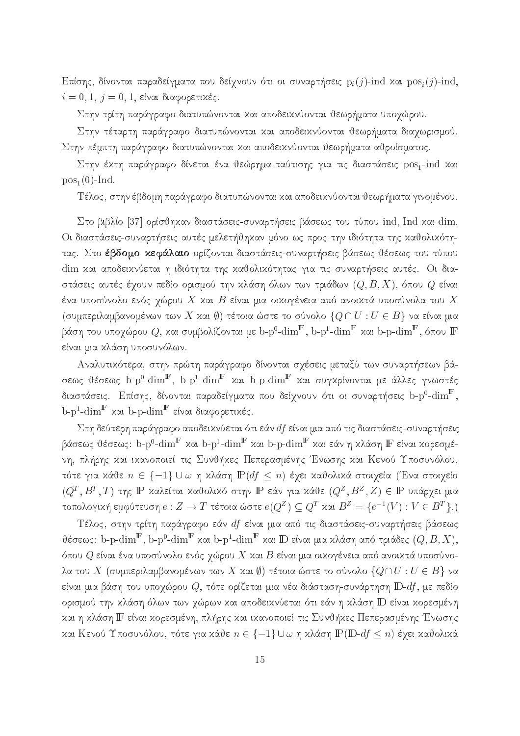Επίσης, δίνονται παραδείγματα που δείχνουν ότι οι συναρτήσεις  $p_i(j)$ -ind και  $pos_i(j)$ -ind,  $i = 0, 1, j = 0, 1$ , είναι διαφορετικές.

Στην τρίτη παράγραφο διατυπώνονται και αποδεικνύονται θεωρήματα υποχώρου.

Στην τέταρτη παράγραφο διατυπώνονται και αποδεικνύονται θεωρήματα διαχωρισμού. Στην πέμπτη παράγραφο διατυπώνονται και αποδεικνύονται θεωρήματα αθροίσματος.

Στην έκτη παράγραφο δίνεται ένα θεώρημα ταύτισης για τις διαστάσεις pos1-ind και  $pos_1(0)$ -Ind.

Τέλος, στην έβδομη παράγραφο διατυπώνονται και αποδεικνύονται θεωρήματα γινομένου.

Στο βιβλίο [37] ορίσθηκαν διαστάσεις-συναρτήσεις βάσεως του τύπου ind, Ind και dim. Οι διαστάσεις-συναρτήσεις αυτές μελετήθηκαν μόνο ως προς την ιδιότητα της καθολικότητας. Στο έβδομο κεφάλαιο ορίζονται διαστάσεις-συναρτήσεις βάσεως θέσεως του τύπου dim και αποδεικνύεται η ιδιότητα της καθολικότητας για τις συναρτήσεις αυτές. Οι διαστάσεις αυτές έχουν πεδίο ορισμού την χλάση όλων των τριάδων  $(Q,B,X),$  όπου  $Q$  είναι ένα υποσύνολο ενός χώρου  $X$  και  $B$  είναι μια οικογένεια από ανοικτά υποσύνολα του  $X$ (συμπεριλαμβανομένων των X και Ø) τέτοια ώστε το σύνολο  $\{Q \cap U : U \in B\}$  να είναι μια βάση του υποχώρου  $Q$ , και συμβολίζονται με b-p<sup>0</sup>-dim<sup>F</sup>, b-p<sup>1</sup>-dim<sup>F</sup> και b-p-dim<sup>F</sup>, όπου F είναι μια κλάση υποσυνόλων.

Αναλυτικότερα, στην πρώτη παράγραφο δίνονται σχέσεις μεταξύ των συναρτήσεων βάσεως θέσεως b-p<sup>0</sup>-dim<sup>F</sup>, b-p<sup>1</sup>-dim<sup>F</sup> και b-p-dim<sup>F</sup> και συγκρίνονται με άλλες γνωστές διαστάσεις. Επίσης, δίνονται παραδείγματα που δείχνουν ότι οι συναρτήσεις b-p $^0\text{-dim}^{\mathbb{F}},$  $b-p^1$ -dim<sup>F</sup> και b-p-dim<sup>F</sup> είναι διαφορετικές.

Στη δεύτερη παράγραφο αποδεικνύεται ότι εάν  $df$  είναι μια από τις διαστάσεις-συναρτήσεις βάσεως θέσεως: b-p<sup>0</sup>-dim<sup>F</sup> και b-p<sup>1</sup>-dim<sup>F</sup> και b-p-dim<sup>F</sup> και εάν η κλάση F είναι κορεσμένη, πλήρης και ικανοποιεί τις Συνθήκες Πεπερασμένης Ένωσης και Κενού Υποσυνόλου, τότε για κάθε  $n \in \{-1\} \cup \omega$  η κλάση  $\mathbb{P}(df \leq n)$  έχει καθολικά στοιχεία (Ένα στοιχείο  $(Q^T, B^T, T)$  της IP καλείται καθολικό στην IP εάν για κάθε  $(Q^Z, B^Z, Z) \in \mathbb{P}$  υπάρχει μια τοπολογική εμφύτευση $e:Z\to T$ τέτοια ώστε $e(Q^Z)\subseteq Q^T$ και $B^Z=\{e^{-1}(V):V\in B^T\}.$ 

Τέλος, στην τρίτη παράγραφο εάν df είναι μια από τις διαστάσεις-συναρτήσεις βάσεως θέσεως: b-p-dim<sup>F</sup>, b-p<sup>0</sup>-dim<sup>F</sup> και b-p<sup>1</sup>-dim<sup>F</sup> και D είναι μια κλάση από τριάδες  $(Q, B, X)$ , όπου  $Q$  είναι ένα υποσύνολο ενός χώρου  $X$  και  $B$  είναι μια οικογένεια από ανοικτά υποσύνολα του X (συμπεριλαμβανομένων των X και  $\emptyset$ ) τέτοια ώστε το σύνολο  $\{Q \cap U : U \in B\}$  να είναι μια βάση του υποχώρου  $Q$ , τότε ορίζεται μια νέα διάσταση-συνάρτηση  $\mathbb{D}\text{-}df$ , με πεδίο ορισμού την κλάση όλων των χώρων και αποδεικνύεται ότι εάν η κλάση ID είναι κορεσμένη και η κλάση ΙΓ είναι κορεσμένη, πλήρης και ικανοποιεί τις Συνθήκες Πεπερασμένης Ένωσης και Κενού Υποσυνόλου, τότε για κάθε  $n \in \{-1\} \cup \omega$  η κλάση  $\mathbb{P}(\mathbb{D}\text{-}df \leq n)$  έχει καθολικά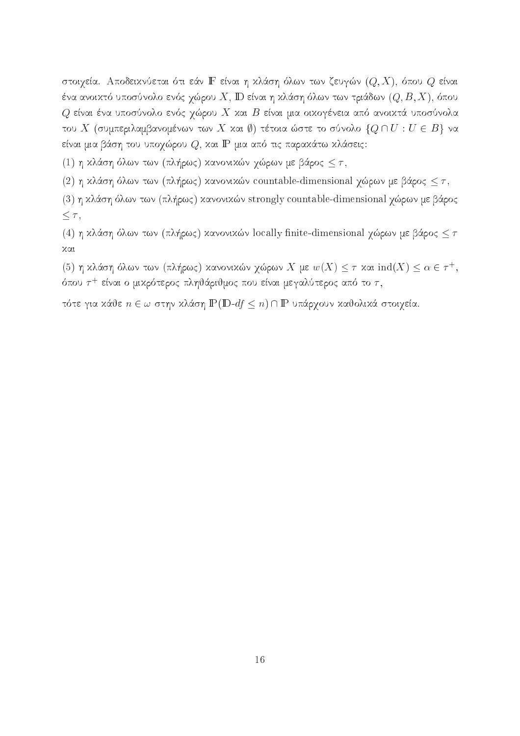στοιχεία. Αποδεικνύεται ότι εάν ΙΕ είναι η κλάση όλων των ζευγών  $(Q, X)$ , όπου  $Q$  είναι ένα ανοικτό υποσύνολο ενός χώρου  $X,$   $\mathbb D$  είναι η κλάση όλων των τριάδων  $(Q,B,X),$  όπου  $Q$  είναι ένα υποσύνολο ενός χώρου  $X$  και  $B$  είναι μια οικογένεια από ανοικτά υποσύνολα του Χ (συμπεριλαμβανομένων των Χ και ()) τέτοια ώστε το σύνολο  $\{Q \cap U : U \in B\}$  να είναι μια βάση του υποχώρου  $Q$ , και IP μια από τις παρακάτω κλάσεις:

(1) η κλάση όλων των (πλήρως) κανονικών χώρων με βάρος  $\leq \tau$ ,

(2) η κλάση όλων των (πλήρως) κανονικών countable-dimensional χώρων με βάρος  $\leq \tau$ ,

(3) η κλάση όλων των (πλήρως) κανονικών strongly countable-dimensional χώρων με βάρος  $\leq \tau$ ,

(4) η κλάση όλων των (πλήρως) κανονικών locally finite-dimensional χώρων με βάρος  $\leq \tau$ χαι

(5) η κλάση όλων των (πλήρως) κανονικών χώρων X με  $w(X) \leq \tau$  και  $\text{ind}(X) \leq \alpha \in \tau^+$ , όπου  $\tau^+$  είναι ο μικρότερος πληθάριθμος που είναι μεγαλύτερος από το  $\tau$ ,

τότε για κάθε  $n \in \omega$  στην κλάση  $\mathbb{P}(\mathbb{D} - df \leq n) \cap \mathbb{P}$  υπάρχουν καθολικά στοιχεία.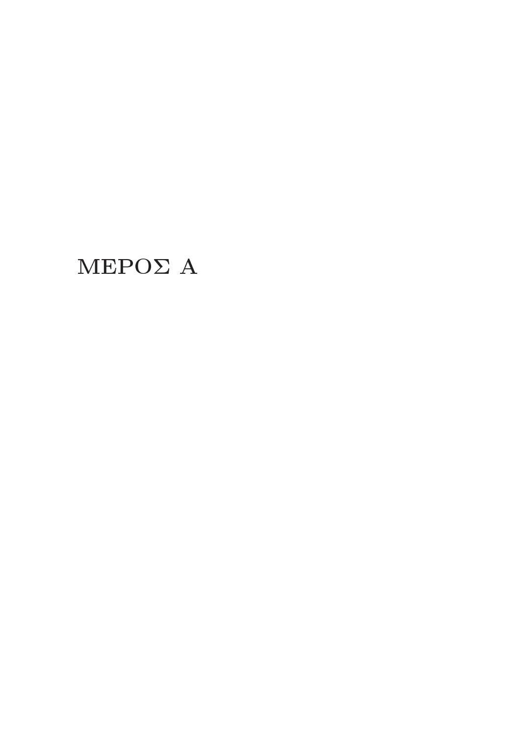# $MEPO\Sigma$  A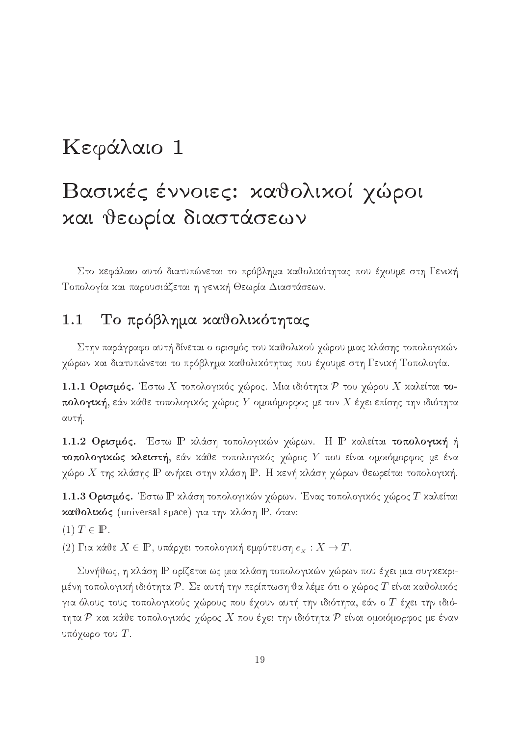# Κεφάλαιο 1

# Βασικές έννοιες: καθολικοί χώροι χαι θεωρία διαστάσεων

Στο κεφάλαιο αυτό διατυπώνεται το πρόβλημα καθολικότητας που έχουμε στη Γενική Τοπολογία και παρουσιάζεται η γενική Θεωρία Διαστάσεων.

#### Το πρόβλημα καθολικότητας  $1.1$

Στην παράγραφο αυτή δίνεται ο ορισμός του καθολικού χώρου μιας κλάσης τοπολογικών γώρων και διατυπώνεται το πρόβλημα καθολικότητας που έχουμε στη Γενική Τοπολογία.

1.1.1 Ορισμός. Έστω Χ τοπολογικός χώρος. Μια ιδιότητα Ρ του χώρου Χ καλείται τοπολογική, εάν κάθε τοπολογικός χώρος Y ομοιόμορφος με τον X έχει επίσης την ιδιότητα αυτή.

1.1.2 Ορισμός. Έστω P κλάση τοπολογικών χώρων. Η P καλείται τοπολογική ή τοπολογικώς κλειστή, εάν κάθε τοπολογικός χώρος Υ που είναι ομοιόμορφος με ένα γώρο Χ της κλάσης  $\mathbb P$  ανήκει στην κλάση  $\mathbb P$ . Η κενή κλάση γώρων θεωρείται τοπολογική.

1.1.3 Ορισμός. Έστω Ρ κλάση τοπολογικών χώρων. Ένας τοπολογικός χώρος Τ καλείται καθολικός (universal space) για την κλάση P, όταν:

 $(1)$   $T \in \mathbb{P}$ .

(2) Gia kie X  $\mathcal{L}$  in topological topological topological topological topological topological topological topological topological topological topological topological topological topological topological topological top

Συνήθως, η κλάση IP ορίζεται ως μια κλάση τοπολογικών χώρων που έχει μια συγκεκριμένη τοπολογική ιδιότητα  $\mathcal P$ . Σε αυτή την περίπτωση θα λέμε ότι ο χώρος  $T$  είναι καθολικός για όλους τους τοπολογικούς χώρους που έχουν αυτή την ιδιότητα, εάν ο T έχει την ιδιότητα Ρ και κάθε τοπολογικός χώρος Χ που έχει την ιδιότητα Ρ είναι ομοιόμορφος με έναν υπόχωρο του  $T$ .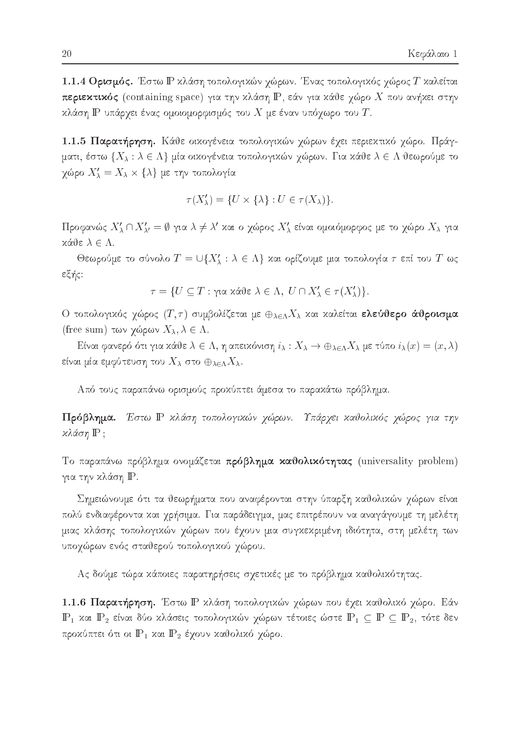1.1.4 Ορισμός. Έστω Γ κλάση τοπολογικών χώρων. Ένας τοπολογικός χώρος Τ καλείται περιεκτικός (containing space) για την κλάση ΙΡ, εάν για κάθε χώρο Χ που ανήκει στην κλάση  $\mathbb P$  υπάρχει ένας ομοιομορφισμός του  $X$  με έναν υπόχωρο του  $T$ .

1.1.5 Παρατήρηση. Κάθε οικογένεια τοπολογικών χώρων έχει περιεκτικό χώρο. Πράγματι, έστω  $\{X_\lambda : \lambda \in \Lambda\}$  μία οικογένεια τοπολογικών χώρων. Για κάθε  $\lambda \in \Lambda$  θεωρούμε το χώρο  $X'_{\lambda} = X_{\lambda} \times \{\lambda\}$  με την τοπολογία

$$
\tau(X'_{\lambda}) = \{ U \times \{\lambda\} : U \in \tau(X_{\lambda}) \}
$$

Προφανώς  $X'_\lambda \cap X'_{\lambda'} = \emptyset$  για  $\lambda \neq \lambda'$  και ο χώρος  $X'_\lambda$  είναι ομοιόμορφος με το χώρο  $X_\lambda$  για  $x$ άθε  $\lambda \in \Lambda$ .

Θεωρούμε το σύνολο  $T = \bigcup \{X'_\lambda : \lambda \in \Lambda\}$  και ορίζουμε μια τοπολογία  $\tau$  επί του  $T$  ως εξής:

$$
\tau = \{ U \subseteq T : \gamma \text{ is a } \lambda \in \Lambda, \ U \cap X'_{\lambda} \in \tau(X'_{\lambda}) \}
$$

Ο τοπολογικός χώρος  $(T, \tau)$  συμβολίζεται με  $\oplus_{\lambda \in \Lambda} X_{\lambda}$  και καλείται ελεύθερο άθροισμα (free sum) των χώρων  $X_{\lambda}, \lambda \in \Lambda$ .

Eίναι φανερό ότι για κάθε $\lambda \in \Lambda$ , η απεικόνιση $i_\lambda : X_\lambda \to \oplus_{\lambda \in \Lambda} X_\lambda$ με τύπο $i_\lambda(x) = (x, \lambda)$ είναι μία εμφύτευση του  $X_{\lambda}$  στο  $\oplus_{\lambda \in \Lambda} X_{\lambda}$ .

Από τους παραπάνω ορισμούς προχύπτει άμεσα το παραχάτω πρόβλημα.

Πρόβλημα. Έστω Ρ κλάση τοπολογικών χώρων. Υπάρχει καθολικός χώρος για την κλάση IP;

Το παραπάνω πρόβλημα ονομάζεται πρόβλημα καθολικότητας (universality problem) για την κλάση Ρ.

Σημειώνουμε ότι τα θεωρήματα που αναφέρονται στην ύπαρξη καθολικών γώρων είναι πολύ ενδιαφέροντα και χρήσιμα. Για παράδειγμα, μας επιτρέπουν να αναγάγουμε τη μελέτη μιας χλάσης τοπολογικών χώρων που έχουν μια συγχεχριμένη ιδιότητα, στη μελέτη των υποχώρων ενός σταθερού τοπολογικού χώρου.

Ας δούμε τώρα κάποιες παρατηρήσεις σχετικές με το πρόβλημα καθολικότητας.

1.1.6 Παρατήρηση. Έστω Ρ κλάση τοπολογικών χώρων που έχει καθολικό χώρο. Εάν  $\mathbb{P}_1$  και  $\mathbb{P}_2$  είναι δύο κλάσεις τοπολογικών χώρων τέτοιες ώστε  $\mathbb{P}_1 \subseteq \mathbb{P} \subseteq \mathbb{P}_2$ , τότε δεν προκύπτει ότι οι  $P_1$  και  $P_2$  έχουν καθολικό χώρο.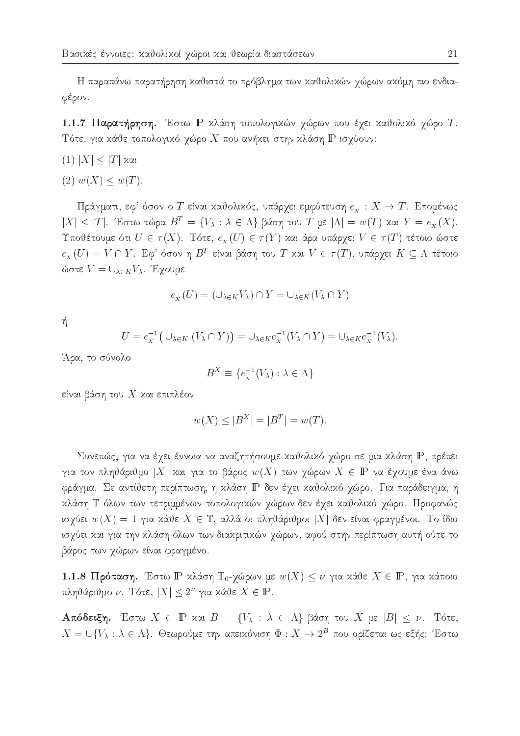Η παραπάνω παρατήρηση καθιστά το πρόβλημα των καθολικών χώρων ακόμη πιο ενδιαφέρον.

1.1.7 Παρατήρηση. Έστω Ρ κλάση τοπολογικών χώρων που έχει καθολικό χώρο Τ. Τότε, για κάθε τοπολογικό χώρο Χ που ανήκει στην κλάση  $\mathbb P$  ισχύουν:

$$
(1) |X| \leq |T| \text{ and}
$$

 $(2) w(X) \leq w(T)$ .

Πράγματι, εφ' όσον ο T είναι καθολικός, υπάρχει εμφύτευση  $e_x : X \to T$ . Επομένως  $|X| \leq |T|$ . Έστω τώρα  $B^T = \{V_\lambda : \lambda \in \Lambda\}$  βάση του T με  $|\Lambda| = w(T)$  και  $Y = e_X(X)$ . Υποθέτουμε ότι  $U \in \tau(X)$ . Τότε,  $e_x(U) \in \tau(Y)$  και άρα υπάρχει  $V \in \tau(T)$  τέτοιο ώστε  $e_{\overline{x}}(U)=V\cap Y$ . Εφ' όσον η  $B^T$  είναι βάση του  $T$  και  $V\in \tau(T),$  υπάρχει  $K\subseteq \Lambda$  τέτοιο ώστε  $V = \bigcup_{\lambda \in K} V_{\lambda}$ . Έχουμε

$$
e_X(U) = (\cup_{\lambda \in K} V_\lambda) \cap Y = \cup_{\lambda \in K} (V_\lambda \cap Y)
$$

ή

$$
U = e_X^{-1}(\cup_{\lambda \in K} (V_\lambda \cap Y)) = \cup_{\lambda \in K} e_X^{-1}(V_\lambda \cap Y) = \cup_{\lambda \in K} e_X^{-1}(V_\lambda).
$$

Άρα, το σύνολο

$$
B^X \equiv \{ e^{-1}_x(V_\lambda) : \lambda \in \Lambda \}
$$

είναι βάση του  $X$  και επιπλέον

$$
w(X) \leq |B^X| = |B^T| = w(T).
$$

Συνεπώς, για να έχει έννοια να αναζητήσουμε καθολικό χώρο σε μια κλάση Ρ, πρέπει για τον πληθάριθμο |X| και για το βάρος  $w(X)$  των χώρων  $X \in \mathbb{P}$  να έχουμε ένα άνω φράγμα. Σε αντίθετη περίπτωση, η κλάση IP δεν έχει καθολικό χώρο. Για παράδειγμα, η κλάση Τ όλων των τετριμμένων τοπολογικών χώρων δεν έχει καθολικό χώρο. Προφανώς ισχύει  $w(X) = 1$  για κάθε  $X \in \mathbb{T}$ , αλλά οι πληθάριθμοι  $|X|$  δεν είναι φραγμένοι. Το ίδιο ισχύει και για την κλάση όλων των διακριτικών χώρων, αφού στην περίπτωση αυτή ούτε το βάρος των χώρων είναι φραγμένο.

1.1.8 Πρόταση. Έστω Ρ κλάση Τ<sub>0</sub>-χώρων με  $w(X) \leq \nu$  για κάθε  $X \in \mathbb{P}$ , για κάποιο πληθάριθμο ν. Τότε,  $|X| \leq 2^{\nu}$  για κάθε  $X \in \mathbb{P}$ .

Aπόδειξη. Έστω  $X \in \mathbb{P}$  και  $B = \{V_{\lambda} : \lambda \in \Lambda\}$  βάση του X με  $|B| \leq \nu$ . Τότε,  $X = \bigcup \{V_{\lambda} : \lambda \in \Lambda\}$ . Θεωρούμε την απειχόνιση  $\Phi : X \to 2^B$  που ορίζεται ως εξής: Έστω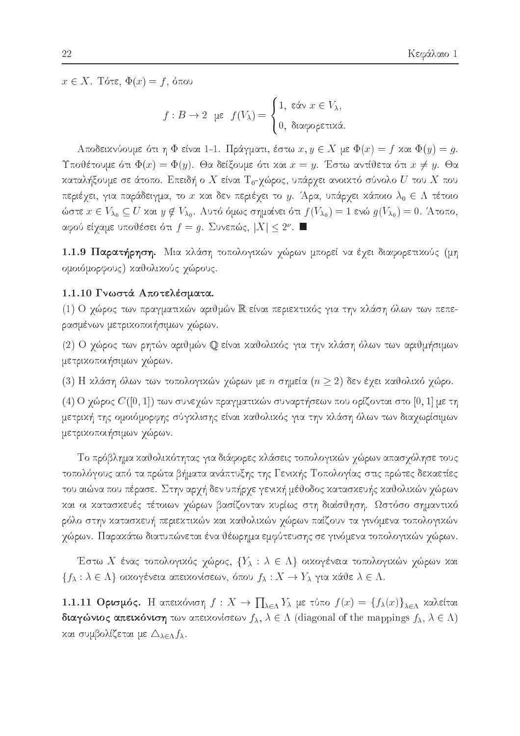$x \in X$ . Τότε,  $\Phi(x) = f$ , όπου

$$
f: B \to 2 \text{ if } f(V_\lambda) = \begin{cases} 1, & \text{for } x \in V_\lambda, \\ 0, & \text{for } \lambda. \end{cases}
$$

Aποδεικνύουμε ότι η Φ είναι 1-1. Πράγματι, έστω  $x, y \in X$  με  $\Phi(x) = f$  και  $\Phi(y) = g$ . Υποθέτουμε ότι  $\Phi(x) = \Phi(y)$ . Θα δείξουμε ότι και  $x = y$ . Έστω αντίθετα ότι  $x \neq y$ . Θα καταλήξουμε σε άτοπο. Επειδή ο  $X$  είναι  $T_0$ -χώρος, υπάρχει ανοικτό σύνολο  $U$  του  $X$  που περιέχει, για παράδειγμα, το x και δεν περιέχει το y. Άρα, υπάρχει κάποιο  $\lambda_0 \in \Lambda$  τέτοιο ώστε  $x \in V_{\lambda_0} \subseteq U$  και  $y \notin V_{\lambda_0}$ . Αυτό όμως σημαίνει ότι  $f(V_{\lambda_0}) = 1$  ενώ  $g(V_{\lambda_0}) = 0$ . Άτοπο, αφού είχαμε υποθέσει ότι  $f=g.$  Συνεπώς,  $|X|\leq 2^{\nu}.$  ■

1.1.9 Παρατήρηση. Μια κλάση τοπολογικών χώρων μπορεί να έχει διαφορετικούς (μη ομοιόμορφους) καθολικούς χώρους.

#### 1.1.10 Γνωστά Αποτελέσματα.

(1) Ο χώρος των πραγματικών αριθμών R είναι περιεκτικός για την κλάση όλων των πεπερασμένων μετρικοποιήσιμων χώρων.

(2) Ο χώρος των ρητών αριθμών  $\mathbb Q$  είναι καθολικός για την κλάση όλων των αριθμήσιμων μετρικοποιήσιμων χώρων.

(3) Η κλάση όλων των τοπολογικών χώρων με *n* σημεία ( $n \geq 2$ ) δεν έχει καθολικό χώρο.

(4) Ο χώρος  $C([0,1])$  των συνεχών πραγματικών συναρτήσεων που ορίζονται στο  $[0,1]$  με τη μετρική της ομοιόμορφης σύγκλισης είναι καθολικός για την κλάση όλων των διαχωρίσιμων μετρικοποιήσιμων χώρων.

Το πρόβλημα καθολικότητας για διάφορες κλάσεις τοπολογικών χώρων απασχόλησε τους τοπολόγους από τα πρώτα βήματα ανάπτυξης της Γενικής Τοπολογίας στις πρώτες δεκαετίες του αιώνα που πέρασε. Στην αρχή δεν υπήρχε γενική μέθοδος κατασκευής καθολικών χώρων και οι κατασκευές τέτοιων χώρων βασίζονταν κυρίως στη διαίσθηση. Ωστόσο σημαντικό ρόλο στην κατασκευή περιεκτικών και καθολικών γώρων παίζουν τα γινόμενα τοπολογικών χώρων. Παρακάτω διατυπώνεται ένα θέωρημα εμφύτευσης σε γινόμενα τοπολογικών χώρων.

Έστω Χ ένας τοπολογικός χώρος,  $\{Y_\lambda : \lambda \in \Lambda\}$  οικογένεια τοπολογικών χώρων και  $\{f_\lambda : \lambda \in \Lambda\}$  οικογένεια απεικονίσεων, όπου  $f_\lambda : X \to Y_\lambda$  για κάθε  $\lambda \in \Lambda$ .

1.1.11 Ορισμός. Η απειχόνιση  $f: X \to \prod_{\lambda \in \Lambda} Y_{\lambda}$  με τύπο  $f(x) = \{f_{\lambda}(x)\}_{\lambda \in \Lambda}$  χαλείται **διαγώνιος απειχόνιση** των απειχονίσεων  $f_{\lambda}$ ,  $\lambda \in \Lambda$  (diagonal of the mappings  $f_{\lambda}$ ,  $\lambda \in \Lambda$ ) και συμβολίζεται με  $\Delta_{\lambda \in \Lambda} f_{\lambda}$ .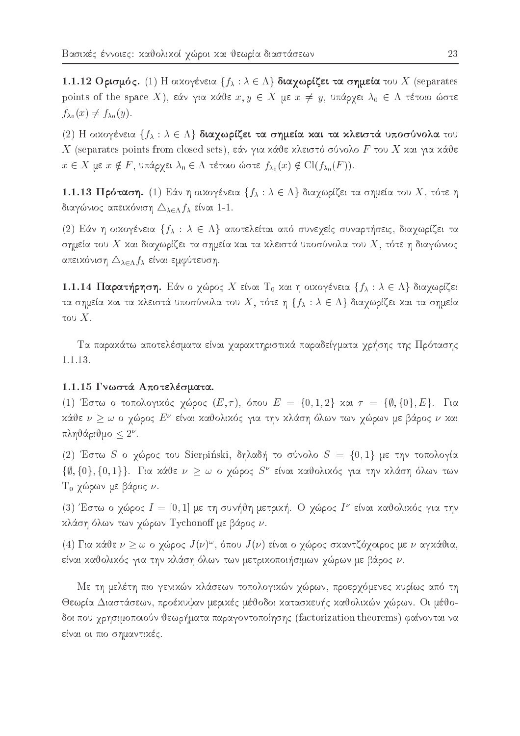1.1.12 Ορισμός. (1) Η οικογένεια  $\{f_{\lambda} : \lambda \in \Lambda\}$  διαχωρίζει τα σημεία του X (separates points of the space X), εάν για κάθε  $x, y \in X$  με  $x \neq y$ , υπάρχει  $\lambda_0 \in \Lambda$  τέτοιο ώστε  $f_{\lambda_0}(x) \neq f_{\lambda_0}(y)$ .

(2) Η οικογένεια  $\{f_\lambda : \lambda \in \Lambda\}$  διαχωρίζει τα σημεία και τα κλειστά υποσύνολα του X (separates points from closed sets), εάν για κάθε κλειστό σύνολο F του X και για κάθε  $x \in X$  με  $x \notin F$ , υπάρχει  $\lambda_0 \in \Lambda$  τέτοιο ώστε  $f_{\lambda_0}(x) \notin \text{Cl}(f_{\lambda_0}(F)).$ 

1.1.13 Πρόταση. (1) Εάν η οικογένεια  $\{f_\lambda : \lambda \in \Lambda\}$  διαχωρίζει τα σημεία του  $X$ , τότε η διαγώνιος απεικόνιση  $\triangle_{\lambda \in \Lambda} f_{\lambda}$  είναι 1-1.

(2) Εάν η οικογένεια  $\{f_\lambda : \lambda \in \Lambda\}$  αποτελείται από συνεχείς συναρτήσεις, διαχωρίζει τα σημεία του  $X$  και διαχωρίζει τα σημεία και τα κλειστά υποσύνολα του  $X,$  τότε η διαγώνιος απεικόνιση  $\Delta_{\lambda \in \Lambda} f_\lambda$  είναι εμφύτευση.

1.1.14 Παρατήρηση. Εάν ο χώρος X είναι Τ<sub>0</sub> και η οικογένεια  $\{f_\lambda : \lambda \in \Lambda\}$  διαχωρίζει τα σημεία και τα κλειστά υποσύνολα του X, τότε η  $\{f_\lambda : \lambda \in \Lambda\}$  διαχωρίζει και τα σημεία tou X.

Τα παρακάτω αποτελέσματα είναι χαρακτηριστικά παραδείγματα χρήσης της Πρότασης 1.1.13.

#### 1.1.15 Γνωστά Αποτελέσματα.

(1) Έστω ο τοπολογικός χώρος  $(E, \tau)$ , όπου  $E = \{0, 1, 2\}$  και  $\tau = \{\emptyset, \{0\}, E\}$ . Για καυε  $\nu > \omega$  ο γωρος Ε΄ ειναι καυολικός για την κλαση όλων των γωρών με ραρός  $\nu$  και  $\mu$ vijade v 2.  $\alpha$ 

(2) Έστω S ο χώρος του Sierpinski, δηλαδή το σύνολο  $S = \{0, 1\}$  με την τοπολογία  $\{0,10\}, \{0,1\}\}$ . Για χαθέ  $\nu > \omega$  ο χωρος  $\beta$ ΄ είναι χαθολιχος για την χλαση ολών των T<sub>0</sub>-χώρων με βάρος ν.

(3) Έστω ο γώρος  $I=[0,1]$  με τη συνήθη μετρική. Ο γώρος  $I^\nu$  είναι καθολικός για την κλάση όλων των χώρων Tychonoff με βάρος ν.

(4) I τα χανε  $\nu > \omega$  ο γωρος  $J(\nu)$ ", σπου  $J(\nu)$  ειναι ο γωρος σχαντιςογοιρος με  $\nu$  αγχαντα, είναι καθολικός για την κλάση όλων των μετρικοποιήσιμων χώρων με βάρος  $\nu$ .

Mε τη μελέτη πιο γενιχών χλάσεων τοπολογιχών χώρων, προερχόμενες χυρίως από τη Θεωρία Διαστάσεων, προέχυψαν μεριχές μέθοδοι χατασχευής χαθολιχών χώρων. Οι μέθοδοι που χρησιμοποιούν θεωρήματα παραγοντοποίησης (factorization theorems) φαίνονται να είναι οι πιο σημαντικές.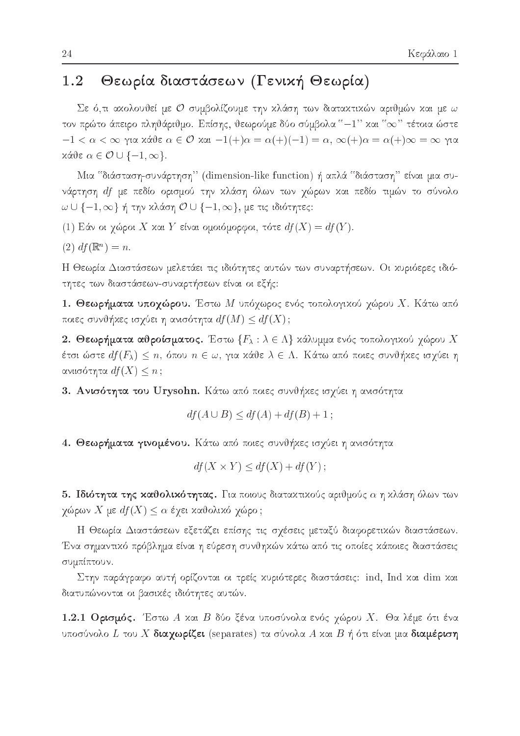#### Θεωρία διαστάσεων (Γενική Θεωρία)  $1.2$

Σε ό,τι ακολουθεί με Ο συμβολίζουμε την κλάση των διατακτικών αριθμών και με ω τον πρώτο άπειρο πληθάριθμο. Επίσης, θεωρούμε δύο σύμβολα "-1" και " $\infty$ " τέτοια ώστε  $-1 < \alpha < \infty$  για κάθε  $\alpha \in \mathcal{O}$  και  $-1(+)\alpha = \alpha (+)(-1) = \alpha$ ,  $\infty (+)\alpha = \alpha (+)\infty = \infty$  για  $x\acute{\alpha} \vartheta \varepsilon \alpha \in \mathcal{O} \cup \{-1, \infty\}.$ 

Μια "διάσταση-συνάρτηση" (dimension-like function) ή απλά "διάσταση" είναι μια συνάρτηση df με πεδίο ορισμού την κλάση όλων των χώρων και πεδίο τιμών το σύνολο  $\omega \cup \{-1, \infty\}$  ή την κλάση  $\mathcal{O} \cup \{-1, \infty\}$ , με τις ιδιότητες:

(1) Εάν οι χώροι X και Y είναι ομοιόμορφοι, τότε  $df(X) = df(Y)$ .

 $(2) df(\mathbb{R}^n) = n.$ 

Η Θεωρία Διαστάσεων μελετάει τις ιδιότητες αυτών των συναρτήσεων. Οι χυριόερες ιδιότητες των διαστάσεων-συναρτήσεων είναι οι εξής:

1. Θεωρήματα υποχώρου. Έστω Μ υπόχωρος ενός τοπολογικού χώρου Χ. Κάτω από ποιες συνθήκες ισχύει η ανισότητα  $df(M) \leq df(X)$ ;

2. Θεωρήματα αθροίσματος. Έστω  $\{F_\lambda : \lambda \in \Lambda\}$  κάλυμμα ενός τοπολογικού χώρου  $X$ έτσι ώστε  $df(F_\lambda)\leq n,$  όπου  $n\in\omega,$  για χάθε  $\lambda\in\Lambda.$  Κάτω από ποιες συνθήχες ισχύει η ανιισότητα  $df(X) \leq n$ ;

3. Ανισότητα του Urysohn. Κάτω από ποιες συνθήχες ισχύει η ανισότητα

$$
df(A \cup B) \leq df(A) + df(B) + 1;
$$

4. Θεωρήματα γινομένου. Κάτω από ποιες συνθήχες ισχύει η ανισότητα

$$
df(X \times Y) \leq df(X) + df(Y) ;
$$

5. Ιδιότητα της καθολικότητας. Για ποιους διατακτικούς αριθμούς  $\alpha$  η κλάση όλων των χώρων  $X$  με  $df(X) \leq \alpha$  έχει καθολικό χώρο ;

Η Θεωρία Διαστάσεων εξετάζει επίσης τις σχέσεις μεταξύ διαφορετικών διαστάσεων. Ένα σημαντικό πρόβλημα είναι η εύρεση συνθηκών κάτω από τις οποίες κάποιες διαστάσεις συμπίπτουν.

Στην παράγραφο αυτή ορίζονται οι τρείς χυριότερες διαστάσεις: ind, Ind χαι dim χαι διατυπώνονται οι βασικές ιδιότητες αυτών.

1.2.1 Ορισμός. Έστω Α και Β δύο ξένα υποσύνολα ενός χώρου Χ. Θα λέμε ότι ένα υποσύνολο  $L$  του  $X$  διαχωρίζει (separates) τα σύνολα  $A$  και  $B$  ή ότι είναι μια διαμέριση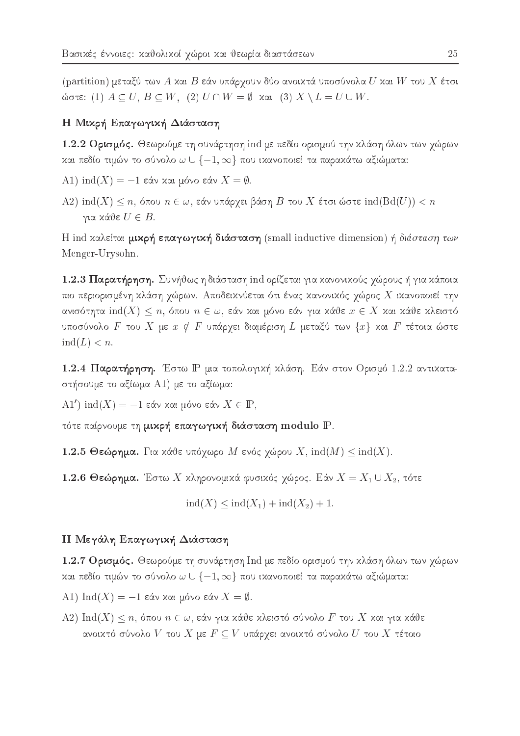(partition) μεταξύ των Α και Β εάν υπάρχουν δύο ανοικτά υποσύνολα  $U$  και  $W$  του  $X$  έτσι ώστε: (1)  $A \subseteq U$ ,  $B \subseteq W$ , (2)  $U \cap W = \emptyset$  και (3)  $X \setminus L = U \cup W$ .

### Η Μικρή Επαγωγική Διάσταση

1.2.2 Ορισμός. Θεωρούμε τη συνάρτηση ind με πεδίο ορισμού την κλάση όλων των χώρων και πεδίο τιμών το σύνολο  $\omega \cup \{-1, \infty\}$  που ικανοποιεί τα παρακάτω αξιώματα:

- A1) ind(X) = -1 εάν και μόνο εάν  $X = \emptyset$ .
- A2) ind(X)  $\leq n$ , όπου  $n \in \omega$ , εάν υπάρχει βάση B του X έτσι ώστε ind(Bd(U))  $< n$ για κάθε  $U \in B$ .

H ind καλείται μικρή επαγωγική διάσταση (small inductive dimension) ή διάσταση των Menger-Urysohn.

1.2.3 Παρατήρηση. Συνήθως η διάσταση ind ορίζεται για κανονικούς χώρους ή για κάποια πιο περιορισμένη κλάση χώρων. Αποδεικνύεται ότι ένας κανονικός χώρος Χ ικανοποιεί την ανισότητα ind $(X) \leq n$ , όπου  $n \in \omega$ , εάν και μόνο εάν για κάθε  $x \in X$  και κάθε κλειστό υποσύνολο F του X με  $x \notin F$  υπάρχει διαμέριση L μεταξύ των  $\{x\}$  και F τέτοια ώστε  $ind(L) < n$ .

1.2.4 Παρατήρηση. Έστω Ρ μια τοπολογική κλάση. Εάν στον Ορισμό 1.2.2 αντικαταστήσουμε το αξίωμα A1) με το αξίωμα:

A1') ind(X) = -1 εάν και μόνο εάν  $X \in \mathbb{P}$ ,

τότε παίρνουμε τη μικρή επαγωγική διάσταση modulo P.

1.2.5 Θεώρημα. Για κάθε υπόχωρο Μ ενός χώρου X,  $\text{ind}(M) \leq \text{ind}(X)$ .

1.2.6 Θεώρημα. Έστω Χ κληρονομικά φυσικός χώρος. Εάν  $X = X_1 \cup X_2$ , τότε

 $\text{ind}(X) \leq \text{ind}(X_1) + \text{ind}(X_2) + 1.$ 

### Η Μεγάλη Επαγωγική Διάσταση

1.2.7 Ορισμός. Θεωρούμε τη συνάρτηση Ind με πεδίο ορισμού την κλάση όλων των χώρων και πεδίο τιμών το σύνολο  $\omega \cup \{-1, \infty\}$  που ικανοποιεί τα παρακάτω αξιώματα:

A1) Ind(X) = -1 εάν και μόνο εάν  $X = \emptyset$ .

A2) Ind(X)  $\leq n$ , όπου  $n \in \omega$ , εάν για κάθε κλειστό σύνολο F του X και για κάθε ανοικτό σύνολο  $V$  του  $X$  με  $F \subseteq V$  υπάρχει ανοικτό σύνολο  $U$  του  $X$  τέτοιο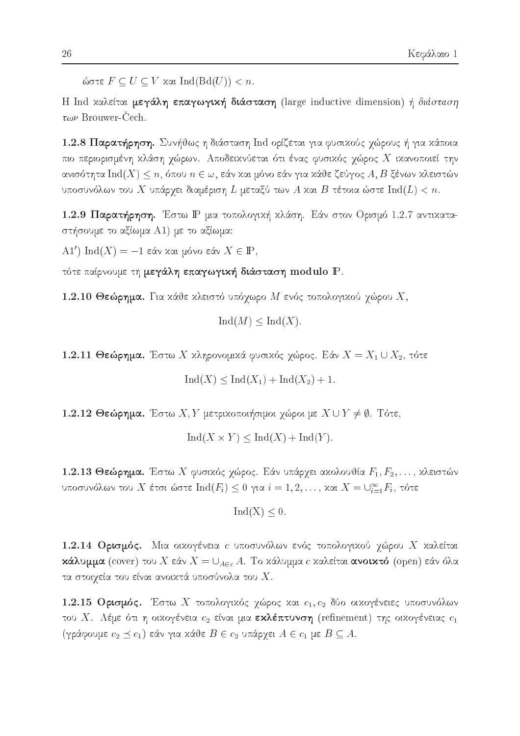ώστε  $F \subseteq U \subseteq V$  και  $Ind(Bd(U)) < n$ .

H Ind χαλείται μεγάλη επαγωγική διάσταση (large inductive dimension) ή διάσταση  $\tau \omega \nu$  Brouwer-Cech.

1.2.8 Παρατήρηση. Συνήθως η διάσταση Ind ορίζεται για φυσικούς χώρους ή για κάποια πιο περιορισμένη χλάση χώρων. Αποδεικνύεται ότι ένας φυσικός χώρος Χ ικανοποιεί την ανισότητα  $\mathrm{Ind}(X)\leq n,$  όπου  $n\in\omega,$  εάν και μόνο εάν για κάθε ζεύγος  $A,B$  ξένων κλειστών υποσυνόλων του  $X$  υπάρχει διαμέριση  $L$  μεταξύ των  $A$  και  $B$  τέτοια ώστε  $\mathrm{Ind}(L) < n.$ 

1.2.9 Παρατήρηση. Έστω Ρ μια τοπολογική κλάση. Εάν στον Ορισμό 1.2.7 αντικαταστήσουμε το αξίωμα A1) με το αξίωμα:

A1') Ind(X) = -1 εάν και μόνο εάν  $X \in \mathbb{P}$ ,

τότε παίρνουμε τη μεγάλη επαγωγική διάσταση modulo P.

1.2.10 Θεώρημα. Για χάθε χλειστό υπόχωρο Μ ενός τοπολογιχού χώρου  $X$ ,

 $\text{Ind}(M) \leq \text{Ind}(X)$ .

1.2.11 Θεώρημα. Έστω Χ χληρονομικά φυσικός χώρος. Εάν  $X = X_1 \cup X_2$ , τότε

 $\text{Ind}(X) \leq \text{Ind}(X_1) + \text{Ind}(X_2) + 1.$ 

1.2.12 Θεώρημα. Έστω  $X, Y$  μετριχοποιήσιμοι χώροι με  $X \cup Y \neq \emptyset$ . Τότε,

 $\text{Ind}(X \times Y) \leq \text{Ind}(X) + \text{Ind}(Y).$ 

1.2.13 Θεώρημα. Έστω Χ φυσικός χώρος. Εάν υπάρχει ακολουθία  $F_1, F_2, \ldots,$  κλειστών υποσυνόλων του  $X$  έτσι ώστε  $\mathrm{Ind}(F_i)\leq 0$  για  $i=1,2,\ldots,$  και  $X=\cup_{i=1}^\infty F_i$ , τότε

$$
Ind(X) \leq 0.
$$

1.2.14 Ορισμός. Μια οιχογένεια *c* υποσυνόλων ενός τοπολογιχού χώρου X χαλείται **κάλυμμα** (cover) του X εάν  $X = \bigcup_{A \in c} A$ . Το κάλυμμα c καλείται **ανοικτό** (open) εάν όλα τα στοιχεία του είναι ανοικτά υποσύνολα του  $X.$ 

1.2.15 Ορισμός. Έστω Χ τοπολογικός χώρος και  $c_1, c_2$  δύο οικογένειες υποσυνόλων του Χ. Λέμε ότι η οικογένεια  $c_2$  είναι μια εκλέπτυνση (refinement) της οικογένειας  $c_1$ (γράφουμε  $c_2 \preceq c_1$ ) εάν για κάθε  $B \in c_2$  υπάρχει  $A \in c_1$  με  $B \subseteq A$ .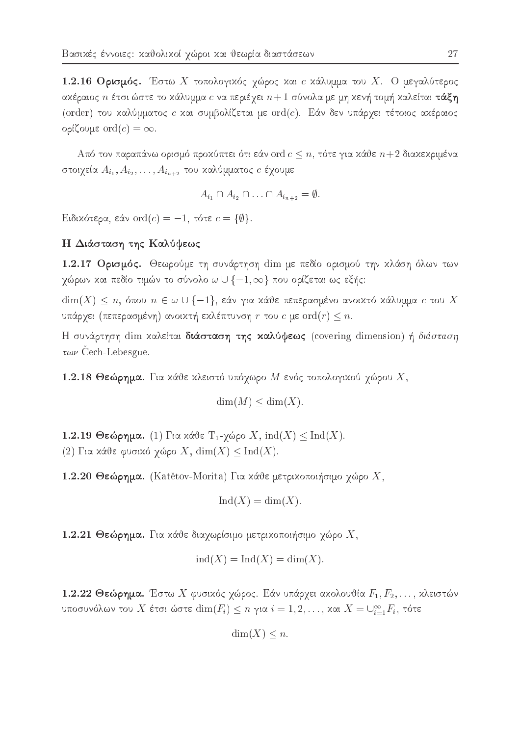1.2.16 Ορισμός. Έστω Χ τοπολογικός χώρος και *ε* κάλυμμα του Χ. Ο μεγαλύτερος ακέραιος  $n$  έτσι ώστε το κάλυμμα  $c$  να περιέχει  $n+1$  σύνολα με μη κενή τομή καλείται τ**άξη** (order) του καλύμματος c και συμβολίζεται με ord(c). Εάν δεν υπάρχει τέτοιος ακέραιος ορίζουμε ord $(c) = \infty$ .

Από τον παραπάνω ορισμό προχύπτει ότι εάν ord  $c \leq n$ , τότε για χάθε  $n+2$  διαχεχριμένα στοιχεία  $A_{i_1}, A_{i_2}, \ldots, A_{i_{n+2}}$  του καλύμματος  $c$  έχουμε

$$
A_{i_1} \cap A_{i_2} \cap \ldots \cap A_{i_{n+2}} = \emptyset
$$

Eιδικότερα, εάν ord $(c) = -1$ , τότε  $c = \{\emptyset\}.$ 

### Η Διάσταση της Καλύψεως

1.2.17 Ορισμός. Θεωρούμε τη συνάρτηση dim με πεδίο ορισμού την κλάση όλων των χώρων χαι πεδίο τιμών το σύνολο  $\omega \cup \{-1, \infty\}$  που ορίζεται ως εξής:

 $\dim(X) \leq n$ , όπου  $n \in \omega \cup \{-1\}$ , εάν για κάθε πεπερασμένο ανοικτό κάλυμμα c του X υπάρχει (πεπερασμένη) ανοικτή εκλέπτυνση  $r$  του  $c$  με  $\mathrm{ord}(r)\leq n.$ 

Η συνάρτηση dim καλείται διάσταση της καλύψεως (covering dimension) ή διάσταση  $\tau \omega \nu$  Cech-Lebesgue.

1.2.18 Θεώρημα. Για κάθε κλειστό υπόχωρο Μ ενός τοπολογικού χώρου Χ,

$$
\dim(M) \le \dim(X)
$$

1.2.19 Θεώρημα. (1) Για κάθε Τ<sub>1</sub>-χώρο X, ind(X)  $\leq$  Ind(X). (2) Για κάθε φυσικό χώρο X,  $dim(X) \leq Ind(X)$ .

1.2.20 Θεώρημα. (Katětov-Morita) Για κάθε μετρικοποιήσιμο χώρο Χ,

$$
Ind(X) = dim(X).
$$

1.2.21 Θεώρημα. Για κάθε διαχωρίσιμο μετρικοποιήσιμο χώρο  $X$ ,

$$
ind(X) = Ind(X) = dim(X).
$$

1.2.22 Θεώρημα. Έστω Χ φυσικός χώρος. Εάν υπάρχει ακολουθία  $F_1, F_2, \ldots$ , κλειστών υποσυνόλων του X έτσι ώστε  $\dim(F_i) \leq n$  για  $i = 1, 2, ...,$  και  $X = \bigcup_{i=1}^{\infty} F_i$ , τότε

$$
\dim(X) \leq n.
$$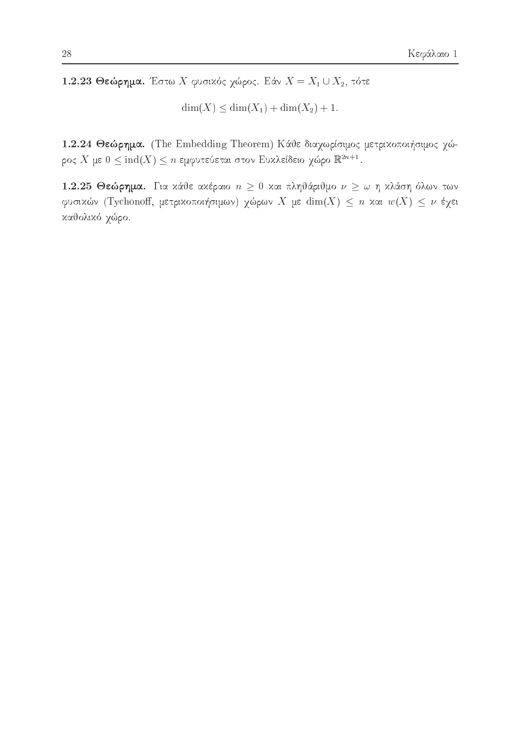1.2.23 Θεώρημα. Έστω Χ φυσικός χώρος. Εάν  $X = X_1 \cup X_2$ , τότε

 $\dim(X) \leq \dim(X_1) + \dim(X_2) + 1.$ 

1.2.24 Θεώρημα. (The Embedding Theorem) Κάθε διαχωρίσιμος μετρικοποιήσιμος χώρος $X$ με $0\leq\mbox{ind}(X)\leq n$ εμφυτεύεται στον Ευ<br/>κλείδειο χώρο $\mathbb{R}^{2n+1}.$ 

1.2.25 Θεώρημα. Για κάθε ακέραιο  $n \geq 0$  και πληθάριθμο  $\nu \geq \omega$  η κλάση όλων των φυσικών (Tychonoff, μετρικοποιήσιμων) χώρων X με  $\dim(X) \leq n$  και  $w(X) \leq \nu$  έχει καθολικό χώρο.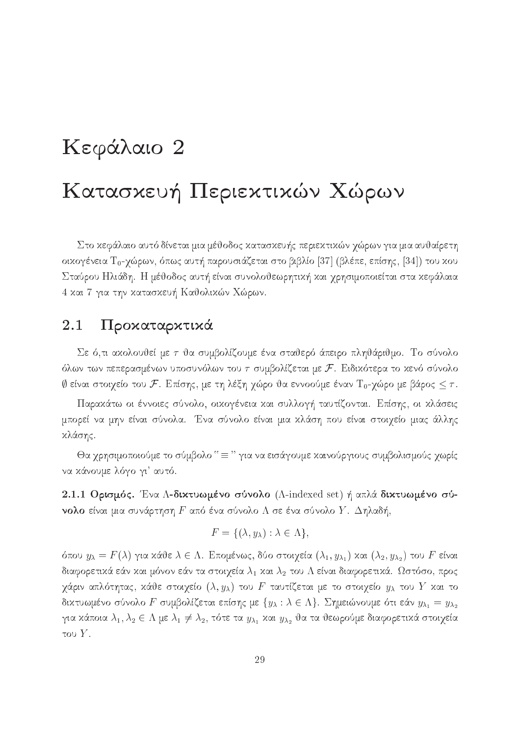# Κεφάλαιο 2 Κατασκευή Περιεκτικών Χώρων

Στο κεφάλαιο αυτό δίνεται μια μέθοδος κατασκευής περιεκτικών γώρων για μια αυθαίρετη οικογένεια Τ<sub>0</sub>-γώρων, όπως αυτή παρουσιάζεται στο βιβλίο [37] (βλέπε, επίσης, [34]) του κου Σταύρου Ηλιάδη. Η μέθοδος αυτή είναι συνολοθεωρητική και χρησιμοποιείται στα κεφάλαια 4 και 7 για την κατασκευή Καθολικών Χώρων.

#### Προκαταρκτικά 2.1

Σε ό,τι ακολουθεί με τ θα συμβολίζουμε ένα σταθερό άπειρο πληθάριθμο. Το σύνολο όλων των πεπερασμένων υποσυνόλων του  $\tau$  συμβολίζεται με  $\mathcal F$ . Ειδικότερα το κενό σύνολο  $\emptyset$  είναι στοιχείο του  ${\cal F}.$  Επίσης, με τη λέξη χώρο θα εννοούμε έναν  ${\rm T}_0$ -χώρο με βάρος  $\leq \tau.$ 

Παρακάτω οι έννοιες σύνολο, οικογένεια και συλλογή ταυτίζονται. Επίσης, οι κλάσεις μπορεί να μην είναι σύνολα. Ένα σύνολο είναι μια κλάση που είναι στοιχείο μιας άλλης κλάσης.

θα χρησιμοποιούμε το σύμβολο " = " για να εισάγουμε καινούργιους συμβολισμούς χωρίς να κάνουμε λόγο γι' αυτό.

2.1.1 Ορισμός. Ένα Λ-δικτυωμένο σύνολο (A-indexed set) ή απλά δικτυωμένο σύ**νολο** είναι μια συνάρτηση  $F$  από ένα σύνολο  $\Lambda$  σε ένα σύνολο  $Y$ . Δηλαδή,

$$
F = \{ (\lambda, y_{\lambda}) : \lambda \in \Lambda \},
$$

όπου  $y_{\lambda} = F(\lambda)$  για κάθε  $\lambda \in \Lambda$ . Επομένως, δύο στοιχεία  $(\lambda_1, y_{\lambda_1})$  και  $(\lambda_2, y_{\lambda_2})$  του  $F$  είναι διαφορετικά εάν και μόνον εάν τα στοιχεία  $\lambda_1$  και  $\lambda_2$  του  $\Lambda$  είναι διαφορετικά. Ωστόσο, προς χάριν απλότητας, κάθε στοιχείο  $(\lambda, y_\lambda)$  του  $F$  ταυτίζεται με το στοιχείο  $y_\lambda$  του  $Y$  και το δικτυωμένο σύνολο  $F$  συμβολίζεται επίσης με  $\{y_\lambda : \lambda \in \Lambda\}$ . Σημειώνουμε ότι εάν  $y_{\lambda_1} = y_{\lambda_2}$ για κάποια  $\lambda_1, \lambda_2 \in \Lambda$  με  $\lambda_1 \neq \lambda_2$ , τότε τα  $y_{\lambda_1}$  και  $y_{\lambda_2}$  θα τα θεωρούμε διαφορετικά στοιχεία του  $Y$ .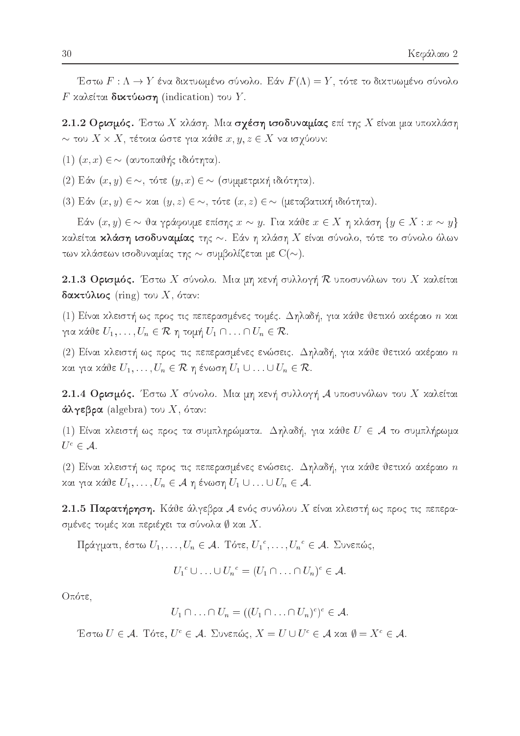Έστω  $F: \Lambda \to Y$  ένα δικτυωμένο σύνολο. Εάν  $F(\Lambda) = Y$ , τότε το δικτυωμένο σύνολο F καλείται δικτύωση (indication) του Y.

2.1.2 Ορισμός. Έστω Χ κλάση. Μια σχέση ισοδυναμίας επί της Χ είναι μια υποκλάση  $\sim$  του  $X \times X$ , τέτοια ώστε για κάθε  $x, y, z \in X$  να ισγύουν:

 $(1)$   $(x, x) \in \sim$  (αυτοπαθής ιδιότητα).

(2) Εάν  $(x, y) \in \sim$ , τότε  $(y, x) \in \sim$  (συμμετρική ιδιότητα).

(3) Εάν  $(x, y) \in \sim$  και  $(y, z) \in \sim$ , τότε  $(x, z) \in \sim$  (μεταβατική ιδιότητα).

Εάν  $(x, y) \in \sim$  θα γράφουμε επίσης  $x \sim y$ . Για κάθε  $x \in X$  η κλάση  $\{y \in X : x \sim y\}$ καλείται κλάση ισοδυναμίας της  $\sim$ . Εάν η κλάση Χ είναι σύνολο, τότε το σύνολο όλων των κλάσεων ισοδυναμίας της  $\sim$  συμβολίζεται με  $C(\sim)$ .

2.1.3 Ορισμός. Έστω Χ σύνολο. Μια μη κενή συλλογή  $\mathcal R$  υποσυνόλων του Χ καλείται **δακτύλιος** (ring) του X, όταν:

(1) Είναι κλειστή ως προς τις πεπερασμένες τομές. Δηλαδή, για κάθε θετικό ακέραιο *n* και για κάθε  $U_1, \ldots, U_n \in \mathcal{R}$  η τομή  $U_1 \cap \ldots \cap U_n \in \mathcal{R}$ .

(2) Είναι χλειστή ως προς τις πεπερασμένες ενώσεις. Δηλαδή, για χάθε θετιχό αχέραιο  $n$ και για κάθε  $U_1, \ldots, U_n \in \mathcal{R}$  η ένωση  $U_1 \cup \ldots \cup U_n \in \mathcal{R}$ .

2.1.4 Ορισμός. Έστω Χ σύνολο. Μια μη κενή συλλογή Α υποσυνόλων του Χ καλείται άλγεβρα (algebra) του Χ, όταν:

(1) Είναι κλειστή ως προς τα συμπληρώματα. Δηλαδή, για κάθε  $U \in \mathcal{A}$  το συμπλήρωμα  $U^c \in \mathcal{A}$ .

(2) Είναι χλειστή ως προς τις πεπερασμένες ενώσεις. Δηλαδή, για χάθε θετιχό αχέραιο  $n$ και για κάθε  $U_1, \ldots, U_n \in \mathcal{A}$  η ένωση  $U_1 \cup \ldots \cup U_n \in \mathcal{A}$ .

2.1.5 Παρατήρηση. Κάθε άλγεβρα  ${\mathcal A}$  ενός συνόλου  $X$  είναι κλειστή ως προς τις πεπερασμένες τομές και περιέχει τα σύνολα  $\emptyset$  και  $X.$ 

Πράγματι, έστω  $U_1, \ldots, U_n \in \mathcal{A}$ . Τότε,  $U_1^c, \ldots, U_n^c \in \mathcal{A}$ . Συνεπώς,

$$
U_1^c \cup \ldots \cup U_n^c = (U_1 \cap \ldots \cap U_n)^c \in \mathcal{A}.
$$

Οπότε,

$$
U_1 \cap \ldots \cap U_n = ((U_1 \cap \ldots \cap U_n)^c)^c \in \mathcal{A}
$$

Έστω  $U \in \mathcal{A}$ . Τότε,  $U^c \in \mathcal{A}$ . Συνεπώς,  $X = U \cup U^c \in \mathcal{A}$  και  $\emptyset = X^c \in \mathcal{A}$ .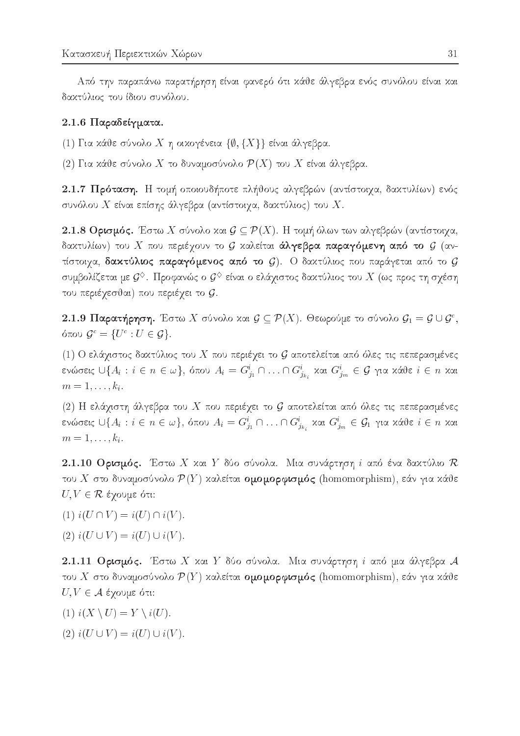Από την παραπάνω παρατήρηση είναι φανερό ότι κάθε άλγεβρα ενός συνόλου είναι και δακτύλιος του ίδιου συνόλου.

### 2.1.6 Παραδείγματα.

(1) Για κάθε σύνολο Χη οικογένεια  $\{\emptyset, \{X\}\}$  είναι άλγεβρα.

(2) Για κάθε σύνολο Χ το δυναμοσύνολο  $\mathcal{P}(X)$  του X είναι άλγεβρα.

2.1.7 Πρόταση. Η τομή οποιουδήποτε πλήθους αλγεβρών (αντίστοιχα, δακτυλίων) ενός συνόλου  $X$  είναι επίσης άλγεβρα (αντίστοιχα, δακτύλιος) του  $X.$ 

2.1.8 Ορισμός. Έστω Χ σύνολο και  $\mathcal{G} \subseteq \mathcal{P}(X)$ . Η τομή όλων των αλγεβρών (αντίστοιχα, δακτυλίων) του  $X$  που περιέχουν το  $\mathcal G$  καλείται **άλγεβρα παραγόμενη από το**  $\mathcal G$  (αντίστοιχα, δακτύλιος παραγόμενος από το  $\mathcal{G}$ ). Ο δακτύλιος που παράγεται από το  $\mathcal{G}$ συμβολίζεται με  $\mathcal{G}^\diamondsuit$ . Προφανώς ο  $\mathcal{G}^\diamondsuit$  είναι ο ελάχιστος δακτύλιος του  $X$  (ως προς τη σχέση του περιέχεσθαι) που περιέχει το  ${\cal G}.$ 

2.1.9 Παρατήρηση. Έστω Χ σύνολο και  $\mathcal{G} \subseteq \mathcal{P}(X)$ . Θεωρούμε το σύνολο  $\mathcal{G}_1 = \mathcal{G} \cup \mathcal{G}^c$ , όπου  $\mathcal{G}^c = \{U^c : U \in \mathcal{G}\}.$ 

(1) Ο ελάχιστος δακτύλιος του Χ που περιέχει το  ${\cal G}$  αποτελείται από όλες τις πεπερασμένες ενώσεις  $\cup\{A_i:i\in n\in\omega\},$  όπου  $A_i=G^i_{j_1}\cap\ldots\cap G^i_{j_{k_i}}$  και  $G^i_{j_m}\in\mathcal{G}$  για κάθε $i\in n$  και  $m=1,\ldots,k_i.$ 

(2) Η ελάχιστη άλγεβρα του Χ που περιέχει το  ${\mathcal G}$  αποτελείται από όλες τις πεπερασμένες ενώσεις  $\cup\{A_i:i\in n\in\omega\},$  όπου  $A_i=G^i_{j_1}\cap\ldots\cap G^i_{j_{k_i}}$  χαι  $G^i_{j_m}\in\mathcal{G}_1$  για χάθε $i\in n$  χαι  $m=1,\ldots,k_i.$ 

2.1.10 Ορισμός. Έστω Χ και Υ δύο σύνολα. Μια συνάρτηση *i* από ένα δακτύλιο  $\mathcal R$ του Χ στο δυναμοσύνολο  $\mathcal{P}(Y)$  καλείται ομομορφισμός (homomorphism), εάν για κάθε  $U, V \in \mathcal{R}$  έχουμε ότι:

- (1)  $i(U \cap V) = i(U) \cap i(V)$ .
- (2)  $i(U \cup V) = i(U) \cup i(V)$ .

2.1.11 Ορισμός. Έστω Χ και Υ δύο σύνολα. Μια συνάρτηση i από μια άλγεβρα  ${\cal A}$ του Χ στο δυναμοσύνολο  $\mathcal{P}(Y)$  καλείται ομομορφισμός (homomorphism), εάν για κάθε  $U, V \in \mathcal{A}$  έχουμε ότι:

- (1)  $i(X \setminus U) = Y \setminus i(U)$ .
- (2)  $i(U \cup V) = i(U) \cup i(V)$ .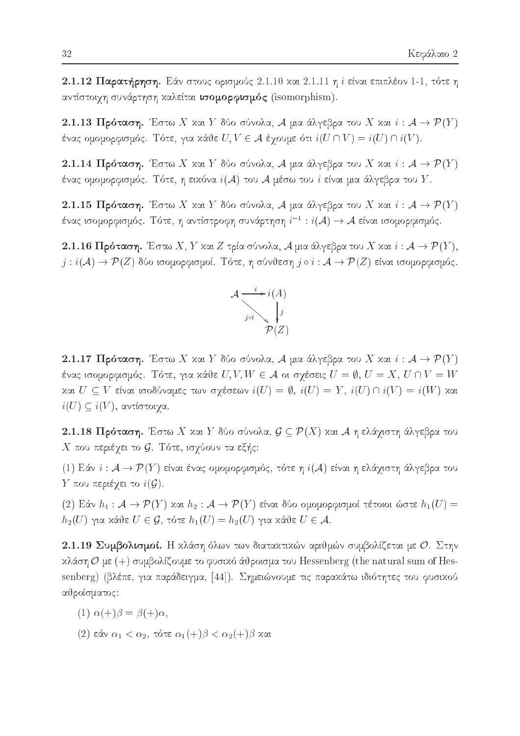2.1.12 Παρατήρηση. Εάν στους ορισμούς 2.1.10 και 2.1.11 η *i* είναι επιπλέον 1-1, τότε η αντίστοιχη συνάρτηση καλείται ισομορφισμός (isomorphism).

2.1.13 Πρόταση. Έστω Χ και Υ δύο σύνολα, Α μια άλγεβρα του Χ και  $i: \mathcal{A} \to \mathcal{P}(Y)$ ένας ομομορφισμός. Τότε, για κάθε  $U, V \in \mathcal{A}$  έγουμε ότι  $i(U \cap V) = i(U) \cap i(V)$ .

2.1.14 Πρόταση. Έστω Χ και Υ δύο σύνολα, Α μια άλγεβρα του Χ και  $i: \mathcal{A} \to \mathcal{P}(Y)$ ένας ομομορφισμός. Τότε, η ειχόνα  $i(\mathcal{A})$  του  $\mathcal{A}$  μέσω του  $i$  είναι μια άλγεβρα του  $Y$ .

2.1.15 Πρόταση. Έστω Χ και Υ δύο σύνολα, Α μια άλγεβρα του Χ και  $i: \mathcal{A} \to \mathcal{P}(Y)$ ένας ισομορφισμός. Τότε, η αντίστροφη συνάρτηση  $i^{-1}:i(\mathcal{A})\rightarrow \mathcal{A}$  είναι ισομορφισμός.

**2.1.16 Πρόταση.** Έστω X, Y και Z τρία σύνολα, A μια άλγεβρα του X και  $i: A \to \mathcal{P}(Y)$ ,  $j : i(\mathcal{A}) \to \mathcal{P}(Z)$  δύο ισομορφισμοί. Τότε, η σύνθεση  $j \circ i : \mathcal{A} \to \mathcal{P}(Z)$  είναι ισομορφισμός.



2.1.17 Πρόταση. Έστω Χ και Υ δύο σύνολα, Α μια άλγεβρα του Χ και  $i: A \to \mathcal{P}(Y)$ ένας ισομορφισμός. Τότε, για κάθε  $U, V, W \in \mathcal{A}$  οι σχέσεις  $U = \emptyset, U = X, U \cap V = W$ και  $U \subseteq V$  είναι ισοδύναμες των σχέσεων  $i(U) = \emptyset$ ,  $i(U) = Y$ ,  $i(U) \cap i(V) = i(W)$  και  $i(U) \subseteq i(V)$ , αντίστοιχα.

**2.1.18 Πρόταση.** Έστω Χ και Υ δύο σύνολα,  $\mathcal{G} \subseteq \mathcal{P}(X)$  και Α η ελάχιστη άλγεβρα του  $X$  που περιέχει το  $\mathcal G$ . Τότε, ισχύουν τα εξής:

(1) Εάν  $i: \mathcal{A} \to \mathcal{P}(Y)$  είναι ένας ομομορφισμός, τότε η  $i(\mathcal{A})$  είναι η ελάχιστη άλγεβρα του  $Y$  που περιέχει το  $i(G)$ .

(2) Εάν  $h_1: \mathcal{A} \to \mathcal{P}(Y)$  και  $h_2: \mathcal{A} \to \mathcal{P}(Y)$  είναι δύο ομομορφισμοί τέτοιοι ώστε  $h_1(U) =$  $h_2(U)$  για κάθε  $U \in \mathcal{G}$ , τότε  $h_1(U) = h_2(U)$  για κάθε  $U \in \mathcal{A}$ .

2.1.19 Συμβολισμοί. Η κλάση όλων των διατακτικών αριθμών συμβολίζεται με Ο. Στην  $x\lambda$ άση  $\mathcal{O}$  με (+) συμβολίζουμε το φυσιχό άθροισμα του Hessenberg (the natural sum of Hessenberg) (βλέπε, για παράδειγμα, [44]). Σημειώνουμε τις παρακάτω ιδιότητες του φυσικού αθροίσματος:

$$
(1) \alpha(+)\beta = \beta(+)\alpha,
$$

(2) εάν  $\alpha_1 < \alpha_2$ , τότε  $\alpha_1(+)$ β  $< \alpha_2(+)$ β και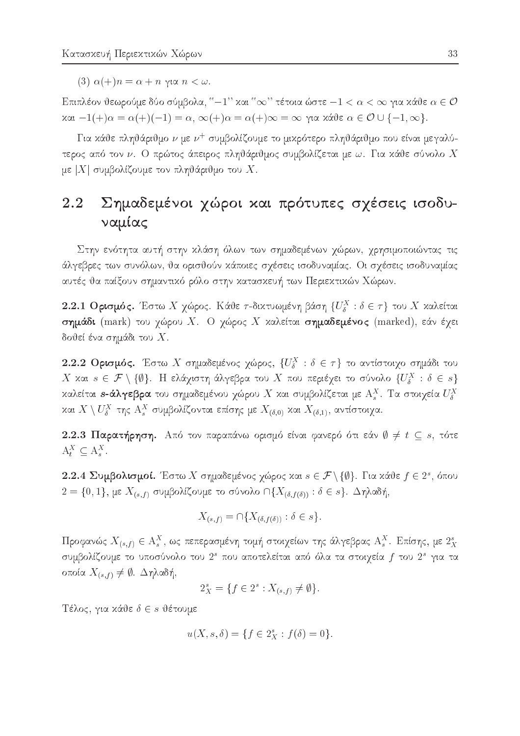(3)  $\alpha$ (+)n =  $\alpha$  + n  $\gamma$ ia n <  $\omega$ .

Επιπλέον θεωρούμε δύο σύμβολα, "–1" και " $\infty$ " τέτοια ώστε – $1 < \alpha < \infty$  για κάθε  $\alpha \in \mathcal{O}$ και  $-1(+)\alpha = \alpha(+)(-1) = \alpha$ ,  $\infty(+)\alpha = \alpha(+)\infty = \infty$  για κάθε  $\alpha \in \mathcal{O} \cup \{-1, \infty\}$ .

Για κάθε πληθάριθμο  $\nu$  με  $\nu^+$  συμβολίζουμε το μικρότερο πληθάριθμο που είναι μεγαλύτερος από τον  $\nu$ . Ο πρώτος άπειρος πληθάριθμος συμβολίζεται με  $\omega$ . Για κάθε σύνολο  $X$ με  $|X|$  συμβολίζουμε τον πληθάριθμο του X.

### 2.2 Σημαδεμένοι χώροι και πρότυπες σχέσεις ισοδυναμίας

Στην ενότητα αυτή στην κλάση όλων των σημαδεμένων χώρων, χρησιμοποιώντας τις άλγεβρες των συνόλων, θα ορισθούν κάποιες σχέσεις ισοδυναμίας. Οι σχέσεις ισοδυναμίας αυτές θα παίξουν σημαντικό ρόλο στην κατασκευή των Περιεκτικών Χώρων.

2.2.1 Ορισμός. Έστω Χ χώρος. Κάθε τ-δικτυωμένη βάση  $\{U^X_\delta : \delta \in \tau\}$  του Χ καλείται σημάδι (mark) του χώρου Χ. Ο χώρος Χ καλείται σημαδεμένος (marked), εάν έχει δοθεί ένα σημάδι του  $X.$ 

2.2.2 Ορισμός. Έστω Χ σημαδεμένος χώρος,  $\{U^X_\delta : \delta \in \tau\}$  το αντίστοιχο σημάδι του X και  $s \in \mathcal{F} \setminus \{\emptyset\}$ . Η ελάγιστη άλγεβρα του X που περιέγει το σύνολο  $\{U^X_\delta : \delta \in s\}$ καλείται s-άλγεβρα του σημαδεμένου χώρου Χ και συμβολίζεται με  $A_s^X$ . Τα στοιχεία  $U_{\delta}^X$ και  $X \setminus U^X_{\delta}$  της  $A^X_s$  συμβολίζονται επίσης με  $X_{(\delta,0)}$  και  $X_{(\delta,1)}$ , αντίστοιχα.

2.2.3 Παρατήρηση. Από τον παραπάνω ορισμό είναι φανερό ότι εάν  $\emptyset \neq t \subseteq s$ , τότε  $A_t^X \subseteq A_s^X$ .

2.2.4 Συμβολισμοί. Έστω Χ σημαδεμένος χώρος και  $s \in \mathcal{F} \setminus \{\emptyset\}$ . Για κάθε  $f \in 2^s$ , όπου  $2 = \{0, 1\}$ , με  $X_{(s, f)}$  συμβολίζουμε το σύνολο  $\cap \{X_{(\delta, f(\delta))} : \delta \in s\}$ . Δηλαδή,

$$
X_{(s,f)} = \bigcap \{ X_{(\delta,f(\delta))} : \delta \in s \}.
$$

Προφανώς  $X_{(s,f)}\in \mathcal{A}_s^X,$  ως πεπερασμένη τομή στοιχείων της άλγεβρας  $\mathcal{A}_s^X.$  Επίσης, με  $2_X^s$ συμβολίζουμε το υποσύνολο του 2<sup>s</sup> που αποτελείται από όλα τα στοιχεία f του 2<sup>s</sup> για τα οποία  $X_{(s,f)} \neq \emptyset$ . Δηλαδή,

$$
2_X^s = \{ f \in 2^s : X_{(s,f)} \neq \emptyset \}.
$$

Τέλος, για κάθε  $\delta \in s$  θέτουμε

$$
u(X, s, \delta) = \{ f \in 2_X^s : f(\delta) = 0 \}
$$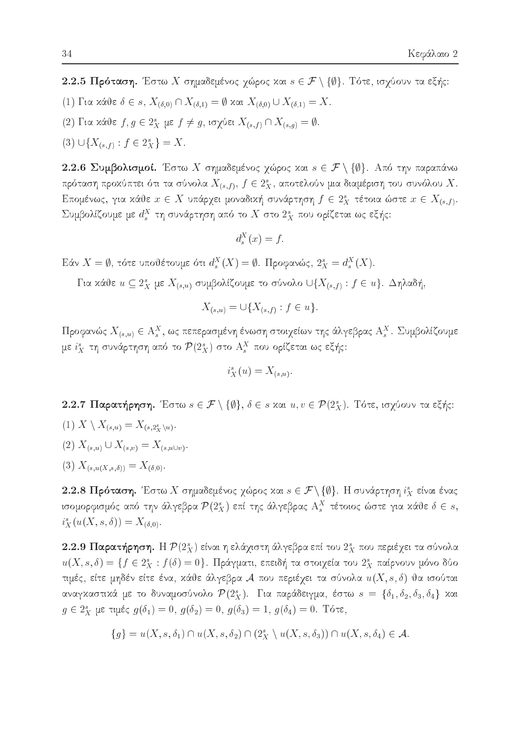2.2.5 Πρόταση. Έστω Χ σημαδεμένος χώρος και  $s \in \mathcal{F} \setminus \{\emptyset\}$ . Τότε, ισχύουν τα εξής:

- (1) Για κάθε  $\delta \in s$ ,  $X_{(\delta,0)} \cap X_{(\delta,1)} = \emptyset$  και  $X_{(\delta,0)} \cup X_{(\delta,1)} = X$ .
- (2) Για κάθε  $f, g \in 2_X^s$  με  $f \neq g$ , ισχύει  $X_{(s,f)} \cap X_{(s,g)} = \emptyset$ .
- (3)  $\bigcup \{X_{(s,f)} : f \in 2_X^s\} = X$ .

2.2.6 Συμβολισμοί. Έστω Χ σημαδεμένος χώρος και  $s \in \mathcal{F} \setminus \{\emptyset\}$ . Από την παραπάνω πρόταση προχύπτει ότι τα σύνολα  $X_{(s,f)}, f \in 2^s_X$ , αποτελούν μια διαμέριση του συνόλου  $X$ . Επομένως, για κάθε  $x \in X$  υπάρχει μοναδική συνάρτηση  $f \in 2_X^s$  τέτοια ώστε  $x \in X_{(s,f)}$ . Συμβολίζουμε με  $d_s^X$  τη συνάρτηση από το  $X$  στο  $2_X^s$  που ορίζεται ως εξής:

$$
d_s^X(x) = f
$$

Eάν  $X = \emptyset$ , τότε υποθέτουμε ότι  $d_s^X(X) = \emptyset$ . Προφανώς,  $2_x^s = d_s^X(X)$ .

Για κάθε  $u \subseteq 2^s$  με  $X_{(s,u)}$  συμβολίζουμε το σύνολο  $\bigcup \{X_{(s,f)} : f \in u\}$ . Δηλαδή,

$$
X_{(s,u)} = \cup \{ X_{(s,f)} : f \in u \}.
$$

Προφανώς  $X_{(s,u)} \in \mathcal{A}_s^X$ , ως πεπερασμένη ένωση στοιχείων της άλγεβρας  $\mathcal{A}_s^X$ . Συμβολίζουμε με  $i_X^s$  τη συνάρτηση από το  $\mathcal{P}(2_X^s)$  στο  $\mathcal{A}_s^X$  που ορίζεται ως εξής:

$$
i_X^s(u) = X_{(s,u)}
$$

2.2.7 Παρατήρηση. Έστω  $s \in \mathcal{F} \setminus \{\emptyset\}, \delta \in s$  και  $u, v \in \mathcal{P}(2_X^s)$ . Τότε, ισχύουν τα εξής:

- (1)  $X \setminus X_{(s,u)} = X_{(s,2^s)(u)}$ .
- $(2) X_{(s,u)} \cup X_{(s,v)} = X_{(s,u \cup v)}.$
- (3)  $X_{(s,u(X,s,\delta))} = X_{(\delta,0)}.$

2.2.8 Πρόταση. Έστω Χ σημαδεμένος χώρος και  $s \in \mathcal{F} \setminus \{\emptyset\}$ . Η συνάρτηση  $i_X^s$  είναι ένας ισομορφισμός από την άλγεβρα  $\mathcal{P}(2^s_X)$  επί της άλγεβρας  $A^X_s$  τέτοιος ώστε για κάθε  $\delta \in s$ ,  $i_{X}^{s}(u(X, s, \delta)) = X_{(\delta, 0)}.$ 

2.2.9 Παρατήρηση. Η  $\mathcal{P}(2^s_X)$  είναι η ελάχιστη άλγεβρα επί του  $2^s_X$  που περιέχει τα σύνολα  $u(X, s, \delta) = \{f \in 2_X^s : f(\delta) = 0\}.$  Πράγματι, επειδή τα στοιχεία του  $2_X^s$  παίρνουν μόνο δύο τιμές, είτε μηδέν είτε ένα, κάθε άλγεβρα  ${\mathcal A}$  που περιέχει τα σύνολα  $u(X,s,\delta)$  θα ισούται αναγκαστικά με το δυναμοσύνολο  $\mathcal{P}(2^s_X)$ . Για παράδειγμα, έστω  $s = \{\delta_1, \delta_2, \delta_3, \delta_4\}$  και  $g \in 2_x^s$  με τιμές  $g(\delta_1) = 0$ ,  $g(\delta_2) = 0$ ,  $g(\delta_3) = 1$ ,  $g(\delta_4) = 0$ . Τότε,

$$
\{g\} = u(X, s, \delta_1) \cap u(X, s, \delta_2) \cap (2^s_X \setminus u(X, s, \delta_3)) \cap u(X, s, \delta_4) \in \mathcal{A}.
$$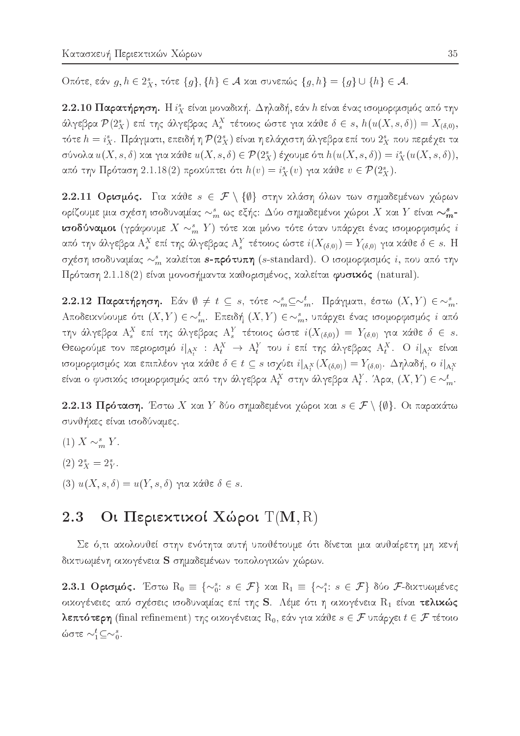Oπότε, εάν  $g, h \in 2^s$ , τότε  $\{g\}, \{h\} \in A$  και συνεπώς  $\{g, h\} = \{g\} \cup \{h\} \in A$ .

2.2.10 Παρατήρηση. Η  $i_X^s$  είναι μοναδική. Δηλαδή, εάν h είναι ένας ισομορφισμός από την άλγεβρα  $\mathcal{P}(2_X^s)$  επί της άλγεβρας  $A_s^X$  τέτοιος ώστε για κάθε  $\delta \in s$ ,  $h(u(X, s, \delta)) = X_{(\delta, 0)}$ , τότε  $h = i_X^s$ . Πράγματι, επειδή η  $\mathcal{P}(2_X^s)$  είναι η ελάχιστη άλγεβρα επί του  $2_X^s$  που περιέχει τα σύνολα  $u(X, s, \delta)$  και για κάθε  $u(X, s, \delta) \in \mathcal{P}(2_X^s)$  έχουμε ότι  $h(u(X, s, \delta)) = i_X^s(u(X, s, \delta)),$ από την Πρόταση 2.1.18(2) προκύπτει ότι  $h(v) = i_X^s(v)$  για κάθε  $v \in \mathcal{P}(2_X^s)$ .

2.2.11 Ορισμός. Για κάθε  $s \in \mathcal{F} \setminus \{\emptyset\}$  στην κλάση όλων των σημαδεμένων χώρων ορίζουμε μια σχέση ισοδυναμίας  $\sim^s_m$  ως εξής:  $\Delta$ ύο σημαδεμένοι χώροι X και Y είναι  $\sim^s_m$ ισοδύναμοι (γράφουμε  $X \sim^s_m Y$ ) τότε και μόνο τότε όταν υπάρχει ένας ισομορφισμός i από την άλγεβρα  $A_s^X$  επί της άλγεβρας  $A_s^Y$  τέτοιος ώστε  $i(X_{(\delta,0)})=Y_{(\delta,0)}$  για κάθε  $\delta\in s$ . Η σχέση ισοδυναμίας  $\sim_m^s$  καλείται s-πρότυπη (s-standard). Ο ισομορφισμός i, που από την Πρόταση 2.1.18(2) είναι μονοσήμαντα καθορισμένος, καλείται φυσικός (natural).

2.2.12 Παρατήρηση. Εάν  $\emptyset \neq t \subseteq s$ , τότε  $\sim_m^s \subseteq \sim_m^t$ . Πράγματι, έστω  $(X, Y) \in \sim_m^s$ . Αποδεικνύουμε ότι  $(X, Y) \in \sim_m^t$ . Επειδή  $(X, Y) \in \sim_m^s$ , υπάρχει ένας ισομορφισμός i από την άλγεβρα  $A_s^X$  επί της άλγεβρας  $A_s^Y$  τέτοιος ώστε  $i(X_{(\delta,0)}) = Y_{(\delta,0)}$  για κάθε  $\delta \in s$ . Θεωρούμε τον περιορισμό  $i|_{A^X}$  :  $A^X_t \to A^Y_t$  του i επί της άλγεβρας  $A^X_t$ . Ο  $i|_{A^X_t}$  είναι ισομορφισμός και επιπλέον για κάθε  $\delta \in t \subseteq s$  ισχύει  $i|_{A_t^X}(X_{(\delta,0)}) = Y_{(\delta,0)}$ . Δηλαδή, ο  $i|_{A_t^X}$ είναι ο φυσικός ισομορφισμός από την άλγεβρα  $A_t^X$  στην άλγεβρα  $A_t^Y$ . Άρα,  $(X, Y) \in \sim_m^t$ .

2.2.13 Πρόταση. Έστω Χ και Υ δύο σημαδεμένοι χώροι και  $s \in \mathcal{F} \setminus \{\emptyset\}$ . Οι παρακάτω συνθήχες είναι ισοδύναμες.

- (1)  $X \sim_m^s Y$ .
- $(2)$   $2_x^s = 2_y^s$ .
- $(3)$   $u(X, s, \delta) = u(Y, s, \delta)$  για κάθε δ ∈ s.

#### Οι Περιεκτικοί Χώροι Τ(M, R) 2.3

Σε ό,τι ακολουθεί στην ενότητα αυτή υποθέτουμε ότι δίνεται μια αυθαίρετη μη κενή δικτυωμένη οικογένεια S σημαδεμένων τοπολογικών χώρων.

2.3.1 Ορισμός. Έστω  $R_0 \equiv \{\sim_0^s : s \in \mathcal{F}\}\$  και  $R_1 \equiv \{\sim_1^s : s \in \mathcal{F}\}\$ δύο  $\mathcal{F}\text{-}\delta$ ικτυωμένες οικογένειες από σχέσεις ισοδυναμίας επί της S. Λέμε ότι η οικογένεια R1 είναι τελικώς λεπτότερη (final refinement) της οικογένειας  $R_0$ , εάν για κάθε  $s \in \mathcal{F}$  υπάρχει  $t \in \mathcal{F}$  τέτοιο ώστε  $\sim_1^t$   $\subseteq$   $\sim_0^s$ .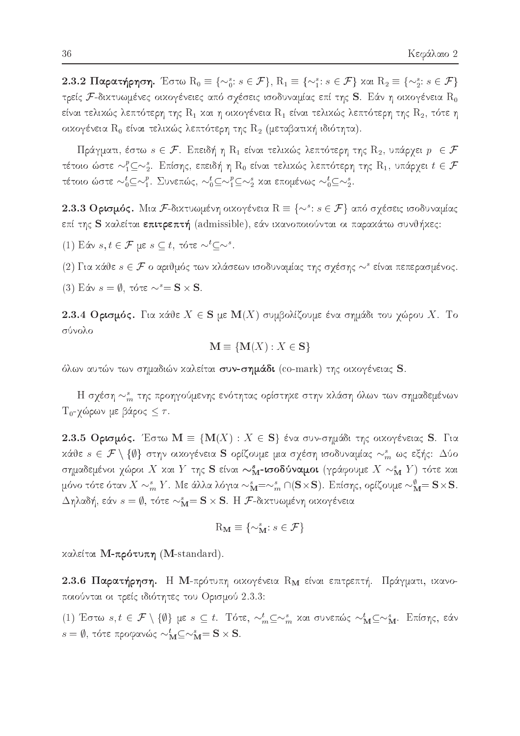2.3.2 Παρατήρηση. Έστω  $R_0 \equiv \{\sim_0^s : s \in \mathcal{F}\}, R_1 \equiv \{\sim_1^s : s \in \mathcal{F}\}$  και  $R_2 \equiv \{\sim_2^s : s \in \mathcal{F}\}$ τρείς F-δικτυωμένες οικογένειες από σχέσεις ισοδυναμίας επί της S. Εάν η οικογένεια  $\mathrm{R}_0$ είναι τελιχώς λεπτότερη της  $\rm R_1$  χαι η οιχογένεια  $\rm R_1$  είναι τελιχώς λεπτότερη της  $\rm R_2$ , τότε η οικογένεια  $\rm R_0$  είναι τελικώς λεπτότερη της  $\rm R_2$  (μεταβατική ιδιότητα).

Πράγματι, έστω  $s \in \mathcal{F}$ . Επειδή η  $\mathrm{R}_1$  είναι τελικώς λεπτότερη της  $\mathrm{R}_2$ , υπάρχει  $p \in \mathcal{F}$ τέτοιο ώστε  $\sim_1^p\subseteq\sim_2^s$ . Επίσης, επειδή η  $\mathrm R_0$  είναι τελιχώς λεπτότερη της  $\mathrm R_1$ , υπάρχει  $t\in\mathcal F$ τέτοιο ώστε  $\sim_0^t$   $\subseteq$   $\sim_1^p$ . Συνεπώς,  $\sim_0^t$   $\subseteq$   $\sim_1^p$   $\subseteq$   $\sim_2^s$  και επομένως  $\sim_0^t$   $\subseteq$   $\sim_2^s$ .

2.3.3 Ορισμός. Μια F-διχτυωμένη οιχογένεια  $R \equiv \{\sim^s : s \in \mathcal{F}\}\,$  από σχέσεις ισοδυναμίας επί της **S** καλείται **επιτρεπτή** (admissible), εάν ικανοποιούνται οι παρακάτω συνθήκες:

(1) Εάν  $s, t \in \mathcal{F}$  με  $s \subseteq t$ , τότε  $\sim^t \subset \sim^s$ .

(2) Για κάθε  $s \in \mathcal{F}$  ο αριθμός των κλάσεων ισοδυναμίας της σχέσης  $\sim^s$  είναι πεπερασμένος.

(3) Εάν  $s = \emptyset$ , τότε  $\sim^s = S \times S$ .

2.3.4 Ορισμός. Για κάθε  $X \in S$  με  $M(X)$  συμβολίζουμε ένα σημάδι του χώρου X. Το σύνολο

$$
\mathbf{M} \equiv \{ \mathbf{M}(X) : X \in \mathbf{S} \}
$$

όλων αυτών των σημαδιών χαλείται συν-σημάδι (co-mark) της οιχογένειας S.

Η σχέση  $\sim_m^s$  της προηγούμενης ενότητας ορίστηκε στην κλάση όλων των σημαδεμένων  $T_0$ -γώρων με βάρος  $\leq \tau$ .

2.3.5 Ορισμός. Έστω  $M = \{M(X) : X \in S\}$  ένα συν-σημάδι της οικογένειας S. Για κάθε  $s \in \mathcal{F} \setminus \{\emptyset\}$  στην οικογένεια S ορίζουμε μια σχέση ισοδυναμίας  $\sim_m^s$  ως εξής: Δύο σημαδεμένοι χώροι X και Y της S είναι  $\sim_\mathbf{M}^s$ -ισοδύναμοι (γράφουμε  $X \sim_\mathbf{M}^s Y$ ) τότε και μόνο τότε όταν  $X \sim^s_m Y$ . Με άλλα λόγια  $\sim^s_M = \sim^s_m \cap (\mathbf{S} \times \mathbf{S})$ . Επίσης, ορίζουμε  $\sim^{\emptyset}_M = \mathbf{S} \times \mathbf{S}$ .  $\Delta$ ηλαδή, εάν  $s=\emptyset$ , τότε  $\sim_\mathbf{M}^s=\mathbf{S}\times\mathbf{S}$ . Η  $\mathcal{F}$ -δικτυωμένη οικογένεια

$$
\mathrm{R}_{\mathbf{M}}\equiv\{\sim_\mathbf{M}^s:s\in\mathcal{F}\}
$$

καλείται Μ-πρότυπη (M-standard).

2.3.6 Παρατήρηση. Η Μ-πρότυπη οικογένεια  $\rm R_M$  είναι επιτρεπτή. Πράγματι, ικανοποιούνται οι τρείς ιδιότητες του Ορισμού 2.3.3:

(1) Έστω  $s, t \in \mathcal{F} \setminus \{\emptyset\}$  με  $s \subseteq t$ . Τότε,  $\sim_m^t \subseteq \sim_m^s$  και συνεπώς  $\sim_M^t \subseteq \sim_M^s$ . Επίσης, εάν  $s = \emptyset$ , τότε προφανώς  $\sim_{\mathbf{M}}^{t} \subseteq \sim_{\mathbf{M}}^{s} = \mathbf{S} \times \mathbf{S}$ .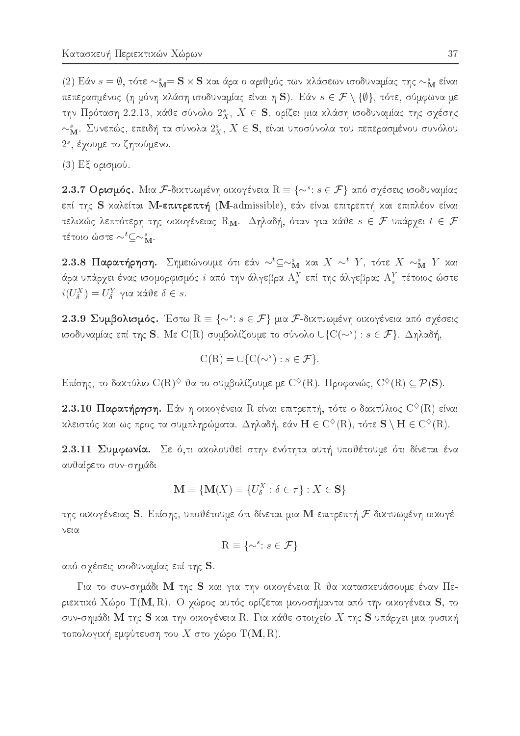(2) Εάν  $s = \emptyset$ , τότε  $\sim_M^s = \mathbf{S} \times \mathbf{S}$  και άρα ο αριθμός των κλάσεων ισοδυναμίας της  $\sim_M^s$  είναι πεπερασμένος (η μόνη κλάση ισοδυναμίας είναι η S). Εάν  $s \in \mathcal{F} \setminus \{\emptyset\}$ , τότε, σύμφωνα με την Πρόταση 2.2.13, κάθε σύνολο  $2_x^s$ ,  $X \in S$ , ορίζει μια κλάση ισοδυναμίας της σχέσης  $\sim_{\mathbf{M}}^s$ . Συνεπώς, επειδή τα σύνολα  $2_x^s$ ,  $X \in \mathbf{S}$ , είναι υποσύνολα του πεπερασμένου συνόλου 2<sup>s</sup>, έχουμε το ζητούμενο.

 $(3)$  Εξ ορισμού.

2.3.7 Ορισμός. Μια F-δικτυωμένη οικογένεια  $R \equiv \{\sim^s: s \in \mathcal{F}\}\,$  από σχέσεις ισοδυναμίας επί της S καλείται M-επιτρεπτή (M-admissible), εάν είναι επιτρεπτή και επιπλέον είναι τελικώς λεπτότερη της οικογένειας  $\mathrm{R}_{\mathbf{M}}$ . Δηλαδή, όταν για κάθε  $s \in \mathcal{F}$  υπάρχει  $t \in \mathcal{F}$ τέτοιο ώστε $\sim^t\subseteq\sim_{\mathbf{M}}^s.$ 

2.3.8 Παρατήρηση. Σημειώνουμε ότι εάν  $\sim^t\subseteq\sim^s_M$  και  $X \sim^t Y$ , τότε  $X \sim^s_M Y$  και άρα υπάρχει ένας ισομορφισμός  $i$  από την άλγεβρα  $\mathcal{A}^X_s$  επί της άλγεβρας  $\mathcal{A}^Y_s$  τέτοιος ώστε  $i(U_{\delta}^X) = U_{\delta}^Y$  για κάθε  $\delta \in s$ .

2.3.9 Συμβολισμός. Έστω  $R \equiv \{\sim^s: s \in \mathcal{F}\}\$ μια *F*-δικτυωμένη οικογένεια από σχέσεις ισοδυναμίας επί της S. Με C(R) συμβολίζουμε το σύνολο  $\cup \{C(\sim^s): s \in \mathcal{F}\}\$ . Δηλαδή,

$$
C(R) = \cup \{ C(\sim^s) : s \in \mathcal{F} \}.
$$

Επίσης, το δαχτύλιο  $\mathrm{C}(\mathrm{R})^\diamondsuit$  θα το συμβολίζουμε με  $\mathrm{C}^\diamondsuit(\mathrm{R})$ . Προφανώς,  $\mathrm{C}^\diamondsuit(\mathrm{R})\subseteq\mathcal{P}(\mathbf{S})$ .

2.3.10 Παρατήρηση. Εάν η οικογένεια R είναι επιτρεπτή, τότε ο δακτύλιος  $C^{6}(R)$  είναι κλειστός και ως προς τα συμπληρώματα. Δηλαδή, εάν  $\mathbf{H} \in \mathrm{C}^{\diamondsuit}(\mathrm{R})$ , τότε  $\mathbf{S} \setminus \mathbf{H} \in \mathrm{C}^{\diamondsuit}(\mathrm{R})$ .

2.3.11 Συμφωνία. Σε ό,τι ακολουθεί στην ενότητα αυτή υποθέτουμε ότι δίνεται ένα αυθαίρετο συν-σημάδι

$$
\mathbf{M} \equiv \{ \mathbf{M}(X) \equiv \{ U_{\delta}^X : \delta \in \tau \} : X \in \mathbf{S} \}
$$

της οικογένειας S. Επίσης, υποθέτουμε ότι δίνεται μια Μ-επιτρεπτή F-δικτυωμένη οικογένεια

$$
\mathbf{R} \equiv \{ \sim^s : s \in \mathcal{F} \}
$$

από σχέσεις ισοδυναμίας επί της S.

Για το συν-σημάδι Μ της S και για την οικογένεια R θα κατασκευάσουμε έναν Περιεχτικό Χώρο Τ(Μ,R). Ο χώρος αυτός ορίζεται μονοσήμαντα από την οικογένεια  ${\bf S},$  το συν-σημάδι Μ της S και την οικογένεια R. Για κάθε στοιχείο  $X$  της S υπάρχει μια φυσική τοπολογική εμφύτευση του X στο χώρο  $T(M, R)$ .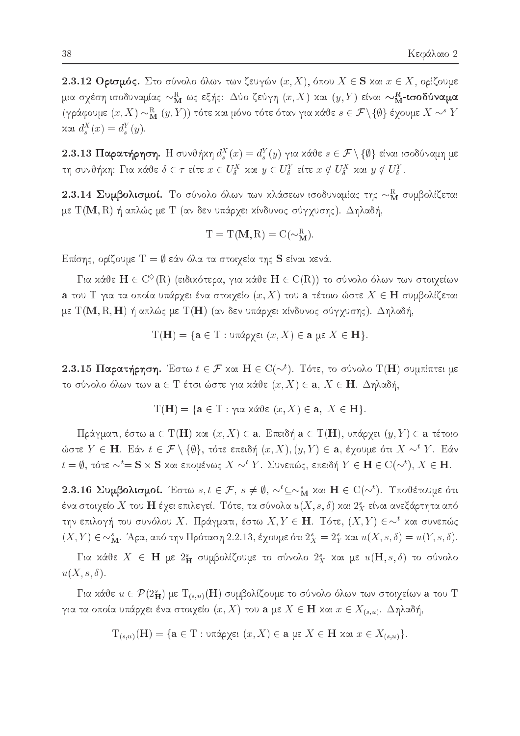2.3.12 Ορισμός. Στο σύνολο όλων των ζευγών  $(x, X)$ , όπου  $X \in S$  και  $x \in X$ , ορίζουμε μια σχέση ισοδυναμίας  $\sim_\mathbf{M}^\mathbf{R}$  ως εξής: Δύο ζεύγη  $(x,X)$  και  $(y,Y)$  είναι  $\sim_\mathbf{M}^\mathbf{R}$ -ισοδύναμα (γράφουμε  $(x, X) \sim_M^{\mathbb{R}} (y, Y)$ ) τότε και μόνο τότε όταν για κάθε  $s \in \mathcal{F} \setminus \{\emptyset\}$  έχουμε  $X \sim^s Y$ χαι  $d_s^X(x) = d_s^Y(y)$ .

2.3.13 Παρατήρηση. Η συνθήκη  $d_s^X(x) = d_s^Y(y)$  για κάθε  $s \in \mathcal{F} \setminus \{\emptyset\}$  είναι ισοδύναμη με τη συνθήκη: Για κάθε $\delta \in \tau$  είτε  $x \in U^X_\delta$  και  $y \in U^Y_\delta$  είτε  $x \notin U^X_\delta$  και  $y \notin U^Y_\delta$ .

2.3.14 Συμβολισμοί. Το σύνολο όλων των κλάσεων ισοδυναμίας της  $\sim_M^R$  συμβολίζεται με  $T(M, R)$  ή απλώς με  $T$  (αν δεν υπάρχει κίνδυνος σύγχυσης). Δηλαδή,

$$
T = T(M, R) = C(\sim_M^R)
$$

Επίσης, ορίζουμε  $T = \emptyset$  εάν όλα τα στοιχεία της S είναι κενά.

Για κάθε  $\mathbf{H} \in \mathrm{C}^{\diamondsuit}(\mathrm{R})$  (ειδικότερα, για κάθε  $\mathbf{H} \in \mathrm{C}(\mathrm{R})$ ) το σύνολο όλων των στοιχείων a του T για τα οποία υπάρχει ένα στοιχείο  $(x, X)$  του a τέτοιο ώστε  $X \in H$  συμβολίζεται με  $T(M, R, H)$  ή απλώς με  $T(H)$  (αν δεν υπάρχει κίνδυνος σύγχυσης). Δηλαδή,

$$
T(\mathbf{H}) = \{ \mathbf{a} \in T : \text{υπάρχει } (x, X) \in \mathbf{a} \text{ με } X \in \mathbf{H} \}.
$$

2.3.15 Παρατήρηση. Έστω  $t \in \mathcal{F}$  και  $H \in C(\sim^t)$ . Τότε, το σύνολο Τ(Η) συμπίπτει με το σύνολο όλων των  $\mathbf{a} \in \mathrm{T}$  έτσι ώστε για κάθε  $(x, X) \in \mathbf{a}, X \in \mathbf{H}$ . Δηλαδή,

$$
T(\mathbf{H}) = \{ \mathbf{a} \in T : \gamma \text{ is a } (x, X) \in \mathbf{a}, \ X \in \mathbf{H} \}.
$$

Πράγματι, έστω  $\mathbf{a} \in T(\mathbf{H})$  και  $(x, X) \in \mathbf{a}$ . Επειδή  $\mathbf{a} \in T(\mathbf{H})$ , υπάρχει  $(y, Y) \in \mathbf{a}$  τέτοιο ώστε  $Y \in H$ . Εάν  $t \in \mathcal{F} \setminus \{\emptyset\}$ , τότε επειδή  $(x, X), (y, Y) \in \mathbf{a}$ , έχουμε ότι  $X \sim^t Y$ . Εάν  $t = \emptyset$ , τότε  $\sim^t =$  S x S και επομένως X  $\sim^t Y$ . Συνεπώς, επειδή  $Y \in$  H  $\in C(\sim^t)$ ,  $X \in$  H.

2.3.16 Συμβολισμοί. Έστω  $s, t \in \mathcal{F}$ ,  $s \neq \emptyset$ ,  $\sim^t \subseteq \sim_M^s$  και  $H \in C(\sim^t)$ . Υποθέτουμε ότι ένα στοιχείο  $X$  του  $\mathbf H$  έχει επιλεγεί. Τότε, τα σύνολα  $u(X,s,\delta)$  και  $2^s_X$  είναι ανεξάρτητα από την επιλογή του συνόλου Χ. Πράγματι, έστω  $X, Y \in \mathbf{H}$ . Τότε,  $(X, Y) \in \sim^{t}$  και συνεπώς  $(X, Y) \in \sim_M^s$ . Άρα, από την Πρόταση 2.2.13, έχουμε ότι  $2_X^s = 2_Y^s$  και  $u(X, s, \delta) = u(Y, s, \delta)$ .

Για κάθε  $X \in H$  με 2<sup>s</sup><sub>H</sub> συμβολίζουμε το σύνολο 2<sup>s</sup><sub>X</sub> και με  $u(H, s, \delta)$  το σύνολο  $u(X, s, \delta).$ 

Για κάθε  $u \in \mathcal{P}(2_{\mathbf{H}}^{s})$  με  $\mathrm{T}_{(s,u)}(\mathbf{H})$  συμβολίζουμε το σύνολο όλων των στοιχείων  $\mathbf{a}$  του  $\mathrm{T}$ για τα οποία υπάρχει ένα στοιχείο $(x,X)$ του  $\mathbf a$ με  $X\in \mathbf H$  και  $x\in X_{(s,u)}.$  Δηλαδή,

$$
T_{(s,u)}(\mathbf{H}) = \{ \mathbf{a} \in T : \text{uπάρχει } (x, X) \in \mathbf{a} \text{ με } X \in \mathbf{H} \text{ xαι } x \in X_{(s,u)} \}
$$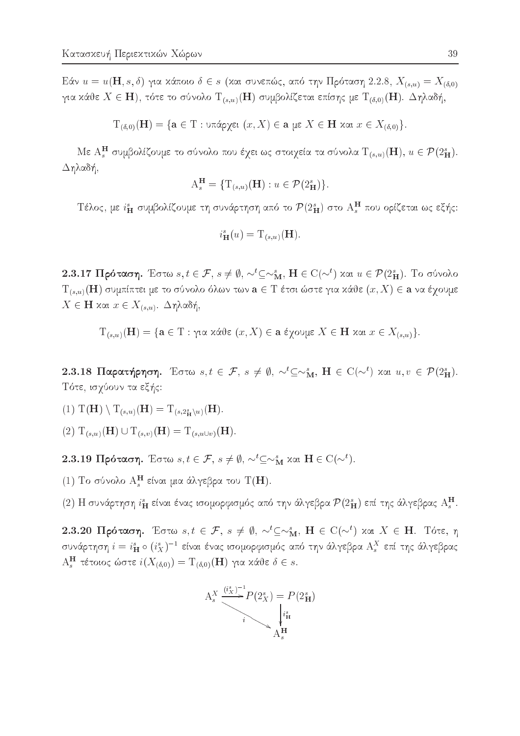Eάν  $u = u(\mathbf{H}, s, \delta)$  για κάποιο  $\delta \in s$  (και συνεπώς, από την Πρόταση 2.2.8,  $X_{(s,u)} = X_{(\delta,0)}$ για κάθε  $X \in H$ ), τότε το σύνολο  $T_{(s,u)}(H)$  συμβολίζεται επίσης με  $T_{(\delta,0)}(H)$ . Δηλαδή,

$$
T_{(δ,0)}(H) = \{ a \in T : \text{uπάρχει } (x, X) \in a \text{ με } X \in H \text{ xαι } x \in X_{(δ,0)} \}
$$

Με ΑΗ συμβολίζουμε το σύνολο που έχει ως στοιχεία τα σύνολα  $T_{(s,u)}(\mathbf{H}), u \in \mathcal{P}(2^s_{\mathbf{H}})$ . Δηλαδή,

$$
A_s^{\mathbf{H}} = \{ T_{(s,u)}(\mathbf{H}) : u \in \mathcal{P}(2_{\mathbf{H}}^s) \}.
$$

Τέλος, με  $i_{\mathbf{H}}^s$  συμβολίζουμε τη συνάρτηση από το  $\mathcal{P}(2_{\mathbf{H}}^s)$  στο  $\mathbf{A}_s^{\mathbf{H}}$  που ορίζεται ως εξής:

$$
i_{\mathbf{H}}^{s}(u) = \mathrm{T}_{(s,u)}(\mathbf{H}).
$$

2.3.17 Πρόταση. Έστω  $s, t \in \mathcal{F}$ ,  $s \neq \emptyset$ ,  $\sim^t \subseteq \sim_M^s$ ,  $H \in C(\sim^t)$  και  $u \in \mathcal{P}(2^s_H)$ . Το σύνολο  $T_{(s,u)}(\mathbf{H})$ συμπίπτει με το σύνολο όλων των $\mathbf{a}\in\mathbf{T}$ έτσι ώστε για κάθε $(x,X)\in\mathbf{a}$ να έχουμε  $X \in$  Η και  $x \in X_{(s,u)}$ . Δηλαδή,

$$
T_{(s,u)}(H) = \{ a ∈ T : για xάθε (x, X) ∈ a έχουμε X ∈ H χαι x ∈ X_{(s,u)} \}.
$$

2.3.18 Παρατήρηση. Έστω  $s, t \in \mathcal{F}$ ,  $s \neq \emptyset$ ,  $\sim^t \subseteq \sim_M^s$ ,  $H \in C(\sim^t)$  και  $u, v \in \mathcal{P}(2^s_H)$ . Τότε, ισχύουν τα εξής:

- (1)  $T(\mathbf{H}) \setminus T_{(s,u)}(\mathbf{H}) = T_{(s,2^s_{\mathbf{H}} \setminus u)}(\mathbf{H}).$
- $(2)$   $T_{(s,u)}(\mathbf{H}) \cup T_{(s,v)}(\mathbf{H}) = T_{(s,u \cup v)}(\mathbf{H}).$

2.3.19 Πρόταση. Έστω  $s, t \in \mathcal{F}$ ,  $s \neq \emptyset$ ,  $\sim^t \subseteq \sim_M^s$  και  $H \in C(\sim^t)$ .

(1) Το σύνολο  $A_s^H$  είναι μια άλγεβρα του Τ(Η).

(2) Η συνάρτηση  $i_{\mathbf{H}}^s$  είναι ένας ισομορφισμός από την άλγεβρα  $\mathcal{P}(2_{\mathbf{H}}^s)$  επί της άλγεβρας  $\mathbf{A}_s^{\mathbf{H}}$ .

2.3.20 Πρόταση. Έστω  $s, t \in \mathcal{F}$ ,  $s \neq \emptyset$ ,  $\sim^t \subseteq \sim_M^s$ ,  $H \in C(\sim^t)$  και  $X \in H$ . Τότε, η συνάρτηση  $i = i_{\mathbf{H}}^s \circ (i_X^s)^{-1}$  είναι ένας ισομορφισμός από την άλγεβρα $\mathbf{A}_s^X$  επί της άλγεβρας  $A_s^H$  τέτοιος ώστε  $i(X_{(\delta,0)})=T_{(\delta,0)}(H)$  για κάθε  $\delta \in s$ .

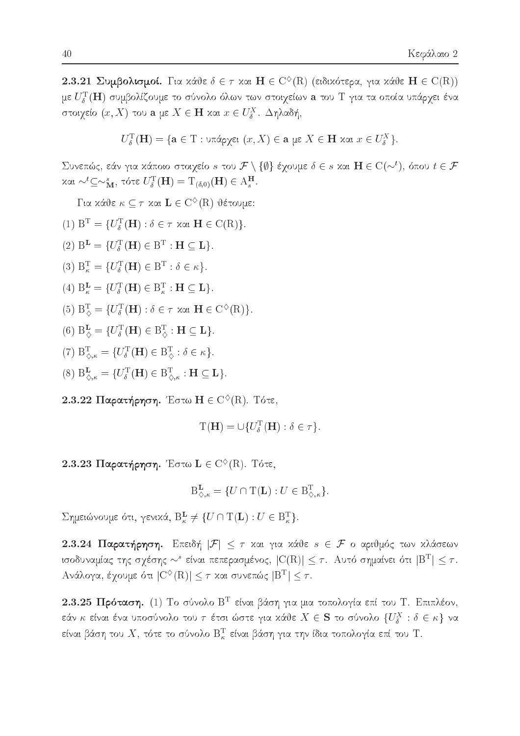2.3.21 Συμβολισμοί. Για κάθε  $\delta \in \tau$  και  $H \in C^{\diamond}(R)$  (ειδικότερα, για κάθε  $H \in C(R)$ ) με  $U_{\delta}^{\rm T}({\bf H})$  συμβολίζουμε το σύνολο όλων των στοιχείων  ${\bf a}$  του  ${\rm T}$  για τα οποία υπάρχει ένα στοιχείο  $(x, X)$  του a με  $X \in H$  και  $x \in U_{\delta}^X$ . Δηλαδή,

$$
U_{\delta}^{\mathrm{T}}(\mathbf{H}) = \{ \mathbf{a} \in \mathrm{T} : \mathrm{u} \pi \land \rho \chi \in \mathfrak{t} \mid (x, X) \in \mathbf{a} \text{ με } X \in \mathbf{H} \text{ και } x \in U_{\delta}^X \}.
$$

Συνεπώς, εάν για κάποιο στοιχείο s του  $\mathcal{F}\setminus\{\emptyset\}$  έχουμε  $\delta\in s$  και  $\mathbf{H}\in\mathrm{C}(\sim^{t}),$  όπου  $t\in\mathcal{F}$ και  $\sim^t$   $\subseteq$   $\sim$ <sup>*s*</sup><sub>M</sub>, τότε  $U_{\delta}$ <sup>T</sup>(**H**) = T<sub>(δ,0)</sub>(**H**)  $\in$  A<sub>*s*</sub><sup>H</sup>.

Για κάθε  $\kappa \subseteq \tau$  και  $\mathbf{L} \in C^{\diamondsuit}(\mathbf{R})$  θέτουμε:

- (1)  $B^T = \{U^T_{\delta}(\mathbf{H}) : \delta \in \tau \text{ and } \mathbf{H} \in C(R)\}.$
- (2)  $B^{\mathbf{L}} = \{U_{\delta}^{\mathrm{T}}(\mathbf{H}) \in B^{\mathrm{T}} : \mathbf{H} \subseteq \mathbf{L}\}.$
- (3)  $B_{\kappa}^{\mathrm{T}} = \{U_{\delta}^{\mathrm{T}}(\mathbf{H}) \in B^{\mathrm{T}} : \delta \in \kappa\}.$
- (4)  $B_{\kappa}^{\mathbf{L}} = \{U_{\delta}^{\mathrm{T}}(\mathbf{H}) \in B_{\kappa}^{\mathrm{T}} : \mathbf{H} \subseteq \mathbf{L}\}.$
- (5)  $B_{\delta}^{T} = \{U_{\delta}^{T}(H) : \delta \in \tau \text{ and } H \in C^{\diamond}(R)\}.$
- (6)  $B^{\mathbf{L}}_{\diamondsuit} = \{ U^{\mathrm{T}}_{\delta}(\mathbf{H}) \in B^{\mathrm{T}}_{\diamondsuit} : \mathbf{H} \subseteq \mathbf{L} \}.$
- (7)  $B_{\Diamond,\kappa}^{\mathrm{T}} = \{U_{\delta}^{\mathrm{T}}(\mathbf{H}) \in B_{\Diamond}^{\mathrm{T}} : \delta \in \kappa\}.$
- (8)  $B_{\Diamond,\kappa}^{\mathbf{L}} = \{U_{\delta}^{\mathrm{T}}(\mathbf{H}) \in B_{\Diamond,\kappa}^{\mathrm{T}} : \mathbf{H} \subseteq \mathbf{L}\}.$
- 2.3.22 Παρατήρηση. Έστω Η  $\in$  C<sup> $\diamond$ </sup>(R). Τότε,

$$
\mathrm{T}(\mathbf{H}) = \cup \{ U_{\delta}^{\mathrm{T}}(\mathbf{H}) : \delta \in \tau \}.
$$

2.3.23 Παρατήρηση. Έστω  $\mathbf{L} \in C^{\diamondsuit}(\mathbb{R})$ . Τότε,

$$
\mathbf{B}_{\diamondsuit,\kappa}^{\mathbf{L}} = \{ U \cap \mathbf{T}(\mathbf{L}) : U \in \mathbf{B}_{\diamondsuit,\kappa}^{\mathbf{T}} \}.
$$

 $\Sigma$ ημειώνουμε ότι, γενικά,  $B_{\kappa}^{L} \neq \{U \cap T(L) : U \in B_{\kappa}^{T}\}.$ 

2.3.24 Παρατήρηση. Επειδή  $|\mathcal{F}| \leq \tau$  και για κάθε  $s \in \mathcal{F}$  ο αριθμός των κλάσεων ισοδυναμίας της σχέσης  $\sim^s$  είναι πεπερασμένος,  $|C(R)| \leq \tau$ . Αυτό σημαίνει ότι  $|B^T| \leq \tau$ . Ανάλογα, έχουμε ότι  $|C^{\diamond}(R)| \leq \tau$  και συνεπώς  $|B^T| \leq \tau$ .

2.3.25 Πρόταση. (1) Το σύνολο Β<sup>Τ</sup> είναι βάση για μια τοπολογία επί του Τ. Επιπλέον, εάν κ<br/> είναι ένα υποσύνολο του  $\tau$ έτσι ώστε για κάθε<br/>  $X\in {\bf S}$ το σύνολο  $\{U_{\delta}^X\,:\,\delta\in\kappa\}$ να είναι βάση του  $X$ , τότε το σύνολο  $\mathsf{B}^\mathrm{T}_\kappa$  είναι βάση για την ίδια τοπολογία επί του Τ.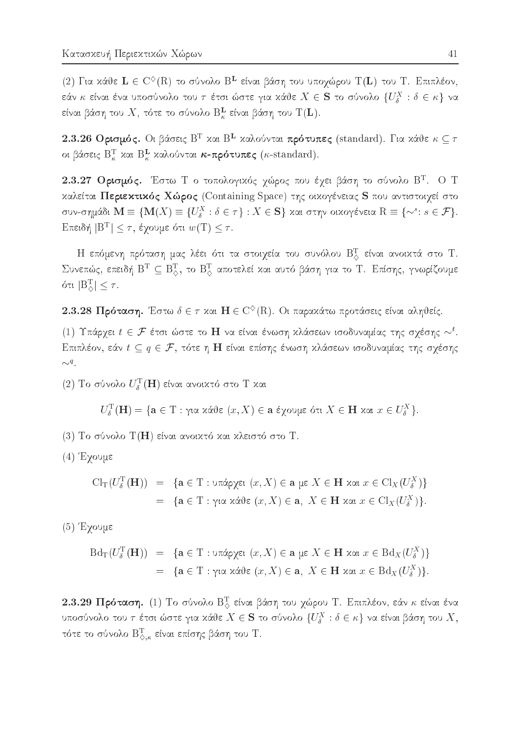(2) Για κάθε  $L \in C^{\diamond}(R)$  το σύνολο Β<sup>L</sup> είναι βάση του υποχώρου Τ(L) του Τ. Επιπλέον, εάν  $\kappa$  είναι ένα υποσύνολο του  $\tau$  έτσι ώστε για χάθε  $X \in \mathbf{S}$  το σύνολο  $\{U^X_\delta : \delta \in \kappa\}$  να είναι βάση του  $X$ , τότε το σύνολο  $\mathsf{B}^\mathbf{L}_\kappa$  είναι βάση του  $\mathrm{T}(\mathbf{L})$ .

2.3.26 Ορισμός. Οι βάσεις Β<sup>T</sup> και Β<sup>L</sup> καλούνται πρότυπες (standard). Για κάθε  $\kappa \subseteq \tau$ οι βάσεις  $B_{\kappa}^{T}$  και  $B_{\kappa}^{L}$  καλούνται κ-πρότυπες (κ-standard).

2.3.27 Ορισμός. Έστω Τ ο τοπολογικός χώρος που έχει βάση το σύνολο Β<sup>Τ</sup>. Ο Τ καλείται Περιεκτικός Χώρος (Containing Space) της οικογένειας S που αντιστοιχεί στο συν-σημάδι  $\mathbf{M} \equiv \{ \mathbf{M}(X) \equiv \{ U^X_\delta : \delta \in \tau \} : X \in \mathbf{S} \}$  και στην οικογένεια  $\mathbf{R} \equiv \{ \sim^s : s \in \mathcal{F} \}.$ Επειδή  $|B^T| \leq \tau$ , έγουμε ότι  $w(T) \leq \tau$ .

Η επόμενη πρόταση μας λέει ότι τα στοιχεία του συνόλου  $\mathrm{B}^\mathrm{T}_\mathrm{Q}$  είναι ανοικτά στο T. Συνεπώς, επειδή  $B^T \subseteq B^T_\diamondsuit$ , το  $B^T_\diamond$  αποτελεί και αυτό βάση για το Τ. Επίσης, γνωρίζουμε ότι  $|B_{\triangle}^{T}| \leq \tau$ .

2.3.28 Πρόταση. Έστω  $\delta \in \tau$  και  $H \in C^{\diamond}(R)$ . Οι παρακάτω προτάσεις είναι αληθείς.

(1) Υπάρχει  $t \in \mathcal{F}$  έτσι ώστε το Η να είναι ένωση κλάσεων ισοδυναμίας της σχέσης  $\sim^t$ . Επιπλέον, εάν  $t \subseteq q \in \mathcal{F}$ , τότε η Η είναι επίσης ένωση κλάσεων ισοδυναμίας της σχέσης  $\sim q$ .

(2) Το σύνολο $U_{\delta}^{\rm T}(\mathbf{H})$  είναι ανοικτό στο Τ<br/> και

$$
U_{\delta}^{\mathrm{T}}(\mathbf{H}) = \{\mathbf{a} \in \mathrm{T} : \gamma \text{ is a } \text{ and } (x, X) \in \mathbf{a} \text{ is a } \text{for all } X \in \mathbf{H} \text{ and } x \in U_{\delta}^X\}.
$$

- (3) Το σύνολο Τ(Η) είναι ανοικτό και κλειστό στο Τ.
- $(4)$  Έχουμε

$$
\mathrm{Cl}_{\mathrm{T}}(U_{\delta}^{\mathrm{T}}(\mathbf{H})) = \{ \mathbf{a} \in \mathrm{T} : \mathrm{tr}(\mathrm{Cov}_{\delta}) \in \mathbf{a} \text{ is } X \in \mathbf{H} \text{ and } x \in \mathrm{Cl}_{X}(U_{\delta}^{X}) \}
$$
\n
$$
= \{ \mathbf{a} \in \mathrm{T} : \mathrm{tr}(\mathrm{Cov}_{\delta}) \in \mathrm{T} \text{ and } x \in \mathrm{Cl}_{X}(U_{\delta}^{X}) \}.
$$

 $(5)$  Έχουμε

$$
\begin{array}{lcl}\n\mathrm{Bd}_{\mathrm{T}}(U_{\delta}^{\mathrm{T}}(\mathbf{H})) & = & \{\mathbf{a} \in \mathrm{T} : \mathrm{diag}(x, X) \in \mathbf{a} \text{ is } X \in \mathbf{H} \text{ and } x \in \mathrm{Bd}_{X}(U_{\delta}^{X})\} \\
& = & \{\mathbf{a} \in \mathrm{T} : \mathrm{diag}(x, X) \in \mathbf{a}, \ X \in \mathbf{H} \text{ and } x \in \mathrm{Bd}_{X}(U_{\delta}^{X})\}.\n\end{array}
$$

2.3.29 Πρόταση. (1) Το σύνολο  $\mathrm{B}^\mathrm{T}_\diamond$  είναι βάση του χώρου Τ. Επιπλέον, εάν κ είναι ένα υποσύνολο του  $\tau$  έτσι ώστε για κάθε  $X \in \mathbf{S}$  το σύνολο  $\{U^X_\delta : \delta \in \kappa\}$  να είναι βάση του  $X,$ τότε το σύνολο  $\mathrm{B}_{\diamondsuit,\kappa}^{\mathrm{T}}$  είναι επίσης βάση του Τ.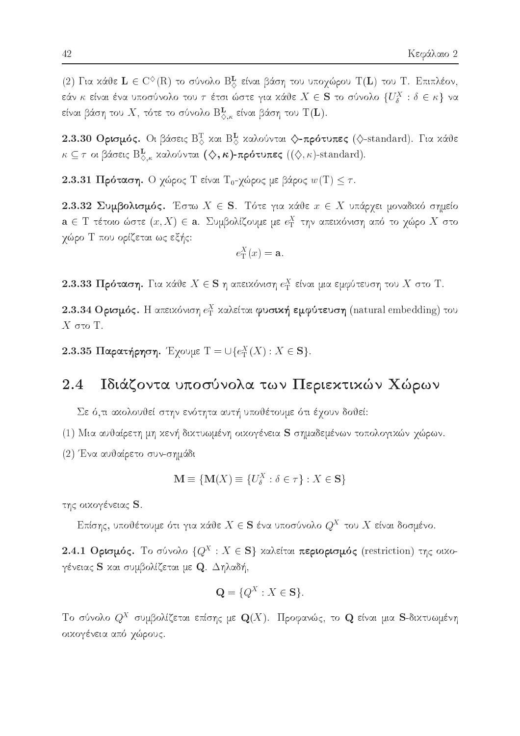(2) Για κάθε  $L \in C^{\diamond}(R)$  το σύνολο  $B^L_{\diamond}$  είναι βάση του υποχώρου Τ(L) του Τ. Επιπλέον, εάν  $\kappa$  είναι ένα υποσύνολο του  $\tau$  έτσι ώστε για χάθε  $X \in \mathbf{S}$  το σύνολο  $\{U^X_\delta : \delta \in \kappa\}$  να είναι βάση του  $X$ , τότε το σύνολο  $\mathrm{B}_{\diamondsuit,\kappa}^\mathbf{L}$  είναι βάση του  $\mathrm{T}(\mathbf{L})$ .

2.3.30 Ορισμός. Οι βάσεις  $B_{\diamondsuit}^T$  και  $B_{\diamondsuit}^L$  καλούνται  $\diamondsuit$ -πρότυπες ( $\diamondsuit$ -standard). Για κάθε  $\kappa \subseteq \tau$  οι βάσεις Β $_{\diamondsuit,\kappa}^{\mathbf{L}}$  χαλούνται  $(\diamondsuit,\kappa)$ -πρότυπες  $((\diamondsuit,\kappa)$ -standard).

2.3.31 Πρόταση. Ο χώρος Τ είναι Τ<sub>0</sub>-χώρος με βάρος  $w(T) \leq \tau$ .

2.3.32 Συμβολισμός. Έστω  $X \in S$ . Τότε για κάθε  $x \in X$  υπάρχει μοναδικό σημείο  $\mathbf{a} \in T$  τέτοιο ώστε  $(x, X) \in \mathbf{a}$ . Συμβολίζουμε με  $e_T^X$  την απειχόνιση από το χώρο X στο χώρο Τ που ορίζεται ως εξής:

$$
e_{\mathrm{T}}^{X}(x)=\mathbf{a}
$$

2.3.33 Πρόταση. Για κάθε  $X \in S$  η απεικόνιση  $e_T^X$  είναι μια εμφύτευση του X στο T.

2.3.34 Ορισμός. Η απειχόνιση  $e_T^X$  χαλείται φυσιχή εμφύτευση (natural embedding) του  $X$  στο T.

2.3.35 Παρατήρηση. Έχουμε  $T = \bigcup \{e_T^X(X) : X \in \mathbf{S}\}.$ 

#### Ιδιάζοντα υποσύνολα των Περιεκτικών Χώρων 2.4

Σε ό,τι ακολουθεί στην ενότητα αυτή υποθέτουμε ότι έχουν δοθεί:

- (1) Μια αυθαίρετη μη χενή διχτυωμένη οιχογένεια S σημαδεμένων τοπολογιχών χώρων.
- (2) Ένα αυθαίρετο συν-σημάδι

$$
\mathbf{M} \equiv \{ \mathbf{M}(X) \equiv \{ U^X_{\delta} : \delta \in \tau \} : X \in \mathbf{S} \}
$$

της οικογένειας S.

Επίσης, υποθέτουμε ότι για κάθε  $X \in \mathbf{S}$  ένα υποσύνολο  $Q^X$  του  $X$  είναι δοσμένο.

2.4.1 Ορισμός. Το σύνολο  ${Q^X : X \in \mathbf{S}}$  καλείται περιορισμός (restriction) της οικογένειας S και συμβολίζεται με Q. Δηλαδή,

$$
\mathbf{Q} = \{Q^X : X \in \mathbf{S}\}.
$$

Το σύνολο  $Q^X$  συμβολίζεται επίσης με  $\mathbf{Q}(X)$ . Προφανώς, το  $\mathbf{Q}$  είναι μια S-δικτυωμένη οικογένεια από χώρους.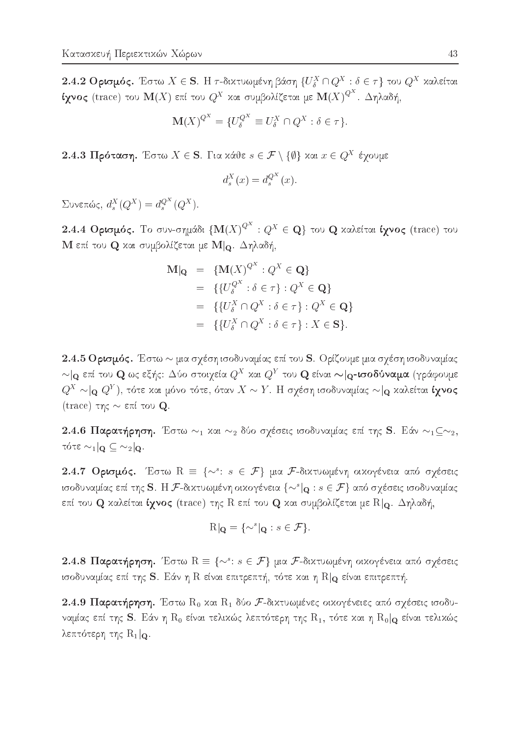2.4.2 Ορισμός. Έστω $X \in \mathbf{S}$ . Η τ-δικτυωμένη βάση $\{U_{\delta}^X \cap Q^X : \delta \in \tau\}$ του  $Q^X$ καλείται ίχνος (trace) του  $\mathbf{M}(X)$  επί του  $Q^X$  και συμβολίζεται με  $\mathbf{M}(X)^{Q^X}$ . Δηλαδή,

$$
\mathbf{M}(X)^{Q^X} = \{U^{Q^X}_{\delta} \equiv U^X_{\delta} \cap Q^X : \delta \in \tau\}.
$$

2.4.3 Πρόταση. Έστω  $X \in S$ . Για κάθε  $s \in \mathcal{F} \setminus \{\emptyset\}$  και  $x \in Q^X$  έγουμε

$$
d_s^X(x) = d_s^{Q^X}(x).
$$

Συνεπώς,  $d_s^X(Q^X) = d_s^{Q^X}(Q^X)$ .

2.4.4 Ορισμός. Το συν-σημάδι  $\left\{ \mathbf{M}(X)^{Q^X}: Q^X \in \mathbf{Q} \right\}$  του Q καλείται ίχνος (trace) του Μ επί του Q και συμβολίζεται με  $\mathbf{M}|_{\mathbf{Q}}$ . Δηλαδή,

$$
\mathbf{M}|\mathbf{Q} = \{ \mathbf{M}(X)^{Q^X} : Q^X \in \mathbf{Q} \}
$$
  
\n
$$
= \{ \{ U_{\delta}^{Q^X} : \delta \in \tau \} : Q^X \in \mathbf{Q} \}
$$
  
\n
$$
= \{ \{ U_{\delta}^X \cap Q^X : \delta \in \tau \} : Q^X \in \mathbf{Q} \}
$$
  
\n
$$
= \{ \{ U_{\delta}^X \cap Q^X : \delta \in \tau \} : X \in \mathbf{S} \}.
$$

2.4.5 Ορισμός. Έστω  $\sim$  μια σχέση ισοδυναμίας επί του S. Ορίζουμε μια σχέση ισοδυναμίας  $\sim$  | ο επί του Q ως εξής: Δύο στοιχεία $Q^X$  και  $Q^Y$  του Q είναι  $\sim$  | ο-ισοδύναμα (γράφουμε  $Q^X \sim ]$ ο  $Q^Y$ ), τότε και μόνο τότε, όταν  $X \sim Y$ . Η σχέση ισοδυναμίας  $\sim ]$ ο καλείται ίχνος (trace) της  $\sim$  επί του Q.

2.4.6 Παρατήρηση. Έστω  $\sim_1$  και  $\sim_2$  δύο σχέσεις ισοδυναμίας επί της S. Εάν  $\sim_1$  $\subseteq$  $\sim_2$ , τότε  $\sim_1$  |  $\Omega \subseteq \sim_2$  |  $\Omega$ .

2.4.7 Ορισμός. Έστω  $R = \{ \sim^s : s \in \mathcal{F} \}$  μια *F*-διχτυωμένη οιχογένεια από σχέσεις ισοδυναμίας επί της S. Η F-δικτυωμένη οικογένεια  $\{\sim^{s} | q : s \in \mathcal{F}\}$  από σχέσεις ισοδυναμίας επί του  ${\bf Q}$  χαλείται ίχνος (trace) της  ${\rm R}$  επί του  ${\bf Q}$  χαι συμβολίζεται με  ${\rm R}|_{\bf Q}$ .  $\Delta$ ηλαδή,

$$
R|_{\mathbf{Q}} = \{ \sim^s |_{\mathbf{Q}} : s \in \mathcal{F} \}.
$$

2.4.8 Παρατήρηση. Έστω  $R \equiv \{ \sim^s : s \in \mathcal{F} \}$  μια *F*-δικτυωμένη οικογένεια από σχέσεις ισοδυναμίας επί της S. Εάν η R είναι επιτρεπτή, τότε και η  $R|_{\mathbf{Q}}$  είναι επιτρεπτή.

2.4.9 Παρατήρηση. Έστω  $R_0$  και  $R_1$  δύο F-δικτυωμένες οικογένειες από σχέσεις ισοδυναμίας επί της S. Εάν η R<sub>0</sub> είναι τελικώς λεπτότερη της R<sub>1</sub>, τότε και η R<sub>0</sub>|Q είναι τελικώς λεπτότερη της  $R_1|_{\mathbf{Q}}$ .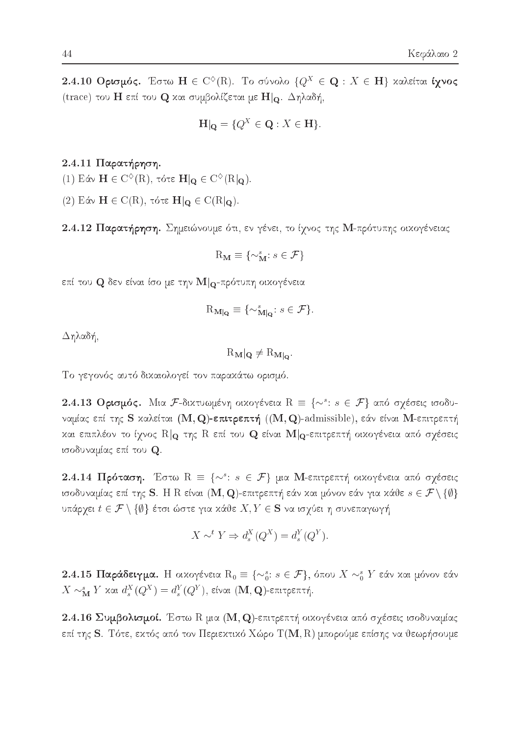2.4.10 Ορισμός. Έστω  $H \in C^{\diamond}(R)$ . Το σύνολο  $\{Q^X \in \mathbf{Q} : X \in \mathbf{H}\}\;$  χαλείται ίχνος (trace) του Η επί του Q και συμβολίζεται με  $H|_{Q}$ . Δηλαδή,

$$
\mathbf{H}|\mathbf{Q} = \{Q^X \in \mathbf{Q} : X \in \mathbf{H}\}.
$$

 $2.4.11$  Παρατήρηση.

(1) Εάν  $\mathbf{H} \in \mathrm{C}^{\diamondsuit}(\mathbf{R})$ , τότε  $\mathbf{H}|_{\mathbf{Q}} \in \mathrm{C}^{\diamondsuit}(\mathbf{R}|_{\mathbf{Q}})$ .

(2) Εάν  $\mathbf{H} \in C(R)$ , τότε  $\mathbf{H}|_{\mathbf{Q}} \in C(R|_{\mathbf{Q}})$ .

2.4.12 Παρατήρηση. Σημειώνουμε ότι, εν γένει, το ίχνος της Μ-πρότυπης οικογένειας

$$
\mathbf{R}_{\mathbf{M}} \equiv \{ \sim_{\mathbf{M}}^s : s \in \mathcal{F} \}
$$

επί του  ${\bf Q}$  δεν είναι ίσο με την  ${\bf M}|_{\bf Q}$ -πρότυπη οιχογένεια

$$
R_{\mathbf{M}|\mathbf{Q}} \equiv \{ \sim_{\mathbf{M}|\mathbf{Q}}^s : s \in \mathcal{F} \}
$$

 $\Delta$ ηλαδή,

 $R_M|_Q \neq R_{M|_Q}$ 

Το γεγονός αυτό δικαιολογεί τον παρακάτω ορισμό.

2.4.13 Ορισμός. Μια F-διχτυωμένη οιχογένεια  $R = \{ \sim^s : s \in \mathcal{F} \}$  από σχέσεις ισοδυναμίας επί της S καλείται  $(M, Q)$ -επιτρεπτή  $((M, Q)$ -admissible), εάν είναι M-επιτρεπτή και επιπλέον το ίχνος  $R|_{\mathbf{Q}}$  της  $R$  επί του  $\mathbf{Q}$  είναι  $\mathbf{M}|_{\mathbf{Q}}$ -επιτρεπτή οικογένεια από σχέσεις ισοδυναμίας επί του Q.

2.4.14 Πρόταση. Έστω  $R = \{ \sim^s : s \in \mathcal{F} \}$  μια Μ-επιτρεπτή οιχογένεια από σχέσεις ισοδυναμίας επί της S. Η R είναι (M, Q)-επιτρεπτή εάν και μόνον εάν για κάθε  $s \in \mathcal{F} \setminus \{\emptyset\}$ υπάρχει  $t \in \mathcal{F} \setminus \{\emptyset\}$  έτσι ώστε για κάθε  $X, Y \in \mathbf{S}$  να ισχύει η συνεπαγωγή

$$
X \sim^t Y \Rightarrow d_s^X(Q^X) = d_s^Y(Q^Y).
$$

2.4.15 Παράδειγμα. Η οικογένεια  $R_0 \equiv \{\sim_0^s: s \in \mathcal{F}\}\,$ , όπου  $X \sim_0^s Y$  εάν και μόνον εάν  $X \sim_M^s Y$  και  $d_s^X(Q^X) = d_s^Y(Q^Y)$ , είναι (**M**, **Q**)-επιτρεπτή.

2.4.16 Συμβολισμοί. Έστω R μια (M, Q)-επιτρεπτή οικογένεια από σχέσεις ισοδυναμίας επί της  ${\bf S}$ . Τότε, εχτός από τον Περιεχτιχό Χώρο Τ $({\bf M},{\bf R})$  μπορούμε επίσης να θεωρήσουμε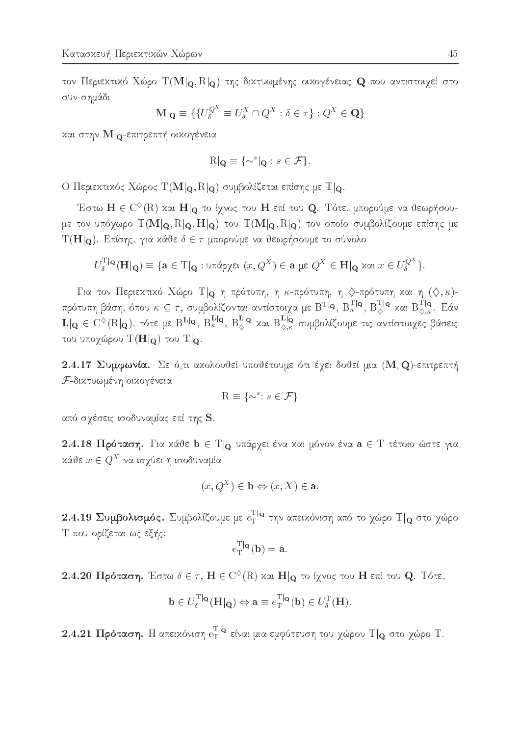τον Περιεκτικό Χώρο Τ(M|o, R|o) της δικτυωμένης οικογένειας Q που αντιστοιχεί στο συν-σημάδι

$$
\mathbf{M}|\mathbf{Q} \equiv \{ \{ U_{\delta}^{Q^X} \equiv U_{\delta}^X \cap Q^X : \delta \in \tau \} : Q^X \in \mathbf{Q} \}
$$

και στην  $\mathbf{M}$  <sub>Ω</sub>-επιτρεπτή οικογένεια

$$
R|_{\mathbf{Q}} \equiv \{ \sim^s |_{\mathbf{Q}} : s \in \mathcal{F} \}.
$$

Ο Περιεκτικός Χώρος  $T(M|_{\mathbf{Q}}, R|_{\mathbf{Q}})$  συμβολίζεται επίσης με  $T|_{\mathbf{Q}}$ .

Έστω  $\mathbf{H}\in \mathrm{C}^{\diamondsuit}(\mathrm{R})$  χαι  $\mathbf{H}|_{\mathbf{Q}}$  το ίγνος του  $\mathbf{H}$  επί του  $\mathbf{Q}.$  Τότε, μπορούμε να θεωρήσουμε τον υπόχωρο  $T(M|_{\mathbf{Q}}, R|_{\mathbf{Q}}, H|_{\mathbf{Q}})$  του  $T(M|_{\mathbf{Q}}, R|_{\mathbf{Q}})$  τον οποίο συμβολίζουμε επίσης με  $T(H|_{Q})$ . Επίσης, για κάθε  $\delta \in \tau$  μπορούμε να θεωρήσουμε το σύνολο

$$
U_{\delta}^{\mathrm{T}|{\mathbf{Q}}}(\mathbf{H}|_{\mathbf{Q}}) \equiv \{ \mathbf{a} \in \mathrm{T}|_{\mathbf{Q}} : \mathrm{Unif}(x, Q^X) \in \mathbf{a} \text{ } \mu \in Q^X \in \mathbf{H}|_{\mathbf{Q}} \text{ } \mathrm{ and } \text{ } x \in U_{\delta}^{Q^X} \}.
$$

Για τον Περιεκτικό Χώρο Τ $|_{\mathbf{Q}}$  η πρότυπη, η κ-πρότυπη, η  $\Diamond$ -πρότυπη και η  $(\Diamond, \kappa)$ πρότυπη βάση, όπου  $\kappa\subseteq\tau,$  συμβολίζονται αντίστοιγα με  $\mathrm{B}^{\mathrm{T}|\mathbf{Q}},$   $\mathrm{B}^{\mathrm{T}|\mathbf{Q}}_\kappa,$   $\mathrm{B}^{\mathrm{T}|\mathbf{Q}}_\kappa$ {*}* kai Berta Berta Berta Berta Berta Berta Berta Berta Berta Berta Berta Berta Berta Berta Berta Berta Berta Berta Berta Berta Berta Berta Berta Berta Berta Berta Berta Berta Berta Berta Berta Berta Berta Berta Berta Ber  $T|_{\mathbf{Q}}$  $\langle \rangle$ ,  $\kappa$  . Encodering the set of  $E$  $\mathbf{L} |_\mathbf{Q} \in \mathrm{C}^\vee(\mathrm{R}|_\mathbf{Q}),$  τότε με Β<sup>11</sup>Ια, Βτον, Β΄, ααι Β΄, και συμβολίζουμε τις αντίστοιχες βάσεις του υποχώρου  $T(H|_{Q})$  του  $T|_{Q}$ .

2.4.17 Συμφωνία. Σε ό,τι ακολουθεί υποθέτουμε ότι έχει δοθεί μια (M, Q)-επιτρεπτή F-diktuwmènh oikogèneia

$$
\mathbf{R} \equiv \{ \sim^s : s \in \mathcal{F} \}
$$

από σχέσεις ισοδυναμίας επί της S.

2.4.18 Πρόταση. Για κάθε  $b \in T|_{Q}$  υπάρχει ένα και μόνον ένα  $a \in T$  τέτοιο ώστε για  $x$ αυε $x \in Q$  να ισχυει η ισοσυναμια

$$
(x, Q^X) \in \mathbf{b} \Leftrightarrow (x, X) \in \mathbf{a}.
$$

 $2.4.19$  Συμβολισμός. Συμβολίζουμε με  $e_{\rm T}^{\rm T|Q}$  $T = \epsilon \sqrt{N}$  are to the  $\epsilon \sqrt{N}$  value to  $\epsilon$  and  $\epsilon \sqrt{N}$  and  $\epsilon \sqrt{N}$ Τ που ορίζεται ως εξής:

$$
e_{\mathrm{T}}^{\mathrm{T}|\mathbf{Q}}(\mathbf{b}) = \mathbf{a}.
$$

 ${\bf 2.4.20}$   $\Pi$ ρόταση. Έστω  $\delta \in \tau,$   ${\bf H} \in {\rm C}^{\otimes}({\rm R})$  και  ${\bf H}|_{\bf Q}$  το ίχνος του  ${\bf H}$  επί του  ${\bf Q}.$  Τότε,

$$
\mathbf{b} \in U_{\delta}^{\mathrm{T}|\mathbf{Q}}(\mathbf{H}|\mathbf{Q}) \Leftrightarrow \mathbf{a} \equiv e_{\mathrm{T}}^{\mathrm{T}|\mathbf{Q}}(\mathbf{b}) \in U_{\delta}^{\mathrm{T}}(\mathbf{H}).
$$

 ${\bf 2.4.21}$   $\Pi$ ρόταση. Η απεικόνιση  $e_{\rm T}^{\rm T|Q}$  $_{\rm T}$  enai pia epipoteoon tou xapou  $_{\rm T}$  q o to xapou $_{\rm T}$ .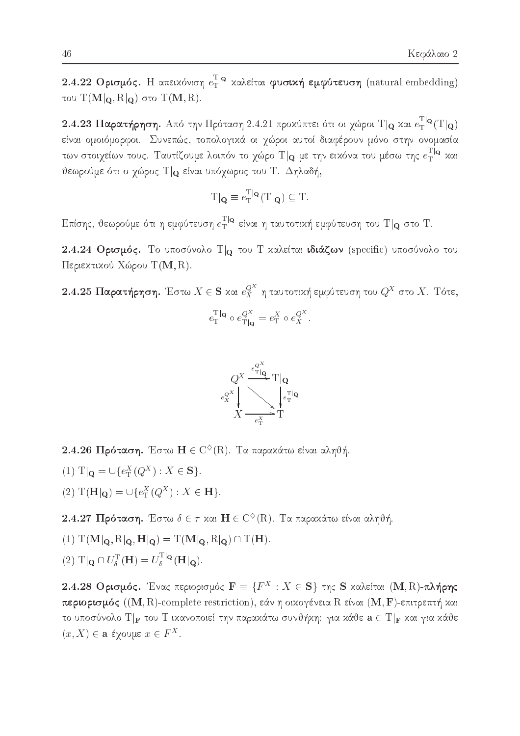2.4.22 Ορισμός. Η απειχόνιση  $e_T^{T|Q}$  χαλείται φυσική εμφύτευση (natural embedding) του  $T(M|<sub>Q</sub>, R|<sub>Q</sub>)$  στο  $T(M, R)$ .

2.4.23 Παρατήρηση. Από την Πρόταση 2.4.21 προκύπτει ότι οι χώροι Τ $|_{\mathbf{Q}}$  και  $e^{\mathrm{T}|\mathbf{Q}}_{\mathrm{T}}(\mathrm{T}|\mathbf{Q})$ είναι ομοιόμορφοι. Συνεπώς, τοπολογικά οι χώροι αυτοί διαφέρουν μόνο στην ονομασία των στοιχείων τους. Ταυτίζουμε λοιπόν το χώρο  $T|_{\mathbf{Q}}$  με την εικόνα του μέσω της  $e_T^{T|{\mathbf{Q}}}$  και θεωρούμε ότι ο χώρος Τ $|_Q$  είναι υπόχωρος του Τ. Δηλαδή,

$$
T|_{\mathbf{Q}} \equiv e_T^{\mathrm{T}|_{\mathbf{Q}}}(\mathrm{T}|_{\mathbf{Q}}) \subseteq \mathrm{T}.
$$

Επίσης, θεωρούμε ότι η εμφύτευση  $e_{\rm T}^{\rm T|{\bf q}}$  είναι η ταυτοτική εμφύτευση του  $\rm T|_{\bf Q}$  στο T.

2.4.24 Ορισμός. Το υποσύνολο Το του Τ καλείται ιδιάζων (specific) υποσύνολο του Περιεχτικού Χώρου Τ(Μ, R).

2.4.25 Παρατήρηση. Έστω  $X \in \mathbf{S}$  και  $e^{Q^X}_X$  η ταυτοτική εμφύτευση του  $Q^X$  στο  $X$ . Τότε,

$$
e_{\mathbf{T}}^{\mathbf{T}|\mathbf{Q}} \circ e_{\mathbf{T}|\mathbf{Q}}^{Q^X} = e_{\mathbf{T}}^X \circ e_{X}^{Q^X}.
$$



2.4.26 Πρόταση. Έστω  $H \in C^{\diamondsuit}(R)$ . Τα παρακάτω είναι αληθή.

- (1)  $T|_{\mathbf{Q}} = \bigcup \{ e_{\mathrm{T}}^{X}(Q^{X}) : X \in \mathbf{S} \}.$
- (2)  $T(H|_{Q}) = \bigcup \{e_{\text{T}}^{X}(Q^{X}) : X \in H\}.$

2.4.27 Πρόταση. Έστω  $\delta \in \tau$  και  $H \in C^{\diamond}(R)$ . Τα παρακάτω είναι αληθή.

(1)  $T(\mathbf{M}|_{\mathbf{Q}}, R|_{\mathbf{Q}}, \mathbf{H}|_{\mathbf{Q}}) = T(\mathbf{M}|_{\mathbf{Q}}, R|_{\mathbf{Q}}) \cap T(\mathbf{H}).$ 

(2)  $T|_{\mathbf{\Omega}} \cap U_s^{\mathrm{T}}(\mathbf{H}) = U_s^{\mathrm{T}|_{\mathbf{\Omega}}}(\mathbf{H}|_{\mathbf{\Omega}}).$ 

2.4.28 Ορισμός. Ένας περιορισμός  $\mathbf{F} \equiv \{F^X : X \in \mathbf{S}\}\$ της S καλείται (Μ, R)-πλήρης περιορισμός ((M, R)-complete restriction), εάν η οικογένεια R είναι (M, F)-επιτρεπτή και το υποσύνολο  $T|_F$  του  $T$  ικανοποιεί την παρακάτω συνθήκη: για κάθε $\mathbf{a}\in T|_F$  και για κάθε  $(x, X) \in$  a έχουμε  $x \in F^X$ .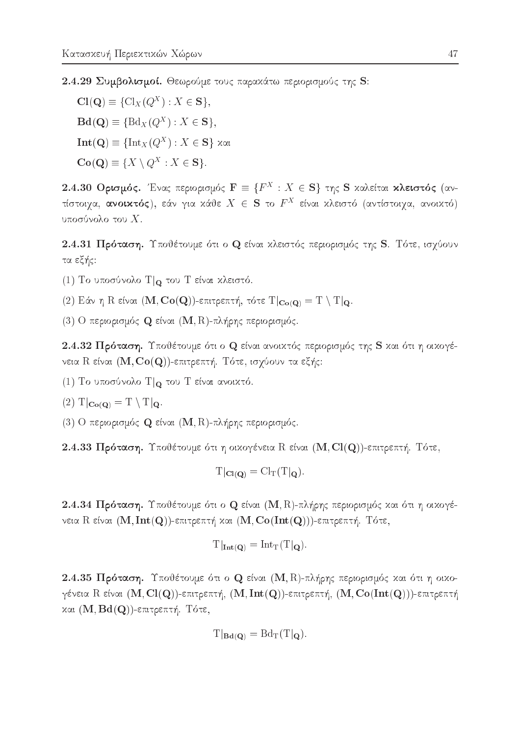2.4.29 Συμβολισμοί. Θεωρούμε τους παρακάτω περιορισμούς της S:

 $Cl(Q) \equiv \{Cl_X(Q^X) : X \in S\},\$  $\mathbf{Bd}(\mathbf{Q}) \equiv \{ \text{Bd}_X(Q^X) : X \in \mathbf{S} \},\$  $\mathbf{Int}(\mathbf{Q}) \equiv {\{\mathop{\mathrm{Int}}}_X(Q^X) : X \in \mathbf{S}\}$  και  $Co(Q) \equiv \{X \setminus Q^X : X \in S\}.$ 

2.4.30 Ορισμός. Ένας περιορισμός  $\mathbf{F} \equiv \{F^X : X \in \mathbf{S}\}$  της S καλείται κλειστός (αντίστοιχα, ανοικτός), εάν για κάθε  $X \in \mathbf{S}$  το  $F^X$  είναι κλειστό (αντίστοιχα, ανοικτό) υποσύνολο του  $X$ .

2.4.31 Πρόταση. Υποθέτουμε ότι ο Q είναι κλειστός περιορισμός της S. Τότε, ισχύουν τα εξής:

- (1) Το υποσύνολο Τ $|$  του Τ είναι κλειστό.
- (2) Εάν η R είναι (M, Co(Q))-επιτρεπτή, τότε  $T|_{\mathbf{C}_0(\Omega)} = T \setminus T|_{\mathbf{C}}$ .
- (3) Ο περιορισμός **Q** είναι (M, R)-πλήρης περιορισμός.

2.4.32 Πρόταση. Υποθέτουμε ότι ο Q είναι ανοικτός περιορισμός της S και ότι η οικογένεια  $R$  είναι  $(M, Co(Q))$ -επιτρεπτή. Τότε, ισχύουν τα εξής:

(1) Το υποσύνολο Τ $|_{\mathbf{Q}}$  του Τ είναι ανοικτό.

$$
(2) T|_{\mathbf{Co}(\mathbf{Q})} = T \setminus T|_{\mathbf{Q}}.
$$

(3) Ο περιορισμός  $\mathbf Q$  είναι  $(\mathbf M,\mathbf R)$ -πλήρης περιορισμός.

2.4.33 Πρόταση. Υποθέτουμε ότι η οικογένεια R είναι (M, Cl(Q))-επιτρεπτή. Τότε,

$$
T|_{\mathbf{Cl}(\mathbf{Q})} = Cl_T(T|_{\mathbf{Q}})
$$

2.4.34 Πρόταση. Υποθέτουμε ότι ο Q είναι (M, R)-πλήρης περιορισμός και ότι η οικογένεια R είναι  $(M, Int(Q))$ -επιτρεπτή και  $(M, Co(Int(Q)))$ -επιτρεπτή. Τότε,

$$
T|_{\mathbf{Int}(\mathbf{Q})} = \mathrm{Int}_{T}(T|_{\mathbf{Q}})
$$

2.4.35 Πρόταση. Υποθέτουμε ότι ο Q είναι (M, R)-πλήρης περιορισμός και ότι η οιχογένεια R είναι (M, Cl(Q))-επιτρεπτή, (M, Int(Q))-επιτρεπτή, (M, Co(Int(Q)))-επιτρεπτή και  $(\mathbf{M}, \mathbf{Bd}(\mathbf{Q}))$ -επιτρεπτή. Τότε,

$$
T|_{\mathbf{Bd}(\mathbf{Q})} = \mathrm{Bd}_{\mathrm{T}}(T|\mathbf{Q}).
$$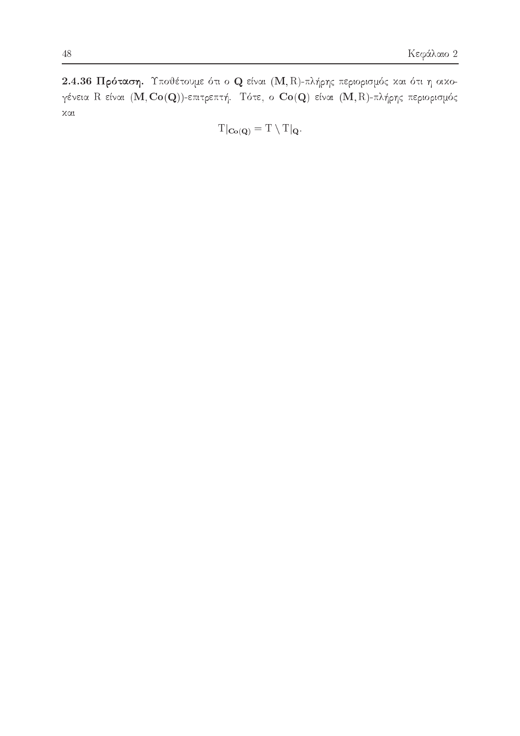2.4.36 Πρόταση. Υποθέτουμε ότι ο Q είναι (Μ, R)-πλήρης περιορισμός και ότι η οικογένεια R είναι (M, Co(Q))-επιτρεπτή. Τότε, ο Co(Q) είναι (M, R)-πλήρης περιορισμός χαι

$$
T|_{\mathbf{Co}(\mathbf{Q})}=T\setminus T|_{\mathbf{Q}}.
$$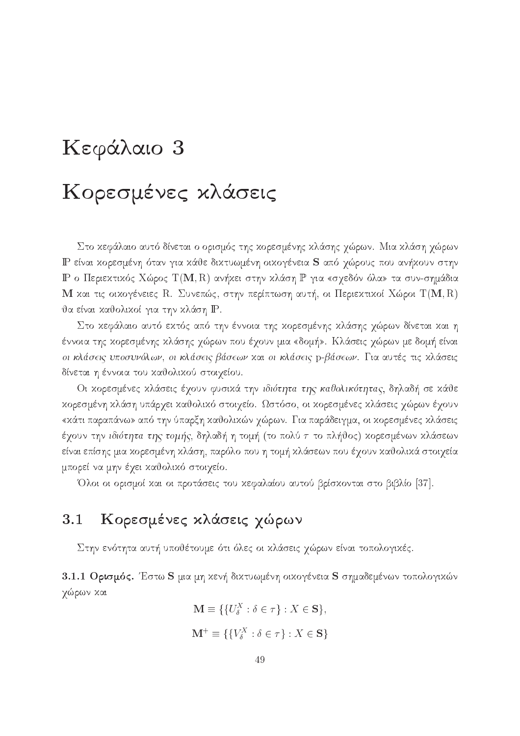# Κεφάλαιο 3 Κορεσμένες κλάσεις

Στο κεφάλαιο αυτό δίνεται ο ορισμός της κορεσμένης κλάσης χώρων. Μια κλάση χώρων IP είναι κορεσμένη όταν για κάθε δικτυωμένη οικογένεια S από χώρους που ανήκουν στην IP ο Περιεκτικός Χώρος Τ(M, R) ανήκει στην κλάση P για «σχεδόν όλα» τα συν-σημάδια  ${\bf M}$  και τις οικογένειες  ${\rm R.}$  Συνεπώς, στην περίπτωση αυτή, οι Περιεκτικοί Χώροι  ${\rm T}({\bf M},{\rm R})$ θα είναι καθολικοί για την κλάση IP.

Στο κεφάλαιο αυτό εκτός από την έννοια της κορεσμένης κλάσης χώρων δίνεται και η έννοια της χορεσμένης χλάσης χώρων που έχουν μια «δομή». Κλάσεις χώρων με δομή είναι οι κλάσεις υποσυνόλων, οι κλάσεις βάσεων και οι κλάσεις p-βάσεων. Για αυτές τις κλάσεις δίνεται η έννοια του καθολικού στοιχείου.

Οι κορεσμένες κλάσεις έχουν φυσικά την ιδιότητα της καθολικότητας, δηλαδή σε κάθε κορεσμένη κλάση υπάρχει καθολικό στοιχείο. Ωστόσο, οι κορεσμένες κλάσεις χώρων έχουν «κάτι παραπάνω» από την ύπαρξη καθολικών χώρων. Για παράδειγμα, οι κορεσμένες κλάσεις έχουν την *ιδιότητα της τομής*, δηλαδή η τομή (το πολύ  $\tau$  το πλήθος) χορεσμένων χλάσεων είναι επίσης μια κορεσμένη κλάση, παρόλο που η τομή κλάσεων που έχουν καθολικά στοιχεία μπορεί να μην έχει καθολικό στοιχείο.

Όλοι οι ορισμοί και οι προτάσεις του κεφαλαίου αυτού βρίσκονται στο βιβλίο [37].

# 3.1 Κορεσμένες κλάσεις χώρων

Στην ενότητα αυτή υποθέτουμε ότι όλες οι κλάσεις χώρων είναι τοπολογικές.

3.1.1  $O$ ρισμός. Έστω S μια μη κενή δικτυωμένη οικογένεια S σημαδεμένων τοπολογικών χώρων και

$$
\mathbf{M} \equiv \{ \{ U_{\delta}^X : \delta \in \tau \} : X \in \mathbf{S} \},
$$
  

$$
\mathbf{M}^+ \equiv \{ \{ V_{\delta}^X : \delta \in \tau \} : X \in \mathbf{S} \}
$$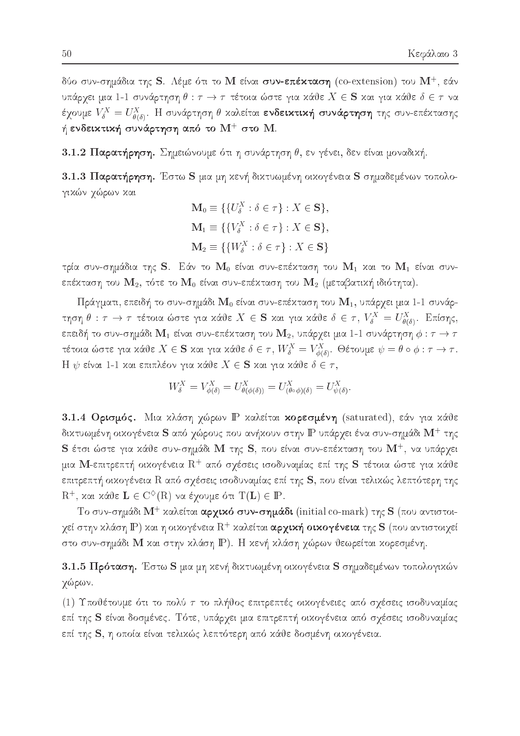δύο συν-σημάδια της S. Λέμε ότι το  ${\rm\bf M}$  είναι συν-επέχταση (co-extension) του  ${\rm\bf M}^+$ , εάν υπάρχει μια 1-1 συνάρτηση  $\theta : \tau \to \tau$  τέτοια ώστε για κάθε  $X \in \mathbf{S}$  και για κάθε  $\delta \in \tau$  να έχουμε  $V_{\delta}^X = U_{\theta(\delta)}^X$ . Η συνάρτηση θ καλείται ενδεικτική συνάρτηση της συν-επέκτασης ή ενδειχτική συνάρτηση από το  $\mathrm{M}^{+}$  στο  $\mathrm{M}_{-}$ 

3.1.2 Παρατήρηση. Σημειώνουμε ότι η συνάρτηση θ, εν γένει, δεν είναι μοναδική.

3.1.3 Παρατήρηση. Έστω S μια μη χενή διχτυωμένη οιχογένεια S σημαδεμένων τοπολογικών χώρων και

$$
\mathbf{M}_0 \equiv \{ \{ U^X_\delta : \delta \in \tau \} : X \in \mathbf{S} \},
$$
  
\n
$$
\mathbf{M}_1 \equiv \{ \{ V^X_\delta : \delta \in \tau \} : X \in \mathbf{S} \},
$$
  
\n
$$
\mathbf{M}_2 \equiv \{ \{ W^X_\delta : \delta \in \tau \} : X \in \mathbf{S} \}
$$

τρία συν-σημάδια της S. Εάν το  $\mathbf{M}_0$  είναι συν-επέχταση του  $\mathbf{M}_1$  χαι το  $\mathbf{M}_1$  είναι συνεπέχταση του  $\mathbf{M}_2$ , τότε το  $\mathbf{M}_0$  είναι συν-επέχταση του  $\mathbf{M}_2$  (μεταβατιχή ιδιότητα).

Πράγματι, επειδή το συν-σημάδι  $\mathbf{M}_0$  είναι συν-επέχταση του  $\mathbf{M}_1$ , υπάρχει μια 1-1 συνάρτηση  $\theta: \tau \to \tau$  τέτοια ώστε για κάθε  $X \in \mathbf{S}$  και για κάθε  $\delta \in \tau$ ,  $V_{\delta}^X = U_{\theta(\delta)}^X$ . Επίσης, επειδή το συν-σημάδι  $\mathbf{M}_1$  είναι συν-επέχταση του  $\mathbf{M}_2$ , υπάρχει μια 1-1 συνάρτηση  $\phi: \tau \to \tau$ τέτοια ώστε για κάθε  $X \in \mathbf{S}$  και για κάθε  $\delta \in \tau$ ,  $W^X_\delta = V^X_{\phi(\delta)}$ . Θέτουμε  $\psi = \theta \circ \phi : \tau \to \tau$ .  $\rm H$   $\psi$  είναι 1-1 και επιπλέον για κάθε  $X \in {\bf S}$  και για κάθε  $\delta \in \tau,$ 

$$
W_{\delta}^X = V_{\phi(\delta)}^X = U_{\theta(\phi(\delta))}^X = U_{(\theta \circ \phi)(\delta)}^X = U_{\psi(\delta)}^X.
$$

3.1.4 Ορισμός. Μια κλάση χώρων IP καλείται κορεσμένη (saturated), εάν για κάθε δικτυωμένη οικογένεια  ${\bf S}$  από χώρους που ανήκουν στην  ${\bf P}$  υπάρχει ένα συν-σημάδι  ${\bf M}^+$  της  $\bf S$  έτσι ώστε για κάθε συν-σημάδι  $\bf M$  της  $\bf S$ , που είναι συν-επέχταση του  $\bf M^+$ , να υπάρχει μια Μ-επιτρεπτή οικογένεια  $\mathrm{R}^+$  από σχέσεις ισοδυναμίας επί της S τέτοια ώστε για κάθε επιτρεπτή οιχογένεια  $\rm R$  από σχέσεις ισοδυναμίας επί της  $\rm {\bf S}$ , που είναι τελιχώς λεπτότερη της  $R^+$ , και κάθε  $L \in C^{\diamond}(R)$  να έχουμε ότι  $T(L) \in \mathbb{P}$ .

Το συν-σημάδι Μ<sup>+</sup> καλείται αρχικό συν-σημάδι (initial co-mark) της S (που αντιστοιχεί στην κλάση  $\mathbb P$ ) και η οικογένεια  $\mathrm R^+$  καλείται **αρχική οικογένεια** της  $\mathbf S$  (που αντιστοιχεί στο συν-σημάδι Μ και στην κλάση Ρ). Η κενή κλάση χώρων θεωρείται κορεσμένη.

3.1.5 Πρόταση. Έστω S μια μη κενή δικτυωμένη οικογένεια S σημαδεμένων τοπολογικών χώρων.

(1) Υποθέτουμε ότι το πολύ τ το πλήθος επιτρεπτές οικογένειες από σχέσεις ισοδυναμίας επί της S είναι δοσμένες. Τότε, υπάρχει μια επιτρεπτή οικογένεια από σχέσεις ισοδυναμίας επί της S, η οποία είναι τελικώς λεπτότερη από κάθε δοσμένη οικογένεια.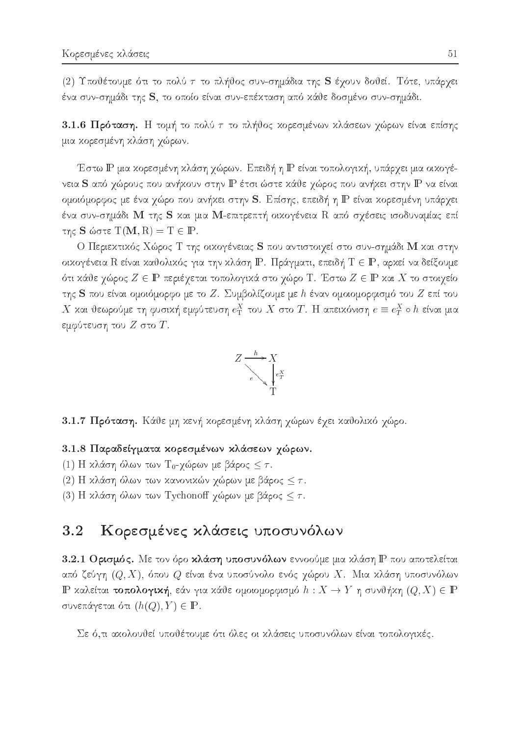(2) Υποθέτουμε ότι το πολύ τ το πλήθος συν-σημάδια της S έχουν δοθεί. Τότε, υπάρχει ένα συν-σημάδι της S, το οποίο είναι συν-επέκταση από κάθε δοσμένο συν-σημάδι.

3.1.6  $\Pi$ ρόταση. Η τομή το πολύ  $\tau$  το πλήθος χορεσμένων χλάσεων χώρων είναι επίσης μια κορεσμένη κλάση χώρων.

'Εστω IP μια κορεσμένη κλάση χώρων. Επειδή η IP είναι τοπολογική, υπάρχει μια οικογένεια S από χώρους που ανήχουν στην IP έτσι ώστε χάθε χώρος που ανήχει στην IP να είναι ομοιόμορφος με ένα χώρο που ανήχει στην S. Επίσης, επειδή η P είναι χορεσμένη υπάρχει ένα συν-σημάδι Μ της S και μια Μ-επιτρεπτή οικογένεια R από σχέσεις ισοδυναμίας επί της **S** ώστε  $T(M, R) = T \in \mathbb{P}$ .

Ο Περιεκτικός Χώρος Τ της οικογένειας S που αντιστοιχεί στο συν-σημάδι M και στην oixoγένεια R είναι καθολικός για την κλάση P. Πράγματι, επειδή T  $\in$  P, αρκεί να δείξουμε ότι κάθε χώρος  $Z\in \mathbb{P}$  περιέχεται τοπολογικά στο χώρο Τ. Έστω  $Z\in \mathbb{P}$  και  $X$  το στοιχείο της S που είναι ομοιόμορφο με το Z. Συμβολίζουμε με h έναν ομοιομορφισμό του Z επί του  $\Lambda$  και υεωρουμε τη φυσικη εμφυτευση  $e_{\rm T}^{\perp}$  του  $\Lambda$  στο  $I$  . Η απεικονιση  $e=e_{\rm T}^{\perp}$  on ειναι μια εμφύτευση του  $Z$  στο  $T$ .



3.1.7 Πρόταση. Κάθε μη κενή κορεσμένη κλάση χώρων έχει καθολικό χώρο.

### 3.1.8 Παραδείγματα κορεσμένων κλάσεων χώρων.

- (1) Η κλάση όλων των Τ<sub>0</sub>-χώρων με βάρος  $\leq \tau$ .
- (2) Η κλάση όλων των κανονικών χώρων με βάρος  $\leq \tau$ .
- (3) Η κλάση όλων των Tychonoff χώρων με βάρος  $\leq \tau$ .

### 3.2 Κορεσμένες κλάσεις υποσυνόλων

3.2.1 Ορισμός. Με τον όρο κλάση υποσυνόλων εννοούμε μια κλάση  $\mathbb P$  που αποτελείται από ζεύγη  $(Q,X)$ , όπου  $Q$  είναι ένα υποσύνολο ενός χώρου  $X$ . Μια κλάση υποσυνόλων IP καλείται τοπολογική, εάν για κάθε ομοιομορφισμό  $h : X \to Y$  η συνθήκη  $(Q, X) \in \mathbb{P}$ συνεπάγεται ότι  $(h(Q), Y) \in \mathbb{P}$ .

Σε ό,τι ακολουθεί υποθέτουμε ότι όλες οι κλάσεις υποσυνόλων είναι τοπολογικές.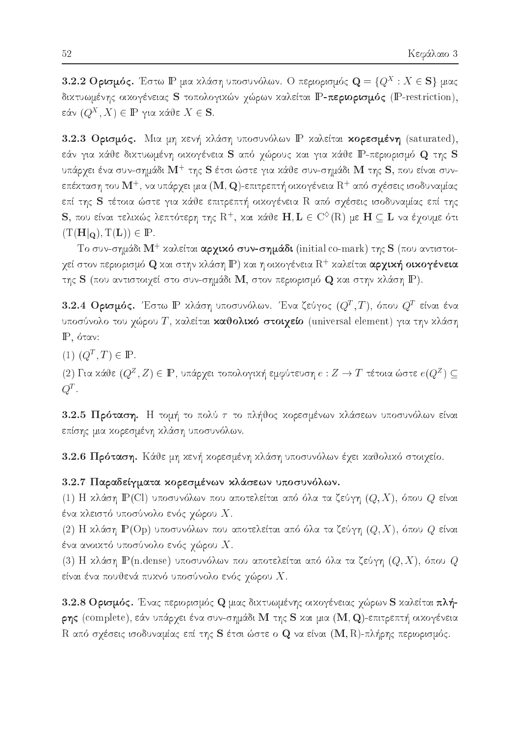$\bf 3.2.2$  Ορισμός. Έστω  $\bf P$  μια χλάση υποσυνόλων. Ο περιορισμός  $\bf Q = \{Q^X: X \in S\}$  μιας δικτυωμένης οικογένειας S τοπολογικών χώρων καλείται P-περιορισμός (P-restriction),  $\mathop{{\rm cov}}\nolimits \mid Q \mid$  ,  $\Lambda \mid \;\in \;\mathbb{F}$  yiou kouve  $\Lambda \;\in \mathcal{S}.$ 

3.2.3 Ορισμός. Μια μη κενή κλάση υποσυνόλων P καλείται κορεσμένη (saturated), εάν για κάθε δικτυωμένη οικογένεια S από χώρους και για κάθε P-περιορισμό Q της S υπάργει ένα συν-σημάδι  $\mathbf{M}^+$  της  $\mathbf S$  έτσι ώστε για χάθε συν-σημάδι  $\mathbf M$  της  $\mathbf S$ , που είναι συνεπέχταση του  $\mathbf{M}^+$ , να υπάργει μια  $(\mathbf{M,Q})$ -επιτρεπτή οιχογένεια  $\mathrm{R}^+$  από σγέσεις ισοδυναμίας επί της S τέτοια ώστε για κάθε επιτρεπτή οικογένεια R από σχέσεις ισοδυναμίας επί της  ${\bf S},$  που είναι τελιχώς λεπτότερη της  ${\rm R}^+$ , χαι χάθε  ${\bf H},{\bf L} \in {\rm C}^{\diamondsuit}({\rm R})$  με  ${\bf H} \subseteq {\bf L}$  να έγουμε ότι  $(T(H|_{\mathbf{Q}}), T(L)) \in \mathbb{P}$ .

Το συν-σημάδι  $\mathrm{M}^+$  χαλείται **αργικό συν-σημάδι** (initial co-mark) της  $\mathrm{\mathbf{S}}$  (που αντιστοιγεί στον περιορισμό  ${\bf Q}$  και στην κλάση  ${\bf P}$ ) και η οικογένεια  ${\rm R}^+$  καλείται **αργική οικογένεια** της  $\bf S$  (που αντιστοιχεί στο συν-σημάδι  $\bf M$ , στον περιορισμό  $\bf Q$  και στην κλάση  $\bf P$ ).

 $\bf 3.2.4$  Ορισμός. Έστω  $\Bbb P$  χλάση υποσυνόλων. Ένα ζεύγος  $(Q^T,T)$ , όπου  $Q^T$  είναι ένα υποσύνολο του χώρου Τ, καλείται καθολικό στοιχείο (universal element) για την κλάση  $P$ , όταν:

 $(1)$   $(Q^-, 1) \in \mathbb{F}$ .

(2) Για χαυε (QZ, Σ)  $\in$  IF, υπαργει τοπολογική εμφυτευσή  $e$  : Z  $\rightarrow$  1 τετοια ωστε  $e$ (QZ, )  $\subseteq$  $Q^-$  .

3.2.5 Πρόταση. Η τομή το πολύ  $\tau$  το πλήθος κορεσμένων κλάσεων υποσυνόλων είναι επίσης μια κορεσμένη κλάση υποσυνόλων.

3.2.6 Πρόταση. Κάθε μη κενή κορεσμένη κλάση υποσυνόλων έχει καθολικό στοιχείο.

### 3.2.7 Παραδείγματα κορεσμένων κλάσεων υποσυνόλων.

(1) Η κλάση  $\mathbb P$ (Cl) υποσυνόλων που αποτελείται από όλα τα ζεύγη  $(Q, X)$ , όπου  $Q$  είναι ένα κλειστό υποσύνολο ενός χώρου  $X.$ 

(2) Η κλάση  $\operatorname{\mathbb P}(\operatorname{Op})$  υποσυνόλων που αποτελείται από όλα τα ζεύγη  $(Q,X)$ , όπου  $Q$  είναι ένα ανοικτό υποσύνολο ενός χώρου  $X.$ 

(3) Η κλάση  $\mathbb P$ (n.dense) υποσυνόλων που αποτελείται από όλα τα ζεύγη  $(Q,X),$  όπου  $Q$ είναι ένα πουθενά πυχνό υποσύνολο ενός χώρου  $X.$ 

3.2.8 Ορισμός. Ένας περιορισμός Q μιας δικτυωμένης οικογένειας χώρων S καλείται πλή- $\mathsf{p}\eta$ ς (complete), εάν υπάρχει ένα συν-σημάδι Μ της S και μια (M, Q)-επιτρεπτή οικογένεια  ${\rm R}$  από σχέσεις ισοδυναμίας επί της  ${\bf S}$  έτσι ώστε ο  ${\bf Q}$  να είναι  $({\bf M},{\rm R})$ -πλήρης περιορισμός.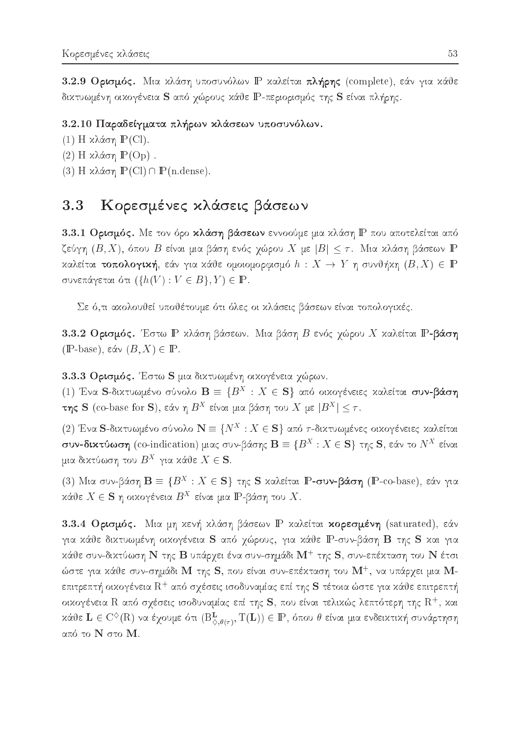3.2.9 Ορισμός. Μια κλάση υποσυνόλων P καλείται πλήρης (complete), εάν για κάθε δικτυωμένη οικογένεια S από χώρους κάθε P-περιορισμός της S είναι πλήρης.

### 3.2.10 Παραδείγματα πλήρων κλάσεων υποσυνόλων.

- (1) Η κλάση  $P$ (Cl).
- (2) Η κλάση  $\mathbb{P}(\text{Op})$ .
- (3) Η κλάση  $\mathbb{P}(\text{Cl}) \cap \mathbb{P}(\text{n.dense}).$

# 3.3 Κορεσμένες κλάσεις βάσεων

3.3.1 Ορισμός. Με τον όρο κλάση βάσεων εννοούμε μια κλάση P που αποτελείται από ζεύγη  $(B, X)$ , όπου  $B$  είναι μια βάση ενός χώρου  $X$  με  $|B| \leq \tau$ . Μια κλάση βάσεων  $\mathbb P$ καλείται τοπολογική, εάν για κάθε ομοιομορφισμό  $h : X \to Y$  η συνθήκη  $(B, X) \in \mathbb{P}$ συνεπάγεται ότι  $({h(V) : V \in B}, Y) \in \mathbb{P}$ .

Σε ό,τι αχολουθεί υποθέτουμε ότι όλες οι χλάσεις βάσεων είναι τοπολογιχές.

3.3.2 Ορισμός. Έστω  $\mathbb P$  κλάση βάσεων. Μια βάση  $B$  ενός χώρου X καλείται  $\mathbb P$ -βάση  $(\mathbb{P}\text{-base}), \, \varepsilon \& \vee (B, X) \in \mathbb{P}.$ 

3.3.3 Ορισμός. Έστω S μια δικτυωμένη οικογένεια χώρων.

(1) Ένα S-διχτυωμένο σύνολο  $\mathbf{B}\equiv\{B^{\scriptscriptstyle{X}}\,:\,X\in\mathbf{S}\}$  από οιχογένειες χαλείται **συν-βάση**  $\tau$ ης S (co-base for S), εαν η B<sup>--</sup> ειναι μια pαση του  $A$  με  $|B^{-1}| \leq \tau$ .

(2) Ένα S-δικτυωμένο σύνολο  $\mathbf{N}\equiv\{N^\mathrm{X}:X\in\mathbf{S}\}$  από  $\tau$ -δικτυωμένες οικογένειες καλείται  $\sigma$ υν-οιχτυωση (co-indication) μιας συν-ρασης  $\mathbf{D} = \{D^+ : A \in \mathbf{D}\}$  της  $\mathbf{D}$ , εαν το  $N^+$  ειναι  $\mu$ ia oixtuwo $\eta$  tou  $B^+$  yia kave  $A \in \mathcal{S}$ .

(b) INTIOL ON PROTHING  $\mathbf{D} = \{ D^{\pm} \, : \, A \in \mathbf{S} \}$  (include accuration  $\mathbf{F}\text{-}\mathtt{cov}\text{-}\mathtt{p}$  and  $\mathbf{F}\text{-}\mathtt{cov}$  and  $\mathbf{F}\text{-}\mathtt{cov}$  and  $\mathbf{F}\text{-}\mathtt{cov}$  and  $\mathbf{F}\text{-}\mathtt{cov}$ καυε  $\Lambda \in \mathcal{S}$  η οικογενεία  $D$  ειναι μια IP-pαση του  $\Lambda$ .

3.3.4 Ορισμός. Μια μη κενή κλάση βάσεων P καλείται κορεσμένη (saturated), εάν για κάθε δικτυωμένη οικογένεια S από χώρους, για κάθε P-συν-βάση B της S και για χάθε συν-δικτύωση  ${\bf N}$  της  ${\bf B}$  υπάργει ένα συν-σημάδι  ${\bf M}^+$  της  ${\bf S},$  συν-επέχταση του  ${\bf N}$  έτσι ώστε για κάθε συν-σημάδι  $\rm M$  της  $\rm S$ , που είναι συν-επέχταση του  $\rm M^+$ , να υπάργει μια  $\rm M^+$ επιτρεπτή οιχογένεια  $\mathrm{R}^+$  από σγέσεις ισοδυναμίας επί της  $\mathbf S$  τέτοια ώστε για χάθε επιτρεπτή οιχογένεια  $\rm R$  από σγέσεις ισοδυναμίας επί της  $\rm S$ , που είναι τελιχώς λεπτότερη της  $\rm R^+$ , χαι καυε  $\mathbf{L} \in \mathrm{C}^\times(\mathbf{R})$  να εχουμε ότι  $(\mathrm{B}^\infty_{\infty, \theta(\tau)},\, \mathrm{I} \left( \mathbf{L} \right)) \in \mathbb{P},$  όπου  $\theta$  ειναι μια ενδεικτική συναρτήση από το  $\rm N$  στο  $\rm M$ .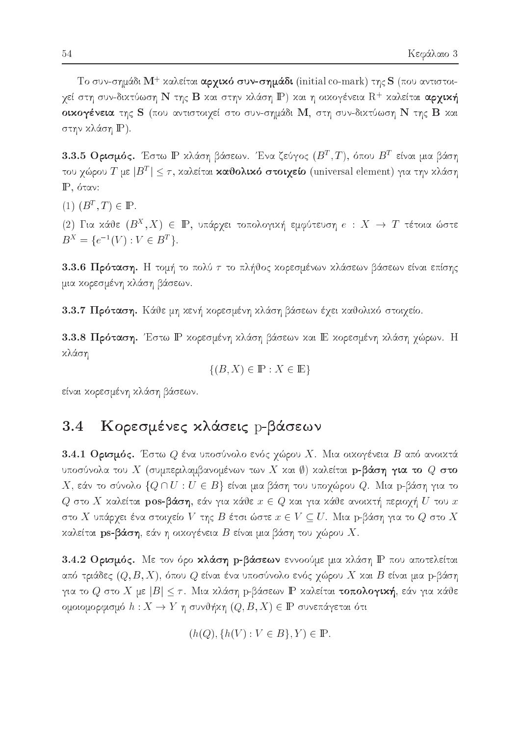Το συν-σημάδι  $\rm M^+$  χαλείται **αργικό συν-σημάδι** (initial co-mark) της  $\rm S$  (που αντιστοιγεί στη συν-δικτύωση  ${\bf N}$  της  ${\bf B}$  και στην κλάση  ${\bf \mathbb{P}}$ ) και η οικογένεια  ${\rm R}^+$  καλείται αργική οικογένεια της S (που αντιστοιχεί στο συν-σημάδι M, στη συν-δικτύωση N της B και στην κλάση IP).

 $3.3.5$  Ορισμός. Έστω  $\Bbb P$  χλάση βάσεων. Ένα ζεύγος  $(B^T,T)$ , όπου  $B^T$  είναι μια βάση του γωρου Τ με  $|D^+| \leq T$ , καλετιαι **καυσλικο στοιγειο** (universal element) για την κλαση  $\mathbb{P}$ , όταν:

 $(1)$   $(D^{-}, 1) \in \mathbb{F}$ .

(2) Για χανε ( $B^-, \Lambda$ )  $\in$  Π , υπαργει τοπολογική εμφυτευσή  $e$  :  $\Lambda$   $\;\rightarrow$   $\;$  1 τετοια ωστε  $B^X = \{e^{-1}(V) : V \in B^T\}.$ 

3.3.6 Πρόταση. Η τομή το πολύ  $\tau$  το πλήθος κορεσμένων κλάσεων βάσεων είναι επίσης μια κορεσμένη κλάση βάσεων.

3.3.7 Πρόταση. Κάθε μη κενή κορεσμένη κλάση βάσεων έχει καθολικό στοιχείο.

3.3.8 Πρόταση. Έστω IP κορεσμένη κλάση βάσεων και IE κορεσμένη κλάση χώρων. Η κλάση

$$
\{(B, X) \in \mathbb{P} : X \in \mathbb{E}\}\
$$

είναι κορεσμένη κλάση βάσεων.

### Κορεσμένες κλάσεις p-βάσεων  $3.4$

3.4.1 Ορισμός. Έστω  $Q$  ένα υποσύνολο ενός χώρου X. Μια οικογένεια  $B$  από ανοικτά υποσύνολα του  $X$  (συμπεριλαμβανομένων των  $X$  και  $\emptyset$ ) καλείται  $\mathbf p$ -βάση για το  $Q$  στο  $X$ , εάν το σύνολο  $\{Q \cap U : U \in B\}$  είναι μια βάση του υποχώρου  $Q$ . Μια p-βάση για το  $Q$  στο  $X$  καλείται pos-βάση, εάν για κάθε  $x \in Q$  και για κάθε ανοικτή περιοχή  $U$  του  $x$ στο  $X$  υπάρχει ένα στοιχείο  $V$  της  $B$  έτσι ώστε  $x\in V\subseteq U.$  Μια p-βάση για το  $Q$  στο  $X$ καλείται ps-βάση, εάν η οικογένεια B είναι μια βάση του χώρου X.

3.4.2 Ορισμός. Με τον όρο κλάση p-βάσεων εννοούμε μια κλάση P που αποτελείται από τριάδες  $(Q, B, X)$ , όπου  $Q$  είναι ένα υποσύνολο ενός χώρου  $X$  και  $B$  είναι μια  $\mathrm{p}\text{-}$ βάση για το  $Q$  στο  $X$  με  $|B| \leq \tau$ . Μια κλάση p-βάσεων IP καλείται τοπολογική, εάν για κάθε ομοιομορφισμό  $h : X \to Y$  η συνθήχη  $(Q, B, X) \in \mathbb{P}$  συνεπάγεται ότι

$$
(h(Q), \{h(V) : V \in B\}, Y) \in \mathbb{P}.
$$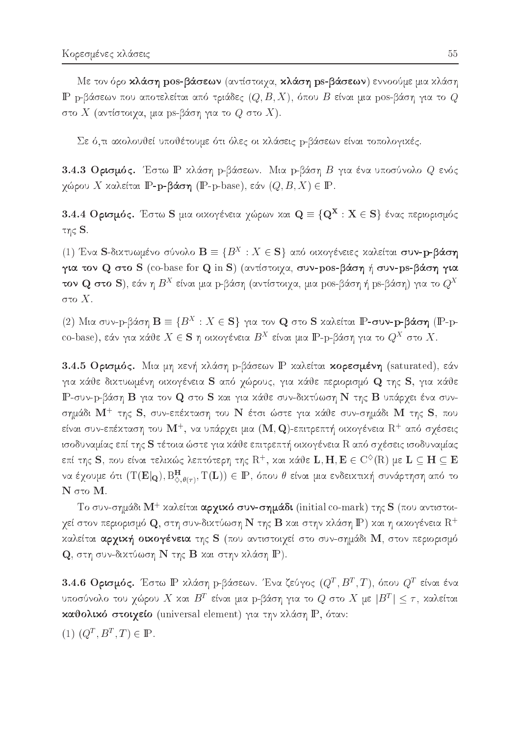Με τον όρο κλάση pos-βάσεων (αντίστοιχα, κλάση ps-βάσεων) εννοούμε μια κλάση IP p-βάσεων που αποτελείται από τριάδες  $(Q, B, X)$ , όπου B είναι μια pos-βάση για το Q στο  $X$  (αντίστοιχα, μια ps-βάση για το  $Q$  στο  $X$ ).

Σε ό,τι ακολουθεί υποθέτουμε ότι όλες οι κλάσεις p-βάσεων είναι τοπολογικές.

3.4.3 Ορισμός. Έστω Ρ κλάση p-βάσεων. Μια p-βάση Β για ένα υποσύνολο Q ενός γώρου X καλείται **IP-p-βάση** (**IP-**p-base), εάν  $(Q, B, X) \in \mathbb{P}$ .

3.4.4 Ορισμός. Έστω S μια οιχογένεια χώρων χαι  $\mathbf{Q} \equiv \{ \mathbf{Q}^{\mathbf{X}} : \mathbf{X} \in \mathbf{S} \}$  ένας περιορισμός της  $S$ .

(1) Ένα S-δικτυωμένο σύνολο  $\mathbf{B} \equiv \{B^X : X \in \mathbf{S}\}\,$  από οικογένειες καλείται συν-p-βάση για τον Q στο S (co-base for Q in S) (αντίστοιχα, συν-pos-βάση ή συν-ps-βάση για **τον Q στο S**), εάν η  $B^X$  είναι μια p-βάση (αντίστοιχα, μια pos-βάση ή ps-βάση) για το  $Q^X$ στο  $X.$ 

(2) Μια συν-p-βάση  $\mathbf{B} \equiv \{B^X : X \in \mathbf{S}\}\$ για τον **Q** στο S καλείται IP-συν-p-βάση (IP-pco-base), εάν για κάθε $X \in \mathbf{S}$ η οικογένεια $B^X$ είναι μια  $\mathbb{P}$ -p-βάση για το  $Q^X$  στο X.

3.4.5 Ορισμός. Μια μη χενή χλάση p-βάσεων P χαλείται **χορεσμένη** (saturated), εάν για κάθε δικτυωμένη οικογένεια S από χώρους, για κάθε περιορισμό Q της S, για κάθε IP-συν-p-βάση Β για τον Q στο S και για κάθε συν-δικτύωση N της B υπάρχει ένα συνσημάδι  $\mathbf{M}^+$  της S, συν-επέχταση του  $\mathbf{N}$  έτσι ώστε για χάθε συν-σημάδι  $\mathbf{M}$  της S, που είναι συν-επέχταση του  $\mathbf{M}^{+},$  να υπάρχει μια  $(\mathbf{M},\mathbf{Q})$ -επιτρεπτή οιχογένεια  $\mathrm{R}^{+}$  από σχέσεις ισοδυναμίας επί της S τέτοια ώστε για κάθε επιτρεπτή οικογένεια R από σχέσεις ισοδυναμίας επί της  ${\bf S},$  που είναι τελιχώς λεπτότερη της  ${\rm R}^+$ , χαι χάθε  ${\bf L}, {\bf H}, {\bf E} \in {\rm C}^{\diamondsuit}({\rm R})$  με  ${\bf L} \subseteq {\bf H} \subseteq {\bf E}$ να έχουμε ότι  $(T(E|_{\mathbf{Q}}), B_{\Diamond,\theta(\tau)}^{\mathbf{H}}, T(\mathbf{L})) \in \mathbb{P}$ , όπου θ είναι μια ενδεικτική συνάρτηση από το  $N$  στο  $M$ .

Το συν-σημάδι  $M^+$  καλείται αρχικό συν-σημάδι (initial co-mark) της  $S$  (που αντιστοιγεί στον περιορισμό  ${\bf Q}$ , στη συν-δικτύωση  ${\bf N}$  της  ${\bf B}$  και στην κλάση  ${\bf P}$ ) και η οικογένεια  ${\rm R}^+$ καλείται αρχική οικογένεια της S (που αντιστοιχεί στο συν-σημάδι M, στον περιορισμό  $\mathbf Q$ , στη συν-δικτύωση  $\mathbf N$  της  $\mathbf B$  και στην κλάση  $\mathbf P$ ).

3.4.6 Ορισμός. Έστω Ρ χλάση p-βάσεων. Ένα ζεύγος  $(Q^T, B^T, T)$ , όπου  $Q^T$  είναι ένα υποσύνολο του χώρου  $X$  και  $B^T$  είναι μια p-βάση για το  $Q$  στο  $X$  με  $|B^T| \leq \tau$ , καλείται καθολικό στοιχείο (universal element) για την κλάση P, όταν:

(1)  $(Q^T, B^T, T) \in \mathbb{P}$ .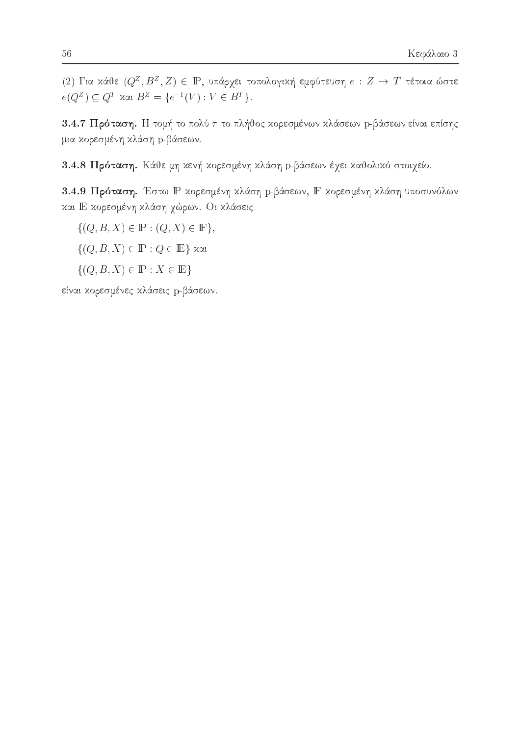(2) Για κάθε  $(Q^Z, B^Z, Z) \in \mathbb{P}$ , υπάρχει τοπολογική εμφύτευση  $e: Z \to T$  τέτοια ώστε  $e(Q^Z) \subseteq Q^T$  xat  $B^Z = \{e^{-1}(V) : V \in B^T\}.$ 

3.4.7 Πρόταση. Η τομή το πολύ τ το πλήθος κορεσμένων κλάσεων p-βάσεων είναι επίσης μια κορεσμένη κλάση p-βάσεων.

3.4.8 Πρόταση. Κάθε μη κενή κορεσμένη κλάση p-βάσεων έχει καθολικό στοιχείο.

3.4.9 Πρόταση. Έστω Ρ κορεσμένη κλάση p-βάσεων, F κορεσμένη κλάση υποσυνόλων και Ε κορεσμένη κλάση χώρων. Οι κλάσεις

 $\{(Q, B, X) \in \mathbb{P} : (Q, X) \in \mathbb{F}\},\$ 

 $\{(Q, B, X) \in \mathbb{P} : Q \in \mathbb{E}\}\$  και

 $\{(Q, B, X) \in \mathbb{P} : X \in \mathbb{E}\}\$ 

είναι κορεσμένες κλάσεις p-βάσεων.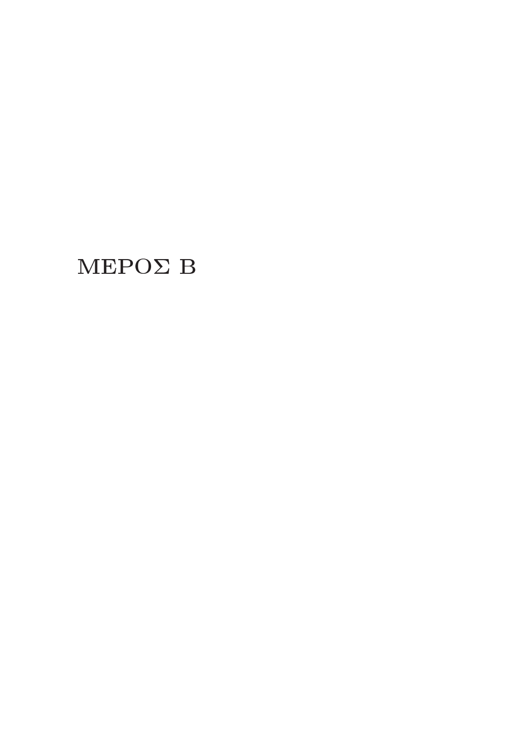# $MEPO\Sigma B$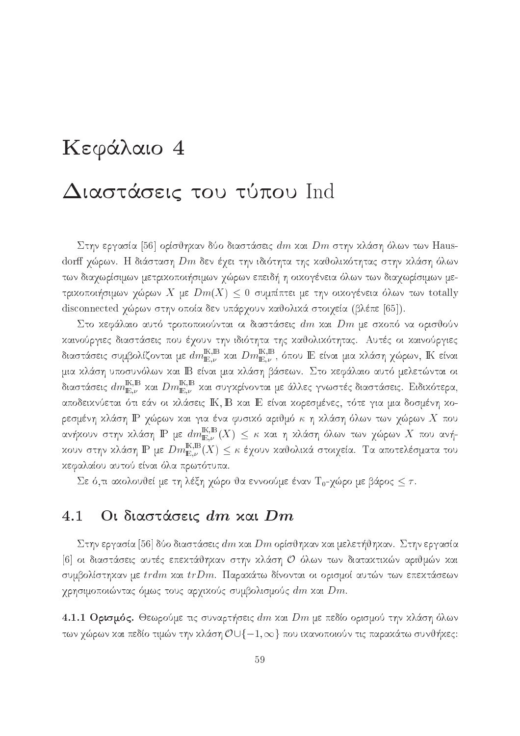# Kεφάλαιο 4

# Διαστάσεις του τύπου Ind

Στην εργασία [56] ορίσθηκαν δύο διαστάσεις  $dm$  και  $Dm$  στην κλάση όλων των Hausdorff χώρων. Η διάσταση  $Dm$  δεν έχει την ιδιότητα της καθολικότητας στην κλάση όλων tων διαχωρίσιμων μετριχοποιήσιμων χώρων επειδή η οιχογένεια όλων των διαχωρίσιμων μετρικοποιήσιμων χώρων X με  $Dm(X) \leq 0$  συμπίπτει με την οικογένεια όλων των totally disconnected χώρων στην οποία δεν υπάρχουν καθολικά στοιχεία (βλέπε [65]).

Στο κεφάλαιο αυτό τροποποιούνται οι διαστάσεις  $dm$  και  $Dm$  με σκοπό να ορισθούν καινούργιες διαστάσεις που έχουν την ιδιότητα της καθολικότητας. Αυτές οι καινούργιες διαστάσεις συμβολίζονται με  $dm^{{\rm I\!K},{\rm I\!B}}_{{\rm I\!E},\nu}$  χαι  $Dm^{{\rm I\!K},{\rm I\!B}}_{{\rm I\!E},\nu}$ , όπου  ${\rm I\!E}$  είναι μια χλάση χώρων,  ${\rm I\!K}$  είναι μια κλάση υποσυνόλων και IB είναι μια κλάση βάσεων. Στο κεφάλαιο αυτό μελετώνται οι διαστάσεις  $dm_{\mathbb{E},\nu}^{\mathbb{K},\mathbb{B}}$  χαι  $Dm_{\mathbb{E},\nu}^{\mathbb{K},\mathbb{B}}$  χαι συγκρίνονται με άλλες γνωστές διαστάσεις. Ειδικότερα, αποδεικνύεται ότι εάν οι κλάσεις ΙΚ, Β και Ε είναι κορεσμένες, τότε για μια δοσμένη κορεσμένη κλάση  $\mathbb P$  χώρων και για ένα φυσικό αριθμό  $\kappa$  η κλάση όλων των χώρων  $X$  που ανήχουν στην χλάση  $\operatorname{I\!P}$  με  $dm_{\operatorname{I\!E},\nu}^{\operatorname{I\!K},\operatorname{I\!B}}(X) \,\leq\, \kappa$  χαι η χλάση όλων των χώρων  $X$  που ανήχουν στην χλάση  $\mathbb P$  με  $Dm_{\mathbb{E},\nu}^{\mathbb{K},\mathbb{B}}(X)\leq\kappa$  έχουν χαθολικά στοιχεία. Τα αποτελέσματα του κεφαλαίου αυτού είναι όλα πρωτότυπα.

Σε ό,τι αχολουθεί με τη λέξη χώρο θα εννοούμε έναν Τ<sub>0</sub>-χώρο με βάρος  $\leq \tau$ .

#### Οι διαστάσεις dm και Dm 4.1

Στην εργασία [56] δύο διαστάσεις  $dm$  και  $Dm$  ορίσθηκαν και μελετήθηκαν. Στην εργασία [6] οι διαστάσεις αυτές επεκτάθηκαν στην κλάση Ο όλων των διατακτικών αριθμών και συμβολίστηχαν με  $trdm$  χαι  $trDm$ . Παραχάτω δίνονται οι ορισμοί αυτών των επεχτάσεων χρησιμοποιώντας όμως τους αρχικούς συμβολισμούς  $dm$  και  $Dm.$ 

4.1.1 Ορισμός. Θεωρούμε τις συναρτήσεις  $dm$  και  $Dm$  με πεδίο ορισμού την κλάση όλων των χώρων και πεδίο τιμών την κλάση  $\mathcal{O}\cup\{-1,\infty\}$  που ικανοποιούν τις παρακάτω συνθήκες: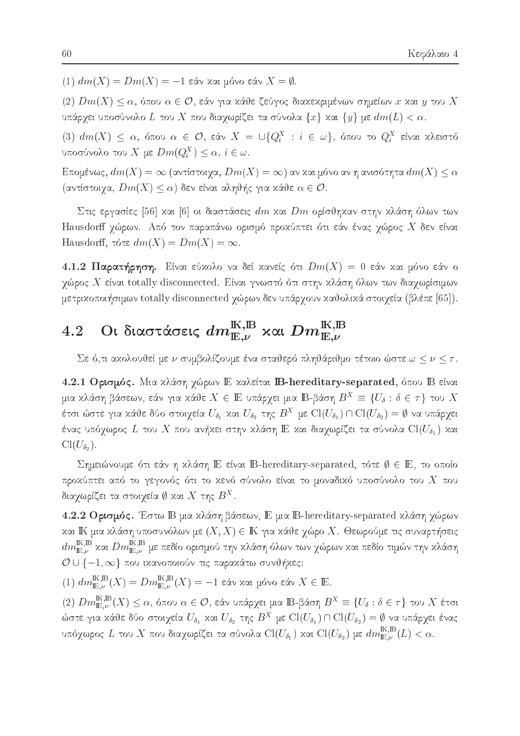$(1) dm(X) = Dm(X) = -1$  εάν και μόνο εάν  $X = \emptyset$ .

 $(2)$   $Dm(X) \leq \alpha$ , όπου  $\alpha \in \mathcal{O}$ , εάν για κάθε ζεύγος διακεκριμένων σημείων x και y του X υπάρχει υποσύνολο  $L$  του  $X$  που διαχωρίζει τα σύνολα  $\{x\}$  και  $\{y\}$  με  $dm(L)<\alpha.$ 

(3)  $dm(X) \leq \alpha$ , όπου  $\alpha \in \mathcal{O}$ , εάν  $X = \bigcup \{Q_i^X : i \in \omega\}$ , όπου το  $Q_i^X$  είναι κλειστό υποσύνολο του X με  $Dm(Q_i^X) \leq \alpha, i \in \omega$ .

Επομένως,  $dm(X) = \infty$  (αντίστοιχα,  $Dm(X) = \infty$ ) αν και μόνο αν η ανισότητα  $dm(X) \leq \alpha$ (αντίστοιχα,  $Dm(X) \leq \alpha$ ) δεν είναι αληθής για κάθε  $\alpha \in \mathcal{O}$ .

Στις εργασίες [56] και [6] οι διαστάσεις  $dm$  και  $Dm$  ορίσθηκαν στην κλάση όλων των Hausdorff χώρων. Από τον παραπάνω ορισμό προχύπτει ότι εάν ένας χώρος  $X$  δεν είναι Hausdorff, τότε  $dm(X) = Dm(X) = \infty$ .

4.1.2 Παρατήρηση. Είναι εύχολο να δεί χανείς ότι  $Dm(X) = 0$  εάν χαι μόνο εάν ο χώρος  $X$  είναι totally disconnected. Είναι γνωστό ότι στην χλάση όλων των διαχωρίσιμων μετρικοποιήσιμων totally disconnected χώρων δεν υπάρχουν καθολικά στοιχεία (βλέπε [65]).

### Οι διαστάσεις  $dm^{{\mathbb K},{\mathbb B}}_{{\mathbb E},\nu}$  και  $Dm^{{\mathbb K},{\mathbb B}}_{{\mathbb E},\nu}$ 4.2

Σε ό,τι ακολουθεί με ν συμβολίζουμε ένα σταθερό πληθάριθμο τέτοιο ώστε  $\omega \leq \nu \leq \tau$ .

4.2.1 Ορισμός. Μια κλάση χώρων Ε καλείται B-hereditary-separated, όπου Β είναι μια κλάση βάσεων, εάν για κάθε  $X \in \mathbb{E}$  υπάρχει μια  $\mathbb{B}$ -βάση  $B^X \equiv \{U_\delta : \delta \in \tau\}$  του  $X$ έτσι ώστε για κάθε δύο στοιχεία  $U_{\delta_1}$  και  $U_{\delta_2}$  της  $B^X$  με  $\text{Cl}(U_{\delta_1})\cap\text{Cl}(U_{\delta_2})=\emptyset$  να υπάρχει ένας υπόχωρος  $L$  του  $X$  που ανήχει στην χλάση  $\mathop{\mathrm {I\!E}}$  χαι διαχωρίζει τα σύνολα  $\mathrm{Cl}(U_{\delta_1})$  χαι  $Cl(U_{\delta_2}).$ 

Σημειώνουμε ότι εάν η κλάση Ε είναι B-hereditary-separated, τότε  $\emptyset \in \mathbb{E}$ , το οποίο προχύπτει από το γεγονός ότι το χενό σύνολο είναι το μοναδικό υποσύνολο του  $X$  που διαχωρίζει τα στοιχεία  $\emptyset$  και  $X$  της  $B^X.$ 

4.2.2 Ορισμός. Έστω Β μια κλάση βάσεων, Ε μια B-hereditary-separated κλάση χώρων και ΙΚ μια κλάση υποσυνόλων με  $(X, X) \in \mathbb{K}$  για κάθε χώρο X. Θεωρούμε τις συναρτήσεις  $dm^{\text{K,B}}_{\mathbb{E},\nu}$  και  $Dm^{\text{K,B}}_{\mathbb{E},\nu}$  με πεδίο ορισμού την κλάση όλων των χώρων και πεδίο τιμών την κλάση  $\mathcal{O} \cup \{-1, \infty\}$  που ικανοποιούν τις παρακάτω συνθήκες:

 $(1)$   $dm_{\mathbb{E},\nu}^{\mathbb{K},\mathbb{B}}(X) = Dm_{\mathbb{E},\nu}^{\mathbb{K},\mathbb{B}}(X) = -1$  εάν και μόνο εάν  $X \in \mathbb{E}$ .

 $(2)$   $Dm^{{\rm I\!K},{\rm I\!R}}_{{\rm I\!E},\nu}(X)\leq \alpha,$ όπου $\alpha\in\mathcal{O},$  εάν υπάρχει μια ΙΒ-βάση $B^X\equiv\{U_\delta:\delta\in\tau\}$ του  $X$ έτσι ώστε για κάθε δύο στοιχεία  $U_{\delta_1}$  και  $U_{\delta_2}$  της  $B^X$  με  $\text{Cl}(U_{\delta_1})\cap\text{Cl}(U_{\delta_2})=\emptyset$  να υπάρχει ένας υπόχωρος $L$ του $X$ που διαχωρίζει τα σύνολα $\mathrm{Cl}(U_{\delta_1})$  και  $\mathrm{Cl}(U_{\delta_2})$ με  $dm^{\mathbb{K},\mathbb{B}}_{\mathbb{E},\nu}(L)<\alpha.$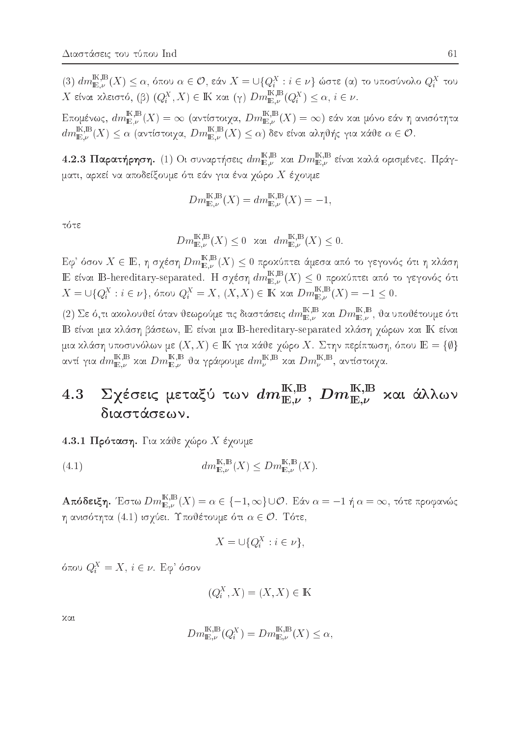$(3)$   $dm_{\mathbb{E},\nu}^{\mathbb{K},\mathbb{B}}(X) \leq \alpha$ , όπου  $\alpha \in \mathcal{O}$ , εάν  $X = \bigcup\{Q_i^X : i \in \nu\}$  ώστε (α) το υποσύνολο  $Q_i^X$  του  $X$  είναι κλειστό, (β)  $(Q_i^X, X) \in \mathbb{K}$  και (γ)  $Dm_{\mathbb{E}, \nu}^{\mathbb{K}, \mathbb{B}}(Q_i^X) \leq \alpha, i \in \nu$ .

Επομένως,  $dm^{{\mathbb{K}},{\mathbb{B}}}_{{\mathbb{E}},\nu}(X)=\infty$  (αντίστοιχα,  $Dm^{{\mathbb{K}},{\mathbb{B}}}_{{\mathbb{E}},\nu}(X)=\infty)$  εάν και μόνο εάν η ανισότητα  $dm_{\mathbb{E},\nu}^{\mathbb{K},\mathbb{B}}(X) \leq \alpha$  (αντίστοιχα,  $Dm_{\mathbb{E},\nu}^{\mathbb{K},\mathbb{B}}(X) \leq \alpha$ ) δεν είναι αληθής για κάθε  $\alpha \in \mathcal{O}$ .

4.2.3 Παρατήρηση. (1) Οι συναρτήσεις  $dm^{{\mathbb{K}},{\mathbb{B}}}_{{\mathbb{E}},\nu}$  και  $Dm^{{\mathbb{K}},{\mathbb{B}}}_{{\mathbb{E}},\nu}$  είναι καλά ορισμένες. Πράγματι, αρκεί να αποδείξουμε ότι εάν για ένα χώρο  $X$  έχουμε

$$
Dm_{\mathbb{E},\nu}^{\mathbb{K},\mathbb{B}}(X) = dm_{\mathbb{E},\nu}^{\mathbb{K},\mathbb{B}}(X) = -1,
$$

τότε

$$
Dm_{\mathbb{E},\nu}^{\mathbb{K},\mathbb{B}}(X) \le 0 \quad \text{and} \quad dm_{\mathbb{E},\nu}^{\mathbb{K},\mathbb{B}}(X) \le 0.
$$

 ${\rm E}\varphi^*$ όσον $X\in{\rm I\!E},$ η σχέση $Dm_{{\rm I\!E},\nu}^{{\rm I\!K},{\rm I\!B}}(X)\leq 0$ προχύπτει άμεσα από το γεγονός ότι η κλάση E είναι B-hereditary-separated. Η σχέση  $dm_{\mathbb{E},\nu}^{\mathbb{K},\mathbb{B}}(X) \leq 0$  προχύπτει από το γεγονός ότι  $X = \bigcup\{Q_i^X : i \in \nu\},\$ όπου  $Q_i^X = X$ ,  $(X, X) \in \mathbb{K}$  και  $Dm_{\mathbb{E}, \nu}^{\mathbb{K}, \mathbb{B}}(X) = -1 \leq 0$ .

(2) Σε ό,τι ακολουθεί όταν θεωρούμε τις διαστάσεις  $dm_{\mathbb{E},\nu}^{\mathbb{K},\mathbb{B}}$  και  $Dm_{\mathbb{E},\nu}^{\mathbb{K},\mathbb{B}},$  θα υποθέτουμε ότι IB είναι μια κλάση βάσεων, Ε είναι μια B-hereditary-separated κλάση χώρων και ΙΚ είναι μια κλάση υποσυνόλων με  $(X, X) \in \mathbb{K}$  για κάθε χώρο X. Στην περίπτωση, όπου  $\mathbb{E} = \{\emptyset\}$ αντί για  $dm^{{\mathbb{K}},{\mathbb{B}}}_{{\mathbb{E}},\nu}$  και  $Dm^{{\mathbb{K}},{\mathbb{B}}}_{{\mathbb{E}},\nu}$  θα γράφουμε  $dm^{{\mathbb{K}},{\mathbb{B}}}_\nu$  και  $Dm^{{\mathbb{K}},{\mathbb{B}}}_\nu$ , αντίστοιχα.

## $\Sigma$ χέσεις μεταξύ των  $dm^{{\rm K},{\rm B}}_{{\rm E},\nu},$   $Dm^{{\rm K},{\rm B}}_{{\rm E},\nu}$  και άλλων 4.3 διαστάσεων.

4.3.1 Πρόταση. Για κάθε χώρο Χ έχουμε

(4.1) 
$$
dm_{\mathbb{E},\nu}^{\mathbb{K},\mathbb{B}}(X) \leq Dm_{\mathbb{E},\nu}^{\mathbb{K},\mathbb{B}}(X)
$$

**Απόδειξη.** Έστω $Dm_{\mathbb{E},\nu}^{\mathbb{K},\mathbb{B}}(X)=\alpha\in\{-1,\infty\}\cup\mathcal{O}.$  Εάν $\alpha=-1$ ή $\alpha=\infty,$ τότε προφανώς η ανισότητα  $(4.1)$  ισχύει. Υποθέτουμε ότι  $\alpha \in \mathcal{O}.$  Τότε,

$$
X = \cup \{Q_i^X : i \in \nu\}
$$

όπου  $Q_i^X = X$ ,  $i \in \nu$ . Εφ' όσον

$$
(Q_i^X, X) = (X, X) \in \mathbb{K}
$$

 $x\alpha t$ 

$$
Dm_{\mathbb{E},\nu}^{\mathbb{K},\mathbb{B}}(Q_i^X) = Dm_{\mathbb{E},\nu}^{\mathbb{K},\mathbb{B}}(X) \le \alpha,
$$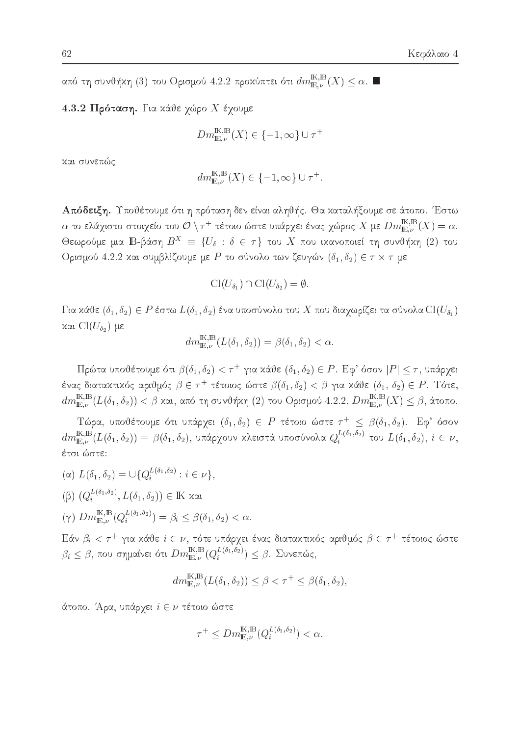από τη συνθήκη (3) του Ορισμού 4.2.2 προκύπτει ότι  $dm_{\mathbb{E},\nu}^{\mathbb{K},\mathbb{B}}(X)\leq \alpha$ .

### 4.3.2 Πρόταση. Για κάθε χώρο Χ έχουμε

$$
Dm_{\mathbb{E},\nu}^{\mathbb{K},\mathbb{B}}(X) \in \{-1,\infty\} \cup \tau^+
$$

και συνεπώς

$$
dm_{\mathbb{E},\nu}^{\mathbb{K},\mathbb{B}}(X) \in \{-1,\infty\} \cup \tau^+.
$$

Απόδειξη. Υποθέτουμε ότι η πρόταση δεν είναι αληθής. Θα καταλήξουμε σε άτοπο. Έστω  $\alpha$  το ελάχιστο στοιχείο του  $\mathcal{O} \setminus \tau^+$  τέτοιο ώστε υπάρχει ένας χώρος  $X$  με  $Dm_{\mathbb{E},\nu}^{\rm I\!K,B}(X) = \alpha.$ Θεωρούμε μια ΙΒ-βάση  $B^X = \{U_\delta : \delta \in \tau\}$  του X που ικανοποιεί τη συνθήκη (2) του Ορισμού 4.2.2 και συμβλίζουμε με P το σύνολο των ζευγών  $(\delta_1, \delta_2) \in \tau \times \tau$  με

$$
\mathrm{Cl}(U_{\delta_1})\cap \mathrm{Cl}(U_{\delta_2})=\emptyset.
$$

 $\Gamma$ ια κάθε  $(\delta_1, \delta_2) \in P$  έστω  $L(\delta_1, \delta_2)$  ένα υποσύνολο του  $X$  που διαχωρίζει τα σύνολα  $\mathrm{Cl}(U_{\delta_1})$ και  $Cl(U_{\delta_2})$  με

$$
dm_{\mathbb{E},\nu}^{\mathbb{K},\mathbb{B}}(L(\delta_1,\delta_2)) = \beta(\delta_1,\delta_2) < \alpha.
$$

Πρώτα υποθέτουμε ότι  $\beta(\delta_1,\delta_2) < \tau^+$  για κάθε  $(\delta_1,\delta_2) \in P$ . Εφ' όσον  $|P| \leq \tau$ , υπάρχει ένας διατακτικός αριθμός  $\beta \in \tau^+$  τέτοιος ώστε  $\beta(\delta_1, \delta_2) < \beta$  για κάθε  $(\delta_1, \delta_2) \in P$ . Τότε,  $dm_{\mathbb{E},\nu}^{\mathbb{K},\mathbb{B}}(L(\delta_1,\delta_2)) < \beta$  και, από τη συνθήκη (2) του Ορισμού 4.2.2,  $Dm_{\mathbb{E},\nu}^{\mathbb{K},\mathbb{B}}(X) \leq \beta$ , άτοπο.

Tώρα, υποθέτουμε ότι υπάρχει  $(\delta_1, \delta_2) \in P$  τέτοιο ώστε  $\tau^+ \leq \beta(\delta_1, \delta_2)$ . Εφ' όσον  $dm_{\mathbb{E},\nu}^{\mathbb{K},\mathbb{B}}(L(\delta_1,\delta_2)) = \beta(\delta_1,\delta_2)$ , υπάρχουν κλειστά υποσύνολα  $Q_i^{L(\delta_1,\delta_2)}$  του  $L(\delta_1,\delta_2)$ ,  $i \in \nu$ , έτσι ώστε:

- ( $\alpha$ )  $L(\delta_1, \delta_2) = \bigcup \{Q_i^{L(\delta_1, \delta_2)} : i \in \nu\},\$  $(β) (Q<sub>i</sub><sup>L(δ<sub>1</sub>,δ<sub>2</sub>)</sup>, L(δ<sub>1</sub>,δ<sub>2</sub>)) ∈ \mathbb{K}$  και
- $(\gamma) \ Dm_{\mathbb{E},\nu}^{\mathbb{K},\mathbb{B}}(Q_i^{L(\delta_1,\delta_2)}) = \beta_i \leq \beta(\delta_1,\delta_2) < \alpha.$

Εάν  $\beta_i < \tau^+$  για κάθε  $i \in \nu$ , τότε υπάρχει ένας διατακτικός αριθμός  $\beta \in \tau^+$  τέτοιος ώστε  $\beta_i \leq \beta$ , που σημαίνει ότι  $Dm_{\mathbb{E},\nu}^{\mathbb{K},\mathbb{B}}(Q_i^{L(\delta_1,\delta_2)}) \leq \beta$ . Συνεπώς,

$$
dm_{\mathbb{E},\nu}^{\mathbb{K},\mathbb{B}}(L(\delta_1,\delta_2)) \leq \beta < \tau^+ \leq \beta(\delta_1,\delta_2)
$$

άτοπο. Άρα, υπάρχει  $i \in \nu$  τέτοιο ώστε

$$
\tau^+ \leq Dm_{\mathbb{E},\nu}^{\mathbb{K},\mathbb{B}}(Q_i^{L(\delta_1,\delta_2)}) < \alpha.
$$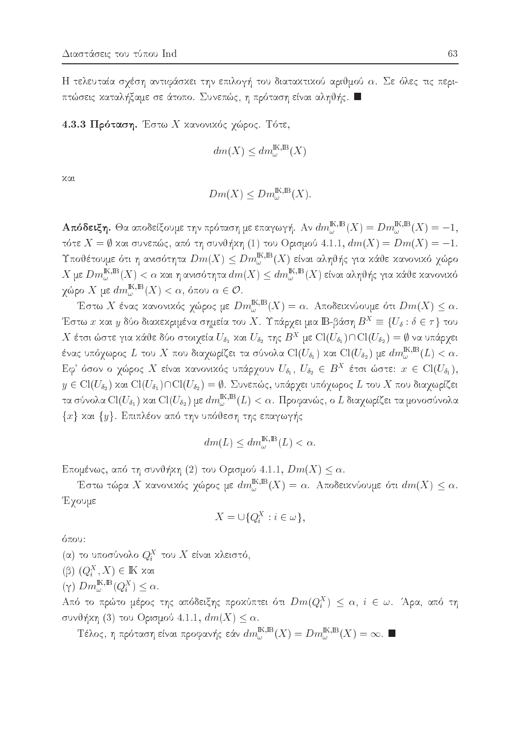Η τελευταία σχέση αντιφάσκει την επιλογή του διατακτικού αριθμού  $\alpha$ . Σε όλες τις περιπτώσεις καταλήξαμε σε άτοπο. Συνεπώς, η πρόταση είναι αληθής.  $\blacksquare$ 

4.3.3 Πρόταση. Έστω Χ κανονικός χώρος. Τότε,

$$
dm(X) \le dm_{\omega}^{\mathbb{K},\mathbb{B}}(X)
$$

χαι

$$
Dm(X) \leq Dm_{\omega}^{\mathbb{K},\mathbb{B}}(X).
$$

**Απόδειξη.** Θα αποδείξουμε την πρόταση με επαγωγή. Αν  $dm_\omega^{{\rm K},{\rm B}}(X)=Dm_\omega^{{\rm K},{\rm B}}(X)=-1,$ τότε  $X = \emptyset$  και συνεπώς, από τη συνθήκη (1) του Ορισμού 4.1.1,  $dm(X) = Dm(X) = -1$ . Υποθέτουμε ότι η ανισότητα  $Dm(X) \leq Dm_\omega^{\mathrm{I\!K},\mathrm{I\!B}}(X)$  είναι αληθής για κάθε κανονικό χώρο  $X$ με  $Dm_\omega^{{\rm I\!K},{\rm I\!B}}(X)<\alpha$ και η ανισότητα $dm(X)\leq dm_\omega^{{\rm I\!K},{\rm I\!B}}(X)$ είναι αληθής για κάθε κανονικό χώρο X με  $dm_{\omega}^{\mathbb{K},\mathbb{B}}(X) < \alpha$ , όπου  $\alpha \in \mathcal{O}$ .

Έστω $X$ ένας κανονικός χώρος με $Dm_\omega^{{\rm I\!K},{\rm I\!B}}(X)=\alpha.$ Αποδεικνύουμε ότι $Dm(X)\leq \alpha.$ Έστω x και y δύο διακεκριμένα σημεία του X. Υπάρχει μια  $\mathbb{B}$ -βάση  $B^X \equiv \{U_\delta : \delta \in \tau\}$  του  $X$ έτσι ώστε για κάθε δύο στοιχεία $U_{\delta_1}$ και  $U_{\delta_2}$ της  $B^X$ με  $\mathrm{Cl}(U_{\delta_1})\cap \mathrm{Cl}(U_{\delta_2})=\emptyset$ να υπάρχει ένας υπόχωρος  $L$  του  $X$  που διαχωρίζει τα σύνολα  $\text{Cl}(U_{\delta_1})$  και  $\text{Cl}(U_{\delta_2})$  με  $dm_\omega^{\mathbb{K},\mathbb{B}}(L)<\alpha.$  $E\varphi$ ' όσον ο χώρος X είναι κανονικός υπάρχουν  $U_{\delta_1}, U_{\delta_2} \in B^X$  έτσι ώστε:  $x \in Cl(U_{\delta_1}),$  $y \in \mathrm{Cl}(U_{\delta_2})$  και  $\mathrm{Cl}(U_{\delta_1}) \cap \mathrm{Cl}(U_{\delta_2}) = \emptyset$ . Συνεπώς, υπάρχει υπόχωρος  $L$  του  $X$  που διαχωρίζει τα σύνολα  $\text{Cl}(U_{\delta_1})$  και  $\text{Cl}(U_{\delta_2})$  με  $dm^{\text{K,B}}_{\omega}(L)<\alpha$ . Προφανώς, ο  $L$  διαχωρίζει τα μονοσύνολα  $\{x\}$  και  $\{y\}$ . Επιπλέον από την υπόθεση της επαγωγής

$$
dm(L) \le dm_{\omega}^{\mathbb{K},\mathbb{B}}(L) < \alpha
$$

Επομένως, από τη συνθήκη (2) του Ορισμού 4.1.1,  $Dm(X) \leq \alpha$ .

Έστω τώρα X κανονικός γώρος με  $dm_{\omega}^{\mathbb{K},\mathbb{B}}(X)=\alpha$ . Αποδεικνύουμε ότι  $dm(X)\leq \alpha$ . Έχουμε

$$
X = \cup \{Q_i^X : i \in \omega\},\
$$

όπου:

(α) το υποσύνολο $Q_i^X$ του  $X$  είναι κλειστό,

- $(β)$   $(Q_i^X, X) \in \mathbb{K}$  και
- $(\gamma)$   $Dm_{\omega}^{\mathbb{K},\mathbb{B}}(Q_i^X) \leq \alpha$ .

Από το πρώτο μέρος της απόδειξης προχύπτει ότι  $Dm(Q_i^X) \leq \alpha$ ,  $i \in \omega$ . Άρα, από τη συνθήκη (3) του Ορισμού 4.1.1,  $dm(X) \leq \alpha$ .

Τέλος, η πρόταση είναι προφανής εάν $dm_\omega^{{\rm I\!K},{\rm I\!B}}(X)=Dm_\omega^{{\rm I\!K},{\rm I\!B}}(X)=\infty.$  ■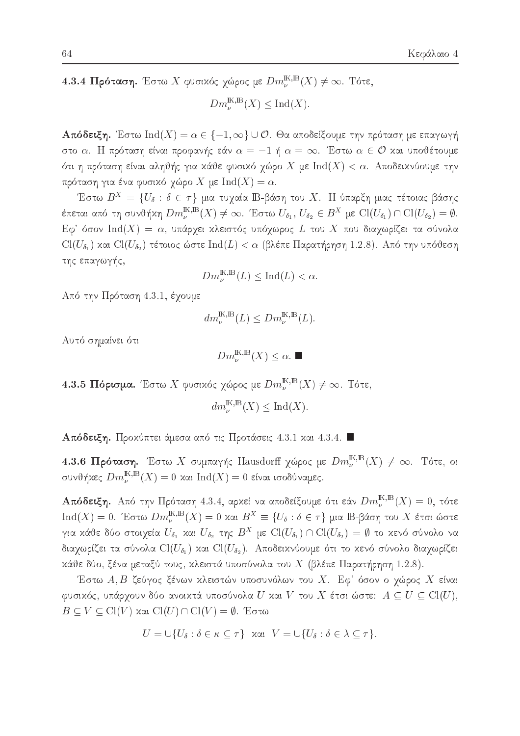4.3.4 Πρόταση. Έστω Χ φυσικός χώρος με  $Dm_{\nu}^{\mathbb{K},\mathbb{B}}(X) \neq \infty$ . Τότε,

 $Dm_{\nu}^{\mathbb{K},\mathbb{B}}(X)\leq \mathrm{Ind}(X).$ 

**Απόδειξη.** Έστω Ind(X) =  $\alpha \in \{-1, \infty\} \cup \mathcal{O}$ . Θα αποδείξουμε την πρόταση με επαγωγή στο α. Η πρόταση είναι προφανής εάν  $\alpha = -1$  ή  $\alpha = \infty$ . Έστω  $\alpha \in \mathcal{O}$  και υποθέτουμε ότι η πρόταση είναι αληθής για κάθε φυσικό χώρο  $X$  με  ${\rm Ind}(X)<\alpha.$  Αποδεικνύουμε την πρόταση για ένα φυσικό χώρο X με  $\text{Ind}(X) = \alpha$ .

Έστω  $B^X = \{U_\delta : \delta \in \tau\}$  μια τυχαία  $\mathbb{B}$ -βάση του  $X$ . Η ύπαρξη μιας τέτοιας βάσης έπεται από τη συνθήχη  $Dm_\nu^{\mathbb{K},\mathbb{B}}(X)\neq\infty$ . Έστω  $U_{\delta_1},\,U_{\delta_2}\in B^X$  με  $\text{Cl}(U_{\delta_1})\cap\text{Cl}(U_{\delta_2})=\emptyset.$ Εφ' όσον Ind(X) =  $\alpha$ , υπάρχει κλειστός υπόχωρος L του X που διαχωρίζει τα σύνολα  $Cl(U_{\delta_{1}})$  και  $Cl(U_{\delta_{2}})$  τέτοιος ώστε  $Ind(L) < \alpha$  (βλέπε Παρατήρηση 1.2.8). Από την υπόθεση της επαγωγής,

$$
Dm_{\nu}^{\mathbb{K},\mathbb{B}}(L) \le \text{Ind}(L) < \alpha.
$$

Από την Πρόταση 4.3.1, έχουμε

$$
dm_{\nu}^{\mathbb{K},\mathbb{B}}(L) \leq Dm_{\nu}^{\mathbb{K},\mathbb{B}}(L).
$$

Αυτό σημαίνει ότι

 $Dm_{\nu}^{\mathbb{K},\mathbb{B}}(X)\leq\alpha.$ 

4.3.5 Πόρισμα. Έστω Χ φυσιχός χώρος με  $Dm_{\nu}^{{\mathbb{K}},{\mathbb{B}}}(X) \neq \infty$ . Τότε,

$$
dm_{\nu}^{\mathbb{K},\mathbb{B}}(X) \le \text{Ind}(X)
$$

Απόδειξη. Προχύπτει άμεσα από τις Προτάσεις 4.3.1 χαι 4.3.4.

4.3.6 Πρόταση. Έστω X συμπαγής Hausdorff χώρος με  $Dm_{\nu}^{\rm I\!K,IB}(X) \neq \infty$ . Τότε, οι συνθήχες  $Dm^{{\mathbb{K}},{\mathbb{B}}}_\nu(X)=0$  χαι  ${\rm Ind}(X)=0$  είναι ισοδύναμες.

**Απόδειξη.** Από την Πρόταση 4.3.4, αρχεί να αποδείξουμε ότι εάν  $Dm_{\nu}^{\text{IK,B}}(X)=0$ , τότε  $Ind(X) = 0$ . Έστω  $Dm_{\nu}^{K,\mathbb{B}}(X) = 0$  και  $B^X \equiv \{U_{\delta} : \delta \in \tau\}$  μια  $\mathbb{B}$ -βάση του X έτσι ώστε για κάθε δύο στοιχεία $U_{\delta_1}$ και $U_{\delta_2}$ της  $B^X$ με  $\mathrm{Cl}(U_{\delta_1})\cap \mathrm{Cl}(U_{\delta_2})=\emptyset$ το κενό σύνολο να διαχωρίζει τα σύνολα  $\text{Cl}(U_{\delta_1})$  και  $\text{Cl}(U_{\delta_2}).$  Αποδεικνύουμε ότι το κενό σύνολο διαχωρίζει κάθε δύο, ξένα μεταξύ τους, κλειστά υποσύνολα του  $X$  (βλέπε Παρατήρηση 1.2.8).

Έστω Α, Β ζεύγος ξένων κλειστών υποσυνόλων του Χ. Εφ' όσον ο χώρος Χ είναι φυσιχός, υπάρχουν δύο ανοιχτά υποσύνολα  $U$  χαι  $V$  του  $X$  έτσι ώστε:  $A\subseteq U\subseteq\mathrm{Cl}(U),$  $B \subseteq V \subseteq \mathrm{Cl}(V)$  και  $\mathrm{Cl}(U) \cap \mathrm{Cl}(V) = \emptyset$ . Έστω

$$
U = \cup \{ U_{\delta} : \delta \in \kappa \subseteq \tau \} \quad \text{and} \quad V = \cup \{ U_{\delta} : \delta \in \lambda \subseteq \tau \}.
$$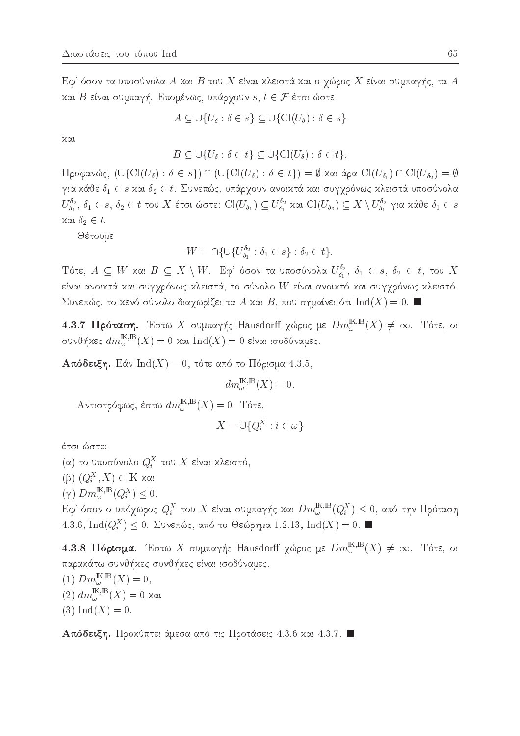$\mathrm{E}\phi^\ast$ όσον τα υποσύνολα  $A$  χαι  $B$  του  $X$  είναι χλειστά χαι ο γώρος  $X$  είναι συμπαγής, τα  $A$ και Β είναι συμπαγή. Επομένως, υπάρχουν  $s, t \in \mathcal{F}$  έτσι ώστε

$$
A \subseteq \bigcup \{ U_{\delta} : \delta \in s \} \subseteq \bigcup \{ \text{Cl}(U_{\delta}) : \delta \in s \}
$$

χαι

$$
B \subseteq \bigcup \{ U_{\delta} : \delta \in t \} \subseteq \bigcup \{ \text{Cl}(U_{\delta}) : \delta \in t \}.
$$

Προφανώς, (∪{Cl(U<sub>δ</sub>): δ ∈ s}) ∩ (∪{Cl(U<sub>δ</sub>): δ ∈ t}) = Ø και άρα Cl(U<sub>δ1</sub>) ∩ Cl(U<sub>δ2</sub>) = Ø για κάθε  $\delta_1 \in s$  και  $\delta_2 \in t$ . Συνεπώς, υπάργουν ανοικτά και συγγρόνως κλειστά υποσύνολα  $U_{\delta_1}^{\delta_2}$ ,  $\delta_1 \in s$ ,  $\delta_2 \in t$  του  $X$  έτσι ώστε:  $\text{Cl}(U_{\delta_1}) \subseteq U_{\delta_1}^{\delta_2}$  και  $\text{Cl}(U_{\delta_2}) \subseteq X \setminus U_{\delta_1}^{\delta_2}$  για κάθε  $\delta_1 \in s$  $x$ αι  $\delta_2 \in t$ .

Θέτουμε

$$
W = \cap \{ \cup \{ U_{\delta_1}^{\delta_2} : \delta_1 \in s \} : \delta_2 \in t \}.
$$

Tότε,  $A \subseteq W$  και  $B \subseteq X \setminus W$ . Εφ' όσον τα υποσύνολα  $U_{\delta_1}^{\delta_2}$ ,  $\delta_1 \in s$ ,  $\delta_2 \in t$ , του X είναι ανοικτά και συγχρόνως κλειστά, το σύνολο  $W$  είναι ανοικτό και συγχρόνως κλειστό. Συνεπώς, το κενό σύνολο διαχωρίζει τα Α και Β, που σημαίνει ότι  $\text{Ind}(X)=0$ .

4.3.7 Πρόταση. Έστω Χ συμπαγής Hausdorff χώρος με  $Dm_{\omega}^{{\bf K},{\bf B}}(X) \neq \infty$ . Τότε, οι συνθήκες  $dm_\omega^{{\rm I\!K},{\rm I\!B}}(X)=0$  και  ${\rm Ind}(X)=0$ είναι ισοδύναμες.

**Απόδειξη.** Εάν Ind(X) = 0, τότε από το Πόρισμα 4.3.5,

$$
dm^{\mathrm{IK},\mathrm{B}}_{\omega}(X)=0
$$

Αντιστρόφως, έστω  $dm_{\omega}^{{\mathbb{K}}, {\mathbb{B}}}(X)=0$ . Τότε,

$$
X = \cup \{Q_i^X : i \in \omega\}
$$

έτσι ώστε:

(α) το υποσύνολο  $Q_i^X$  του  $X$  είναι κλειστό,

 $(β)$   $(Q_i^X, X) \in \mathbb{K}$  και

 $(\gamma)$   $Dm_{\omega}^{\mathbb{K},\mathbb{B}}(Q_i^X) \leq 0.$ 

Εφ' όσον ο υπόχωρος  $Q_i^X$  του X είναι συμπαγής και  $Dm_\omega^{{\mathbb{K}},{\mathbb{B}}}(Q_i^X)\leq 0$ , από την Πρόταση 4.3.6, Ind( $Q_i^X$ )  $\leq$  0. Συνεπώς, από το Θεώρημα 1.2.13, Ind(X) = 0.

4.3.8 Πόρισμα. Έστω Χ συμπαγής Hausdorff χώρος με  $Dm_{\omega}^{{\mathbb{K}},{\mathbb{B}}}(X) \neq \infty$ . Τότε, οι παρακάτω συνθήκες συνθήκες είναι ισοδύναμες.

(1)  $Dm_{\omega}^{\mathbb{K},\mathbb{B}}(X)=0,$  $(2)$   $dm^{\mathbb{K},\mathbb{B}}_{ω}(X) = 0$  και  $(3) Ind(X) = 0.$ 

Απόδειξη. Προχύπτει άμεσα από τις Προτάσεις 4.3.6 χαι 4.3.7.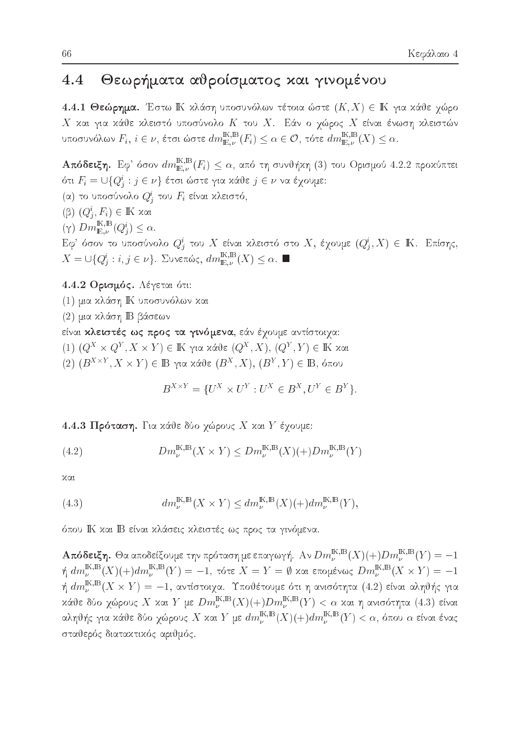### Θεωρήματα αθροίσματος και γινομένου  $4.4$

4.4.1 Θεώρημα. Έστω ΙΚ χλάση υποσυνόλων τέτοια ώστε  $(K, X) \in \mathbb{K}$  για χάθε χώρο  $X$  και για κάθε κλειστό υποσύνολο  $K$  του  $X$ . Εάν ο χώρος  $X$  είναι ένωση κλειστών υποσυνόλων  $F_i, i \in \nu$ , έτσι ώστε  $dm_{\mathbb{E},\nu}^{\rm I\!K,B}(F_i) \leq \alpha \in \mathcal{O}$ , τότε  $dm_{\mathbb{E},\nu}^{\rm I\!K,B}(X) \leq \alpha$ .

**Απόδειξη.** Εφ' όσον  $dm^{{\rm I\!K},{\rm I\!R}}_{{\rm I\!E},\nu}(F_i)\leq \alpha$ , από τη συνθήχη (3) του Ορισμού 4.2.2 προχύπτει ότι  $F_i = \cup \{Q^i_j : j \in \nu\}$  έτσι ώστε για χάθε  $j \in \nu$  να έχουμε: (α) το υποσύνολο $Q^i_j$ του $F_i$ είναι κλειστό,  $(β)$   $(Q<sup>i</sup><sub>i</sub>, F<sub>i</sub>) ∈ \mathbb{K}$  και  $(\gamma)$   $Dm_{\mathbb{E},\nu}^{\mathbb{K},\mathbb{B}}(Q_j^i) \leq \alpha.$ Εφ' όσον το υποσύνολο  $Q_i^i$  του X είναι κλειστό στο X, έχουμε  $(Q_i^i, X) \in \mathbb{K}$ . Επίσης,  $X=\cup\{Q_j^i:i,j\in\nu\}.$ Συνεπώς,  $dm^{{\rm I\!K, B}}_{{\rm I\!E},\nu}(X)\leq \alpha.$  $\blacksquare$ 

### 4.4.2 Ορισμός. Λέγεται ότι:

- (1) μια κλάση ΙΚ υποσυνόλων και
- (2) μια κλάση ΙΒ βάσεων

### είναι **κλειστές ως προς τα γινόμενα**, εάν έχουμε αντίστοιχα:

- $(1)$   $(Q^X \times Q^Y, X \times Y) \in \mathbb{K}$  για κάθε  $(Q^X, X), (Q^Y, Y) \in \mathbb{K}$  και
- $(2)$   $(B^{X\times Y}, X\times Y) \in \mathbb{B}$  για κάθε  $(B^X, X), (B^Y, Y) \in \mathbb{B}$ , όπου

$$
B^{X \times Y} = \{ U^X \times U^Y : U^X \in B^X, U^Y \in B^Y \}.
$$

4.4.3 Πρόταση. Για κάθε δύο χώρους Χ και Υ έχουμε:

(4.2) 
$$
Dm_{\nu}^{\mathbb{K},\mathbb{B}}(X\times Y) \leq Dm_{\nu}^{\mathbb{K},\mathbb{B}}(X)(+)Dm_{\nu}^{\mathbb{K},\mathbb{B}}(Y)
$$

χαι

(4.3) 
$$
dm_{\nu}^{\mathbb{K},\mathbb{B}}(X\times Y) \le dm_{\nu}^{\mathbb{K},\mathbb{B}}(X)(+)dm_{\nu}^{\mathbb{K},\mathbb{B}}(Y),
$$

όπου ΙΚ και ΙΒ είναι κλάσεις κλειστές ως προς τα γινόμενα.

**Απόδειξη.** Θα αποδείξουμε την πρόταση με επαγωγή. Αν  $Dm_{\nu}^{\mathbb{K},\mathbb{B}}(X)(+)Dm_{\nu}^{\mathbb{K},\mathbb{B}}(Y)=-1$ ή  $dm_{\nu}^{\text{K,B}}(X)(+)dm_{\nu}^{\text{K,B}}(Y) = -1$ , τότε  $X = Y = \emptyset$  και επομένως  $Dm_{\nu}^{\text{K,B}}(X \times Y) = -1$ ή  $dm_\nu^{{\rm K},{\rm B}}(X\times Y)=-1$ , αντίστοιχα. Υποθέτουμε ότι η ανισότητα (4.2) είναι αληθής για κάθε δύο χώρους $X$ και  $Y$  με  $Dm_\nu^{{\rm I\!K},{\rm I\!B}}(X)(+) Dm_\nu^{{\rm I\!K},{\rm I\!B}}(Y) < \alpha$  και η ανισότητα (4.3) είναι αληθής για κάθε δύο χώρους X και Y με  $dm^{{\rm I\!K},{\rm I\!B}}_\nu(X)(+)dm^{{\rm I\!K},{\rm I\!B}}_\nu(Y)<\alpha$ , όπου  $\alpha$  είναι ένας σταθερός διατακτικός αριθμός.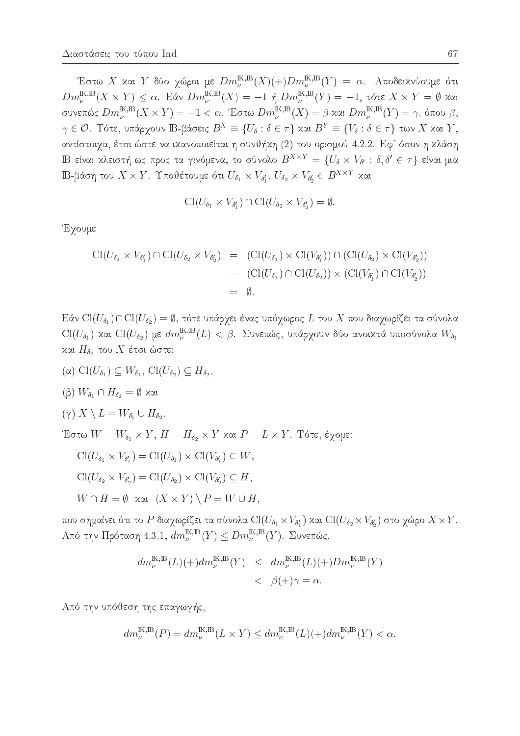Έστω Χ και Υ δύο χώροι με  $Dm_{\nu}^{\mathbb{K},\mathbb{B}}(X)(+)Dm_{\nu}^{\mathbb{K},\mathbb{B}}(Y) = \alpha$ . Αποδεικνύουμε ότι  $Dm_{\nu}^{\mathbb{K},\mathbb{B}}(X \times Y) \leq \alpha$ . Εάν  $Dm_{\nu}^{\mathbb{K},\mathbb{B}}(X) = -1$  ή  $Dm_{\nu}^{\mathbb{K},\mathbb{B}}(Y) = -1$ , τότε  $X \times Y = \emptyset$  και συνεπώς  $Dm_{\nu}^{\mathbb{K},\mathbb{B}}(X \times Y) = -1 < \alpha$ . Έστω  $Dm_{\nu}^{\mathbb{K},\mathbb{B}}(X) = \beta$  και  $Dm_{\nu}^{\mathbb{K},\mathbb{B}}(Y) = \gamma$ , όπου  $\beta$ ,  $\gamma \in \mathcal{O}$ . Τότε, υπάρχουν Β-βάσεις  $B^X \equiv \{U_\delta : \delta \in \tau\}$  και  $B^Y \equiv \{V_\delta : \delta \in \tau\}$  των X και Y, αντίστοιχα, έτσι ώστε να ικανοποιείται η συνθήκη (2) του ορισμού 4.2.2. Εφ' όσον η κλάση B είναι κλειστή ως προς τα γινόμενα, το σύνολο  $B^{X\times Y} = \{U_\delta \times V_{\delta'} : \delta, \delta' \in \tau\}$  είναι μια  $\mathbb{B}$ -βάση του  $X \times Y$ . Υποθέτουμε ότι  $U_{\delta_1} \times V_{\delta'_1}$ ,  $U_{\delta_2} \times V_{\delta'_2} \in B^{X \times Y}$  και

$$
\mathrm{Cl}(U_{\delta_1}\times V_{\delta'_1})\cap \mathrm{Cl}(U_{\delta_2}\times V_{\delta'_2})=\emptyset
$$

Έχουμε

$$
\begin{array}{rcl}\n\text{Cl}(U_{\delta_1} \times V_{\delta'_1}) \cap \text{Cl}(U_{\delta_2} \times V_{\delta'_2}) & = & (\text{Cl}(U_{\delta_1}) \times \text{Cl}(V_{\delta'_1})) \cap (\text{Cl}(U_{\delta_2}) \times \text{Cl}(V_{\delta'_2})) \\
& = & (\text{Cl}(U_{\delta_1}) \cap \text{Cl}(U_{\delta_2})) \times (\text{Cl}(V_{\delta'_1}) \cap \text{Cl}(V_{\delta'_2})) \\
& = & \emptyset.\n\end{array}
$$

Εάν Cl( $U_{\delta_1}$ )  $\cap$  Cl( $U_{\delta_2}$ ) =  $\emptyset$ , τότε υπάρχει ένας υπόχωρος L του X που διαχωρίζει τα σύνολα  $\mathrm{Cl}(U_{\delta_1})$  και  $\mathrm{Cl}(U_{\delta_2})$  με  $dm_\nu^{\mathbb{K},\mathbb{B}}(L)<\beta$ . Συνεπώς, υπάρχουν δύο ανοικτά υποσύνολα  $W_{\delta_1}$ και  $H_{\delta_2}$  του X έτσι ώστε:

- ( $\alpha$ ) Cl( $U_{\delta_1}$ )  $\subseteq W_{\delta_1}$ , Cl( $U_{\delta_2}$ )  $\subseteq H_{\delta_2}$ ,
- $(β)$   $W_{\delta_1} \cap H_{\delta_2} = \emptyset$  και

$$
(\gamma) X \setminus L = W_{\delta_1} \cup H_{\delta_2}
$$

Έστω  $W = W_{\delta_1} \times Y$ ,  $H = H_{\delta_2} \times Y$  και  $P = L \times Y$ . Τότε, έγομε:

$$
\text{Cl}(U_{\delta_1} \times V_{\delta'_1}) = \text{Cl}(U_{\delta_1}) \times \text{Cl}(V_{\delta'_1}) \subseteq W,
$$
  

$$
\text{Cl}(U_{\delta_2} \times V_{\delta'_2}) = \text{Cl}(U_{\delta_2}) \times \text{Cl}(V_{\delta'_2}) \subseteq H,
$$

 $W \cap H = \emptyset$  xat  $(X \times Y) \setminus P = W \cup H$ ,

που σημαίνει ότι το P διαχωρίζει τα σύνολα  $\text{Cl}(U_{\delta_1}\times V_{\delta_1'})$  και  $\text{Cl}(U_{\delta_2}\times V_{\delta_2'})$  στο χώρο  $X\times Y$ . Aπό την Πρόταση 4.3.1,  $dm_{\nu}^{{\mathbb{K}},{\mathbb{B}}}(Y) \leq Dm_{\nu}^{{\mathbb{K}},{\mathbb{B}}}(Y)$ . Συνεπώς,

$$
dm_{\nu}^{\mathbb{K},\mathbb{B}}(L)(+)dm_{\nu}^{\mathbb{K},\mathbb{B}}(Y) \leq dm_{\nu}^{\mathbb{K},\mathbb{B}}(L)(+)Dm_{\nu}^{\mathbb{K},\mathbb{B}}(Y) < \beta(+) \gamma = \alpha.
$$

Από την υπόθεση της επαγωγής.

$$
dm_{\nu}^{\mathbb{K},\mathbb{B}}(P) = dm_{\nu}^{\mathbb{K},\mathbb{B}}(L \times Y) \le dm_{\nu}^{\mathbb{K},\mathbb{B}}(L)(+)dm_{\nu}^{\mathbb{K},\mathbb{B}}(Y) < \alpha.
$$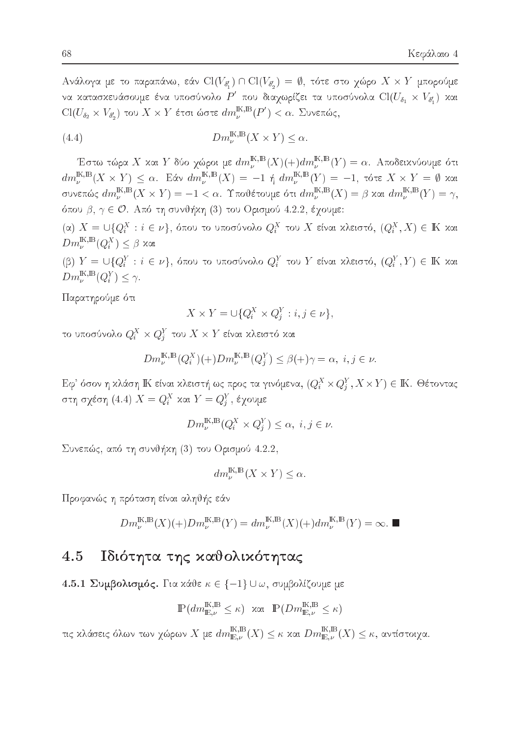Ανάλογα με το παραπάνω, εάν Cl(Vo',) η Cl(Vo',) =  $\emptyset$ , τότε στο χώρο X x Y μπορούμε να κατασκευάσουμε ένα υποσύνολο  $P'$  που διαχωρίζει τα υποσύνολα  $\text{Cl}(U_{\delta_1}\times V_{\delta_1'})$  και  $\text{Cl}(U_{\delta_2}\times V_{\delta'_2})$ του $X\times Y$ έτσι ώστε $dm_\nu^{\mathbb{K},\mathbb{B}}(P')<\alpha.$  Συνεπώς,

(4.4) 
$$
Dm_{\nu}^{\mathbb{K},\mathbb{B}}(X \times Y) \leq \alpha.
$$

Έστω τώρα X και Y δύο χώροι με  $dm_{\nu}^{\mathbb{K},\mathbb{B}}(X)(+)dm_{\nu}^{\mathbb{K},\mathbb{B}}(Y)=\alpha$ . Αποδεικνύουμε ότι  $dm_\nu^{\mathbbm{K},\mathbbm{B}}(X\times Y)\,\leq\,\alpha.$ Εάν $dm_\nu^{\mathbbm{K},\mathbbm{B}}(X)\,=\,-1$ ή  $dm_\nu^{\mathbbm{K},\mathbbm{B}}(Y)\,=\,-1,$ τότε $X\times Y\,=\,\emptyset$  και συνεπώς  $dm_{\nu}^{{\mathbb{K}},{\mathbb{B}}}(X \times Y) = -1 < \alpha$ . Υποθέτουμε ότι  $dm_{\nu}^{{\mathbb{K}},{\mathbb{B}}}(X) = \beta$  και  $dm_{\nu}^{{\mathbb{K}},{\mathbb{B}}}(Y) = \gamma$ , όπου β,  $\gamma \in \mathcal{O}$ . Από τη συνθήχη (3) του Ορισμού 4.2.2, έχουμε:

 $(\alpha)$  X = U{Q<sub>i</sub><sup>X</sup> : i ∈ ν}, όπου το υποσύνολο Q<sub>i</sub><sup>X</sup> του X είναι κλειστό,  $(Q_i^X, X) \in \mathbb{K}$  και  $Dm_{\nu}^{\text{IK,B}}(Q_{i}^{X}) \leq \beta$  και

 $(β) Y = ∪ {Q_i^Y : i ∈ ν}$ , όπου το υποσύνολο  $Q_i^Y$  του Y είναι κλειστό,  $(Q_i^Y, Y) ∈ \mathbb{K}$  και  $Dm_{\nu}^{\text{IK,B}}(Q_i^Y) \leq \gamma.$ 

Παρατηρούμε ότι

$$
X \times Y = \cup \{Q_i^X \times Q_j^Y : i, j \in \nu\}
$$

το υποσύνολο $Q_i^X\times Q_j^Y$ του $X\times Y$ είναι κλειστό και

$$
Dm_{\nu}^{\mathbb{K},\mathbb{B}}(Q_i^X)(+)Dm_{\nu}^{\mathbb{K},\mathbb{B}}(Q_j^Y) \leq \beta(+)\gamma = \alpha, \ i, j \in \nu.
$$

Εφ' όσον η κλάση ΙΚ είναι κλειστή ως προς τα γινόμενα,  $(Q_i^X \times Q_i^Y, X \times Y) \in \mathbb{K}$ . Θέτοντας στη σχέση (4.4)  $X = Q_i^X$  και  $Y = Q_i^Y$ , έχουμε

$$
Dm_{\nu}^{\mathbb{K},\mathbb{B}}(Q_i^X \times Q_j^Y) \le \alpha, \ i, j \in \nu.
$$

Συνεπώς, από τη συνθήκη (3) του Ορισμού 4.2.2,

$$
dm_{\nu}^{\mathbb{K},\mathbb{B}}(X \times Y) \le \alpha
$$

Προφανώς η πρόταση είναι αληθής εάν

$$
Dm_{\nu}^{\mathbb{K},\mathbb{B}}(X)(+)Dm_{\nu}^{\mathbb{K},\mathbb{B}}(Y)=dm_{\nu}^{\mathbb{K},\mathbb{B}}(X)(+)dm_{\nu}^{\mathbb{K},\mathbb{B}}(Y)=\infty.
$$

#### Ιδιότητα της καθολικότητας 4.5

4.5.1 Συμβολισμός. Για κάθε  $\kappa \in \{-1\} \cup \omega$ , συμβολίζουμε με

$$
\mathbb{P}(dm_{\mathbb{E},\nu}^{\mathbb{K},\mathbb{B}} \leq \kappa) \text{ and } \mathbb{P}(Dm_{\mathbb{E},\nu}^{\mathbb{K},\mathbb{B}} \leq \kappa)
$$

τις κλάσεις όλων των χώρων $X$ με  $dm^{{\rm I\!K},{\rm I\!B}}_{{\rm I\!E},\nu}(X)\leq \kappa$ και $Dm^{{\rm I\!K},{\rm I\!B}}_{{\rm I\!E},\nu}(X)\leq \kappa,$ αντίστοιχα.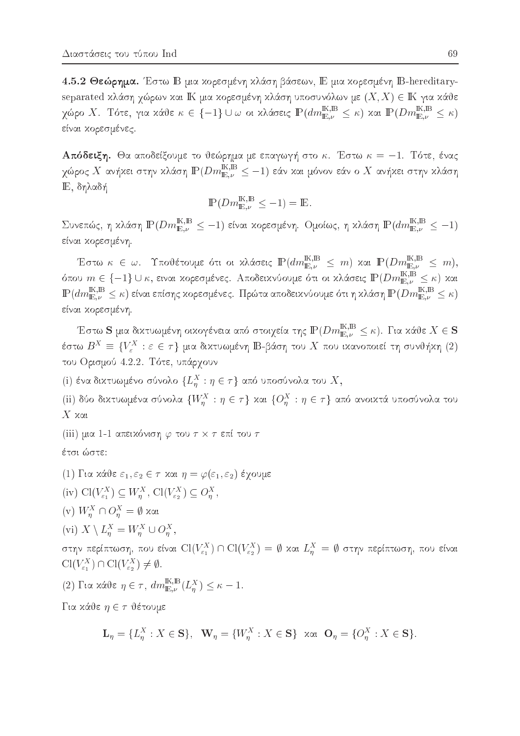4.5.2 Θεώρημα. Έστω Β μια χορεσμένη χλάση βάσεων, Ε μια χορεσμένη B-hereditaryseparated κλάση χώρων και ΙΚ μια κορεσμένη κλάση υποσυνόλων με  $(X, X) \in \mathbb{K}$  για κάθε χώρο Χ. Τότε, για κάθε $\kappa \in \{-1\} \cup \omega$ οι κλάσεις  $\mathbb{P}(dm_{\mathbb{E},\nu}^{\mathbb{K},\mathbb{B}} \leq \kappa)$  και  $\mathbb{P}(Dm_{\mathbb{E},\nu}^{\mathbb{K},\mathbb{B}} \leq \kappa)$ είναι κορεσμένες.

**Απόδειξη.** Θα αποδείξουμε το θεώρημα με επαγωγή στο κ. Έστω  $\kappa = -1$ . Τότε, ένας χώρος  $X$  ανήκει στην κλάση  $\mathbb{P}(Dm_{\mathbb{E},\nu}^{\mathbb{K},\mathbb{B}} \leq -1)$  εάν και μόνον εάν ο  $X$  ανήκει στην κλάση Ε, δηλαδή

$$
\mathbb{P}(Dm_{\mathbb{E},\nu}^{\mathbb{K},\mathbb{B}} \leq -1) = \mathbb{E}.
$$

Συνεπώς, η κλάση  $\mathbb{P}(Dm_{\mathbb{E},\nu}^{\mathbb{K},\mathbb{B}} \leq -1)$  είναι κορεσμένη. Ομοίως, η κλάση  $\mathbb{P}(dm_{\mathbb{E},\nu}^{\mathbb{K},\mathbb{B}} \leq -1)$ είναι κορεσμένη.

Έστω $\kappa~\in~\omega.$  Υποθέτουμε ότι οι κλάσεις  $\mathbb{P}(dm^{\mathbb{K},\mathbb{B}}_{\mathbb{E},\nu}~\leq~m)$  και  $\mathbb{P}(Dm^{\mathbb{K},\mathbb{B}}_{\mathbb{E},\nu}~\leq~m),$ όπου  $m \in \{-1\} \cup \kappa$ , ειναι χορεσμένες. Αποδειχνύουμε ότι οι χλάσεις  $\mathbb{P}(Dm_{\mathbb{E},\nu}^{\mathbb{K},\mathbb{B}} \leq \kappa)$  χαι  $\mathbb{P}(dm_{\mathbb{E},\nu}^{\mathbb{K},\mathbb{B}} \leq \kappa)$  είναι επίσης κορεσμένες. Πρώτα αποδεικνύουμε ότι η κλάση  $\mathbb{P}(Dm_{\mathbb{E},\nu}^{\mathbb{K},\mathbb{B}} \leq \kappa)$ είναι χορεσμένη.

Έστω ${\bf S}$ μια δικτυωμένη οικογένεια από στοιχεία της ${\mathbb P}(Dm_{{\rm E},\nu}^{{\mathbbm K},{\mathbbm B}}\leq\kappa).$  Για κάθε $X\in{\bf S}$ έστω $B^X\equiv\{V^X_\varepsilon:\varepsilon\in\tau\}$ μια δικτυωμένη Β-βάση του  $X$ που ικανοποιεί τη συνθήκη (2) του Ορισμού 4.2.2. Τότε, υπάρχουν

(i) ένα δικτυωμένο σύνολο  $\{L_n^X : \eta \in \tau\}$  από υποσύνολα του  $X$ ,

(ii) δύο δικτυωμένα σύνολα  $\{W_n^X : \eta \in \tau\}$  και  $\{O_n^X : \eta \in \tau\}$  από ανοικτά υποσύνολα του  $X$  και

(iii) μια 1-1 απεικόνιση  $\varphi$  του  $\tau \times \tau$  επί του  $\tau$ 

έτσι ώστε:

(1) Για κάθε  $\varepsilon_1, \varepsilon_2 \in \tau$  και  $\eta = \varphi(\varepsilon_1, \varepsilon_2)$  έχουμε

(iv)  $\text{Cl}(V_{\varepsilon_1}^X) \subseteq W_n^X$ ,  $\text{Cl}(V_{\varepsilon_2}^X) \subseteq O_n^X$ ,

- (v)  $W_n^X \cap O_n^X = \emptyset$  και
- (vi)  $X \setminus L_n^X = W_n^X \cup O_n^X$ ,

στην περίπτωση, που είναι  $\text{Cl}(V_{\varepsilon_1}^X) \cap \text{Cl}(V_{\varepsilon_2}^X) = \emptyset$  και  $L_n^X = \emptyset$  στην περίπτωση, που είναι  $Cl(V_{\varepsilon_1}^X) \cap Cl(V_{\varepsilon_2}^X) \neq \emptyset.$ 

(2) Για κάθε  $η \in τ$ ,  $dm_{\mathbb{E},\nu}^{\mathbb{K},\mathbb{B}}(L_n^X) \leq κ-1$ .

Για κάθε  $\eta \in \tau$  θέτουμε

$$
\mathbf{L}_{\eta} = \{L_{\eta}^X : X \in \mathbf{S}\}, \quad \mathbf{W}_{\eta} = \{W_{\eta}^X : X \in \mathbf{S}\} \quad \text{and} \quad \mathbf{O}_{\eta} = \{O_{\eta}^X : X \in \mathbf{S}\}.
$$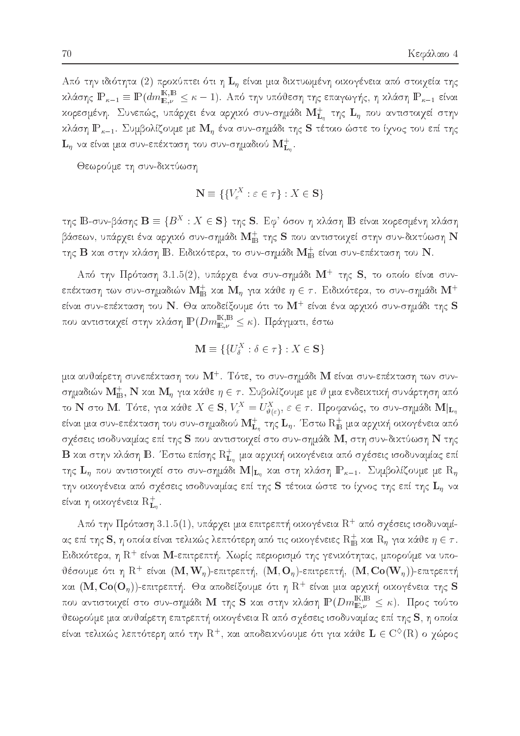Από την ιδιότητα (2) προχύπτει ότι η  $\mathbf{L}_n$  είναι μια δικτυωμένη οικογένεια από στοιχεία της κλάσης  $\mathbb{P}_{\kappa-1}\equiv \mathbb{P}(dm_{\mathbb{E},\nu}^{\mathbb{K},\mathbb{B}}\leq \kappa-1)$ . Από την υπόθεση της επαγωγής, η κλάση  $\mathbb{P}_{\kappa-1}$  είναι χορεσμένη. Συνεπώς, υπάρχει ένα αρχιχό συν-σημάδι  $\mathbf{M}^+_{\mathbf{L}_n}$  της  $\mathbf{L}_\eta$  που αντιστοιχεί στην κλάση  $\mathbb{P}_{\kappa-1}$ . Συμβολίζουμε με  $\mathbf{M}_\eta$  ένα συν-σημάδι της S τέτοιο ώστε το ίχνος του επί της  ${\bf L}_\eta$  να είναι μια συν-επέχταση του συν-σημαδιού  ${\bf M^+_{L_n}}.$ 

Θεωρούμε τη συν-δικτύωση

$$
\mathbf{N} \equiv \{ \{ V_{\varepsilon}^{X} : \varepsilon \in \tau \} : X \in \mathbf{S} \}
$$

 $\lim_{\Delta t\to 0}$  b-ovv-pao $\eta$ ς  $\mathbf{D}=\{D\ :\ A\in\mathcal{B}\}$  ( $\eta$ ς  $\mathbf{D}$ , Eq. 000)  $\eta$  xaao $\eta$  id enval xopeouev $\eta$  xaao $\eta$ βάσεων, υπάρχει ένα αρχικό συν-σημάδι  $\mathbf{M}^+_{\mathbf{B}}$  της  $\mathbf S$  που αντιστοιχεί στην συν-δικτύωση  $\mathbf N$ της  $\rm B$  και στην κλάση  $\rm B$ . Ειδικότερα, το συν-σημάδι  $\rm M_{\rm \,B}^{+}$  είναι συν-επέκταση του  $\rm N$ .

 $\rm A$ πό την  $\rm\Pi$ ρόταση  $\rm 3.1.5(2)$ , υπάργει ένα συν-σημάδι  $\rm\bf M^+$  της  $\rm\bf S$ , το οποίο είναι συνεπέχταση των συν-σημαδιών  $\mathbf{M}^+_\text{B}$  χαι  $\mathbf{M}_\eta$  για χάθε  $\eta \in \tau$ . Ειδιχότερα, το συν-σημάδι  $\mathbf{M}^+$ είναι συν-επέχταση του  ${\bf N} .$  Θα αποδείξουμε ότι το  ${\bf M}^+$  είναι ένα αργιχό συν-σημάδι της  ${\bf S}$ που αντιστοιχεί στην κλάση  $\mathbb{P}(Dm_{\mathbb{E},\nu}^{\mathbb{K},\mathbb{B}}\leq \kappa).$  Πράγματι, έστω

$$
\mathbf{M} \equiv \{ \{ U^X_{\delta} : \delta \in \tau \} : X \in \mathbf{S} \}
$$

μια αυθαίρετη συνεπέχταση του  $\mathrm{M}^{+}.$  Τότε, το συν-σημάδι  $\mathrm{M}$  είναι συν-επέχταση των συνσημαδιών  $\mathbf{M}_{\mathbf{B}}^+,$   $\mathbf{N}$  και  $\mathbf{M}_\eta$  για κάθε  $\eta \in \tau$ . Συβολίζουμε με  $\vartheta$  μια ενδεικτική συνάρτηση από  $\tau$  is to integral to the  $\lambda \in S$ ,  $V_{\varepsilon} = U_{\vartheta(\varepsilon)}^{\varepsilon}$ ,  $\varepsilon \in T$ . Προφανώς, το συν-σημασί  $\mathbf{M}|\mathbf{L}_\eta$ είναι μια συν-επέχταση του συν-σημαδιού  $\mathbf{M}_{\mathbf{L}_n}^+$  της  $\mathbf{L}_\eta$ . Έστω  $\mathrm{R}^+_{\mathbf{B}}$  μια αρχιχή οιχογένεια από σχέσεις ισοδυναμίας επί της S που αντιστοιχεί στο συν-σημάδι M, στη συν-δικτύωση N της  $\, {\bf B} \,$ και στην κλάση  $\, {\bf B}.\,$  Έστω επίσης  $\, {\rm R}^+_{\bf L_n} \,$ μια αρχική οικογένεια από σχέσεις ισοδυναμίας επί της  $\mathbf{L}_\eta$  που αντιστοιχεί στο συν-σημάδι  $\mathbf{M}|_{\mathbf{L}_\eta}$  και στη κλάση  $\mathbb{P}_{\kappa-1}$ . Συμβολίζουμε με  $\mathrm{R}_\eta$ την οικογένεια από σχέσεις ισοδυναμίας επί της S τέτοια ώστε το ίχνος της επί της  $\mathbf{L}_\eta$  να είναι η οιχογένεια  $\mathrm{R}_{\mathbf{L}_{n}}^{+}.$ 

Από την Πρόταση 3.1.5(1), υπάργει μια επιτρεπτή οιχογένεια  ${\rm R}^+$  από σγέσεις ισοδυναμίας επί της  ${\bf S},$  η οποία είναι τελιχώς λεπτότερη από τις οιχογένειες  ${\rm R_{IB}^+}$  χαι  ${\rm R_\eta}$  για χάθε  $\eta\in\tau.$ Ειδικότερα, η  $\mathrm{R}^+$  είναι  $\mathrm{M}$ -επιτρεπτή. Χωρίς περιορισμό της γενικότητας, μπορούμε να υποθέσουμε ότι η  $\mathrm{R}^+$  είναι  $(\mathbf{M}, \mathbf{W}_n)$ -επιτρεπτή,  $(\mathbf{M}, \mathbf{O}_n)$ -επιτρεπτή,  $(\mathbf{M}, \mathbf{Co}(\mathbf{W}_n))$ -επιτρεπτή και  $({\bf M},{\bf Co}({\bf O}_n))$ -επιτρεπτή. Θα αποδείξουμε ότι η  ${\rm R}^+$  είναι μια αρχική οικογένεια της  ${\bf S}$ που αντιστοιχεί στο συν-σημάδι  $\bf{M}$  της  $\bf{S}$  και στην κλάση  $\mathbb{P}(Dm_{\mathbb{E},\nu}^{\mathbb{K},\mathbb{B}}\leq\kappa).$  Προς τούτο θεωρούμε μια αυθαίρετη επιτρεπτή οικογένεια R από σχέσεις ισοδυναμίας επί της S, η οποία είναι τελιχώς λεπτότερη από την  $\mathrm{R}^+$ , χαι αποδειχνύουμε ότι για χάθε  $\mathrm{\bf L} \in \mathrm{C}^\diamondsuit(\mathrm{R})$  ο γώρος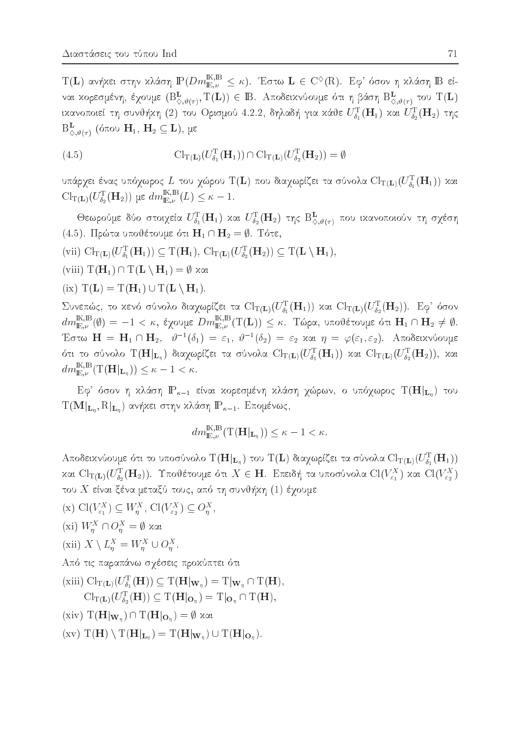$T(\mathbf{L})$ ανήκει στην κλάση $\mathbb{P}(Dm_{\mathbb{E},\nu}^{\mathbb{K},\mathbb{B}} \leq \kappa).$  Έστω $\mathbf{L}\in C^{\diamondsuit}(\mathbf{R}).$  Εφ' όσον η κλάση $\mathbb{B}$ είναι κορεσμένη, έχουμε  $(B_{\Diamond,\vartheta(\tau)}^{\mathbf{L}},\mathrm{T}(\mathbf{L}))\in\mathbb{B}$ . Αποδεικνύουμε ότι η βάση  $B_{\Diamond,\vartheta(\tau)}^{\mathbf{L}}$  του  $\mathrm{T}(\mathbf{L})$ ικανοποιεί τη συνθήκη (2) του Ορισμού 4.2.2, δηλαδή για κάθε $U_{\delta_1}^{\rm T}({\bf H}_1)$  και  $U_{\delta_2}^{\rm T}({\bf H}_2)$  της  $B_{\vartriangle \#(\tau)}^{\mathbf{L}}$  (όπου  $\mathbf{H}_1$ ,  $\mathbf{H}_2 \subseteq \mathbf{L}$ ), με

(4.5) 
$$
\mathrm{Cl}_{\mathrm{T}(\mathbf{L})}(U_{\delta_1}^{\mathrm{T}}(\mathbf{H}_1)) \cap \mathrm{Cl}_{\mathrm{T}(\mathbf{L})}(U_{\delta_2}^{\mathrm{T}}(\mathbf{H}_2)) = \emptyset
$$

υπάρχει ένας υπόχωρος  $L$  του χώρου  $\mathrm{T}(\mathbf{L})$  που διαχωρίζει τα σύνολα  $\mathrm{Cl}_{\mathrm{T}(\mathbf{L})}(U_{\delta_1}^{\mathrm{T}}(\mathbf{H}_1))$  χαι  $\mathrm{Cl}_{\mathrm{T}(\mathbf{L})}(U_{\delta_2}^{\mathrm{T}}(\mathbf{H}_2))$  με  $dm_{\mathbb{E},\nu}^{\mathbb{K},\mathbb{B}}(L) \leq \kappa - 1$ .

Θεωρούμε δύο στοιχεία  $U_{\delta_1}^{\rm T}({\bf H}_1)$  και  $U_{\delta_2}^{\rm T}({\bf H}_2)$  της  ${\rm B}_{\diamondsuit,\vartheta(\tau)}^{\bf L}$  που ικανοποιούν τη σχέση (4.5). Πρώτα υποθέτουμε ότι  $H_1 \cap H_2 = \emptyset$ . Τότε,

- (vii)  $\text{Cl}_{\text{T}(\mathbf{L})}(U_{\delta_1}^{\text{T}}(\mathbf{H}_1)) \subseteq \text{T}(\mathbf{H}_1), \text{Cl}_{\text{T}(\mathbf{L})}(U_{\delta_2}^{\text{T}}(\mathbf{H}_2)) \subseteq \text{T}(\mathbf{L} \setminus \mathbf{H}_1),$
- (viii)  $T(H_1) ∩ T(L \setminus H_1) = ∅ xαi$
- (ix)  $T(L) = T(H_1) \cup T(L \setminus H_1)$ .

Συνεπώς, το κενό σύνολο διαχωρίζει τα Cl<sub>T(L)</sub>( $U_{\delta_1}^T(\mathbf{H}_1)$ ) και Cl<sub>T(L)</sub>( $U_{\delta_2}^T(\mathbf{H}_2)$ ). Εφ' όσον  $dm_{\mathbb{E},\nu}^{\mathbb{K},\mathbb{B}}(\emptyset) = -1 < \kappa$ , έχουμε  $Dm_{\mathbb{E},\nu}^{\mathbb{K},\mathbb{B}}(T(\mathbf{L})) \leq \kappa$ . Τώρα, υποθέτουμε ότι  $\mathbf{H}_1 \cap \mathbf{H}_2 \neq \emptyset$ . Έστω  $\mathbf{H} = \mathbf{H}_1 \cap \mathbf{H}_2$ ,  $\vartheta^{-1}(\delta_1) = \varepsilon_1$ ,  $\vartheta^{-1}(\delta_2) = \varepsilon_2$  και  $\eta = \varphi(\varepsilon_1, \varepsilon_2)$ . Αποδεικνύουμε ότι το σύνολο  $\rm T(\mathbf{H}\vert_{\mathbf{L}_\eta})$  διαχωρίζει τα σύνολα  $\mathrm{Cl}_{\rm T(\mathbf{L})}(U_{\delta_1}^{\rm T}(\mathbf{H}_1))$  και  $\mathrm{Cl}_{\rm T(\mathbf{L})}(U_{\delta_2}^{\rm T}(\mathbf{H}_2)),$  και  $dm_{\mathbb{E},\nu}^{\mathbb{K},\mathbb{B}}(T(\mathbf{H}|_{\mathbf{L}_{\eta}})) \leq \kappa - 1 < \kappa.$ 

Εφ' όσον η κλάση  $\mathbb{P}_{\kappa-1}$  είναι κορεσμένη κλάση χώρων, ο υπόχωρος  $\mathrm{T}(\mathbf{H}|_{\mathbf{L}_{\eta}})$  του  $T(\mathbf{M}|_{\mathbf{L}_n}, R|_{\mathbf{L}_n})$  ανήκει στην κλάση  $\mathbb{P}_{\kappa-1}$ . Επομένως,

$$
dm_{\mathbb{E},\nu}^{\mathbb{K},\mathbb{B}}(\mathrm{T}(\mathbf{H}|_{\mathbf{L}_n})) \leq \kappa - 1 < \kappa.
$$

Αποδεικνύουμε ότι το υποσύνολο  $T(\mathbf{H}|_{\mathbf{L}_n})$  του  $T(\mathbf{L})$  διαχωρίζει τα σύνολα  $\text{Cl}_{T(\mathbf{L})}(U_{\delta_1}^T(\mathbf{H}_1))$ και  $\text{Cl}_{\text{T}(\mathbf{L})}(U_{\delta_2}^{\text{T}}(\mathbf{H}_2)).$  Υποθέτουμε ότι  $X \in \mathbf{H}$ . Επειδή τα υποσύνολα  $\text{Cl}(V_{\varepsilon_1}^X)$  και  $\text{Cl}(V_{\varepsilon_2}^X)$ του X είναι ξένα μεταξύ τους, από τη συνθήκη (1) έχουμε

- (x)  $\mathrm{Cl}(V_{\varepsilon_1}^X) \subseteq W_{\eta}^X$ ,  $\mathrm{Cl}(V_{\varepsilon_2}^X) \subseteq O_{\eta}^X$ ,
- (xi)  $W_n^X ∩ O_n^X = ∅ xα$
- (xii)  $X \setminus L_n^X = W_n^X \cup O_n^X$ .

Από τις παραπάνω σχέσεις προκύπτει ότι

(xiii)  $\text{Cl}_{\text{T}(\mathbf{L})}(U_{\delta_1}^{\text{T}}(\mathbf{H})) \subseteq \text{T}(\mathbf{H}|_{\mathbf{W}_n}) = \text{T}|_{\mathbf{W}_n} \cap \text{T}(\mathbf{H}),$  $Cl_{\mathrm{T}(\mathbf{L})}(U_{\delta_2}^{\mathrm{T}}(\mathbf{H})) \subseteq \mathrm{T}(\mathbf{H}|_{\mathbf{O}_n}) = \mathrm{T}|_{\mathbf{O}_n} \cap \mathrm{T}(\mathbf{H}),$ 

(xiv)  $T(H|_{W_n}) \cap T(H|_{O_n}) = \emptyset$  και

 $(\mathrm{x}v)$   $T(\mathbf{H}) \setminus T(\mathbf{H}|_{\mathbf{L}_n}) = T(\mathbf{H}|_{\mathbf{W}_n}) \cup T(\mathbf{H}|_{\mathbf{O}_n}).$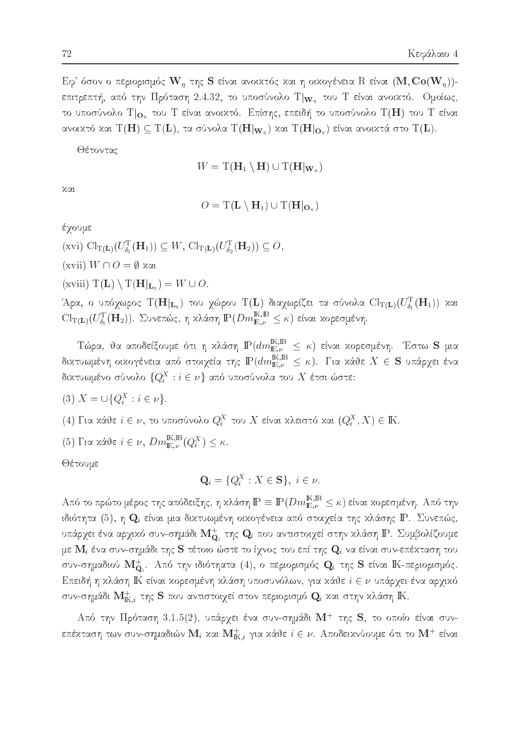$\mathrm{E}\phi^*$  όσον ο περιορισμός  $\mathbf{W}_\eta$  της  $\mathbf S$  είναι ανοικτός και η οικογένεια  $\mathrm R$  είναι  $(\mathbf{M},\mathbf{Co}(\mathbf{W}_n))$ επιτρεπτή, από την Πρόταση 2.4.32, το υποσύνολο Τ $|_{\mathbf{W}_n}$  του Τ είναι ανοικτό. Ομοίως, το υποσύνολο  $T|_{O_n}$  του T είναι ανοικτό. Επίσης, επειδή το υποσύνολο  $T(H)$  του T είναι ανοικτό και  $\mathrm{T}(\mathbf{H})\subseteq \mathrm{T}(\mathbf{L}),$  τα σύνολα  $\mathrm{T}(\mathbf{H}|_{\mathbf{W}_n})$  και  $\mathrm{T}(\mathbf{H}|_{\mathbf{O}_n})$  είναι ανοικτά στο  $\mathrm{T}(\mathbf{L}).$ 

Θέτοντας

$$
W = \mathrm{T}(\mathbf{H}_1 \setminus \mathbf{H}) \cup \mathrm{T}(\mathbf{H}|_{\mathbf{W}_n})
$$

χαι

$$
O = T(\mathbf{L} \setminus \mathbf{H}_1) \cup T(\mathbf{H}|_{\mathbf{O}_n})
$$

έχουμε

 $(\mathrm{xvi}) \ \mathrm{Cl}_{\mathrm{T}(\mathbf{L})}(U_{\delta_1}^{\mathrm{T}}(\mathbf{H}_1)) \subseteq W, \ \mathrm{Cl}_{\mathrm{T}(\mathbf{L})}(U_{\delta_2}^{\mathrm{T}}(\mathbf{H}_2)) \subseteq O,$ 

(xvii)  $W \cap O = \emptyset$  και

(xviii)  $T(L) \setminus T(H|_{L_n}) = W \cup O.$ 

Άρα, ο υπόχωρος  $T(\mathbf{H}|_{\mathbf{L}_n})$  του χώρου  $T(\mathbf{L})$  διαχωρίζει τα σύνολα  $\text{Cl}_{T(\mathbf{L})}(U_{\delta_1}^T(\mathbf{H}_1))$  και  $\text{Cl}_{\text{T}(\mathbf{L})}(U_{\delta_1}^{\text{T}}(\mathbf{H}_2)).$  Συνεπώς, η κλάση $\mathbb{P}(Dm_{\mathbb{E},\nu}^{\mathbb{K},\mathbb{B}}\leq\kappa)$  είναι κορεσμένη.

 Τώρα, θα αποδείξουμε ότι η κλάση $\mathbb{P}(dm_{\mathbb{E},\nu}^{\mathbb{K},\mathbb{B}} \leq \kappa)$  είναι κορεσμένη. Έστω ${\bf S}$ μια δικτυωμένη οικογένεια από στοιχεία της  $\mathbb{P}(dm_{\mathbb{E},\nu}^{\mathbb{K},\mathbb{B}} \leq \kappa)$ . Για κάθε  $X \in {\bf S}$  υπάρχει ένα δικτυωμένο σύνολο  $\{Q_i^X:i\in\nu\}$  από υποσύνολα του  $X$  έτσι ώστε:

$$
(3) X = \cup \{Q_i^X : i \in \nu\}.
$$

- (4) Για κάθε  $i \in \nu$ , το υποσύνολο  $Q_i^X$  του X είναι κλειστό και  $(Q_i^X, X) \in \mathbb{K}$ .
- (5) Για κάθε $i \in \nu$ ,  $Dm_{\mathbb{E},\nu}^{\mathbb{K},\mathbb{B}}(Q_i^X) \leq \kappa$ .

Θέτουμε

$$
\mathbf{Q}_i = \{Q_i^X : X \in \mathbf{S}\}, \ i \in \nu.
$$

Από το πρώτο μέρος της απόδειξης, η κλάση $\mathbb{P}\equiv\mathbb{P}(Dm_{\mathbb{E},\nu}^{\mathbb{K},\mathbb{B}}\leq\kappa)$ είναι κορεσμένη. Από την ιδιότητα  $(5)$ , η  $\mathbf{Q}_i$  είναι μια δικτυωμένη οικογένεια από στοιχεία της κλάσης  $\mathbf{P}$ . Συνεπώς, υπάρχει ένα αρχικό συν-σημάδι  $\mathbf{M}^+_{\mathbf{Q}_i}$  της  $\mathbf{Q}_i$  που αντιστοιχεί στην κλάση ΙΡ. Συμβολίζουμε με  $\mathbf{M}_i$  ένα συν-σημάδι της S τέτοιο ώστε το ίχνος του επί της  $\mathbf{Q}_i$  να είναι συν-επέκταση του συν-σημαδιού  $\mathbf{M}^+_{\mathbf{Q}_i}$ . Από την ιδιότηατα (4), ο περιορισμός  $\mathbf{Q}_i$  της  $\mathbf{S}$  είναι ΙΚ-περιορισμός. Επειδή η κλάση ΙΚ είναι κορεσμένη κλάση υποσυνόλων, για κάθε  $i \in \nu$  υπάρχει ένα αρχικό συν-σημάδι  $\mathbf{M}_{\mathrm{K},i}^+$  της  $\mathbf S$  που αντιστοιχεί στον περιορισμό  $\mathbf Q_i$  και στην κλάση  $\mathbb K.$ 

Από την Πρόταση 3.1.5(2), υπάρχει ένα συν-σημάδι  $M^+$  της S, το οποίο είναι συνεπέχταση των συν-σημαδιών  $\mathbf{M}_i$  χαι  $\mathbf{M}_{\mathrm{IK},i}^+$  για χάθε  $i \in \nu$ . Αποδειχνύουμε ότι το  $\mathbf{M}^+$  είναι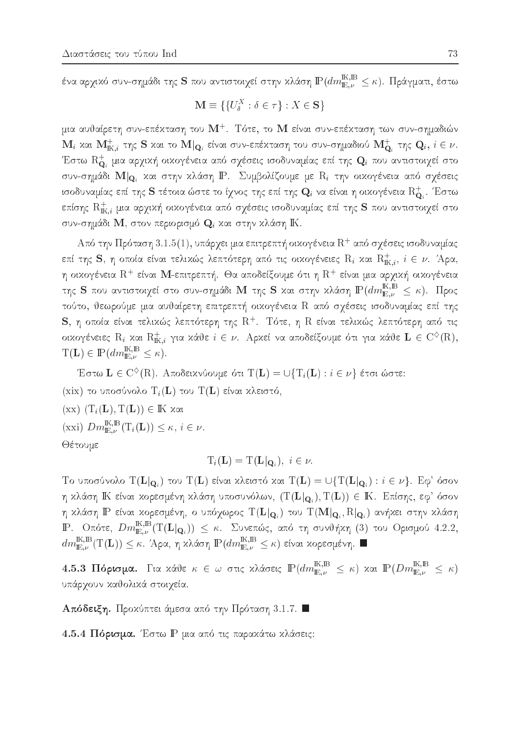ένα αρχικό συν-σημάδι της  ${\bf S}$  που αντιστοιχεί στην κλάση  $\mathbb{P}(dm_{{\rm E}\omega}^{{\rm I\!K},{\rm I\!B}} \leq \kappa).$  Πράγματι, έστω

$$
\mathbf{M} \equiv \{ \{ U^X_{\delta} : \delta \in \tau \} : X \in \mathbf{S} \}
$$

μια αυθαίρετη συν-επέχταση του  $\mathrm{M}^{+}.$  Τότε, το  $\mathrm{M}$  είναι συν-επέχταση των συν-σημαδιών  $\mathbf{M}_i$  και  $\mathbf{M}_{\mathrm{IK},i}^+$  της  $\mathbf S$  και το  $\mathbf M|_{\mathbf{Q}_i}$  είναι συν-επέχταση του συν-σημαδιού  $\mathbf{M}^+_{\mathbf{Q}_i}$  της  $\mathbf{Q}_i,\,i\in\mathbf{\nu}.$ Έστω  $\mathrm{R}^+_{\mathbf{\Omega}}$  μια αρχική οικογένεια από σχέσεις ισοδυναμίας επί της  $\mathbf{Q}_i$  που αντιστοιχεί στο  $\sim$ συν-σημάδι  $\mathbf{M} |_{\mathbf{Q}_i}$  και στην κλάση  $\mathbf{P}$ . Συμβολίζουμε με  $\mathrm{R}_i$  την οικογένεια από σχέσεις ισοδυναμίας επί της  ${\bf S}$  τέτοια ώστε το ίχνος της επί της  ${\bf Q}_i$  να είναι η οικογένεια  ${\rm R}_{{\bf Q}_i}^+$ . Έστω επίσης  ${\rm R}^+_{{\rm K},i}$  μια αρχική οικογένεια από σχέσεις ισοδυναμίας επί της  ${\bf S}$  που αντιστοιχεί στο συν-σημάδι Μ, στον περιορισμό  $\mathbf{Q}_i$  και στην κλάση ΙΚ.

 ${\rm Ar}$ ό την Πρόταση  $3.1.5(1)$ , υπάργει μια επιτρεπτή οιχογένεια  ${\rm R}^+$  από σγέσεις ισοδυναμίας επί της  ${\bf S},$  η οποία είναι τελιχώς λεπτότερη από τις οιχογένειες  ${\rm R}_i$  χαι  ${\rm R}_{{\rm K},i}^+,\;i\in\nu$ . Άρα, η οιχογένεια  $\mathrm{R}^{+}$  είναι  $\mathrm{\mathbf{M}}$ -επιτρεπτή. Θα αποδείξουμε ότι η  $\mathrm{R}^{+}$  είναι μια αργιχή οιχογένεια της  ${\bf S}$  που αντιστοιχεί στο συν-σημάδι  ${\bf M}$  της  ${\bf S}$  και στην κλάση  ${\rm I\!P}(dm_{{\rm I\!E},\nu}^{{\rm I\!K},{\rm I\!B}}\leq\kappa).$   $\Pi$ ρος τούτο, θεωρούμε μια αυθαίρετη επιτρεπτή οικογένεια R από σχέσεις ισοδυναμίας επί της  ${\bf S},$  η οποία είναι τελιχώς λεπτότερη της  ${\rm R}^+.$  Τότε, η  ${\rm R}$  είναι τελιχώς λεπτότερη από τις οιχογένειες  $\mathrm{R}_i$  χαι  $\mathrm{R}^+_{\mathrm{IK},i}$  για χάθε  $i\in \nu.$  Αρχεί να αποδείξουμε ότι για χάθε  $\mathbf{L}\in \mathrm{C}^{\diamondsuit}(\mathrm{R}),$  $T(L) \in \mathbb{P}(dm_{\mathbb{E},\nu}^{\mathbb{K},\mathbb{B}} \leq \kappa).$ 

Έστω  $\mathbf{L}\in \mathrm{C}^{\diamondsuit}(\mathrm{R}).$  Αποδειχνύουμε ότι  $\mathrm{T}(\mathbf{L})=\cup\{\mathrm{T}_i(\mathbf{L}):i\in \nu\}$  έτσι ώστε:

(xix) το υποσύνολο  $T_i(L)$  του  $T(L)$  είναι κλειστό,

 $(\text{xx})$   $(T_i(L), T(L)) \in \mathbb{K}$  xai

 $(\text{xxi}) \text{ } Dm_{\mathbb{E},\nu}^{\text{IK},\text{B}}(\text{T}_i(\mathbf{L})) \leq \kappa, \ i \in \nu.$ 

Θέτουμε

$$
T_i(\mathbf{L}) = T(\mathbf{L}|\mathbf{Q}_i), \ i \in \nu.
$$

Tο υποσύνολο  $T(L|_{Q_i})$  του  $T(L)$  είναι κλειστό και  $T(L) = \bigcup \{T(L|_{Q_i} ) : i \in \nu \}$ . Εφ' όσον η κλάση  $\Bbb K$  είναι κορεσμένη κλάση υποσυνόλων,  $(\rm{T}(\mathbf L|_{\mathbf Q_i}), \rm{T}(\mathbf L)) \in \Bbb K$ . Επίσης, εφ' όσον h klash IP enai koresmènh, o universitate della proporcionale della proporcionale della proporcionale della pr  $\mathbb{P}.$  Οπότε,  $Dm_{\mathbb{E},\nu}^{\mathbb{K},\mathbb{B}}(\mathrm{T}(\mathbf{L}|_{\mathbf{Q}_i}))\ \leq\ \kappa.$  Συνεπώς, από τη συνθήχη  $(3)$  του Ορισμού 4.2.2,  $dm_{\mathbb{E},\nu}^{\mathbb{K},\mathbb{B}}(\mathrm{T}(\mathbf{L}))\leq \kappa.$  Άρα, η χλάση  $\mathbb{P}(dm_{\mathbb{E},\nu}^{\mathbb{K},\mathbb{B}}\leq \kappa)$  είναι χορεσμένη.  $\blacksquare$ 

 $4.5.3$   $\Pi$ όρισμα. Για κάθε  $\kappa ~\in ~\omega$  στις κλάσεις  $\mathbb{P}(dm_{\mathbb{E},\nu}^{\mathbb{K},\mathbb{B}}~\leq~\kappa)$  και  $\mathbb{P}(Dm_{\mathbb{E},\nu}^{\mathbb{K},\mathbb{B}}~\leq~\kappa)$ υπάρχουν καθολικά στοιχεία.

 $A\pi$ όδειξη. Προκύπτει άμεσα από την Πρόταση 3.1.7.  $\blacksquare$ 

4.5.4 Πόρισμα. Έστω P μια από τις παρακάτω κλάσεις: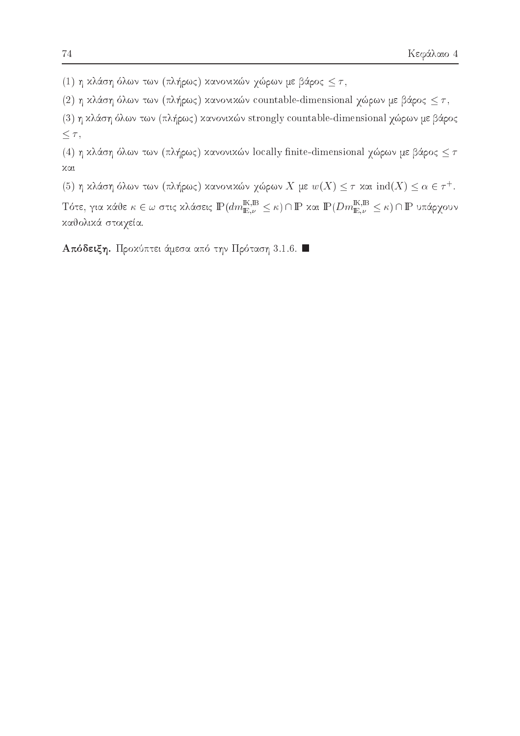(1) η κλάση όλων των (πλήρως) κανονικών χώρων με βάρος  $\leq \tau$ ,

(2) η κλάση όλων των (πλήρως) κανονικών countable-dimensional χώρων με βάρος  $\leq \tau$ ,

(3) η κλάση όλων των (πλήρως) κανονικών strongly countable-dimensional χώρων με βάρος  $\leq \tau,$ 

(4) η κλάση όλων των (πλήρως) κανονικών locally finite-dimensional χώρων με βάρος  $\leq \tau$  $x\alpha$ 

(5) η χλάση όλων των (πλήρως) χανονικών γώρων  $X$  με  $w(X) \leq \tau$  χαι  $\mathrm{ind}(X) \leq \alpha \in \tau^+.$ 

Τότε, για κάθε  $\kappa\in\omega$  στις κλάσεις  $\mathbb{P}(dm_{\mathbb{E},\nu}^{\mathbb{K},\mathbb{B}}\leq \kappa)\cap\mathbb{P}$  και  $\mathbb{P}(Dm_{\mathbb{E},\nu}^{\mathbb{K},\mathbb{B}}\leq \kappa)\cap\mathbb{P}$  υπάρχουν καθολικά στοιχεία.

Aπόδειξη. Προχύπτει άμεσα από την Πρόταση 3.1.6.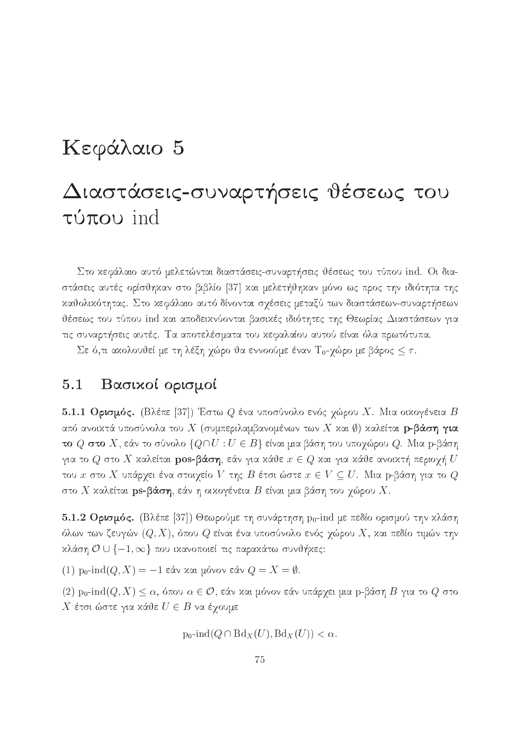## Κεφάλαιο 5

# Διαστάσεις-συναρτήσεις θέσεως του  $\tau\acute{u}\pi\sigma\upsilon$  ind

Στο κεφάλαιο αυτό μελετώνται διαστάσεις-συναρτήσεις θέσεως του τύπου ind. Οι διαστάσεις αυτές ορίσθηκαν στο βιβλίο [37] και μελετήθηκαν μόνο ως προς την ιδιότητα της καθολικότητας. Στο κεφάλαιο αυτό δίνονται σχέσεις μεταξύ των διαστάσεων-συναρτήσεων θέσεως του τύπου ind χαι αποδεικνύονται βασικές ιδιότητες της Θεωρίας Διαστάσεων για τις συναρτήσεις αυτές. Τα αποτελέσματα του χεφαλαίου αυτού είναι όλα πρωτότυπα.

Σε ό,τι ακολουθεί με τη λέξη χώρο θα εννοούμε έναν Τ<sub>0</sub>-χώρο με βάρος  $\leq \tau$ .

#### $5.1$ Βασικοί ορισμοί

5.1.1 Ορισμός. (Βλέπε [37]) Έστω  $Q$  ένα υποσύνολο ενός χώρου X. Μια οικογένεια Β από ανοικτά υποσύνολα του  $X$  (συμπεριλαμβανομένων των  $X$  και  $\emptyset$ ) καλείται  $\mathbf p$ -βάση για το  $Q$  στο  $X$ , εάν το σύνολο  $\{Q \cap U : U \in B\}$  είναι μια βάση του υποχώρου  $Q$ . Μια p-βάση για το  $Q$  στο X καλείται pos-βάση, εάν για κάθε  $x \in Q$  και για κάθε ανοικτή περιοχή  $U$ του  $x$  στο  $X$  υπάρχει ένα στοιχείο  $V$  της  $B$  έτσι ώστε  $x \in V \subseteq U$ . Μια p-βάση για το  $Q$ στο  $X$  καλείται  ${\bf ps}$ -βάση, εάν η οικογένεια  $B$  είναι μια βάση του χώρου  $X.$ 

5.1.2 Ορισμός. (Βλέπε [37]) Θεωρούμε τη συνάρτηση  $p_0$ -ind με πεδίο ορισμού την κλάση όλων των ζευγών  $(Q,X)$ , όπου  $Q$  είναι ένα υποσύνολο ενός χώρου  $X$ , χαι πεδίο τιμών την κλάση  $\mathcal{O} \cup \{-1, \infty\}$  που ικανοποιεί τις παρακάτω συνθήκες:

(1) p<sub>0</sub>-ind(*Q*, *X*) = -1 εάν και μόνον εάν *Q* = *X* = *Φ*.

 $(2)$  p<sub>0</sub>-ind(Q, X)  $\leq \alpha$ , όπου  $\alpha \in \mathcal{O}$ , εάν και μόνον εάν υπάρχει μια p-βάση Β για το Q στο Χ έτσι ώστε για κάθε  $U \in B$  να έχουμε

 $p_0$ -ind $(Q \cap Bd_X(U), Bd_X(U)) < \alpha$ .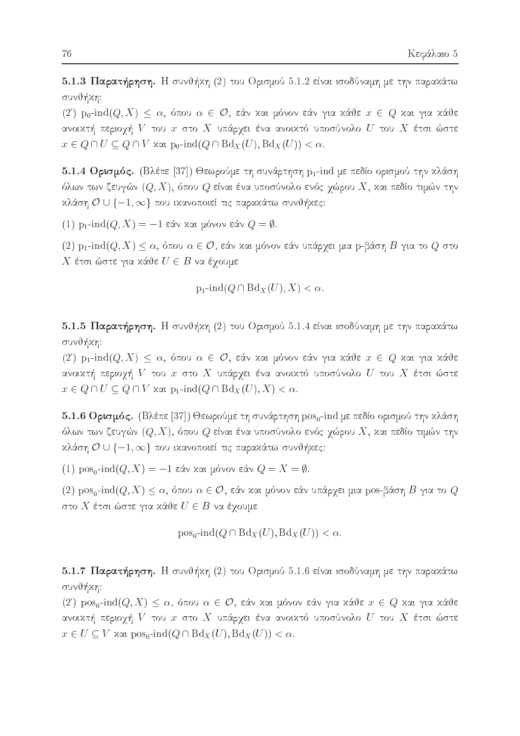5.1.3 Παρατήρηση. Η συνθήκη (2) του Ορισμού 5.1.2 είναι ισοδύναμη με την παρακάτω συνθήκη:

 $(2')$  po-ind $(Q, X) \leq \alpha$ , όπου  $\alpha \in \mathcal{O}$ , εάν και μόνον εάν για κάθε  $x \in Q$  και για κάθε ανοικτή περιοχή  $V$  του  $x$  στο  $X$  υπάργει ένα ανοικτό υποσύνολο  $U$  του  $X$  έτσι ώστε  $x \in Q \cap U \subseteq Q \cap V$  xat  $p_0$ -ind $(Q \cap Bd_X(U), Bd_X(U)) < \alpha$ .

5.1.4 Ορισμός. (Βλέπε [37]) Θεωρούμε τη συνάρτηση p<sub>1</sub>-ind με πεδίο ορισμού την κλάση όλων των ζευγών  $(Q, X)$ , όπου  $Q$  είναι ένα υποσύνολο ενός χώρου  $X$ , και πεδίο τιμών την κλάση  $\mathcal{O} \cup \{-1, \infty\}$  που ικανοποιεί τις παρακάτω συνθήκες:

(1) p<sub>1</sub>-ind(*Q*, *X*) = -1 εάν και μόνον εάν *Q* =  $\emptyset$ .

 $(2)$  p<sub>1</sub>-ind(*Q*, X)  $\leq \alpha$ , όπου  $\alpha \in \mathcal{O}$ , εάν και μόνον εάν υπάρχει μια p-βάση *B* για το *Q* στο Χ έτσι ώστε για κάθε  $U \in B$  να έχουμε

$$
p_1\text{-}\!\operatorname{ind}(Q\cap Bd_X(U),X)<\alpha.
$$

5.1.5 Παρατήρηση. Η συνθήκη (2) του Ορισμού 5.1.4 είναι ισοδύναμη με την παρακάτω συνθήκη:

 $(2')$  p<sub>1</sub>-ind $(Q, X) \leq \alpha$ , όπου  $\alpha \in \mathcal{O}$ , εάν και μόνον εάν για κάθε  $x \in Q$  και για κάθε ανοικτή περιοχή  $V$  του  $x$  στο  $X$  υπάρχει ένα ανοικτό υποσύνολο  $U$  του  $X$  έτσι ώστε  $x \in Q \cap U \subseteq Q \cap V$  xai  $p_1$ -ind $(Q \cap Bd_X(U), X) < \alpha$ .

5.1.6 Ορισμός. (Βλέπε [37]) Θεωρούμε τη συνάρτηση pos<sub>0</sub>-ind με πεδίο ορισμού την κλάση όλων των ζευγών  $(Q,X)$ , όπου  $Q$  είναι ένα υποσύνολο ενός χώρου  $X,$  χαι πεδίο τιμών την κλάση  $\mathcal{O} \cup \{-1, \infty\}$  που ικανοποιεί τις παρακάτω συνθήκες:

(1) pos<sub>0</sub>-ind(*Q*, *X*) = -1 εάν και μόνον εάν *Q* = *X* = *Φ*.

 $(2)$  pos<sub>0</sub>-ind $(Q, X) \leq \alpha$ , όπου  $\alpha \in \mathcal{O}$ , εάν και μόνον εάν υπάρχει μια pos-βάση Β για το  $Q$ στο  $X$  έτσι ώστε για κάθε  $U\in B$  να έχουμε

$$
\text{pos}_0\text{-}\text{ind}(Q \cap \text{Bd}_X(U), \text{Bd}_X(U)) < \alpha
$$

5.1.7 Παρατήρηση. Η συνθήκη (2) του Ορισμού 5.1.6 είναι ισοδύναμη με την παρακάτω συνθήκη:

 $(2')$  pos<sub>0</sub>-ind $(Q, X) \leq \alpha$ , όπου  $\alpha \in \mathcal{O}$ , εάν και μόνον εάν για κάθε  $x \in Q$  και για κάθε ανοικτή περιοχή  $V$  του  $x$  στο  $X$  υπάρχει ένα ανοικτό υποσύνολο  $U$  του  $X$  έτσι ώστε  $x \in U \subseteq V$  xat  $pos_0$ -ind $(Q \cap Bd_X(U), Bd_X(U)) < \alpha$ .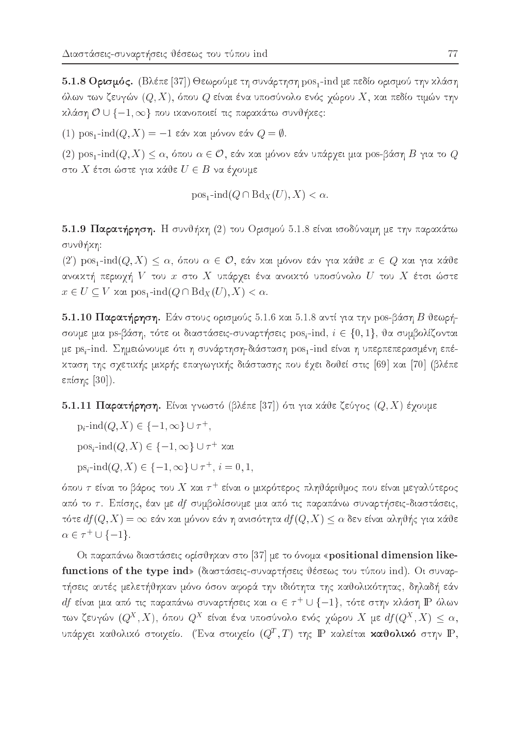5.1.8 Ορισμός. (Βλέπε [37]) Θεωρούμε τη συνάρτηση pos<sub>1</sub>-ind με πεδίο ορισμού την κλάση όλων των ζευγών  $(Q,X)$ , όπου  $Q$  είναι ένα υποσύνολο ενός χώρου  $X$ , και πεδίο τιμών την κλάση  $\mathcal{O} \cup \{-1, \infty\}$  που ικανοποιεί τις παρακάτω συνθήκες:

(1) pos<sub>1</sub>-ind(*Q*, *X*) = -1 εάν και μόνον εάν *Q* = *Φ*.

 $(2)$  pos<sub>1</sub>-ind $(Q, X) \leq \alpha$ , όπου  $\alpha \in \mathcal{O}$ , εάν και μόνον εάν υπάρχει μια pos-βάση Β για το  $Q$ στο  $X$  έτσι ώστε για κάθε  $U \in B$  να έχουμε

$$
pos_1\text{-}\!\operatorname{ind}(Q \cap Bd_X(U), X) < \alpha.
$$

5.1.9 Παρατήρηση. Η συνθήκη (2) του Ορισμού 5.1.8 είναι ισοδύναμη με την παρακάτω συνθήκη:

 $(2')$  pos<sub>1</sub>-ind $(Q, X) \leq \alpha$ , όπου  $\alpha \in \mathcal{O}$ , εάν και μόνον εάν για κάθε  $x \in Q$  και για κάθε ανοικτή περιοχή  $V$  του  $x$  στο  $X$  υπάρχει ένα ανοικτό υποσύνολο  $U$  του  $X$  έτσι ώστε  $x \in U \subseteq V$  xαι pos<sub>1</sub>-ind( $Q \cap Bd_X(U), X$ ) <  $\alpha$ .

5.1.10 Παρατήρηση. Εάν στους ορισμούς 5.1.6 και 5.1.8 αντί για την pos-βάση Β θεωρήσουμε μια ps-βάση, τότε οι διαστάσεις-συναρτήσεις pos<sub>i</sub>-ind,  $i \in \{0, 1\}$ , θα συμβολίζονται με ps,-ind. Σημειώνουμε ότι η συνάρτηση-διάσταση pos,-ind είναι η υπερπεπερασμένη επέκταση της σχετικής μικρής επαγωγικής διάστασης που έχει δοθεί στις [69] και [70] (βλέπε επίσης  $[30]$ ).

### 5.1.11 Παρατήρηση. Είναι γνωστό (βλέπε [37]) ότι για κάθε ζεύγος  $(Q, X)$  έχουμε

 $p_i$ -ind $(Q, X) \in \{-1, \infty\} \cup \tau^+,$ 

 $pos_i$ -ind $(Q, X) \in \{-1, \infty\} \cup \tau^+$  xat

 $ps_i$ -ind $(Q, X) \in \{-1, \infty\} \cup \tau^+, i = 0, 1$ 

όπου  $\tau$  είναι το βάρος του  $X$  και  $\tau^+$  είναι ο μικρότερος πληθάριθμος που είναι μεγαλύτερος από το τ. Επίσης, έαν με df συμβολίσουμε μια από τις παραπάνω συναρτήσεις-διαστάσεις, τότε  $df(Q, X) = \infty$  εάν και μόνον εάν η ανισότητα  $df(Q, X) \leq \alpha$  δεν είναι αληθής για κάθε  $\alpha \in \tau^+ \cup \{-1\}.$ 

Οι παραπάνω διαστάσεις ορίσθηκαν στο [37] με το όνομα «positional dimension likefunctions of the type ind» (διαστάσεις-συναρτήσεις θέσεως του τύπου ind). Οι συναρτήσεις αυτές μελετήθηκαν μόνο όσον αφορά την ιδιότητα της καθολικότητας, δηλαδή εάν  $df$  είναι μια από τις παραπάνω συναρτήσεις και  $\alpha \in \tau^+ \cup \{-1\}$ , τότε στην κλάση IP όλων των ζευγών  $(Q^X, X)$ , όπου  $Q^X$  είναι ένα υποσύνολο ενός χώρου X με  $df(Q^X, X) \leq \alpha$ , υπάρχει καθολικό στοιχείο. (Ένα στοιχείο  $(Q^T, T)$  της  $\mathbb P$  καλείται καθολικό στην  $\mathbb P,$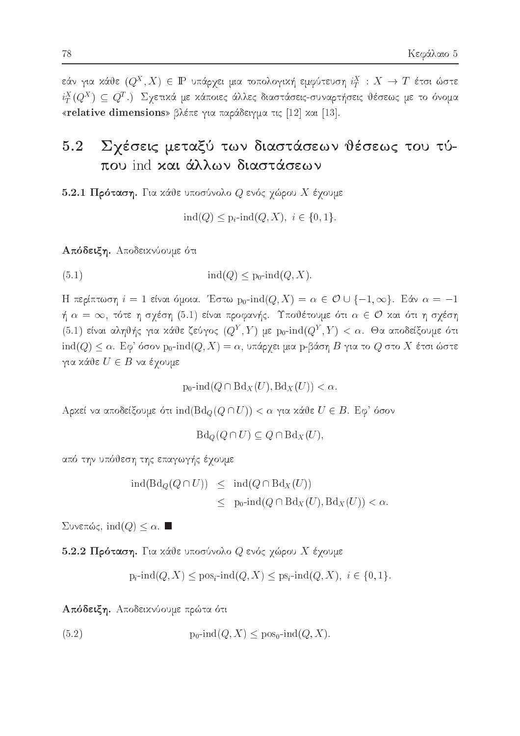εάν για χάθε  $(Q^X,X)\,\in\,\mathbb{P}$  υπάρχει μια τοπολογική εμφύτευση  $i_T^X\,:\,X\,\to\,T$  έτσι ώστε  $i_T^X(Q^X) \subseteq Q^T$ .) Σχετικά με κάποιες άλλες διαστάσεις-συναρτήσεις θέσεως με το όνομα «relative dimensions» βλέπε για παράδειγμα τις [12] και [13].

### $5.2$ Σγέσεις μεταξύ των διαστάσεων θέσεως του τύπου ind και άλλων διαστάσεων

5.2.1 Πρόταση. Για κάθε υποσύνολο  $Q$  ενός χώρου  $X$  έχουμε

$$
ind(Q) \leq p_i \text{-}ind(Q, X), i \in \{0, 1\}.
$$

Απόδειξη. Αποδεικνύουμε ότι

 $(5.1)$  $\text{ind}(Q) \leq p_0\text{-}\text{ind}(Q, X).$ 

H περίπτωση  $i = 1$  είναι όμοια. Έστω  $p_0$ -ind $(Q, X) = \alpha \in \mathcal{O} \cup \{-1, \infty\}$ . Εάν  $\alpha = -1$ ή  $\alpha = \infty$ , τότε η σχέση (5.1) είναι προφανής. Υποθέτουμε ότι  $\alpha \in \mathcal{O}$  και ότι η σχέση (5.1) είναι αληθής για κάθε ζεύγος  $(Q^Y, Y)$  με  $p_0$ -ind $(Q^Y, Y) < \alpha$ . Θα αποδείξουμε ότι  $\operatorname{\hspace{0.3mm}ind}(Q)\leq \alpha.$ Εφ' όσον pρ- $\operatorname{\hspace{0.3mm}ind}(Q,X)=\alpha,$ υπάρχει μια p-βάση $B$ για το  $Q$ στο  $X$ έτσι ώστε για κάθε  $U \in B$  να έχουμε

$$
p_0\text{-}\!\operatorname{ind}(Q\cap \text{Bd}_X(U),\text{Bd}_X(U)) < \alpha.
$$

Αρχεί να αποδείξουμε ότι ind( $Bd_Q(Q \cap U)$ ) < α για χάθε  $U \in B$ . Εφ' όσον

 $Bd_{Q}(Q \cap U) \subseteq Q \cap Bd_{X}(U),$ 

από την υπόθεση της επαγωγής έχουμε

$$
ind(Bd_Q(Q \cap U)) \leq ind(Q \cap Bd_X(U))
$$
  
 
$$
\leq p_0\text{-}ind(Q \cap Bd_X(U), Bd_X(U)) < \alpha.
$$

Συνεπώς, ind(*Q*)  $\leq \alpha$ . ■

5.2.2 Πρόταση. Για κάθε υποσύνολο  $Q$  ενός χώρου Χ έχουμε

$$
p_i\text{-ind}(Q, X) \leq pos_i\text{-ind}(Q, X) \leq ps_i\text{-ind}(Q, X), i \in \{0, 1\}
$$

Απόδειξη. Αποδεικνύουμε πρώτα ότι

(5.2) 
$$
p_0\text{-}\mathrm{ind}(Q,X) \leq p\mathrm{os}_0\text{-}\mathrm{ind}(Q,X).
$$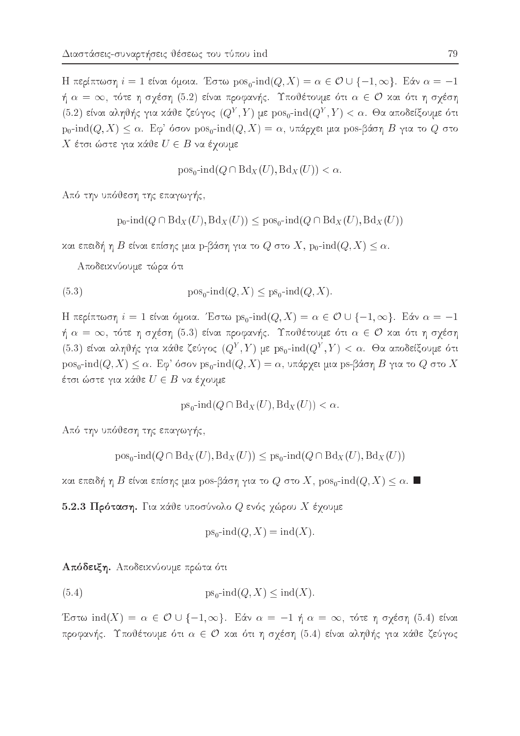Η περίπτωση  $i = 1$  είναι όμοια. Έστω  $pos_0$ -ind $(Q, X) = \alpha \in \mathcal{O} \cup \{-1, \infty\}$ . Εάν  $\alpha = -1$ ή  $\alpha = \infty$ , τότε η σχέση (5.2) είναι προφανής. Υποθέτουμε ότι  $\alpha \in \mathcal{O}$  και ότι η σχέση (5.2) είναι αληθής για κάθε ζεύγος  $(Q^Y, Y)$  με  $pos_0$ -ind $(Q^Y, Y) < \alpha$ . Θα αποδείξουμε ότι  $p_0$ -ind $(Q, X) \leq \alpha$ . Εφ' όσον  $pos_0$ -ind $(Q, X) = \alpha$ , υπάργει μια pos-βάση Β για το Q στο Χ έτσι ώστε για κάθε  $U \in B$  να έχουμε

 $pos_0$ -ind $(Q \cap Bd_X(U), Bd_X(U)) < \alpha$ .

Από την υπόθεση της επαγωγής,

 $p_0\text{-}ind(Q \cap Bd_X(U), Bd_X(U)) \leq pos_0\text{-}ind(Q \cap Bd_X(U), Bd_X(U))$ 

και επειδή η Β είναι επίσης μια p-βάση για το Q στο X,  $p_0$ -ind $(Q, X) \leq \alpha$ .

Αποδεικνύουμε τώρα ότι

(5.3) 
$$
\text{pos}_0\text{-}\text{ind}(Q, X) \leq \text{ps}_0\text{-}\text{ind}(Q, X).
$$

Η περίπτωση  $i = 1$  είναι όμοια. Έστω ps<sub>0</sub>-ind( $Q, X$ ) =  $\alpha \in \mathcal{O} \cup \{-1, \infty\}$ . Εάν  $\alpha = -1$ ή  $\alpha = \infty$ , τότε η σχέση (5.3) είναι προφανής. Υποθέτουμε ότι  $\alpha \in \mathcal{O}$  και ότι η σχέση (5.3) είναι αληθής για κάθε ζεύγος  $(Q^Y, Y)$  με ps<sub>0</sub>-ind( $Q^Y, Y$ ) < α. Θα αποδείξουμε ότι  $pos_0$ -ind $(Q, X) \leq \alpha$ . Εφ' όσον ps<sub>0</sub>-ind $(Q, X) = \alpha$ , υπάρχει μια ps-βάση B για το Q στο X έτσι ώστε για κάθε  $U \in B$  να έγουμε

 $ps_0\text{-}\!\operatorname{ind}(Q \cap \text{Bd}_X(U), \text{Bd}_X(U)) < \alpha.$ 

Από την υπόθεση της επαγωγής,

$$
pos_0
$$
-ind $(Q \cap Bd_X(U), Bd_X(U)) \leq ps_0$ -ind $(Q \cap Bd_X(U), Bd_X(U))$ 

και επειδή η Β είναι επίσης μια pos-βάση για το Q στο X, pos<sub>0</sub>-ind(Q, X) ≤ α. ■

5.2.3 Πρόταση. Για κάθε υποσύνολο  $Q$  ενός χώρου Χ έχουμε

$$
ps_0\text{-}\!\operatorname{ind}(Q, X) = \operatorname{ind}(X).
$$

Απόδειξη. Αποδεικνύουμε πρώτα ότι

(5.4) 
$$
ps_0\text{-}\mathrm{ind}(Q, X) \leq \mathrm{ind}(X).
$$

Έστω ind(X) =  $\alpha \in \mathcal{O} \cup \{-1, \infty\}$ . Εάν  $\alpha = -1$  ή  $\alpha = \infty$ , τότε η σχέση (5.4) είναι προφανής. Υποθέτουμε ότι  $\alpha \in \mathcal{O}$  και ότι η σχέση (5.4) είναι αληθής για κάθε ζεύγος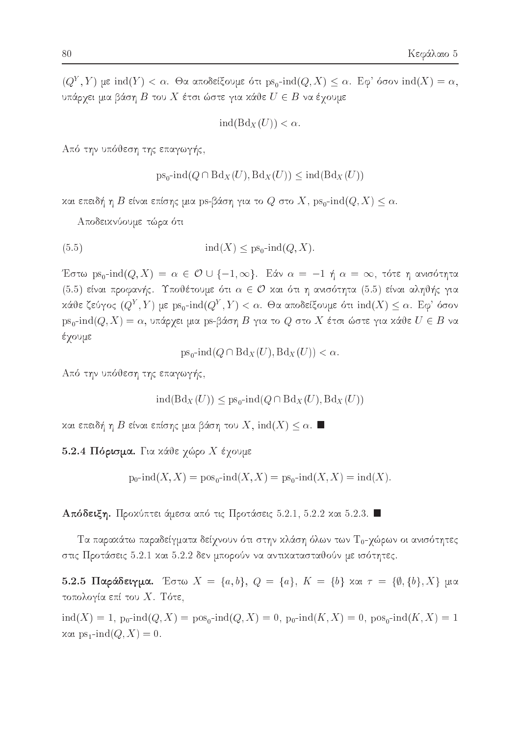$(Q<sup>Y</sup>, Y)$  με ind(Y) < α. Θα αποδείξουμε ότι ps<sub>0</sub>-ind(Q, X)  $\leq \alpha$ . Εφ' όσον ind(X) = α, υπάρχει μια βάση  $B$  του  $X$  έτσι ώστε για κάθε  $U \in B$  να έχουμε

$$
ind(Bd_X(U)) < \alpha.
$$

Από την υπόθεση της επαγωγής,

$$
ps_0
$$
-ind( $Q \cap Bd_X(U)$ ,  $bd_X(U)$ )  $\leq$ ind( $bd_X(U)$ )

και επειδή η Β είναι επίσης μια ps-βάση για το Q στο X, ps<sub>0</sub>-ind( $Q, X$ )  $\leq \alpha$ .

Αποδεικνύουμε τώρα ότι

$$
(5.5) \quad \text{ind}(X) \le \text{ps}_0\text{-}\text{ind}(Q, X).
$$

Έστω ps<sub>0</sub>-ind(Q, X) =  $\alpha \in \mathcal{O} \cup \{-1, \infty\}$ . Εάν  $\alpha = -1$  ή  $\alpha = \infty$ , τότε η ανισότητα (5.5) είναι προφανής. Υποθέτουμε ότι  $\alpha \in \mathcal{O}$  και ότι η ανισότητα (5.5) είναι αληθής για κάθε ζεύγος  $(Q^Y, Y)$  με  $ps_0$ -ind $(Q^Y, Y) < \alpha$ . Θα αποδείξουμε ότι ind $(X) \leq \alpha$ . Εφ' όσον  $ps_0$ -ind $(Q, X) = \alpha$ , υπάρχει μια ps-βάση Β για το Q στο X έτσι ώστε για κάθε  $U \in B$  να έχουμε

 $ps_0$ -ind $(Q \cap Bd_X(U), Bd_X(U)) < \alpha$ .

Από την υπόθεση της επαγωγής,

$$
ind(Bd_X(U)) \le ps_0\text{-}ind(Q \cap Bd_X(U), Bd_X(U))
$$

και επειδή η Β είναι επίσης μια βάση του  $X$ ,  $\text{ind}(X) \leq \alpha$ .

5.2.4 Πόρισμα. Για κάθε χώρο Χ έχουμε

$$
p_0\text{-}\!\operatorname{ind}(X,X) = \text{pos}_0\text{-}\!\operatorname{ind}(X,X) = \text{ps}_0\text{-}\!\operatorname{ind}(X,X) = \text{ind}(X).
$$

Απόδειξη. Προχύπτει άμεσα από τις Προτάσεις 5.2.1, 5.2.2 χαι 5.2.3.

Τα παρακάτω παραδείγματα δείχνουν ότι στην κλάση όλων των Τ<sub>0</sub>-χώρων οι ανισότητες στις Προτάσεις 5.2.1 και 5.2.2 δεν μπορούν να αντικατασταθούν με ισότητες.

5.2.5 Παράδειγμα. Έστω  $X = \{a, b\}$ ,  $Q = \{a\}$ ,  $K = \{b\}$  και  $\tau = \{\emptyset, \{b\}, X\}$  μια τοπολογία επί του Χ. Τότε,

 $\text{ind}(X) = 1$ ,  $p_0$ - $\text{ind}(Q, X) = \text{pos}_0$ - $\text{ind}(Q, X) = 0$ ,  $p_0$ - $\text{ind}(K, X) = 0$ ,  $\text{pos}_0$ - $\text{ind}(K, X) = 1$  $\alpha$  vαι ps<sub>1</sub>-ind(*Q*, *X*) = 0.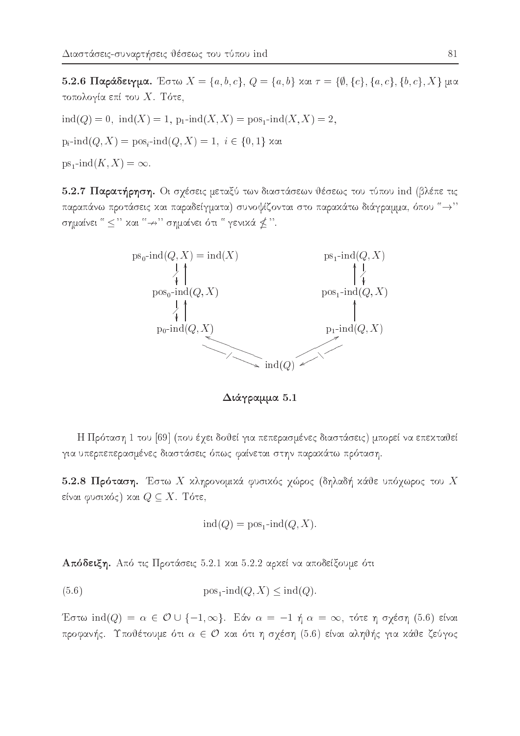5.2.6 Παράδειγμα. Έστω  $X = \{a, b, c\}$ ,  $Q = \{a, b\}$  και  $\tau = \{\emptyset, \{c\}, \{a, c\}, \{b, c\}, X\}$  μια τοπολογία επί του Χ. Τότε,

 $ind(Q) = 0$ ,  $ind(X) = 1$ ,  $p_1$ - $ind(X, X) = pos_1$ - $ind(X, X) = 2$ ,

 $p_i$ -ind $(Q, X) = pos_i$ -ind $(Q, X) = 1, i \in \{0, 1\}$  xat

 $ps_1$ -ind $(K, X) = \infty$ .

5.2.7 Παρατήρηση. Οι σχέσεις μεταξύ των διαστάσεων θέσεως του τύπου ind (βλέπε τις παραπάνω προτάσεις και παραδείγματα) συνοψίζονται στο παρακάτω διάγραμμα, όπου "-" σημαίνει " ≤ " και " → " σημαίνει ότι " γενικά ≰ ".



Διάγραμμα 5.1

Η Πρόταση 1 του [69] (που έχει δοθεί για πεπερασμένες διαστάσεις) μπορεί να επεκταθεί για υπερπεπερασμένες διαστάσεις όπως φαίνεται στην παρακάτω πρόταση.

5.2.8 Πρόταση. Έστω Χ κληρονομικά φυσικός χώρος (δηλαδή κάθε υπόχωρος του Χ είναι φυσικός) και  $Q \subseteq X$ . Τότε,

$$
ind(Q) = pos1-ind(Q, X).
$$

Απόδειξη. Από τις Προτάσεις 5.2.1 και 5.2.2 αρχεί να αποδείξουμε ότι

 $(5.6)$  $pos_1$ -ind $(Q, X)$  < ind $(Q)$ .

Έστω ind(Q) =  $\alpha \in \mathcal{O}$  U {-1, ∞}. Εάν  $\alpha = -1$  ή  $\alpha = \infty$ , τότε η σχέση (5.6) είναι προφανής. Υποθέτουμε ότι  $\alpha \in \mathcal{O}$  και ότι η σχέση (5.6) είναι αληθής για κάθε ζεύγος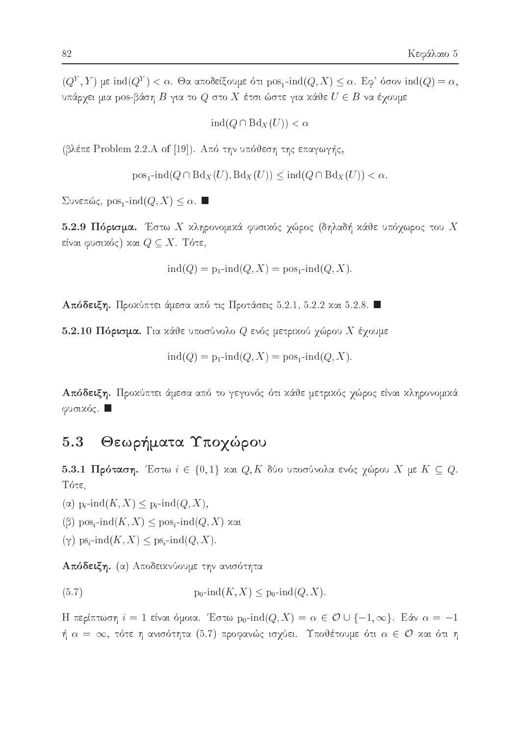$(Q<sup>Y</sup>, Y)$  με ind $(Q<sup>Y</sup>) < \alpha$ . Θα αποδείξουμε ότι pos<sub>1</sub>-ind $(Q, X) < \alpha$ . Εφ' όσον ind $(Q) = \alpha$ , υπάρχει μια pos-βάση  $B$  για το  $Q$  στο  $X$  έτσι ώστε για κάθε  $U\in B$  να έχουμε

 $\text{ind}(Q \cap \text{Bd}_X(U)) < \alpha$ 

(βλέπε Problem 2.2.A of [19]). Από την υπόθεση της επαγωγής,

 $pos_1$ -ind $(Q \cap Bd_X(U), Bd_X(U)) \leq ind(Q \cap Bd_X(U)) < \alpha$ .

Συνεπώς, pos<sub>1</sub>-ind( $Q, X$ ) ≤ α. ■

5.2.9 Πόρισμα. Έστω Χ κληρονομικά φυσικός γώρος (δηλαδή κάθε υπόγωρος του Χ είναι φυσικός) και  $Q \subseteq X.$  Τότε,

 $ind(Q) = p_1$ -ind $(Q, X) = pos_1$ -ind $(Q, X)$ .

Απόδειξη. Προχύπτει άμεσα από τις Προτάσεις 5.2.1, 5.2.2 χαι 5.2.8.

5.2.10 Πόρισμα. Για κάθε υποσύνολο  $Q$  ενός μετρικού γώρου  $X$  έγουμε

$$
ind(Q) = p_1 \text{-}ind(Q, X) = pos_1 \text{-}ind(Q, X)
$$

Απόδειξη. Προχύπτει άμεσα από το γεγονός ότι χάθε μετριχός χώρος είναι χληρονομιχά φυσικός.  $\square$ 

#### Θεωρήματα Υποχώρου 5.3

5.3.1 Πρόταση. Έστω  $i \in \{0,1\}$  και  $Q, K$  δύο υποσύνολα ενός χώρου  $X$  με  $K \subseteq Q$ . Τότε.

 $(\alpha)$  p<sub>i</sub>-ind $(K, X) \leq p_i$ -ind $(Q, X)$ ,

 $(β)$  pos<sub>i</sub>-ind(K, X)  $\leq$  pos<sub>i</sub>-ind(Q, X) και

 $(\gamma)$  ps<sub>i</sub>-ind $(K, X) \leq p s_i$ -ind $(Q, X)$ .

Απόδειξη. (α) Αποδειχνύουμε την ανισότητα

 $p_0$ -ind $(K, X) \leq p_0$ -ind $(Q, X)$ .  $(5.7)$ 

Η περίπτωση  $i = 1$  είναι όμοια. Έστω  $p_0$ -ind $(Q, X) = \alpha \in \mathcal{O} \cup \{-1, \infty\}$ . Εάν  $\alpha = -1$ ή  $\alpha\,=\,\infty,$  τότε η ανισότητα (5.7) προφανώς ισχύει. Υποθέτουμε ότι  $\alpha\,\in\,\mathcal{O}$  και ότι η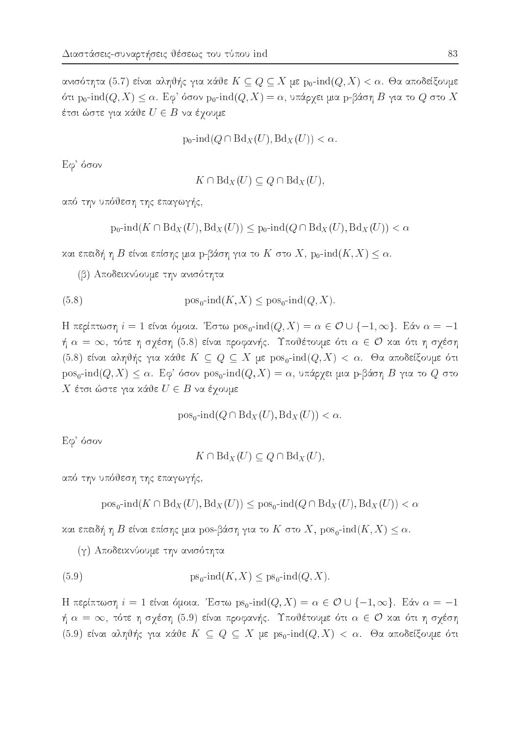ανισότητα (5.7) είναι αληθής για κάθε  $K\subseteq Q\subseteq X$  με  $\mathrm{p}_0\text{-}\!\operatorname{ind}(Q,X)<\alpha$ . Θα αποδείξουμε ότι p<sub>0</sub>-ind(Q, X)  $\leq \alpha$ . Εφ' όσον p<sub>0</sub>-ind(Q, X) = α, υπάρχει μια p-βάση Β για το Q στο X έτσι ώστε για κάθε  $U\in B$  να έγουμε

$$
\text{p}_0\text{-}\!\operatorname{ind}(Q\cap\text{Bd}_X(U),\text{Bd}_X(U))<\alpha.
$$

 $E$ φ' όσον

$$
K \cap \text{Bd}_X(U) \subseteq Q \cap \text{Bd}_X(U),
$$

από την υπόθεση της επαγωγής,

$$
p_0\text{-}\!\operatorname{ind}(K \cap \text{Bd}_X(U), \text{Bd}_X(U)) \le p_0\text{-}\!\operatorname{ind}(Q \cap \text{Bd}_X(U), \text{Bd}_X(U)) < \alpha
$$

και επειδή η Β είναι επίσης μια p-βάση για το K στο X,  $p_0$ -ind $(K, X) \leq \alpha$ .

(β) Αποδεικνύουμε την ανισότητα

(5.8) 
$$
\text{pos}_0\text{-}\text{ind}(K, X) \leq \text{pos}_0\text{-}\text{ind}(Q, X).
$$

Η περίπτωση  $i = 1$  είναι όμοια. Έστω  $pos_0$ -ind $(Q, X) = \alpha \in \mathcal{O} \cup \{-1, \infty\}$ . Εάν  $\alpha = -1$ ή  $\alpha = \infty$ , τότε η σχέση (5.8) είναι προφανής. Υποθέτουμε ότι  $\alpha \in \mathcal{O}$  και ότι η σχέση (5.8) είναι αληθής για κάθε  $K \subseteq Q \subseteq X$  με  $pos_0$ -ind $(Q, X) < \alpha$ . Θα αποδείξουμε ότι  $pos_0$ -ind $(Q, X) \leq \alpha$ . Εφ' όσον  $pos_0$ -ind $(Q, X) = \alpha$ , υπάρχει μια p-βάση Β για το Q στο Χ έτσι ώστε για κάθε  $U \in B$  να έχουμε

 $pos_0$ -ind $(Q \cap Bd_X(U), Bd_X(U)) < \alpha$ .

 $E$ φ' όσον

 $K \cap Bd_X(U) \subseteq Q \cap Bd_X(U)$ ,

από την υπόθεση της επαγωγής,

 $pos_0$ -ind $(K \cap Bd_X(U), Bd_X(U)) \leq pos_0$ -ind $(Q \cap Bd_X(U), Bd_X(U)) < \alpha$ 

και επειδή η Β είναι επίσης μια pos-βάση για το K στο X, pos<sub>o</sub>-ind(K, X)  $\leq \alpha$ .

(γ) Αποδεικνύουμε την ανισότητα

(5.9) 
$$
ps_0\text{-}\mathrm{ind}(K, X) \le ps_0\text{-}\mathrm{ind}(Q, X)
$$

Η περίπτωση  $i = 1$  είναι όμοια. Έστω ps<sub>0</sub>-ind( $Q, X$ ) =  $\alpha \in \mathcal{O} \cup \{-1, \infty\}$ . Εάν  $\alpha = -1$ ή  $\alpha = \infty$ , τότε η σχέση (5.9) είναι προφανής. Υποθέτουμε ότι  $\alpha \in \mathcal{O}$  και ότι η σχέση (5.9) είναι αληθής για κάθε  $K \subseteq Q \subseteq X$  με  $ps_0$ -ind $(Q, X) < \alpha$ . Θα αποδείξουμε ότι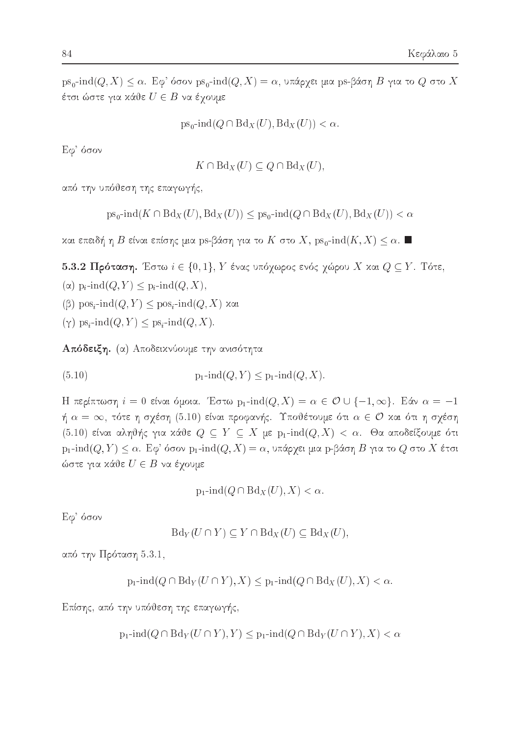$ps_0$ -ind $(Q, X) \leq \alpha$ . Εφ' όσον  $ps_0$ -ind $(Q, X) = \alpha$ , υπάρχει μια ps-βάση Β για το  $Q$  στο X έτσι ώστε για κάθε  $U \in B$  να έχουμε

 $ps_0\text{-}\!\operatorname{ind}(Q \cap \text{Bd}_X(U), \text{Bd}_X(U)) < \alpha.$ 

Εφ' όσον

$$
K \cap \text{Bd}_X(U) \subseteq Q \cap \text{Bd}_X(U),
$$

από την υπόθεση της επαγωγής,

$$
ps_0
$$
-ind $(K \cap Bd_X(U), Bd_X(U)) \le ps_0$ -ind $(Q \cap Bd_X(U), Bd_X(U)) < \alpha$ 

και επειδή η Β είναι επίσης μια ps-βάση για το K στο X, ps<sub>0</sub>-ind(K, X) ≤ α. ■

5.3.2 Πρόταση. Έστω  $i \in \{0,1\}$ ,  $Y$  ένας υπόχωρος ενός χώρου  $X$  και  $Q \subseteq Y$ . Τότε,  $(\alpha)$  p<sub>i</sub>-ind( $Q, Y$ )  $\leq$  p<sub>i</sub>-ind( $Q, X$ ),

 $(\beta)$  pos<sub>i</sub>-ind $(Q, Y) \leq$  pos<sub>i</sub>-ind $(Q, X)$  xxi

 $(\gamma)$  ps<sub>i</sub>-ind $(Q, Y) \leq p s_i$ -ind $(Q, X)$ .

Απόδειξη. (α) Αποδεικνύουμε την ανισότητα

 $p_1$ -ind $(Q, Y)$  <  $p_1$ -ind $(Q, X)$ .  $(5.10)$ 

Η περίπτωση  $i = 0$  είναι όμοια. Έστω  $p_1$ -ind $(Q, X) = \alpha \in \mathcal{O} \cup \{-1, \infty\}$ . Εάν  $\alpha = -1$ ή  $\alpha\,=\,\infty,$  τότε η σχέση  $(5.10)$  είναι προφανής. Υποθέτουμε ότι  $\alpha\,\in\,\mathcal{O}$  και ότι η σχέση  $(5.10)$  είναι αληθής για κάθε  $Q \subseteq Y \subseteq X$  με  $p_1$ -ind $(Q, X) < \alpha$ . Θα αποδείξουμε ότι  $p_1$ -ind $(Q, Y) \leq \alpha$ . Εφ' όσον  $p_1$ -ind $(Q, X) = \alpha$ , υπάρχει μια p-βάση Β για το Q στο X έτσι ώστε για κάθε  $U \in B$  να έγουμε

 $p_1$ -ind $(Q \cap Bd_X(U), X) < \alpha$ .

Εφ' όσον

$$
\text{Bd}_Y(U \cap Y) \subseteq Y \cap \text{Bd}_X(U) \subseteq \text{Bd}_X(U),
$$

από την Πρόταση 5.3.1,

 $p_1$ -ind $(Q \cap Bd_Y(U \cap Y), X) \leq p_1$ -ind $(Q \cap Bd_X(U), X) < \alpha$ .

Επίσης, από την υπόθεση της επαγωγής,

 $p_1$ -ind $(Q \cap Bd_Y(U \cap Y), Y) \leq p_1$ -ind $(Q \cap Bd_Y(U \cap Y), X) < \alpha$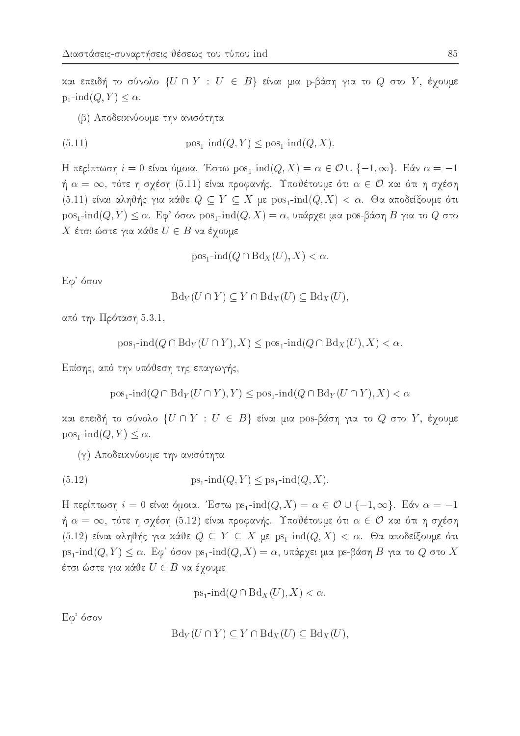και επειδή το σύνολο  $\{U \cap Y : U \in B\}$  είναι μια p-βάση για το  $Q$  στο  $Y$ , έχουμε  $p_1$ -ind $(Q, Y) \leq \alpha$ .

(β) Αποδεικνύουμε την ανισότητα

(5.11) 
$$
pos_1\text{-}\mathrm{ind}(Q, Y) \le pos_1\text{-}\mathrm{ind}(Q, X)
$$

Η περίπτωση  $i = 0$  είναι όμοια. Έστω  $pos_1$ -ind $(Q, X) = \alpha \in \mathcal{O} \cup \{-1, \infty\}$ . Εάν  $\alpha = -1$ ή  $\alpha = \infty$ , τότε η σχέση (5.11) είναι προφανής. Υποθέτουμε ότι  $\alpha \in \mathcal{O}$  και ότι η σχέση (5.11) είναι αληθής για κάθε  $Q \subseteq Y \subseteq X$  με  $pos_1$ -ind $(Q, X) < \alpha$ . Θα αποδείξουμε ότι  $pos_1$ -ind $(Q, Y) \leq \alpha$ . Εφ' όσον  $pos_1$ -ind $(Q, X) = \alpha$ , υπάρχει μια pos-βάση Β για το Q στο Χ έτσι ώστε για κάθε  $U \in B$  να έχουμε

$$
pos_1\text{-}\!\operatorname{ind}(Q \cap Bd_X(U), X) < \alpha.
$$

Εφ' όσον

$$
\text{Bd}_Y(U \cap Y) \subseteq Y \cap \text{Bd}_X(U) \subseteq \text{Bd}_X(U)
$$

από την Πρόταση 5.3.1,

$$
pos_1
$$
-ind( $Q \cap Bd_Y(U \cap Y), X$ )  $\leq pos_1$ -ind( $Q \cap Bd_X(U), X$ )  $< \alpha$ .

Επίσης, από την υπόθεση της επαγωγής,

$$
pos_1\text{-}ind(Q \cap Bd_Y(U \cap Y), Y) \le pos_1\text{-}ind(Q \cap Bd_Y(U \cap Y), X) < \alpha
$$

και επειδή το σύνολο  $\{U \cap Y : U \in B\}$  είναι μια pos-βάση για το  $Q$  στο  $Y$ , έγουμε  $pos_1$ -ind $(Q, Y) \leq \alpha$ .

(γ) Αποδεικνύουμε την ανισότητα

(5.12) 
$$
ps_1\text{-}\mathrm{ind}(Q, Y) \le ps_1\text{-}\mathrm{ind}(Q, X).
$$

Η περίπτωση  $i = 0$  είναι όμοια. Έστω ps<sub>1</sub>-ind(Q, X) =  $\alpha \in \mathcal{O} \cup \{-1, \infty\}$ . Εάν  $\alpha = -1$ ή  $\alpha = \infty$ , τότε η σχέση (5.12) είναι προφανής. Υποθέτουμε ότι  $\alpha \in \mathcal{O}$  και ότι η σχέση  $(5.12)$  είναι αληθής για κάθε  $Q \subseteq Y \subseteq X$  με  $ps_1$ -ind $(Q, X) < \alpha$ . Θα αποδείξουμε ότι  $ps_1$ -ind $(Q, Y) \leq \alpha$ . Εφ' όσον  $ps_1$ -ind $(Q, X) = \alpha$ , υπάρχει μια ps-βάση Β για το Q στο X έτσι ώστε για κάθε  $U\in B$  να έχουμε

$$
ps_1\text{-}\!\operatorname{ind}(Q \cap \text{Bd}_X(U), X) < \alpha.
$$

Εφ' όσον

$$
\text{Bd}_Y(U \cap Y) \subseteq Y \cap \text{Bd}_X(U) \subseteq \text{Bd}_X(U)
$$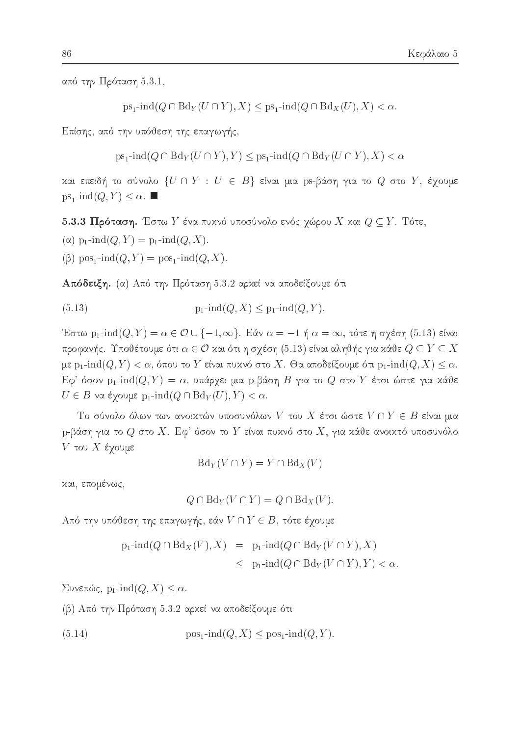από την Πρόταση 5.3.1,

$$
ps_1\text{-}\!\operatorname{ind}(Q \cap \text{Bd}_Y(U \cap Y), X) \le ps_1\text{-}\!\operatorname{ind}(Q \cap \text{Bd}_X(U), X) < \alpha.
$$

Επίσης, από την υπόθεση της επαγωγής,

 $ps_1$ -ind $(Q \cap Bd_Y(U \cap Y), Y) \leq ps_1$ -ind $(Q \cap Bd_Y(U \cap Y), X) < \alpha$ 

και επειδή το σύνολο  $\{U \cap Y : U \in B\}$  είναι μια ps-βάση για το  $Q$  στο  $Y$ , έχουμε  $ps_1$ -ind $(Q, Y) \leq \alpha$ .

5.3.3 Πρόταση. Έστω Υ ένα πυχνό υποσύνολο ενός χώρου Χ χαι  $Q \subseteq Y$ . Τότε,

( $\alpha$ ) p<sub>1</sub>-ind( $Q, Y$ ) = p<sub>1</sub>-ind( $Q, X$ ).

 $(\beta)$  pos<sub>1</sub>-ind $(Q, Y)$  = pos<sub>1</sub>-ind $(Q, X)$ .

Απόδειξη. (α) Από την Πρόταση 5.3.2 αρχεί να αποδείξουμε ότι

Έστω p<sub>1</sub>-ind(*Q*, *Y*) =  $\alpha \in \mathcal{O} \cup \{-1, \infty\}$ . Εάν  $\alpha = -1$  ή  $\alpha = \infty$ , τότε η σχέση (5.13) είναι προφανής. Υποθέτουμε ότι  $\alpha \in \mathcal{O}$  και ότι η σχέση (5.13) είναι αληθής για κάθε  $Q \subseteq Y \subseteq X$ με p<sub>1</sub>-ind(Q, Y) < α, όπου το Y είναι πυχνό στο X. Θα αποδείξουμε ότι p<sub>1</sub>-ind(Q, X)  $\leq \alpha$ .  $E\varphi^*$  όσον p<sub>1</sub>-ind( $Q,Y$ ) =  $\alpha$ , υπάρχει μια p-βάση  $B$  για το  $Q$  στο  $Y$  έτσι ώστε για κάθε  $U \in B$  να έχουμε p<sub>1</sub>-ind( $Q \cap Bd_Y(U), Y < \alpha$ .

Το σύνολο όλων των ανοικτών υποσυνόλων V του X έτσι ώστε  $V \cap Y \in B$  είναι μια p-βάση για το  $Q$  στο  $X$ . Εφ' όσον το  $Y$  είναι πυχνό στο  $X$ , για χάθε ανοιχτό υποσυνόλο  $V$  του  $X$  έχουμε

$$
Bd_Y(V \cap Y) = Y \cap Bd_X(V)
$$

και, επομένως,

$$
Q \cap \text{Bd}_Y(V \cap Y) = Q \cap \text{Bd}_X(V).
$$

Από την υπόθεση της επαγωγής, εάν  $V \cap Y \in B$ , τότε έχουμε

$$
p_1\text{-}ind(Q \cap Bd_X(V), X) = p_1\text{-}ind(Q \cap Bd_Y(V \cap Y), X)
$$
  

$$
\leq p_1\text{-}ind(Q \cap Bd_Y(V \cap Y), Y) < \alpha
$$

 $\Sigma$ υνεπώς, p<sub>1</sub>-ind( $Q, X$ )  $\leq \alpha$ .

(β) Από την Πρόταση 5.3.2 αρκεί να αποδείξουμε ότι

(5.14) 
$$
\text{pos}_1\text{-}\text{ind}(Q, X) \leq \text{pos}_1\text{-}\text{ind}(Q, Y).
$$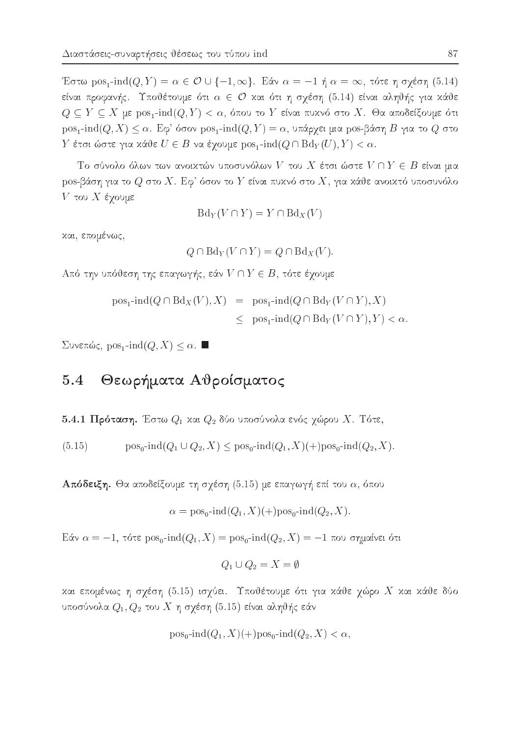Έστω pos<sub>1</sub>-ind(*Q*, *Y*) =  $\alpha \in \mathcal{O} \cup \{-1, \infty\}$ . Εάν  $\alpha = -1$  ή  $\alpha = \infty$ , τότε η σχέση (5.14) είναι προφανής. Υποθέτουμε ότι  $\alpha \in \mathcal{O}$  και ότι η σχέση (5.14) είναι αληθής για κάθε  $Q \subseteq Y \subseteq X$  με pos<sub>1</sub>-ind(Q, Y) < α, όπου το Y είναι πυχνό στο X. Θα αποδείξουμε ότι  $pos_1$ -ind $(Q, X) \leq \alpha$ . Εφ' όσον  $pos_1$ -ind $(Q, Y) = \alpha$ , υπάρχει μια pos-βάση Β για το Q στο  $Y$  έτσι ώστε για κάθε  $U \in B$  να έχουμε  $\mathrm{pos}_1\text{-}\!\operatorname{ind}(Q \cap \mathrm{Bd}_Y(U), Y) < \alpha.$ 

Το σύνολο όλων των ανοικτών υποσυνόλων V του X έτσι ώστε  $V \cap Y \in B$  είναι μια pos-βάση για το  $Q$  στο  $X$ . Εφ' όσον το  $Y$  είναι πυχνό στο  $X$ , για χάθε ανοιχτό υποσυνόλο  $V$  του  $X$  έγουμε

$$
\mathrm{Bd}_Y(V \cap Y) = Y \cap \mathrm{Bd}_X(V)
$$

χαι, επομένως,

$$
Q \cap \text{Bd}_Y(V \cap Y) = Q \cap \text{Bd}_X(V).
$$

Από την υπόθεση της επαγωγής, εάν  $V \cap Y \in B$ , τότε έχουμε

$$
pos1-ind(Q \cap BdX(V), X) = pos1-ind(Q \cap BdY(V \cap Y), X)
$$
  
 
$$
\leq pos1-ind(Q \cap BdY(V \cap Y), Y) < \alpha.
$$

Συνεπώς, pos<sub>1</sub>-ind( $Q, X$ ) ≤ α. ■

### Θεωρήματα Αθροίσματος  $5.4$

5.4.1 Πρόταση. Έστω  $Q_1$  και  $Q_2$  δύο υποσύνολα ενός χώρου X. Τότε,

 $pos_0$ -ind $(Q_1 \cup Q_2, X) \leq pos_0$ -ind $(Q_1, X)(+)pos_0$ -ind $(Q_2, X)$ .  $(5.15)$ 

Απόδειξη. Θα αποδείξουμε τη σχέση (5.15) με επαγωγή επί του  $\alpha$ , όπου

$$
\alpha = \text{pos}_0\text{-}\text{ind}(Q_1, X)(+) \text{pos}_0\text{-}\text{ind}(Q_2, X)
$$

Eάν α = −1, τότε pos<sub>0</sub>-ind(Q<sub>1</sub>, X) = pos<sub>0</sub>-ind(Q<sub>2</sub>, X) = −1 που σημαίνει ότι

$$
Q_1 \cup Q_2 = X = \emptyset
$$

και επομένως η σχέση (5.15) ισχύει. Υποθέτουμε ότι για κάθε χώρο Χ και κάθε δύο υποσύνολα  $Q_1, Q_2$  του  $X$  η σχέση (5.15) είναι αληθής εάν

$$
pos_0\text{-}\!\operatorname{ind}(Q_1, X)(+)pos_0\text{-}\!\operatorname{ind}(Q_2, X) < \alpha,
$$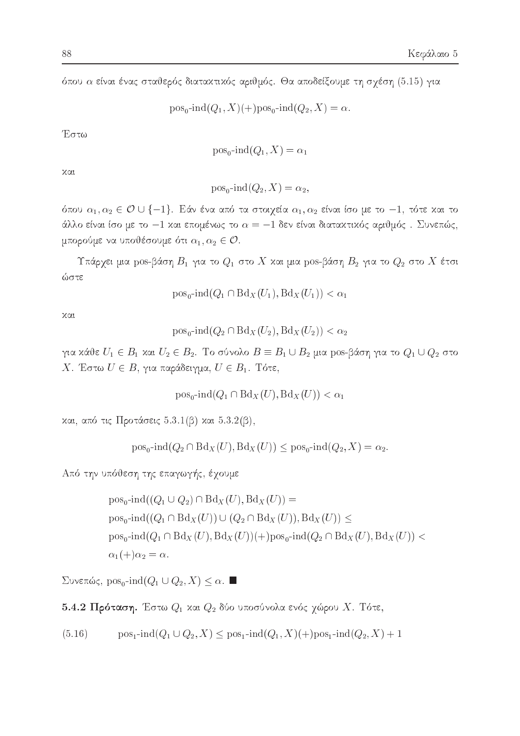όπου α είναι ένας σταθερός διατακτικός αριθμός. Θα αποδείξουμε τη σχέση (5.15) για

$$
pos_0\text{-}ind(Q_1, X)(+)pos_0\text{-}ind(Q_2, X) = \alpha.
$$

Έστω

$$
\text{pos}_0\text{-}\text{ind}(Q_1, X) = \alpha_1
$$

χαι

$$
pos_0\text{-ind}(Q_2, X) = \alpha_2,
$$

όπου  $\alpha_1, \alpha_2 \in \mathcal{O} \cup \{-1\}$ . Εάν ένα από τα στοιχεία  $\alpha_1, \alpha_2$  είναι ίσο με το  $-1$ , τότε και το άλλο είναι ίσο με το -1 και επομένως το  $\alpha = -1$  δεν είναι διατακτικός αριθμός. Συνεπώς, μπορούμε να υποθέσουμε ότι  $\alpha_1, \alpha_2 \in \mathcal{O}$ .

Υπάρχει μια pos-βάση  $B_1$  για το  $Q_1$  στο X και μια pos-βάση  $B_2$  για το  $Q_2$  στο X έτσι ώστε

$$
pos_0\text{-}\!\operatorname{ind}(Q_1 \cap Bd_X(U_1), Bd_X(U_1)) < \alpha_1
$$

χαι

$$
\operatorname{pos}_0\text{-}\operatorname{ind}(Q_2 \cap \operatorname{Bd}_X(U_2), \operatorname{Bd}_X(U_2)) < \alpha_2
$$

για κάθε  $U_1 \in B_1$  και  $U_2 \in B_2$ . Το σύνολο  $B \equiv B_1 \cup B_2$  μια pos-βάση για το  $Q_1 \cup Q_2$  στο X. Έστω  $U \in B$ , για παράδειγμα,  $U \in B_1$ . Τότε,

$$
\text{pos}_0\text{-}\text{ind}(Q_1 \cap \text{Bd}_X(U), \text{Bd}_X(U)) < \alpha_1
$$

και, από τις Προτάσεις 5.3.1(β) και 5.3.2(β),

 $pos_0$ -ind $(Q_2 \cap Bd_X(U), Bd_X(U)) \leq pos_0$ -ind $(Q_2, X) = \alpha_2$ .

Από την υπόθεση της επαγωγής, έχουμε

$$
pos_0\text{-}ind((Q_1 \cup Q_2) \cap Bd_X(U), Bd_X(U)) =
$$
  
\n
$$
pos_0\text{-}ind((Q_1 \cap Bd_X(U)) \cup (Q_2 \cap Bd_X(U)), Bd_X(U)) \le
$$
  
\n
$$
pos_0\text{-}ind(Q_1 \cap Bd_X(U), Bd_X(U)) +)pos_0\text{-}ind(Q_2 \cap Bd_X(U), Bd_X(U)) <
$$
  
\n
$$
\alpha_1(+) \alpha_2 = \alpha.
$$

Συνεπώς, pos<sub>0</sub>-ind( $Q_1 \cup Q_2$ , X) ≤ α. ■

5.4.2 Πρόταση. Έστω  $Q_1$  και  $Q_2$  δύο υποσύνολα ενός χώρου X. Τότε,

$$
(5.16) \qquad \text{pos}_1\text{-}\text{ind}(Q_1 \cup Q_2, X) \leq \text{pos}_1\text{-}\text{ind}(Q_1, X)(+) \text{pos}_1\text{-}\text{ind}(Q_2, X) + 1
$$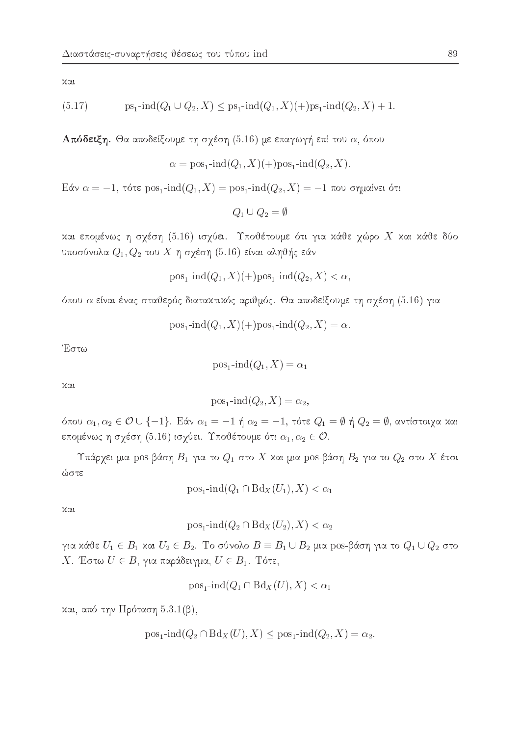χαι

(5.17) 
$$
ps_1\text{-}ind(Q_1 \cup Q_2, X) \le ps_1\text{-}ind(Q_1, X)(+)ps_1\text{-}ind(Q_2, X) + 1.
$$

**Απόδειξη.** Θα αποδείξουμε τη σχέση (5.16) με επαγωγή επί του  $\alpha$ , όπου

$$
\alpha = \text{pos}_1\text{-}\text{ind}(Q_1, X)(+) \text{pos}_1\text{-}\text{ind}(Q_2, X).
$$

Eάν α = -1, τότε pos<sub>1</sub>-ind(Q<sub>1</sub>, X) = pos<sub>1</sub>-ind(Q<sub>2</sub>, X) = -1 που σημαίνει ότι

 $Q_1 \cup Q_2 = \emptyset$ 

και επομένως η σχέση (5.16) ισχύει. Υποθέτουμε ότι για κάθε χώρο Χ και κάθε δύο υποσύνολα  $Q_1, Q_2$  του  $X$  η σχέση (5.16) είναι αληθής εάν

$$
pos_1\text{-}\!\operatorname{ind}(Q_1, X)(+)pos_1\text{-}\!\operatorname{ind}(Q_2, X) < \alpha,
$$

όπου α είναι ένας σταθερός διατακτικός αριθμός. Θα αποδείξουμε τη σχέση (5.16) για

$$
pos_1\text{-}\!\operatorname{ind}(Q_1, X)(+)pos_1\text{-}\!\operatorname{ind}(Q_2, X) = \alpha.
$$

Έστω

$$
pos_1\text{-}\!\operatorname{ind}(Q_1, X) = \alpha_1
$$

χαι

$$
pos_1\text{-}\mathrm{ind}(Q_2, X) = \alpha_2,
$$

όπου  $\alpha_1, \alpha_2 \in \mathcal{O} \cup \{-1\}$ . Εάν  $\alpha_1 = -1$  ή  $\alpha_2 = -1$ , τότε  $Q_1 = \emptyset$  ή  $Q_2 = \emptyset$ , αντίστοιχα και επομένως η σχέση (5.16) ισχύει. Υποθέτουμε ότι  $\alpha_1, \alpha_2 \in \mathcal{O}$ .

Υπάρχει μια pos-βάση  $B_1$  για το  $Q_1$  στο X και μια pos-βάση  $B_2$  για το  $Q_2$  στο X έτσι ώστε

$$
\text{pos}_1\text{-}\text{ind}(Q_1 \cap \text{Bd}_X(U_1), X) < \alpha_1
$$

 $λα<sub>l</sub>$ 

 $pos_1$ -ind $(Q_2 \cap Bd_X(U_2), X) < \alpha_2$ 

για κάθε $U_1 \in B_1$ και  $U_2 \in B_2$ . Το σύνολο  $B \equiv B_1 \cup B_2$  μια pos-βάση για το  $Q_1 \cup Q_2$  στο X. Έστω  $U \in B$ , για παράδειγμα,  $U \in B_1$ . Τότε,

$$
\text{pos}_1\text{-}\text{ind}(Q_1 \cap \text{Bd}_X(U), X) < \alpha_1
$$

και, από την Πρόταση 5.3.1(β),

$$
pos_1\text{-}\!\operatorname{ind}(Q_2 \cap Bd_X(U), X) \leq pos_1\text{-}\!\operatorname{ind}(Q_2, X) = \alpha_2.
$$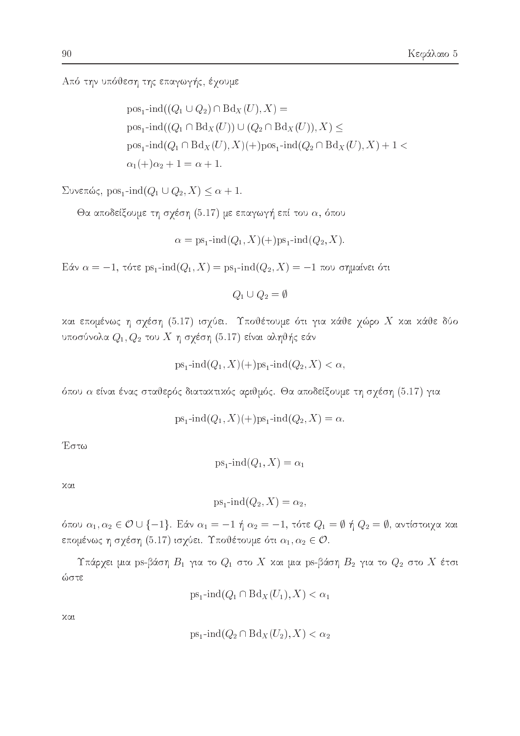Από την υπόθεση της επαγωγής, έχουμε

 $pos_1$ -ind $((Q_1 \cup Q_2) \cap Bd_X(U), X) =$  $pos_1$ -ind $((Q_1 \cap Bd_X(U)) \cup (Q_2 \cap Bd_X(U)), X) \leq$  $pos_1$ -ind $(Q_1 \cap Bd_X(U), X)(+)pos_1$ -ind $(Q_2 \cap Bd_X(U), X) + 1$  $\alpha_1(+)\alpha_2 + 1 = \alpha + 1.$ 

 $\Sigma$ υνεπώς, pos<sub>1</sub>-ind( $Q_1 \cup Q_2, X \leq \alpha + 1$ .

Θα αποδείξουμε τη σχέση (5.17) με επαγωγή επί του  $\alpha$ , όπου

$$
\alpha = \text{ps}_1\text{-}\text{ind}(Q_1, X)(+) \text{ps}_1\text{-}\text{ind}(Q_2, X).
$$

Eάν α = −1, τότε ps<sub>1</sub>-ind( $Q_1$ , X) = ps<sub>1</sub>-ind( $Q_2$ , X) = −1 που σημαίνει ότι

 $Q_1 \cup Q_2 = \emptyset$ 

και επομένως η σχέση (5.17) ισχύει. Υποθέτουμε ότι για κάθε χώρο Χ και κάθε δύο υποσύνολα  $Q_1, Q_2$  του  $X$  η σχέση (5.17) είναι αληθής εάν

$$
ps_1\text{-}\!\operatorname{ind}(Q_1, X)(+)ps_1\text{-}\!\operatorname{ind}(Q_2, X) < \alpha,
$$

όπου α είναι ένας σταθερός διατακτικός αριθμός. Θα αποδείξουμε τη σχέση (5.17) για

$$
ps_1\text{-}ind(Q_1, X)(+)ps_1\text{-}ind(Q_2, X) = \alpha
$$

Έστω

$$
\mathrm{ps}_1\text{-}\mathrm{ind}(Q_1,X)=\alpha_1
$$

χαι

$$
ps_1\text{-}\!\operatorname{ind}(Q_2,X) = \alpha_2,
$$

όπου  $\alpha_1, \alpha_2 \in \mathcal{O} \cup \{-1\}$ . Εάν  $\alpha_1 = -1$  ή  $\alpha_2 = -1$ , τότε  $Q_1 = \emptyset$  ή  $Q_2 = \emptyset$ , αντίστοιχα και επομένως η σχέση (5.17) ισχύει. Υποθέτουμε ότι  $\alpha_1, \alpha_2 \in \mathcal{O}$ .

Υπάρχει μια ps-βάση  $B_1$  για το  $Q_1$  στο X και μια ps-βάση  $B_2$  για το  $Q_2$  στο X έτσι ώστε

$$
\mathrm{ps}_1\text{-}\mathrm{ind}(Q_1 \cap \mathrm{Bd}_X(U_1), X) < \alpha_1
$$

χαι

$$
ps_1\text{-}\!\operatorname{ind}(Q_2 \cap Bd_X(U_2), X) < \alpha_2
$$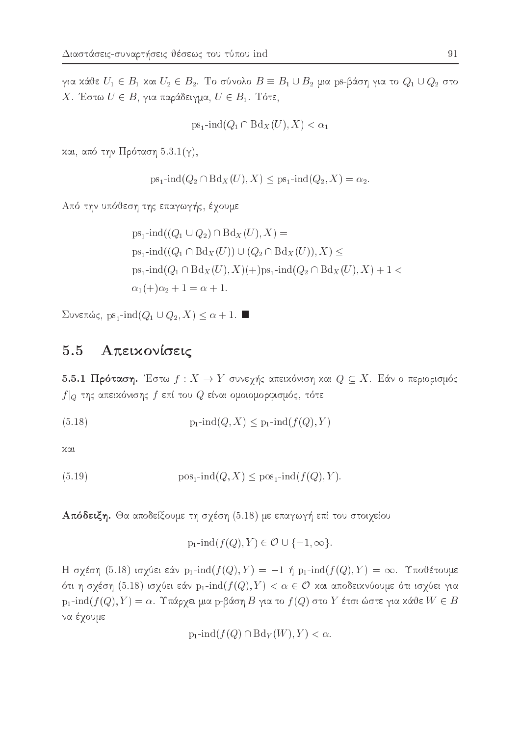για κάθε  $U_1 \in B_1$  και  $U_2 \in B_2$ . Το σύνολο  $B \equiv B_1 \cup B_2$  μια ps-βάση για το  $Q_1 \cup Q_2$  στο X. Έστω  $U \in B$ , για παράδειγμα,  $U \in B_1$ . Τότε,

$$
\mathrm{ps}_1\text{-}\mathrm{ind}(Q_1\cap\mathrm{Bd}_X(U),X)<\alpha_1
$$

και, από την Πρόταση  $5.3.1(\gamma)$ ,

$$
ps_1\text{-}\!\operatorname{ind}(Q_2 \cap Bd_X(U), X) \le ps_1\text{-}\!\operatorname{ind}(Q_2, X) = \alpha_2
$$

Από την υπόθεση της επαγωγής, έχουμε

$$
ps_1\text{-}ind((Q_1 \cup Q_2) \cap Bd_X(U), X) =
$$
  
\n
$$
ps_1\text{-}ind((Q_1 \cap Bd_X(U)) \cup (Q_2 \cap Bd_X(U)), X) \le
$$
  
\n
$$
ps_1\text{-}ind(Q_1 \cap Bd_X(U), X)(+)ps_1\text{-}ind(Q_2 \cap Bd_X(U), X) + 1 <
$$
  
\n
$$
\alpha_1(+) \alpha_2 + 1 = \alpha + 1.
$$

 $\Sigma$ υνεπώς, ps<sub>1</sub>-ind( $Q_1 \cup Q_2, X$ )  $\leq \alpha + 1$ .

#### Απεικονίσεις 5.5

5.5.1 Πρόταση. Έστω  $f: X \to Y$  συνεχής απεικόνιση και  $Q \subseteq X$ . Εάν ο περιορισμός  $f|_Q$  της απειχόνισης  $f$  επί του  $Q$  είναι ομοιομορφισμός, τότε

χαι

(5.19) 
$$
\text{pos}_1\text{-}\text{ind}(Q, X) \leq \text{pos}_1\text{-}\text{ind}(f(Q), Y).
$$

Απόδειξη. Θα αποδείξουμε τη σχέση (5.18) με επαγωγή επί του στοιχείου

 $p_1$ -ind $(f(Q), Y) \in \mathcal{O} \cup \{-1, \infty\}.$ 

Η σχέση (5.18) ισχύει εάν p<sub>1</sub>-ind( $f(Q), Y$ ) = -1 ή p<sub>1</sub>-ind( $f(Q), Y$ ) =  $\infty$ . Υποθέτουμε ότι η σχέση (5.18) ισχύει εάν  $p_1$ -ind $(f(Q), Y) < \alpha \in \mathcal{O}$  και αποδεικνύουμε ότι ισχύει για  $p_1$ -ind $(f(Q), Y) = \alpha$ . Υπάρχει μια p-βάση Β για το  $f(Q)$  στο Y έτσι ώστε για κάθε W  $\in B$ να έχουμε

$$
p_1\text{-}\!\operatorname{ind}(f(Q)\cap Bd_Y(W),Y)<\alpha.
$$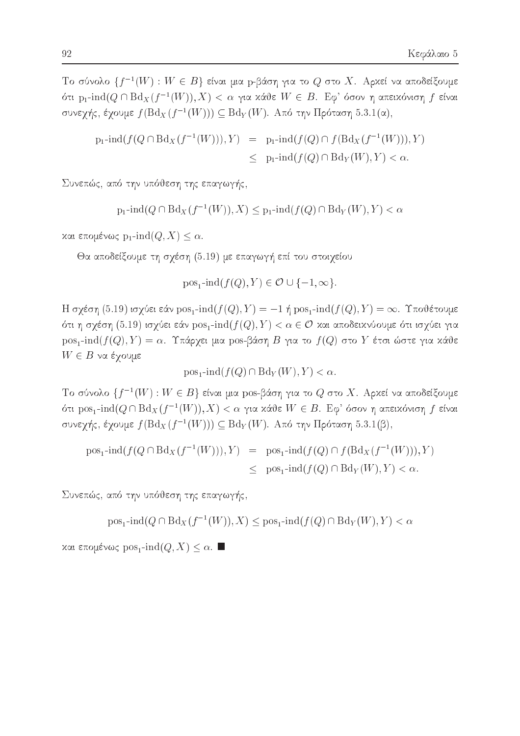Tο σύνολο  $\{f^{-1}(W): W \in B\}$  είναι μια p-βάση για το  $Q$  στο X. Αρκεί να αποδείξουμε ότι p<sub>1</sub>-ind(Q ∩ Bd<sub>X</sub>(f<sup>-1</sup>(W)), X) < α για κάθε W ∈ B. Εφ' όσον η απεικόνιση f είναι συνεγής, έγουμε  $f(\text{Bd}_X(f^{-1}(W))) \subseteq \text{Bd}_Y(W)$ . Από την Πρόταση 5.3.1(α),

$$
p_1\text{-}\mathrm{ind}(f(Q \cap \text{Bd}_X(f^{-1}(W))), Y) = p_1\text{-}\mathrm{ind}(f(Q) \cap f(\text{Bd}_X(f^{-1}(W))), Y)
$$
  

$$
\leq p_1\text{-}\mathrm{ind}(f(Q) \cap \text{Bd}_Y(W), Y) < \alpha.
$$

Συνεπώς, από την υπόθεση της επαγωγής,

$$
p_1\text{-}\!\operatorname{ind}(Q\cap\text{Bd}_X(f^{-1}(W)),X)\leq p_1\text{-}\!\operatorname{ind}(f(Q)\cap\text{Bd}_Y(W),Y)<\alpha
$$

και επομένως  $p_1$ -ind $(Q, X) \leq \alpha$ .

Θα αποδείξουμε τη σχέση (5.19) με επαγωγή επί του στοιχείου

$$
pos_1\text{-}\!\operatorname{ind}(f(Q), Y) \in \mathcal{O} \cup \{-1, \infty\}
$$

H σχέση (5.19) ισχύει εάν pos<sub>1</sub>-ind( $f(Q), Y$ ) = -1 ή pos<sub>1</sub>-ind( $f(Q), Y$ ) =  $\infty$ . Υποθέτουμε ότι η σχέση (5.19) ισχύει εάν  $pos_1$ -ind $(f(Q), Y) < \alpha \in \mathcal{O}$  και αποδεικνύουμε ότι ισχύει για  $pos_1$ -ind( $f(Q), Y$ ) = α. Υπάρχει μια pos-βάση Β για το  $f(Q)$  στο Y έτσι ώστε για κάθε  $W \in B$  να έχουμε

$$
\text{pos}_1\text{-}\text{ind}(f(Q) \cap \text{Bd}_Y(W), Y) < \alpha
$$

Tο σύνολο  $\{f^{-1}(W): W \in B\}$  είναι μια pos-βάση για το Q στο X. Αρχεί να αποδείξουμε ότι pos<sub>1</sub>-ind( $Q \cap Bd_X(f^{-1}(W)), X) < \alpha$  για κάθε  $W \in B$ . Εφ' όσον η απεικόνιση f είναι συνεχής, έχουμε  $f(\text{Bd}_X(f^{-1}(W))) \subseteq \text{Bd}_Y(W)$ . Από την Πρόταση 5.3.1(β),

$$
pos_1\text{-}ind(f(Q \cap Bd_X(f^{-1}(W))), Y) = pos_1\text{-}ind(f(Q) \cap f(Bd_X(f^{-1}(W))), Y)
$$
  

$$
\leq pos_1\text{-}ind(f(Q) \cap Bd_Y(W), Y) < \alpha.
$$

Συνεπώς, από την υπόθεση της επαγωγής,

 $pos_1$ -ind $(Q \cap Bd_X(f^{-1}(W)), X)$  <  $pos_1$ -ind $(f(Q) \cap Bd_Y(W), Y)$  <  $\alpha$ 

και επομένως  $\text{pos}_1\text{-}\text{ind}(Q,X) \leq \alpha$ . ■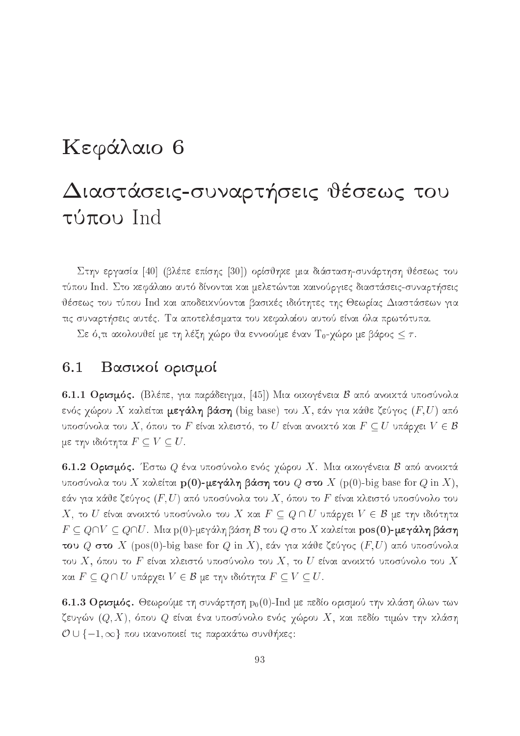## Κεφάλαιο 6

# Διαστάσεις-συναρτήσεις θέσεως του τύπου Ind

Στην εργασία [40] (βλέπε επίσης [30]) ορίσθηκε μια διάσταση-συνάρτηση θέσεως του τύπου Ind. Στο κεφάλαιο αυτό δίνονται και μελετώνται καινούργιες διαστάσεις-συναρτήσεις θέσεως του τύπου Ind και αποδεικνύονται βασικές ιδιότητες της Θεωρίας Διαστάσεων για τις συναρτήσεις αυτές. Τα αποτελέσματα του κεφαλαίου αυτού είναι όλα πρωτότυπα.

Σε ό,τι ακολουθεί με τη λέξη χώρο θα εννοούμε έναν Τ<sub>0</sub>-χώρο με βάρος  $\leq \tau$ .

#### Βασιχοί ορισμοί  $6.1$

6.1.1 Ορισμός. (Βλέπε, για παράδειγμα, [45]) Μια οικογένεια Β από ανοικτά υποσύνολα ενός χώρου Χ καλείται μεγάλη βάση (big base) του Χ, εάν για κάθε ζεύγος  $(F, U)$  από υποσύνολα του X, όπου το F είναι κλειστό, το U είναι ανοικτό και  $F \subseteq U$  υπάρχει  $V \in \mathcal{B}$ με την ιδιότητα  $F \subseteq V \subseteq U$ .

6.1.2 Ορισμός. Έστω  $Q$  ένα υποσύνολο ενός χώρου X. Μια οικογένεια Β από ανοικτά υποσύνολα του X καλείται  $p(0)$ -μεγάλη βάση του Q στο X (p(0)-big base for Q in X), εάν για κάθε ζεύγος  $(F,U)$  από υποσύνολα του  $X,$  όπου το  $F$  είναι κλειστό υποσύνολο του  $X,$  το  $U$  είναι ανοιχτό υποσύνολο του  $X$  χαι  $F \subseteq Q \cap U$  υπάρχει  $V \in \mathcal{B}$  με την ιδιότητα  $F \subseteq Q \cap V \subseteq Q \cap U$ . Μια p(0)-μεγάλη βάση  ${\mathcal{B}}$  του  $Q$  στο  $X$  καλείται  ${\bf pos}({\bf 0})$ -μεγάλη βάση του  $Q$  στο  $X$  (pos(0)-big base for  $Q$  in  $X$ ), εάν για κάθε ζεύγος  $(F, U)$  από υποσύνολα του X, όπου το F είναι κλειστό υποσύνολο του X, το U είναι ανοικτό υποσύνολο του X και  $F \subseteq Q \cap U$  υπάρχει  $V \in \mathcal{B}$  με την ιδιότητα  $F \subseteq V \subseteq U$ .

6.1.3 Ορισμός. Θεωρούμε τη συνάρτηση  $p_0(0)$ -Ind με πεδίο ορισμού την κλάση όλων των ζευγών  $(Q, X)$ , όπου  $Q$  είναι ένα υποσύνολο ενός χώρου  $X$ , και πεδίο τιμών την κλάση  $\mathcal{O} \cup \{-1, \infty\}$  που ικανοποιεί τις παρακάτω συνθήκες: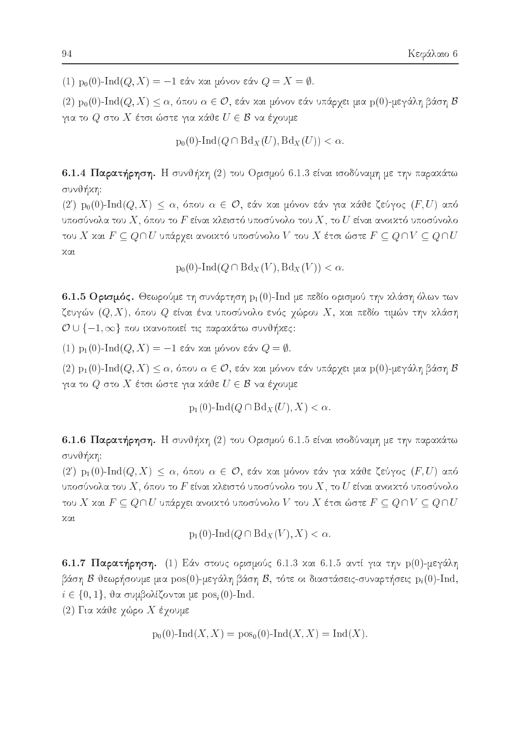(1) p<sub>0</sub>(0)-Ind(*Q*, *X*) = -1 εάν και μόνον εάν *Q* = *X* = *Φ*.

 $(2)$  p<sub>0</sub>(0)-Ind(*Q*, X)  $\leq \alpha$ , όπου  $\alpha \in \mathcal{O}$ , εάν και μόνον εάν υπάρχει μια p(0)-μεγάλη βάση Β για το  $Q$  στο  $X$  έτσι ώστε για κάθε  $U \in \mathcal{B}$  να έχουμε

 $p_0(0)$ -Ind $(Q \cap Bd_X(U), Bd_X(U)) < \alpha$ .

6.1.4 Παρατήρηση. Η συνθήκη (2) του Ορισμού 6.1.3 είναι ισοδύναμη με την παρακάτω συνθήκη:

 $(2')$  p<sub>0</sub>(0)-Ind(Q, X)  $\leq \alpha$ , όπου  $\alpha \in \mathcal{O}$ , εάν και μόνον εάν για κάθε ζεύγος (F, U) από υποσύνολα του  $X,$  όπου το  $F$  είναι κλειστό υποσύνολο του  $X,$  το  $U$  είναι ανοικτό υποσύνολο του Χ και  $F \subseteq Q \cap U$  υπάρχει ανοικτό υποσύνολο  $V$  του  $X$  έτσι ώστε  $F \subseteq Q \cap V \subseteq Q \cap U$ χαι

$$
p_0(0)\text{-}\mathrm{Ind}(Q\cap \text{Bd}_X(V),\text{Bd}_X(V)) < \alpha.
$$

6.1.5 Ορισμός. Θεωρούμε τη συνάρτηση  $p_1(0)$ -Ind με πεδίο ορισμού την κλάση όλων των ζευγών  $(Q,X)$ , όπου  $Q$  είναι ένα υποσύνολο ενός χώρου  $X$ , και πεδίο τιμών την κλάση  $\mathcal{O} \cup \{-1, \infty\}$  που ικανοποιεί τις παρακάτω συνθήκες:

(1) p<sub>1</sub>(0)-Ind(*Q*, *X*) = -1 εάν και μόνον εάν *Q* = *Φ*.

 $(2)$  p<sub>1</sub>(0)-Ind(*Q*, *X*)  $\leq \alpha$ , όπου  $\alpha \in \mathcal{O}$ , εάν και μόνον εάν υπάρχει μια p(0)-μεγάλη βάση Β για το  $Q$  στο  $X$  έτσι ώστε για κάθε  $U \in \mathcal{B}$  να έχουμε

$$
p_1(0)-\mathrm{Ind}(Q\cap \mathrm{Bd}_X(U),X)<\alpha.
$$

6.1.6 Παρατήρηση. Η συνθήχη (2) του Ορισμού 6.1.5 είναι ισοδύναμη με την παραχάτω συνθήκη:

 $(2')$  p<sub>1</sub>(0)-Ind(Q, X)  $\leq \alpha$ , όπου  $\alpha \in \mathcal{O}$ , εάν και μόνον εάν για κάθε ζεύγος (F, U) από υποσύνολα του  $X,$  όπου το  $F$  είναι κλειστό υποσύνολο του  $X,$  το  $U$  είναι ανοικτό υποσύνολο του Χ και  $F \subseteq Q \cap U$  υπάρχει ανοικτό υποσύνολο  $V$  του  $X$  έτσι ώστε  $F \subseteq Q \cap V \subseteq Q \cap U$ χαι

$$
p_1(0)-\mathrm{Ind}(Q\cap \mathrm{Bd}_X(V),X)<\alpha.
$$

6.1.7 Παρατήρηση. (1) Εάν στους ορισμούς 6.1.3 και 6.1.5 αντί για την p(0)-μεγάλη βάση Β θεωρήσουμε μια  $pos(0)$ -μεγάλη βάση Β, τότε οι διαστάσεις-συναρτήσεις  $p_i(0)$ -Ind,  $i \in \{0, 1\}$ , θα συμβολίζονται με pos<sub>i</sub>(0)-Ind.

(2) Για κάθε χώρο Χ έχουμε

$$
p_0(0)
$$
-Ind $(X, X)$  =  $pos_0(0)$ -Ind $(X, X)$  = Ind $(X)$ .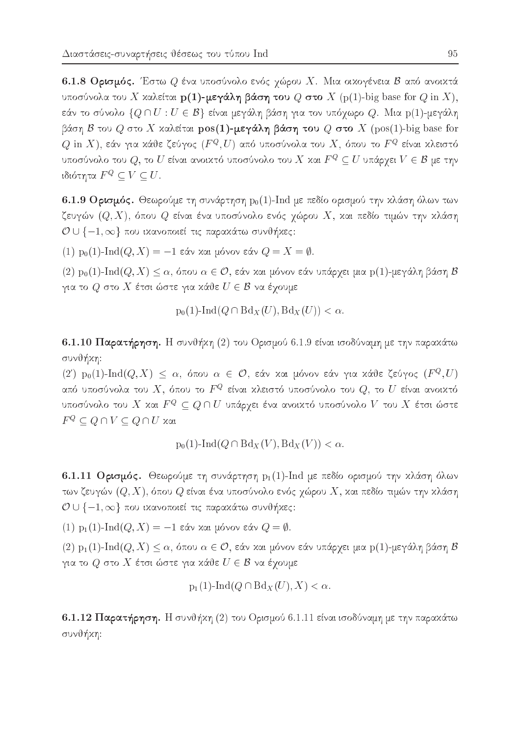6.1.8 Ορισμός. Έστω  $Q$  ένα υποσύνολο ενός γώρου Χ. Μια οικογένεια Β από ανοικτά υποσύνολα του X καλείται  $p(1)$ -μεγάλη βάση του Q στο X (p(1)-big base for Q in X), εάν το σύνολο  $\{Q \cap U : U \in \mathcal{B}\}\$ είναι μεγάλη βάση για τον υπόχωρο  $Q$ . Μια p(1)-μεγάλη βάση Β του Q στο X καλείται  $pos(1)$ -μεγάλη βάση του Q στο X (pos(1)-big base for  $Q$  in  $X)$ , εάν για κάθε ζεύγος  $(F^Q,U)$  από υποσύνολα του  $X,$  όπου το  $F^Q$  είναι κλειστό υποσύνολο του  $Q,$  το  $U$  είναι ανοικτό υποσύνολο του  $X$  και  $F^Q \subseteq U$  υπάρχει  $V \in \mathcal{B}$  με την ιδιότητα  $F^Q \subseteq V \subseteq U$ .

6.1.9 Ορισμός. Θεωρούμε τη συνάρτηση  $p_0(1)$ -Ind με πεδίο ορισμού την κλάση όλων των ζευγών  $(Q, X)$ , όπου  $Q$  είναι ένα υποσύνολο ενός χώρου  $X$ , και πεδίο τιμών την κλάση  $\mathcal{O} \cup \{-1, \infty\}$  που ικανοποιεί τις παρακάτω συνθήκες:

 $(1)$  p<sub>0</sub>(1)-Ind(*Q*, *X*) = -1 εάν και μόνον εάν *Q* = *X* = *Φ*.

 $(2)$  p<sub>0</sub>(1)-Ind $(Q, X) \leq \alpha$ , όπου  $\alpha \in \mathcal{O}$ , εάν και μόνον εάν υπάρχει μια p(1)-μεγάλη βάση Β για το  $Q$  στο  $X$  έτσι ώστε για κάθε  $U \in \mathcal{B}$  να έχουμε

$$
p_0(1)\text{-}\mathrm{Ind}(Q\cap \text{Bd}_X(U),\text{Bd}_X(U)) < \alpha.
$$

6.1.10 Παρατήρηση. Η συνθήκη (2) του Ορισμού 6.1.9 είναι ισοδύναμη με την παρακάτω συνθήκη:

 $(2')$  p<sub>0</sub>(1)-Ind(Q, X)  $\leq \alpha$ , όπου  $\alpha \in \mathcal{O}$ , εάν και μόνον εάν για κάθε ζεύγος (F<sup>Q</sup>, U) από υποσύνολα του  $X,$  όπου το  $F^Q$  είναι κλειστό υποσύνολο του  $Q,$  το  $U$  είναι ανοικτό υποσύνολο του  $X$  και  $F^Q \subseteq Q \cap U$  υπάρχει ένα ανοικτό υποσύνολο  $V$  του  $X$  έτσι ώστε  $F^Q \subseteq Q \cap V \subseteq Q \cap U$  και

$$
p_0(1)\text{-}\mathrm{Ind}(Q\cap \mathrm{Bd}_X(V),\mathrm{Bd}_X(V)) < \alpha.
$$

6.1.11 Ορισμός. Θεωρούμε τη συνάρτηση  $p_1(1)$ -Ind με πεδίο ορισμού την κλάση όλων των ζευγών  $(Q, X)$ , όπου  $Q$  είναι ένα υποσύνολο ενός χώρου  $X$ , και πεδίο τιμών την κλάση  $\mathcal{O} \cup \{-1, \infty\}$  που ικανοποιεί τις παρακάτω συνθήκες:

(1) p<sub>1</sub>(1)-Ind(*Q*, *X*) = -1 εάν και μόνον εάν *Q* =  $\emptyset$ .

 $(2)$  p<sub>1</sub>(1)-Ind $(Q, X) \leq \alpha$ , όπου  $\alpha \in \mathcal{O}$ , εάν και μόνον εάν υπάρχει μια p(1)-μεγάλη βάση Β για το  $Q$  στο  $X$  έτσι ώστε για κάθε  $U \in \mathcal{B}$  να έχουμε

$$
p_1(1)-\mathrm{Ind}(Q\cap \mathrm{Bd}_X(U),X)<\alpha.
$$

6.1.12 Παρατήρηση. Η συνθήκη (2) του Ορισμού 6.1.11 είναι ισοδύναμη με την παρακάτω συνθήκη: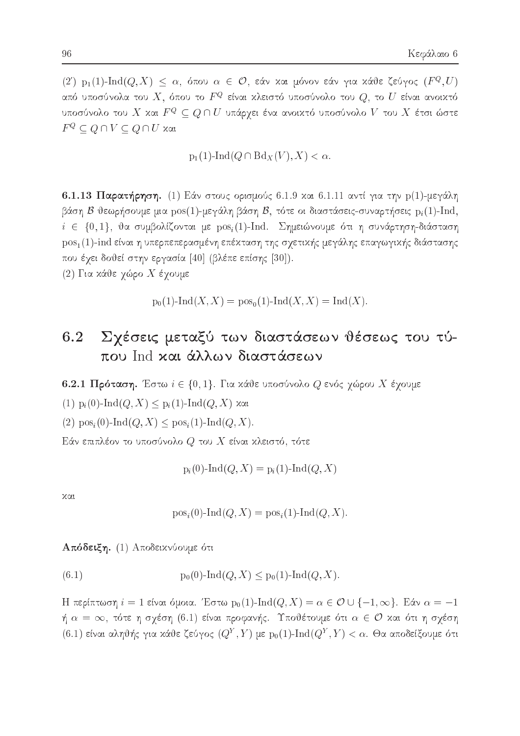$(2)$  p<sub>1</sub>(1)-Ind $(Q, X) \leq \alpha$ , όπου  $\alpha \in \mathcal{O}$ , εάν και μόνον εάν για κάθε ζεύγος (F<sup>Q</sup>, U) από υποσύνολα του  $X,$  όπου το  $F^Q$  είναι κλειστό υποσύνολο του  $Q,$  το  $U$  είναι ανοικτό υποσύνολο του  $X$  και  $F^Q \subseteq Q \cap U$  υπάρχει ένα ανοικτό υποσύνολο  $V$  του  $X$  έτσι ώστε  $F^Q \subset Q \cap V \subseteq Q \cap U$  και

 $p_1(1)$ -Ind $(Q \cap Bd_X(V), X) < \alpha$ .

6.1.13 Παρατήρηση. (1) Εάν στους ορισμούς 6.1.9 και 6.1.11 αντί για την p(1)-μεγάλη βάση Β θεωρήσουμε μια  $pos(1)$ -μεγάλη βάση Β, τότε οι διαστάσεις-συναρτήσεις  $p_i(1)$ -Ind,  $i \in \{0,1\}$ , θα συμβολίζονται με  $\text{pos}_i(1)$ -Ind. Σημειώνουμε ότι η συνάρτηση-διάσταση pos<sub>1</sub>(1)-ind είναι η υπερπεπερασμένη επέκταση της σχετικής μεγάλης επαγωγικής διάστασης που έχει δοθεί στην εργασία [40] (βλέπε επίσης [30]).

(2) Για κάθε χώρο Χ έχουμε

 $p_0(1)$ -Ind $(X, X) = pos_0(1)$ -Ind $(X, X) = Ind(X)$ .

### Σχέσεις μεταξύ των διαστάσεων θέσεως του τύ-6.2 που Ind και άλλων διαστάσεων

6.2.1 Πρόταση. Έστω  $i \in \{0, 1\}$ . Για κάθε υποσύνολο  $Q$  ενός γώρου X έγουμε

(1)  $p_i(0)$ -Ind(*Q*, *X*)  $\leq p_i(1)$ -Ind(*Q*, *X*) και

(2)  $pos_i(0)$ -Ind $(Q, X) \leq pos_i(1)$ -Ind $(Q, X)$ .

Εάν επιπλέον το υποσύνολο  $Q$  του  $X$  είναι κλειστό, τότε

$$
p_i(0)\text{-}\mathrm{Ind}(Q,X) = p_i(1)\text{-}\mathrm{Ind}(Q,X)
$$

 $XQL$ 

$$
posi(0)-Ind(Q, X) = posi(1)-Ind(Q, X).
$$

Απόδειξη. (1) Αποδεικνύουμε ότι

(6.1) 
$$
p_0(0)-\text{Ind}(Q,X) \leq p_0(1)-\text{Ind}(Q,X)
$$

Η περίπτωση  $i = 1$  είναι όμοια. Έστω  $p_0(1)$ -Ind $(Q, X) = \alpha \in \mathcal{O} \cup \{-1, \infty\}$ . Εάν  $\alpha = -1$ ή  $\alpha\,=\,\infty,$  τότε η σχέση  $(6.1)$  είναι προφανής. Υποθέτουμε ότι  $\alpha\,\in\,\mathcal{O}$  και ότι η σχέση (6.1) είναι αληθής για κάθε ζεύγος  $(Q^Y, Y)$  με  $p_0(1)$ -Ind $(Q^Y, Y) < \alpha$ . Θα αποδείξουμε ότι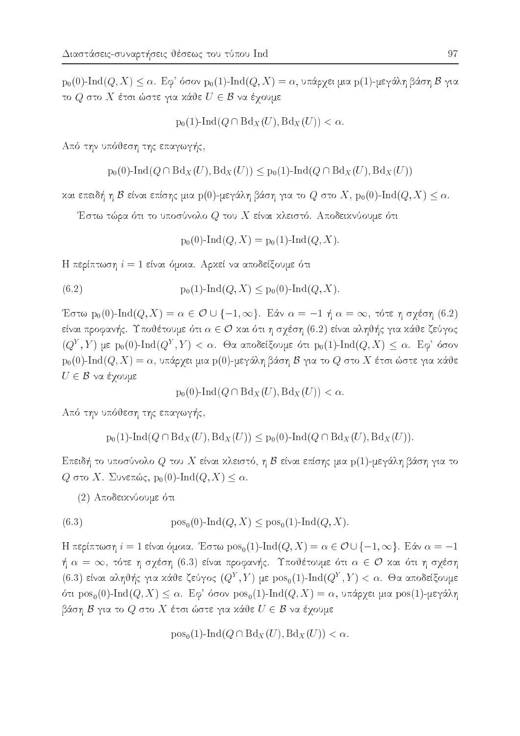$p_0(0)$ -Ind $(Q, X) \leq \alpha$ . Εφ' όσον  $p_0(1)$ -Ind $(Q, X) = \alpha$ , υπάρχει μια p(1)-μεγάλη βάση Β για το  $Q$  στο  $X$  έτσι ώστε για κάθε  $U \in \mathcal{B}$  να έχουμε

 $p_0(1)$ -Ind $(Q \cap Bd_X(U), Bd_X(U)) < \alpha$ .

Από την υπόθεση της επαγωγής,

$$
p_0(0)
$$
-Ind( $Q \cap Bd_X(U)$ ,  $Bd_X(U)$ )  $\leq p_0(1)$ -Ind( $Q \cap Bd_X(U)$ ,  $Bd_X(U)$ )

και επειδή η  $\mathcal B$  είναι επίσης μια p(0)-μεγάλη βάση για το  $Q$  στο  $X$ , p<sub>0</sub>(0)-Ind( $Q, X$ )  $\leq \alpha$ .

Έστω τώρα ότι το υποσύνολο  $Q$  του  $X$  είναι κλειστό. Αποδεικνύουμε ότι

$$
p_0(0)-\text{Ind}(Q, X) = p_0(1)-\text{Ind}(Q, X).
$$

Η περίπτωση  $i=1$  είναι όμοια. Αρχεί να αποδείξουμε ότι

(6.2) 
$$
p_0(1)-\text{Ind}(Q,X) \leq p_0(0)-\text{Ind}(Q,X).
$$

Έστω p<sub>0</sub>(0)-Ind(*Q*, *X*) =  $\alpha \in \mathcal{O} \cup \{-1, \infty\}$ . Εάν  $\alpha = -1$  ή  $\alpha = \infty$ , τότε η σχέση (6.2) είναι προφανής. Υποθέτουμε ότι  $\alpha \in \mathcal{O}$  και ότι η σχέση (6.2) είναι αληθής για κάθε ζεύγος  $(Q^Y, Y)$  με p<sub>0</sub>(0)-Ind( $Q^Y, Y$ ) <  $\alpha$ . Θα αποδείξουμε ότι p<sub>0</sub>(1)-Ind( $Q, X$ )  $\leq \alpha$ . Εφ' όσον  $p_0(0)$ -Ind $(Q, X) = \alpha$ , υπάρχει μια p(0)-μεγάλη βάση Β για το  $Q$  στο X έτσι ώστε για κάθε  $U \in \mathcal{B}$  να έχουμε

 $p_0(0)$ -Ind $(Q \cap Bd_X(U), Bd_X(U)) < \alpha$ .

Από την υπόθεση της επαγωγής,

$$
p_0(1)-\text{Ind}(Q \cap \text{Bd}_X(U), \text{Bd}_X(U)) \leq p_0(0)-\text{Ind}(Q \cap \text{Bd}_X(U), \text{Bd}_X(U)).
$$

Επειδή το υποσύνολο  $Q$  του  $X$  είναι κλειστό, η  ${\mathcal B}$  είναι επίσης μια  ${\rm p}(1)$ -μεγάλη βάση για το Q στο X. Συνεπώς,  $p_0(0)$ -Ind $(Q, X) \leq \alpha$ .

(2) Αποδεικνύουμε ότι

(6.3) 
$$
pos_0(0)-Ind(Q, X) \le pos_0(1)-Ind(Q, X).
$$

H περίπτωση  $i = 1$  είναι όμοια. Έστω pos<sub>0</sub>(1)-Ind(*Q*, *X*) =  $\alpha \in \mathcal{O} \cup \{-1, \infty\}$ . Εάν  $\alpha = -1$ ή  $\alpha\,=\,\infty,$  τότε η σχέση  $(6.3)$  είναι προφανής. Υποθέτουμε ότι  $\alpha\,\in\,\mathcal{O}$  και ότι η σχέση (6.3) είναι αληθής για κάθε ζεύγος  $(Q^Y, Y)$  με  $pos_0(1)$ -Ind $(Q^Y, Y) < \alpha$ . Θα αποδείξουμε ότι  $pos_0(0)$ -Ind $(Q, X) \leq \alpha$ . Εφ' όσον  $pos_0(1)$ -Ind $(Q, X) = \alpha$ , υπάρχει μια  $pos(1)$ -μεγάλη βάση  $\mathcal B$  για το  $Q$  στο  $X$  έτσι ώστε για κάθε  $U \in \mathcal B$  να έγουμε

$$
pos_0(1)-Ind(Q \cap Bd_X(U), Bd_X(U)) < \alpha.
$$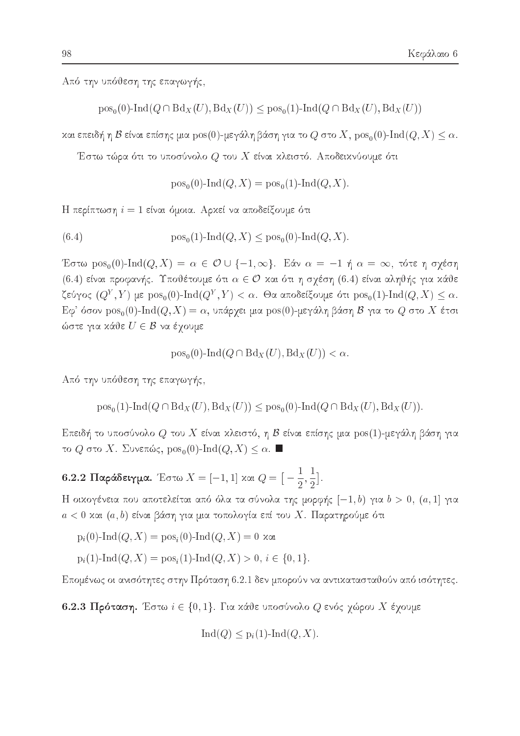Από την υπόθεση της επαγωγής,

 $pos_0(0)$ -Ind $(Q \cap Bd_X(U), Bd_X(U)) \leq pos_0(1)$ -Ind $(Q \cap Bd_X(U), Bd_X(U))$ 

και επειδή η  $\mathcal B$  είναι επίσης μια  $\text{pos}(0)$ -μεγάλη βάση για το  $Q$  στο  $X$ ,  $\text{pos}_0(0)$ -Ind $(Q, X) \leq \alpha$ .

Έστω τώρα ότι το υποσύνολο $Q$ του $X$ είναι κλειστό. Αποδεικνύουμε ότι

 $pos_0(0)$ -Ind $(Q, X) = pos_0(1)$ -Ind $(Q, X)$ .

Η περίπτωση  $i=1$  είναι όμοια. Αρχεί να αποδείξουμε ότι

(6.4) 
$$
pos_0(1)-Ind(Q, X) \leq pos_0(0)-Ind(Q, X).
$$

Έστω pos<sub>0</sub>(0)-Ind(*Q*, *X*) =  $\alpha \in \mathcal{O} \cup \{-1, \infty\}$ . Εάν  $\alpha = -1$  ή  $\alpha = \infty$ , τότε η σχέση (6.4) είναι προφανής. Υποθέτουμε ότι  $\alpha \in \mathcal{O}$  και ότι η σχέση (6.4) είναι αληθής για κάθε ζεύγος  $(Q^Y, Y)$  με  $\text{pos}_0(0)$ - $\text{Ind}(Q^Y, Y) < \alpha$ . Θα αποδείξουμε ότι  $\text{pos}_0(1)$ - $\text{Ind}(Q, X) \leq \alpha$ .  $E\varphi$ ' όσον  $pos_0(0)$ -Ind $(Q, X) = \alpha$ , υπάργει μια  $pos(0)$ -μεγάλη βάση  $\beta$  για το  $Q$  στο  $X$  έτσι ώστε για κάθε  $U \in \mathcal{B}$  να έχουμε

$$
pos_0(0)-Ind(Q \cap Bd_X(U), Bd_X(U)) < \alpha.
$$

Από την υπόθεση της επαγωγής.

 $pos_{0}(1)$ -Ind( $Q \cap Bd_{X}(U)$ ,  $Bd_{X}(U)$ )  $\leq pos_{0}(0)$ -Ind( $Q \cap Bd_{X}(U)$ ,  $Bd_{X}(U)$ ).

Επειδή το υποσύνολο  $Q$  του  $X$  είναι κλειστό, η  ${\mathcal{B}}$  είναι επίσης μια  $\mathop{\mathrm{pos}}\nolimits (1)$ -μεγάλη βάση για το  $Q$  στο X. Συνεπώς,  $pos_0(0)$ -Ind $(Q, X) \leq \alpha$ .

6.2.2 Παράδειγμα. Έστω  $X = [-1, 1]$  και  $Q = \left[-\frac{1}{2}, \frac{1}{2}\right]$ .

Η οικογένεια που αποτελείται από όλα τα σύνολα της μορφής  $[-1, b)$  για  $b > 0$ ,  $(a, 1]$  για  $a < 0$  και  $(a, b)$  είναι βάση για μια τοπολογία επί του  $X$ . Παρατηρούμε ότι

 $p_i(0)$ -Ind(*Q*, *X*) =  $pos_i(0)$ -Ind(*Q*, *X*) = 0 και

 $p_i(1)$ -Ind $(Q, X) = pos_i(1)$ -Ind $(Q, X) > 0, i \in \{0, 1\}.$ 

Επομένως οι ανισότητες στην Πρόταση 6.2.1 δεν μπορούν να αντικατασταθούν από ισότητες.

6.2.3 Πρόταση. Έστω  $i \in \{0,1\}$ . Για κάθε υποσύνολο  $Q$  ενός χώρου  $X$  έχουμε

$$
Ind(Q) \leq p_i(1) - Ind(Q, X)
$$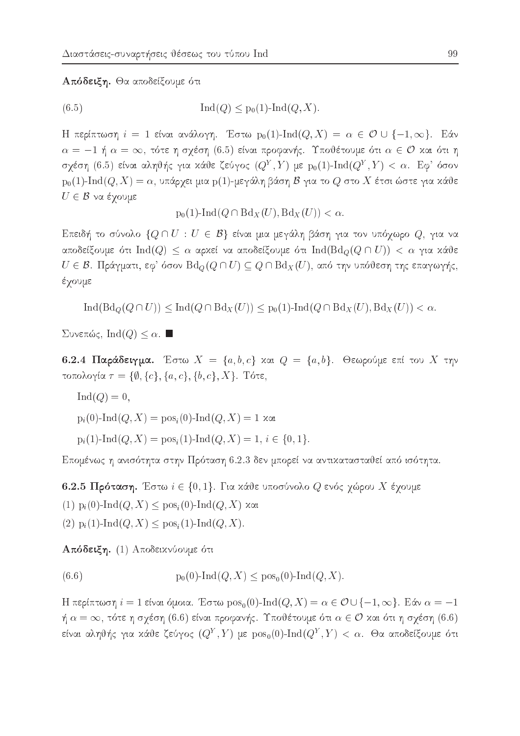### Απόδειξη. Θα αποδείξουμε ότι

 $(6.5)$  $\text{Ind}(Q) \leq p_0(1)$ -Ind $(Q, X)$ .

Η περίπτωση  $i = 1$  είναι ανάλογη. Έστω  $p_0(1)$ -Ind $(Q, X) = \alpha \in \mathcal{O} \cup \{-1, \infty\}$ . Εάν  $\alpha = -1$  ή  $\alpha = \infty$ , τότε η σχέση (6.5) είναι προφανής. Υποθέτουμε ότι  $\alpha \in \mathcal{O}$  και ότι η σχέση (6.5) είναι αληθής για κάθε ζεύγος  $(Q^Y, Y)$  με  $p_0(1)\text{-}\text{Ind}(Q^Y, Y) < \alpha$ . Εφ' όσον  $\mathrm{p}_0(1)\text{-}\!\operatorname{Ind}(Q,X)=\alpha,$ υπάρχει μια p(1)-μεγάλη βάση $\mathcal B$ για το  $Q$  στο  $X$  έτσι ώστε για κάθε  $U \in \mathcal{B}$  να έγουμε

 $p_0(1)$ -Ind $(Q \cap Bd_X(U), Bd_X(U)) < \alpha$ .

Επειδή το σύνολο  $\{Q \cap U : U \in \mathcal{B}\}\$ είναι μια μεγάλη βάση για τον υπόχωρο  $Q$ , για να αποδείξουμε ότι  $\text{Ind}(Q) \leq \alpha$  αρχεί να αποδείξουμε ότι  $\text{Ind}(\text{Bd}_Q(Q \cap U)) < \alpha$  για χάθε  $U \in \mathcal{B}$ . Πράγματι, εφ' όσον  ${\rm Bd}_Q(Q \cap U) \subseteq Q \cap {\rm Bd}_X(U)$ , από την υπόθεση της επαγωγής, έχουμε

 $\text{Ind}(\text{Bd}_Q(Q \cap U)) \leq \text{Ind}(Q \cap \text{Bd}_X(U)) \leq p_0(1) \text{-} \text{Ind}(Q \cap \text{Bd}_X(U), \text{Bd}_X(U)) < \alpha.$ 

Συνεπώς, Ind(*Q*)  $\leq \alpha$ . ■

6.2.4 Παράδειγμα. Έστω  $X = \{a, b, c\}$  και  $Q = \{a, b\}$ . Θεωρούμε επί του X την τοπολογία  $\tau = \{\emptyset, \{c\}, \{a, c\}, \{b, c\}, X\}$ . Τότε,

 $\text{Ind}(Q) = 0.$ 

 $p_i(0)$ -Ind $(Q, X) = pos_i(0)$ -Ind $(Q, X) = 1$  και

 $p_i(1)$ -Ind $(Q, X) = pos_i(1)$ -Ind $(Q, X) = 1, i \in \{0, 1\}.$ 

Επομένως η ανισότητα στην Πρόταση 6.2.3 δεν μπορεί να αντικατασταθεί από ισότητα.

6.2.5 Πρόταση. Έστω  $i \in \{0, 1\}$ . Για κάθε υποσύνολο  $Q$  ενός γώρου  $X$  έγουμε  $(1)$  p<sub>i</sub>(0)-Ind(*Q*, *X*)  $\leq$  pos<sub>i</sub>(0)-Ind(*Q*, *X*) και (2)  $p_i(1)$ -Ind $(Q, X) \leq pos_i(1)$ -Ind $(Q, X)$ .

Απόδειξη. (1) Αποδεικνύουμε ότι

 $(6.6)$  $p_0(0)$ -Ind $(Q, X) \leq p \circ s_0(0)$ -Ind $(Q, X)$ .

H περίπτωση  $i = 1$  είναι όμοια. Έστω pos<sub>0</sub>(0)-Ind(*Q*, *X*) =  $\alpha \in \mathcal{O} \cup \{-1, \infty\}$ . Εάν  $\alpha = -1$  $\eta \alpha = \infty$ , τότε η σχέση (6.6) είναι προφανής. Υποθέτουμε ότι  $\alpha \in \mathcal{O}$  και ότι η σχέση (6.6) είναι αληθής για κάθε ζεύγος  $(Q^Y,Y)$  με  $\text{pos}_{0}(0)\text{-}\text{Ind}(Q^Y,Y)<\alpha.$  Θα αποδείξουμε ότι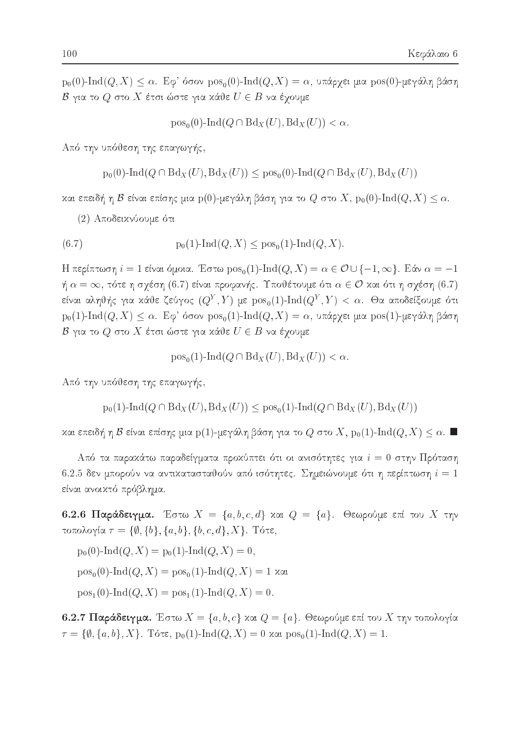$p_0(0)$ -Ind(Q, X)  $\leq \alpha$ . Εφ' όσον  $pos_0(0)$ -Ind(Q, X) = α, υπάρχει μια  $pos(0)$ -μεγάλη βάση  $\mathcal B$  για το  $Q$  στο  $X$  έτσι ώστε για κάθε  $U \in B$  να έχουμε

 $pos_0(0)$ -Ind $(Q \cap Bd_X(U), Bd_X(U)) < \alpha$ .

Από την υπόθεση της επαγωγής,

$$
p_0(0)\text{-}\mathrm{Ind}(Q\cap \text{Bd}_X(U),\text{Bd}_X(U))\leq p\mathrm{os}_0(0)\text{-}\mathrm{Ind}(Q\cap \text{Bd}_X(U),\text{Bd}_X(U))
$$

και επειδή η Β είναι επίσης μια  $p(0)$ -μεγάλη βάση για το  $Q$  στο  $X$ ,  $p_0(0)$ -Ind $(Q, X) \leq \alpha$ .

(2) Αποδεικνύουμε ότι

(6.7) 
$$
p_0(1)-\text{Ind}(Q,X) \leq p \text{os}_0(1)-\text{Ind}(Q,X).
$$

H περίπτωση  $i = 1$  είναι όμοια. Έστω  $pos_0(1)$ -Ind $(Q, X) = \alpha \in \mathcal{O} \cup \{-1, \infty\}$ . Εάν  $\alpha = -1$  $\eta \alpha = \infty$ , τότε η σχέση (6.7) είναι προφανής. Υποθέτουμε ότι  $\alpha \in \mathcal{O}$  και ότι η σχέση (6.7) είναι αληθής για κάθε ζεύγος  $(Q^Y, Y)$  με  $\text{pos}_0(1)$ -Ind $(Q^Y, Y) < \alpha$ . Θα αποδείξουμε ότι  $p_0(1)$ -Ind $(Q, X) \leq \alpha$ . Εφ' όσον  $pos_0(1)$ -Ind $(Q, X) = \alpha$ , υπάρχει μια  $pos(1)$ -μεγάλη βάση  $\mathcal B$ για το  $Q$  στο  $X$  έτσι ώστε για κάθε  $U\in B$  να έχουμε

$$
pos_0(1)-Ind(Q \cap Bd_X(U), Bd_X(U)) < \alpha.
$$

Από την υπόθεση της επαγωγής,

$$
p_0(1)
$$
-Ind $(Q \cap Bd_X(U), Bd_X(U)) \leq pos_0(1)$ -Ind $(Q \cap Bd_X(U), Bd_X(U))$ 

και επειδή η Β είναι επίσης μια p(1)-μεγάλη βάση για το  $Q$  στο  $X$ ,  $p_0(1)$ -Ind $(Q, X) \leq \alpha$ . ■

Από τα παρακάτω παραδείγματα προκύπτει ότι οι ανισότητες για  $i=0$  στην Πρόταση 6.2.5 δεν μπορούν να αντικατασταθούν από ισότητες. Σημειώνουμε ότι η περίπτωση  $i=1$ είναι ανοικτό πρόβλημα.

6.2.6 Παράδειγμα. Έστω  $X = \{a, b, c, d\}$  και  $Q = \{a\}$ . Θεωρούμε επί του X την τοπολογία  $\tau = \{\emptyset, \{b\}, \{a, b\}, \{b, c, d\}, X\}$ . Τότε,

 $p_0(0)$ -Ind $(Q, X) = p_0(1)$ -Ind $(Q, X) = 0$ ,  $pos_0(0)$ -Ind $(Q, X) = pos_0(1)$ -Ind $(Q, X) = 1$  xat  $pos_1(0)$ -Ind $(Q, X) = pos_1(1)$ -Ind $(Q, X) = 0$ .

6.2.7 Παράδειγμα. Έστω  $X = \{a, b, c\}$  και  $Q = \{a\}$ . Θεωρούμε επί του  $X$  την τοπολογία  $\tau = \{\emptyset, \{a, b\}, X\}.$  Tότε,  $p_0(1)$ -Ind $(Q, X) = 0$  και  $pos_0(1)$ -Ind $(Q, X) = 1.$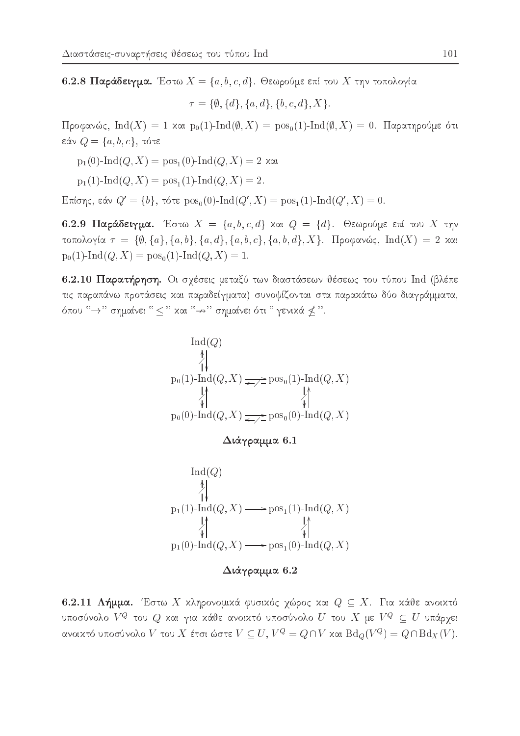6.2.8 Παράδειγμα. Έστω  $X = \{a, b, c, d\}$ . Θεωρούμε επί του X την τοπολογία

 $\tau = {\emptyset, \{d\}, \{a, d\}, \{b, c, d\}, X}.$ 

Προφανώς, Ind(X) = 1 και p<sub>0</sub>(1)-Ind( $\emptyset$ , X) = pos<sub>0</sub>(1)-Ind( $\emptyset$ , X) = 0. Παρατηρούμε ότι εάν $Q = \{a, b, c\}, \tau$ ότε

- $p_1(0)$ -Ind $(Q, X) = pos_1(0)$ -Ind $(Q, X) = 2$  xat
- $p_1(1)$ -Ind $(Q, X) = pos_1(1)$ -Ind $(Q, X) = 2$ .

Επίσης, εάν  $Q' = \{b\}$ , τότε  $pos_0(0)$ -Ind( $Q', X$ ) =  $pos_1(1)$ -Ind( $Q', X$ ) = 0.

6.2.9 Παράδειγμα. Έστω  $X = \{a, b, c, d\}$  και  $Q = \{d\}$ . Θεωρούμε επί του X την τοπολογία  $\tau = \{\emptyset, \{a\}, \{a, b\}, \{a, d\}, \{a, b, c\}, \{a, b, d\}, X\}$ . Προφανώς,  $\text{Ind}(X) = 2$  και  $p_0(1)$ -Ind $(Q, X) = pos_0(1)$ -Ind $(Q, X) = 1$ .

6.2.10 Παρατήρηση. Οι σχέσεις μεταξύ των διαστάσεων θέσεως του τύπου Ind (βλέπε τις παραπάνω προτάσεις και παραδείγματα) συνοψίζονται στα παρακάτω δύο διαγράμματα, όπου " $\rightarrow$ " σημαίνει " < " χαι " $\rightarrow$ " σημαίνει ότι " γενικά ≮ ".

$$
\operatorname{Ind}(Q)
$$
\n
$$
\uparrow \qquad \qquad \downarrow
$$
\n
$$
p_0(1)-\operatorname{Ind}(Q, X) \Longrightarrow \operatorname{pos}_0(1)-\operatorname{Ind}(Q, X)
$$
\n
$$
\downarrow \qquad \qquad \downarrow
$$
\n
$$
p_0(0)-\operatorname{Ind}(Q, X) \Longrightarrow \operatorname{pos}_0(0)-\operatorname{Ind}(Q, X)
$$

 $Διάγραμμα 6.1$ 



Διάγραμμα 6.2

6.2.11 Λήμμα. Έστω Χ κληρονομικά φυσικός χώρος και  $Q \subseteq X$ . Για κάθε ανοικτό υποσύνολο  $V^Q$  του  $Q$  και για κάθε ανοικτό υποσύνολο  $U$  του  $X$  με  $V^Q \subseteq U$  υπάρχει ανοικτό υποσύνολο  $V$  του  $X$  έτσι ώστε  $V \subseteq U$ ,  $V^Q = Q \cap V$  και  $\text{Bd}_Q(V^Q) = Q \cap \text{Bd}_X(V)$ .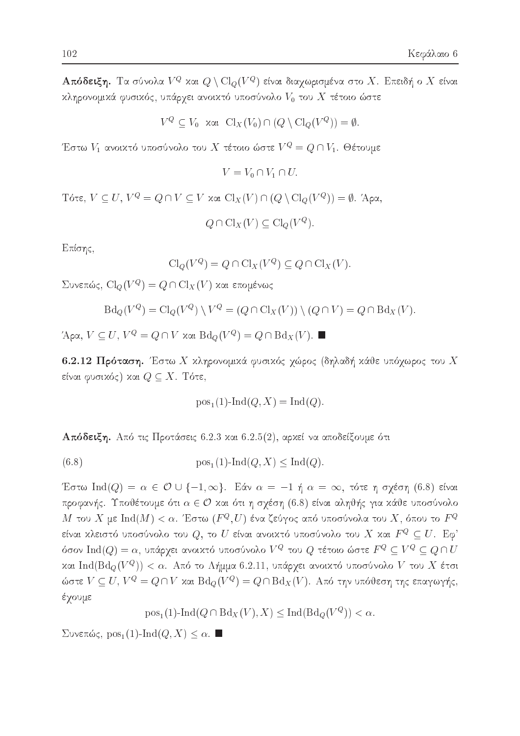**Απόδειξη.** Τα σύνολα  $V^Q$  και  $Q \setminus \mathrm{Cl}_O(V^Q)$  είναι διαγωρισμένα στο  $X$ . Επειδή ο  $X$  είναι κληρονομικά φυσικός, υπάρχει ανοικτό υποσύνολο  $V_0$  του  $X$  τέτοιο ώστε

$$
V^{Q} \subseteq V_0 \quad \text{and} \quad \text{Cl}_X(V_0) \cap (Q \setminus \text{Cl}_Q(V^Q)) = \emptyset
$$

Έστω  $V_1$  ανοιχτό υποσύνολο του  $X$  τέτοιο ώστε  $V^Q=Q\cap V_1$ . Θέτουμε

$$
V = V_0 \cap V_1 \cap U
$$

Tότε,  $V \subseteq U$ ,  $V^Q = Q \cap V \subseteq V$  και  $Cl_X(V) \cap (Q \setminus Cl_Q(V^Q)) = \emptyset$ . Άρα,

 $Q \cap \mathrm{Cl}_X(V) \subseteq \mathrm{Cl}_Q(V^Q).$ 

Επίσης,

$$
\operatorname{Cl}_Q(V^Q) = Q \cap \operatorname{Cl}_X(V^Q) \subseteq Q \cap \operatorname{Cl}_X(V).
$$

Συνεπώς, Cl<sub>Q</sub>( $V^Q$ ) = Q ∩ Cl<sub>X</sub>(V) και επομένως

$$
\text{Bd}_Q(V^Q) = \text{Cl}_Q(V^Q) \setminus V^Q = (Q \cap \text{Cl}_X(V)) \setminus (Q \cap V) = Q \cap \text{Bd}_X(V).
$$

 $'A$ ρα,  $V \subseteq U$ ,  $V^Q = Q \cap V$  και  $Bd_Q(V^Q) = Q \cap Bd_X(V)$ .

6.2.12 Πρόταση. Έστω Χ κληρονομικά φυσικός χώρος (δηλαδή κάθε υπόχωρος του Χ είναι φυσικός) και  $Q \subseteq X$ . Τότε,

$$
pos_1(1)-Ind(Q, X) = Ind(Q).
$$

**Απόδειξη.** Από τις Προτάσεις 6.2.3 και 6.2.5(2), αρκεί να αποδείξουμε ότι

(6.8) 
$$
pos_1(1)-Ind(Q, X) \leq Ind(Q)
$$

Έστω Ind(Q) =  $\alpha \in \mathcal{O} \cup \{-1, \infty\}$ . Εάν  $\alpha = -1$  ή  $\alpha = \infty$ , τότε η σχέση (6.8) είναι προφανής. Υποθέτουμε ότι  $\alpha \in \mathcal{O}$  και ότι η σχέση (6.8) είναι αληθής για κάθε υποσύνολο  $M$  του  $X$  με  $\mathrm{Ind}(M)<\alpha$ . Έστω  $(F^Q,U)$  ένα ζεύγος από υποσύνολα του  $X,$  όπου το  $F^Q$ είναι χλειστό υποσύνολο του  $Q,$  το  $U$  είναι ανοιχτό υποσύνολο του  $X$  χαι  $F^Q \subseteq U.$   ${\rm E} \varphi^*$ όσον  $\mathrm{Ind}(Q)=\alpha$ , υπάρχει ανοικτό υποσύνολο  $V^Q$  του  $Q$  τέτοιο ώστε  $F^Q\subseteq V^Q\subseteq Q\cap U$ και Ind(Bd<sub>o</sub>(V<sup>Q</sup>)) < a. Από το Λήμμα 6.2.11, υπάρχει ανοικτό υποσύνολο V του X έτσι ώστε  $V \subseteq U$ ,  $V^Q = Q \cap V$  και  $\text{Bd}_Q(V^Q) = Q \cap \text{Bd}_X(V)$ . Από την υπόθεση της επαγωγής, έγουμε

 $pos_1(1)$ -Ind $(Q \cap Bd_X(V), X) \leq Ind(Bd_O(V^Q)) < \alpha$ .

Συνεπώς, pos<sub>1</sub>(1)-Ind(*Q*, *X*)  $\leq \alpha$ . ■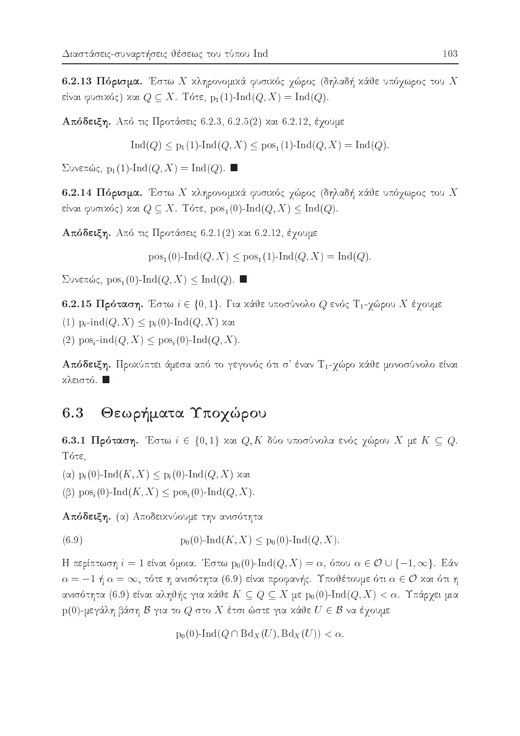6.2.13 Πόρισμα. Έστω Χ χληρονομικά φυσικός γώρος (δηλαδή κάθε υπόγωρος του Χ είναι φυσικός) και  $Q \subseteq X$ . Τότε,  $p_1(1)\text{-}\text{Ind}(Q,X) = \text{Ind}(Q)$ .

Απόδειξη. Από τις Προτάσεις 6.2.3, 6.2.5(2) και 6.2.12, έχουμε

 $\text{Ind}(Q) \leq p_1(1) \text{-} \text{Ind}(Q, X) \leq p_0 s_1(1) \text{-} \text{Ind}(Q, X) = \text{Ind}(Q).$ 

 $\Sigma$ υνεπώς, p<sub>1</sub>(1)-Ind(*Q*, *X*) = Ind(*Q*).

6.2.14 Πόρισμα. Έστω Χ χληρονομικά φυσικός χώρος (δηλαδή κάθε υπόχωρος του Χ είναι φυσικός) και  $Q \subseteq X$ . Τότε,  $pos_1(0)$ -Ind $(Q, X) \leq Ind(Q)$ .

**Απόδειξη.** Από τις Προτάσεις 6.2.1(2) και 6.2.12, έχουμε

 $pos_1(0)$ -Ind(Q, X) <  $pos_1(1)$ -Ind(Q, X) = Ind(Q).

 $\Sigma$ υνεπώς, pos<sub>1</sub>(0)-Ind(*Q*, *X*)  $\leq$  Ind(*Q*).

6.2.15 Πρόταση. Έστω  $i \in \{0, 1\}$ . Για κάθε υποσύνολο  $Q$  ενός Τ<sub>1</sub>-χώρου Χ έχουμε

(1)  $p_i$ -ind $(Q, X) \leq p_i(0)$ -Ind $(Q, X)$  xai

(2)  $pos_i$ -ind $(Q, X) \leq pos_i(0)$ -Ind $(Q, X)$ .

Απόδειξη. Προχύπτει άμεσα από το γεγονός ότι σ' έναν Τ1-γώρο χάθε μονοσύνολο είναι κλειστό. **1** 

## 6.3 Θεωρήματα Υποχώρου

6.3.1 Πρόταση. Έστω  $i \in \{0,1\}$  και  $Q, K$  δύο υποσύνολα ενός χώρου  $X$  με  $K \subseteq Q$ . Τότε.  $-$ 

 $(\alpha)$  p<sub>i</sub> $(0)$ -Ind $(K, X) \leq p_i(0)$ -Ind $(Q, X)$  xai

 $(\beta)$  pos<sub>i</sub> $(0)$ -Ind $(K, X)$  < pos<sub>i</sub> $(0)$ -Ind $(Q, X)$ .

Aπόδειξη. (α) Αποδεικνύουμε την ανισότητα

(6.9)  $p_0(0)$ -Ind(K, X) <  $p_0(0)$ -Ind(Q, X).

H περίπτωση  $i = 1$  είναι όμοια. Έστω p<sub>0</sub>(0)-Ind( $Q, X$ ) =  $\alpha$ , όπου  $\alpha \in \mathcal{O} \cup \{-1, \infty\}$ . Εάν  $\alpha = -1$  ή  $\alpha = \infty$ , τότε η ανισότητα (6.9) είναι προφανής. Υποθέτουμε ότι  $\alpha \in \mathcal{O}$  και ότι η ανισότητα (6.9) είναι αληθής για κάθε  $K \subseteq Q \subseteq X$  με  $p_0(0)$ -Ind $(Q, X) < \alpha$ . Υπάρχει μια  $p(0)$ -μεγάλη βάση  $\mathcal B$  για το  $Q$  στο  $X$  έτσι ώστε για κάθε  $U \in \mathcal B$  να έχουμε

$$
p_0(0)\text{-}\mathrm{Ind}(Q\cap \text{Bd}_X(U),\text{Bd}_X(U)) < \alpha.
$$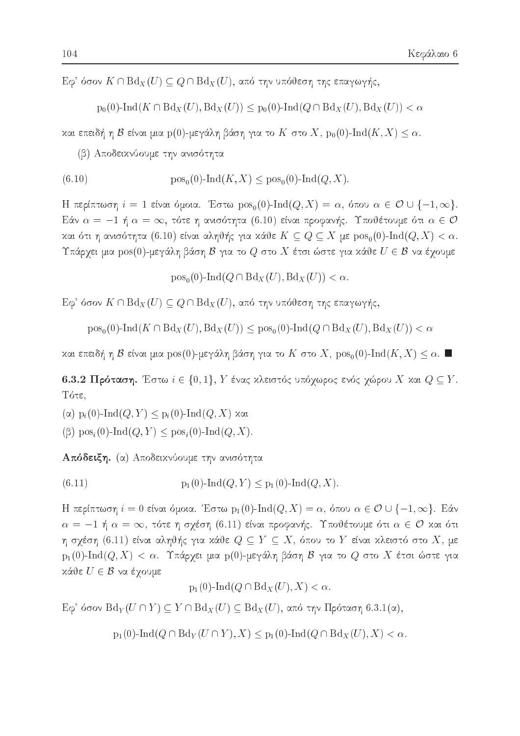$E\varphi$ ' όσον  $K \cap Bd_X(U) \subseteq Q \cap Bd_X(U)$ , από την υπόθεση της επαγωγής,

$$
p_0(0)\text{-}\mathrm{Ind}(K\cap \mathrm{Bd}_X(U),\mathrm{Bd}_X(U))\leq p_0(0)\text{-}\mathrm{Ind}(Q\cap \mathrm{Bd}_X(U),\mathrm{Bd}_X(U))<\alpha
$$

και επειδή η  $\mathcal B$  είναι μια p(0)-μεγάλη βάση για το K στο X, p<sub>0</sub>(0)-Ind(K, X)  $\leq \alpha$ .

(β) Αποδεικνύουμε την ανισότητα

(6.10) 
$$
pos_0(0)-Ind(K, X) \leq pos_0(0)-Ind(Q, X).
$$

H περίπτωση  $i = 1$  είναι όμοια. Έστω  $pos_0(0)$ -Ind $(Q, X) = \alpha$ , όπου  $\alpha \in \mathcal{O} \cup \{-1, \infty\}$ . Εάν  $\alpha = -1$  ή  $\alpha = \infty$ , τότε η ανισότητα (6.10) είναι προφανής. Υποθέτουμε ότι  $\alpha \in \mathcal{O}$ και ότι η ανισότητα (6.10) είναι αληθής για κάθε  $K \subseteq Q \subseteq X$  με  $\text{pos}_{0}(0)$ -Ind $(Q, X) < \alpha$ . Υπάρχει μια  $\text{pos}(0)$ -μεγάλη βάση  $\mathcal B$  για το  $Q$  στο  $X$  έτσι ώστε για κάθε  $U \in \mathcal B$  να έχουμε

 $pos_0(0)$ -Ind $(Q \cap Bd_X(U), Bd_X(U)) < \alpha$ .

 $E\varphi$ ' όσον  $K \cap Bd_X(U) \subseteq Q \cap Bd_X(U)$ , από την υπόθεση της επαγωγής,

 $pos_0(0)$ -Ind $(K \cap Bd_X(U), Bd_X(U)) \leq pos_0(0)$ -Ind $(Q \cap Bd_X(U), Bd_X(U)) < \alpha$ 

και επειδή η Β είναι μια pos(0)-μεγάλη βάση για το K στο X, pos<sub>0</sub>(0)-Ind(K, X)  $\leq \alpha$ . ■

6.3.2 Πρόταση. Έστω  $i \in \{0,1\}$ ,  $Y$  ένας χλειστός υπόγωρος ενός γώρου  $X$  χαι  $Q \subseteq Y$ . Τότε.

 $(\alpha)$  p<sub>i</sub>(0)-Ind(*Q*, *Y*)  $\leq$  p<sub>i</sub>(0)-Ind(*Q*, *X*) και

 $(\beta)$  pos<sub>i</sub> $(0)$ -Ind $(Q, Y) \leq$  pos<sub>i</sub> $(0)$ -Ind $(Q, X)$ .

Απόδειξη. (α) Αποδειχνύουμε την ανισότητα

 $(6.11)$  $p_1(0)$ -Ind $(Q, Y) \leq p_1(0)$ -Ind $(Q, X)$ .

Η περίπτωση  $i = 0$  είναι όμοια. Έστω  $p_1(0)$ -Ind $(Q, X) = \alpha$ , όπου  $\alpha \in \mathcal{O} \cup \{-1, \infty\}$ . Εάν  $\alpha = -1$  ή  $\alpha = \infty$ , τότε η σχέση (6.11) είναι προφανής. Υποθέτουμε ότι  $\alpha \in \mathcal{O}$  και ότι η σχέση (6.11) είναι αληθής για κάθε  $Q \subseteq Y \subseteq X,$  όπου το  $Y$  είναι κλειστό στο  $X,$  με  $p_1(0)$ -Ind $(Q, X) < \alpha$ . Υπάρχει μια  $p(0)$ -μεγάλη βάση Β για το  $Q$  στο  $X$  έτσι ώστε για κάθε  $U \in \mathcal{B}$  να έχουμε

$$
p_1(0)-\mathrm{Ind}(Q\cap \mathrm{Bd}_X(U),X)<\alpha.
$$

Eφ' όσον Bd<sub>Y</sub>(U ∩ Y) ⊆ Y ∩ Bd<sub>X</sub>(U) ⊆ Bd<sub>X</sub>(U), από την Πρόταση 6.3.1(α),

 $p_1(0)$ -Ind $(Q \cap Bd_Y(U \cap Y), X) \leq p_1(0)$ -Ind $(Q \cap Bd_X(U), X) < \alpha$ .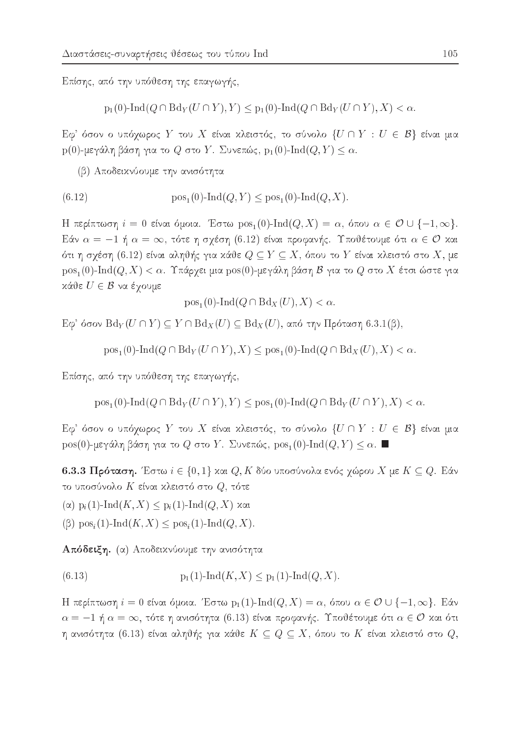Επίσης, από την υπόθεση της επαγωγής,

$$
p_1(0)-\text{Ind}(Q \cap \text{Bd}_Y(U \cap Y), Y) \leq p_1(0)-\text{Ind}(Q \cap \text{Bd}_Y(U \cap Y), X) < \alpha
$$

Εφ' όσον ο υπόχωρος Y του X είναι κλειστός, το σύνολο  $\{U \cap Y : U \in \mathcal{B}\}\$ είναι μια  $p(0)$ -μεγάλη βάση για το  $Q$  στο  $Y$ . Συνεπώς,  $p_1(0)$ -Ind $(Q, Y) \leq \alpha$ .

(β) Αποδεικνύουμε την ανισότητα

(6.12) 
$$
pos_1(0)-Ind(Q, Y) \leq pos_1(0)-Ind(Q, X).
$$

H περίπτωση  $i = 0$  είναι όμοια. Έστω  $\text{pos}_1(0)$ -Ind $(Q, X) = \alpha$ , όπου  $\alpha \in \mathcal{O} \cup \{-1, \infty\}$ . Εάν  $\alpha = -1$  ή  $\alpha = \infty$ , τότε η σχέση (6.12) είναι προφανής. Υποθέτουμε ότι  $\alpha \in \mathcal{O}$  και ότι η σχέση (6.12) είναι αληθής για κάθε  $Q \subseteq Y \subseteq X,$  όπου το  $Y$  είναι κλειστό στο  $X,$  με  $\text{pos}_1(0)$ -Ind $(Q, X) < \alpha$ . Υπάρχει μια  $\text{pos}(0)$ -μεγάλη βάση  $\mathcal B$  για το  $Q$  στο  $X$  έτσι ώστε για  $x$ άθε  $U \in \mathcal{B}$  να έχουμε

$$
pos1(0)-Ind(Q \cap BdX(U), X) < \alpha.
$$

Eφ' όσον Bd<sub>Y</sub>(U∩Y) ⊆ Y∩Bd<sub>X</sub>(U) ⊆ Bd<sub>X</sub>(U), από την Πρόταση 6.3.1(β),

 $pos_1(0)$ -Ind $(Q \cap Bd_Y(U \cap Y), X) \leq pos_1(0)$ -Ind $(Q \cap Bd_X(U), X) < \alpha$ .

Επίσης, από την υπόθεση της επαγωγής,

 $pos_1(0)$ -Ind $(Q \cap Bd_Y(U \cap Y), Y) \leq pos_1(0)$ -Ind $(Q \cap Bd_Y(U \cap Y), X) < \alpha$ .

 ${\rm E} \phi^*$  όσον ο υπόχωρος  $Y$  του  $X$  είναι χλειστός, το σύνολο  $\{U\cap Y\,:\,U\,\in\, \mathcal{B}\}$  είναι μια  $pos(0)$ -μεγάλη βάση για το  $Q$  στο  $Y$ . Συνεπώς,  $pos_1(0)$ -Ind $(Q, Y) \leq \alpha$ .

6.3.3 Πρόταση. Έστω  $i \in \{0,1\}$  και  $Q, K$  δύο υποσύνολα ενός χώρου  $X$  με  $K \subseteq Q$ . Εάν το υποσύνολο  $K$  είναι κλειστό στο  $Q$ , τότε

 $(\alpha)$  p<sub>i</sub>(1)-Ind(K, X)  $\leq$  p<sub>i</sub>(1)-Ind(Q, X) και

 $(\beta)$  pos<sub>i</sub> $(1)$ -Ind $(K, X) \leq$ pos<sub>i</sub> $(1)$ -Ind $(Q, X)$ .

Απόδειξη. (α) Αποδεικνύουμε την ανισότητα

 $(6.13)$  $p_1(1)$ -Ind $(K, X) \leq p_1(1)$ -Ind $(Q, X)$ .

Η περίπτωση  $i = 0$  είναι όμοια. Έστω  $p_1(1)$ -Ind $(Q, X) = \alpha$ , όπου  $\alpha \in \mathcal{O} \cup \{-1, \infty\}$ . Εάν  $\alpha = -1$  ή  $\alpha = \infty$ , τότε η ανισότητα (6.13) είναι προφανής. Υποθέτουμε ότι  $\alpha \in \mathcal{O}$  και ότι η ανισότητα  $(6.13)$  είναι αληθής για χάθε  $K\subseteq Q\subseteq X,$  όπου το  $K$  είναι χλειστό στο  $Q,$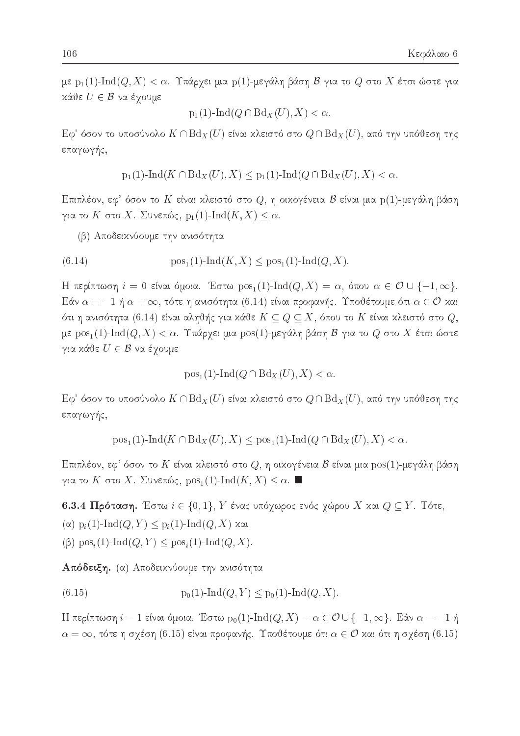με p<sub>1</sub>(1)-Ind(Q, X) < α. Υπάρχει μια p(1)-μεγάλη βάση Β για το Q στο X έτσι ώστε για κάθε  $U \in \mathcal{B}$  να έχουμε

$$
p_1(1)-\mathrm{Ind}(Q\cap \mathrm{Bd}_X(U),X)<\alpha.
$$

 ${\rm E} \phi^*$  όσον το υποσύνολο  $K \cap {\rm Bd}_X(U)$  είναι χλειστό στο  $Q \cap {\rm Bd}_X(U)$ , από την υπόθεση της επαγωγής,

$$
p_1(1)\text{-}\operatorname{Ind}(K \cap \operatorname{Bd}_X(U), X) \leq p_1(1)\text{-}\operatorname{Ind}(Q \cap \operatorname{Bd}_X(U), X) < \alpha.
$$

Επιπλέον, εφ' όσον το  $K$  είναι κλειστό στο  $Q,$  η οικογένεια  ${\cal B}$  είναι μια  ${\rm p}(1)$ -μεγάλη βάση για το K στο X. Συνεπώς,  $p_1(1)$ -Ind $(K, X) \leq \alpha$ .

(β) Αποδεικνύουμε την ανισότητα

(6.14) 
$$
pos_1(1)-Ind(K, X) \leq pos_1(1)-Ind(Q, X).
$$

H περίπτωση  $i = 0$  είναι όμοια. Έστω  $pos_1(1)$ -Ind $(Q, X) = \alpha$ , όπου  $\alpha \in \mathcal{O} \cup \{-1, \infty\}$ . Εάν  $\alpha = -1$  ή  $\alpha = \infty$ , τότε η ανισότητα (6.14) είναι προφανής. Υποθέτουμε ότι  $\alpha \in \mathcal{O}$  και ότι η ανισότητα (6.14) είναι αληθής για κάθε  $K\subseteq Q\subseteq X,$  όπου το  $K$  είναι κλειστό στο  $Q,$ με  $\text{pos}_1(1)$ - $\text{Ind}(Q, X) < \alpha$ . Υπάρχει μια  $\text{pos}(1)$ -μεγάλη βάση  $\mathcal B$  για το  $Q$  στο  $X$  έτσι ώστε για κάθε  $U \in \mathcal{B}$  να έγουμε

$$
pos1(1)-Ind(Q \cap BdX(U), X) < \alpha.
$$

 ${\rm E} \phi^*$ όσον το υποσύνολο  $K \cap {\rm Bd}_X(U)$  είναι κλειστό στο  $Q \cap {\rm Bd}_X(U),$  από την υπόθεση της επαγωγής,

$$
pos_1(1)-Ind(K \cap Bd_X(U), X) \leq pos_1(1)-Ind(Q \cap Bd_X(U), X) < \alpha.
$$

Επιπλέον, εφ' όσον το  $K$  είναι κλειστό στο  $Q,$  η οικογένεια  ${\cal B}$  είναι μια  ${\rm pos}(1)$ -μεγάλη βάση για το K στο X. Συνεπώς,  $pos_1(1)\text{-}\mathrm{Ind}(K,X) \leq \alpha$ .

6.3.4 Πρόταση. Έστω  $i \in \{0,1\}$ ,  $Y$  ένας υπόχωρος ενός χώρου  $X$  και  $Q \subseteq Y$ . Τότε,

 $(\alpha)$  p<sub>i</sub>(1)-Ind(*Q*, *Y*)  $\leq$  p<sub>i</sub>(1)-Ind(*Q*, *X*) και

 $(\beta)$  pos<sub>i</sub> $(1)$ -Ind $(Q, Y) \leq$  pos<sub>i</sub> $(1)$ -Ind $(Q, X)$ .

Απόδειξη. (α) Αποδειχνύουμε την ανισότητα

 $p_0(1)$ -Ind $(Q, Y) \leq p_0(1)$ -Ind $(Q, X)$ .  $(6.15)$ 

H περίπτωση  $i = 1$  είναι όμοια. Έστω  $p_0(1)$ -Ind $(Q, X) = \alpha \in \mathcal{O} \cup \{-1, \infty\}$ . Εάν  $\alpha = -1$  ή  $\alpha = \infty$ , τότε η σχέση (6.15) είναι προφανής. Υποθέτουμε ότι  $\alpha \in \mathcal{O}$  και ότι η σχέση (6.15)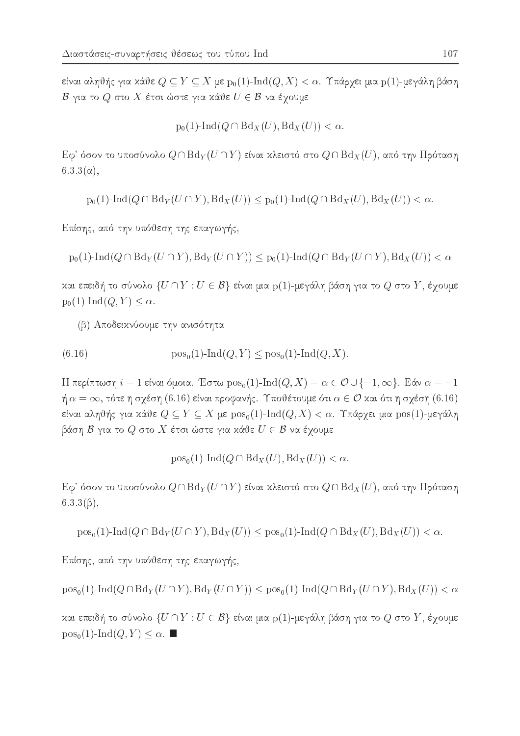είναι αληθής για κάθε  $Q \subseteq Y \subseteq X$  με  $p_0(1)$ -Ind $(Q, X) < \alpha$ . Υπάρχει μια  $p(1)$ -μεγάλη βάση  $\mathcal{B}$  για το  $Q$  στο  $X$  έτσι ώστε για κάθε  $U \in \mathcal{B}$  να έχουμε

$$
p_0(1)-\mathrm{Ind}(Q\cap \mathrm{Bd}_X(U),\mathrm{Bd}_X(U))<\alpha.
$$

 ${\rm E} \phi^*$ όσον το υποσύνολο  $Q \cap {\rm Bd}_Y(U \cap Y)$  είναι χλειστό στο  $Q \cap {\rm Bd}_X(U),$  από την Πρόταση  $6.3.3(\alpha)$ ,

 $p_0(1)$ -Ind $(Q \cap Bd_Y(U \cap Y), Bd_X(U)) \leq p_0(1)$ -Ind $(Q \cap Bd_X(U), Bd_X(U)) < \alpha$ .

Επίσης, από την υπόθεση της επαγωγής,

 $p_0(1)$ -Ind $(Q \cap Bd_Y(U \cap Y), Bd_Y(U \cap Y)) \leq p_0(1)$ -Ind $(Q \cap Bd_Y(U \cap Y), Bd_X(U)) < \alpha$ 

και επειδή το σύνολο  $\{U \cap Y : U \in \mathcal{B}\}$  είναι μια  $p(1)$ -μεγάλη βάση για το  $Q$  στο  $Y$ , έχουμε  $p_0(1)$ -Ind $(Q, Y) \leq \alpha$ .

(β) Αποδεικνύουμε την ανισότητα

(6.16) 
$$
pos_0(1)-Ind(Q, Y) \leq pos_0(1)-Ind(Q, X).
$$

H περίπτωση  $i = 1$  είναι όμοια. Έστω pos<sub>0</sub>(1)-Ind( $Q, X$ ) =  $\alpha \in \mathcal{O} \cup \{-1, \infty\}$ . Εάν  $\alpha = -1$  $\eta \alpha = \infty$ , τότε η σχέση (6.16) είναι προφανής. Υποθέτουμε ότι  $\alpha \in \mathcal{O}$  και ότι η σχέση (6.16) είναι αληθής για κάθε  $Q \subseteq Y \subseteq X$  με  $pos_0(1)$ -Ind $(Q, X) < \alpha$ . Υπάρχει μια  $pos(1)$ -μεγάλη βάση  $\mathcal B$  για το  $Q$  στο  $X$  έτσι ώστε για κάθε  $U \in \mathcal B$  να έγουμε

$$
pos_0(1)-Ind(Q \cap Bd_X(U), Bd_X(U)) < \alpha.
$$

Εφ' όσον το υποσύνολο  $Q \cap Bd_Y(U \cap Y)$  είναι κλειστό στο  $Q \cap Bd_X(U)$ , από την Πρόταση  $6.3.3(\beta)$ ,

 $pos_{0}(1)-Ind(Q \cap Bd_{Y}(U \cap Y), Bd_{X}(U)) < pos_{0}(1)-Ind(Q \cap Bd_{X}(U), Bd_{X}(U)) < \alpha.$ 

Επίσης, από την υπόθεση της επαγωγής,

 $\operatorname{pos}_0(1)\text{-}\operatorname{Ind}(Q \cap \operatorname{Bd}_Y(U \cap Y), \operatorname{Bd}_Y(U \cap Y)) \le \operatorname{pos}_0(1)\text{-}\operatorname{Ind}(Q \cap \operatorname{Bd}_Y(U \cap Y), \operatorname{Bd}_X(U)) < \alpha$ 

και επειδή το σύνολο  $\{U \cap Y : U \in \mathcal{B}\}$  είναι μια  $p(1)$ -μεγάλη βάση για το  $Q$  στο  $Y$ , έχουμε  $pos_0(1)$ -Ind $(Q, Y) \leq \alpha$ .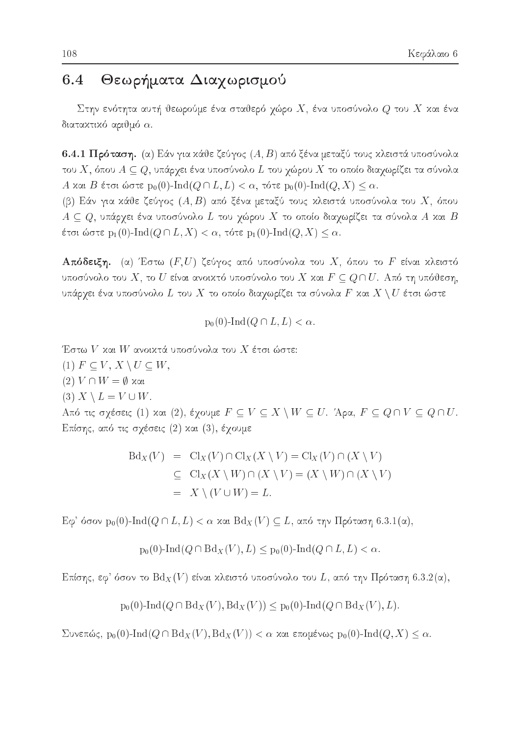### Θεωρήματα Διαχωρισμού 6.4

Στην ενότητα αυτή θεωρούμε ένα σταθερό χώρο  $X$ , ένα υποσύνολο  $Q$  του  $X$  και ένα διατακτικό αριθμό  $\alpha$ .

6.4.1 Πρόταση. (α) Εάν για κάθε ζεύγος  $(A, B)$  από ξένα μεταξύ τους κλειστά υποσύνολα του X, όπου  $A \subseteq Q$ , υπάρχει ένα υποσύνολο L του χώρου X το οποίο διαχωρίζει τα σύνολα A και B έτσι ώστε p<sub>0</sub>(0)-Ind( $Q \cap L, L$ ) <  $\alpha$ , τότε p<sub>0</sub>(0)-Ind( $Q, X$ )  $\leq \alpha$ . (β) Εάν για κάθε ζεύγος  $(A, B)$  από ξένα μεταξύ τους κλειστά υποσύνολα του  $X$ , όπου  $A \subseteq Q$ , υπάρχει ένα υποσύνολο L του χώρου X το οποίο διαχωρίζει τα σύνολα A και B έτσι ώστε  $\mathrm{p}_1(0)\text{-}\!\operatorname{Ind}(Q\cap L,X)<\alpha,$  τότε  $\mathrm{p}_1(0)\text{-}\!\operatorname{Ind}(Q,X)\leq \alpha.$ 

**Απόδειξη.** (α) Έστω  $(F, U)$  ζεύγος από υποσύνολα του X, όπου το F είναι κλειστό υποσύνολο του X, το U είναι ανοικτό υποσύνολο του X και  $F \subseteq Q \cap U$ . Από τη υπόθεση, υπάρχει ένα υποσύνολο  $L$  του  $X$  το οποίο διαχωρίζει τα σύνολα  $F$  και  $X\setminus U$  έτσι ώστε

$$
p_0(0)-\mathrm{Ind}(Q\cap L,L)<\alpha.
$$

Έστω  $V$  και  $W$  ανοικτά υποσύνολα του  $X$  έτσι ώστε:  $(1)$   $F \subseteq V, X \setminus U \subseteq W,$  $(2) V ∩ W = ∅ xαi$ (3)  $X \setminus L = V \cup W$ . Aπό τις σχέσεις (1) και (2), έχουμε  $F \subseteq V \subseteq X \setminus W \subseteq U$ . Άρα,  $F \subseteq Q \cap V \subseteq Q \cap U$ . Επίσης, από τις σχέσεις (2) και (3), έχουμε

$$
Bd_X(V) = Cl_X(V) \cap Cl_X(X \setminus V) = Cl_X(V) \cap (X \setminus V)
$$
  
\n
$$
\subseteq Cl_X(X \setminus W) \cap (X \setminus V) = (X \setminus W) \cap (X \setminus V)
$$
  
\n
$$
= X \setminus (V \cup W) = L.
$$

 $E\varphi'$  όσον p<sub>0</sub>(0)-Ind( $Q \cap L, L$ ) < α και  $Bd_X(V) \subseteq L$ , από την Πρόταση 6.3.1(α),

$$
p_0(0)-\text{Ind}(Q\cap \text{Bd}_X(V), L)\leq p_0(0)-\text{Ind}(Q\cap L, L)<\alpha
$$

Επίσης, εφ' όσον το  $\text{Bd}_X(V)$  είναι κλειστό υποσύνολο του L, από την Πρόταση 6.3.2(α),

$$
p_0(0)\text{-}\mathrm{Ind}(Q\cap \mathrm{Bd}_X(V),\mathrm{Bd}_X(V))\leq p_0(0)\text{-}\mathrm{Ind}(Q\cap \mathrm{Bd}_X(V),L)
$$

Συνεπώς,  $p_0(0)$ -Ind( $Q \cap Bd_X(V)$ ,  $Bd_X(V)$ ) < α και επομένως  $p_0(0)$ -Ind( $Q, X$ ) ≤ α.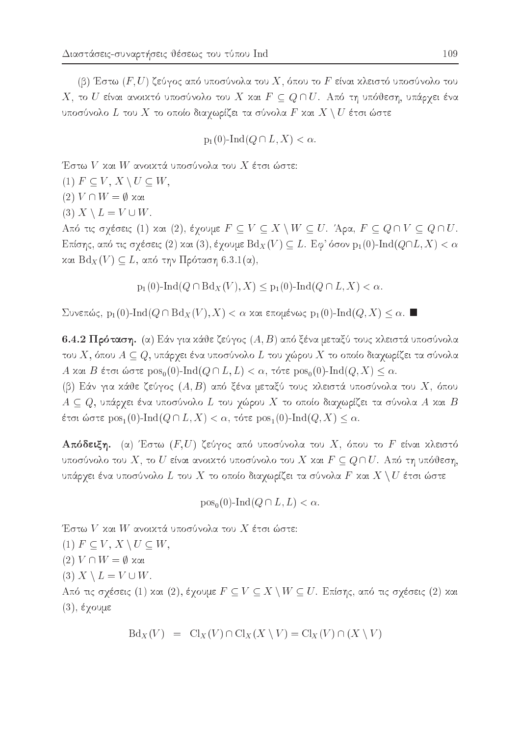(β) Έστω  $(F, U)$  ζεύγος από υποσύνολα του  $X$ , όπου το  $F$  είναι κλειστό υποσύνολο του Χ, το  $U$  είναι ανοικτό υποσύνολο του  $X$  και  $F \subseteq Q \cap U$ . Από τη υπόθεση, υπάρχει ένα υποσύνολο  $L$  του  $X$  το οποίο διαχωρίζει τα σύνολα  $F$  και  $X\setminus U$  έτσι ώστε

$$
p_1(0)-\mathrm{Ind}(Q\cap L,X)<\alpha.
$$

Έστω  $V$  και  $W$  ανοικτά υποσύνολα του  $X$  έτσι ώστε:

(1)  $F \subseteq V, X \setminus U \subseteq W$ ,

 $(2) V ∩ W = ∅ xαi$ 

(3)  $X \setminus L = V \cup W$ .

Από τις σχέσεις (1) και (2), έχουμε  $F \subseteq V \subseteq X \setminus W \subseteq U$ . Άρα,  $F \subseteq Q \cap V \subseteq Q \cap U$ . Επίσης, από τις σχέσεις (2) και (3), έχουμε  ${\rm Bd}_X(V)\subseteq L$ . Εφ' όσον  ${\rm p}_1(0)\text{-}{\rm Ind}(Q\cap L,X)<\alpha$ και  $Bd_X(V) \subseteq L$ , από την Πρόταση 6.3.1(α),

 $p_1(0)$ -Ind $(Q \cap Bd_X(V), X) \leq p_1(0)$ -Ind $(Q \cap L, X) < \alpha$ .

Συνεπώς, p<sub>1</sub>(0)-Ind( $Q \cap Bd_X(V), X$ ) < α και επομένως p<sub>1</sub>(0)-Ind( $Q, X$ ) ≤ α.

6.4.2 Πρόταση. (α) Εάν για κάθε ζεύγος  $(A, B)$  από ξένα μεταξύ τους κλειστά υποσύνολα του X, όπου  $A \subseteq Q$ , υπάρχει ένα υποσύνολο L του χώρου X το οποίο διαχωρίζει τα σύνολα A και B έτσι ώστε  $pos_0(0)$ -Ind $(Q \cap L, L) < \alpha$ , τότε  $pos_0(0)$ -Ind $(Q, X) \leq \alpha$ .

(β) Εάν για κάθε ζεύγος  $(A, B)$  από ξένα μεταξύ τους κλειστά υποσύνολα του  $X$ , όπου  $A \subseteq Q$ , υπάρχει ένα υποσύνολο L του χώρου X το οποίο διαχωρίζει τα σύνολα A και B έτσι ώστε  $\text{pos}_1(0)$ - $\text{Ind}(Q \cap L, X) < \alpha$ , τότε  $\text{pos}_1(0)$ - $\text{Ind}(Q, X) \leq \alpha$ .

**Απόδειξη.** (α) Έστω  $(F, U)$  ζεύγος από υποσύνολα του X, όπου το F είναι κλειστό υποσύνολο του X, το U είναι ανοικτό υποσύνολο του X και  $F \subseteq Q \cap U$ . Από τη υπόθεση, υπάρχει ένα υποσύνολο  $L$  του  $X$  το οποίο διαχωρίζει τα σύνολα  $F$  και  $X\setminus U$  έτσι ώστε

$$
pos_0(0)-Ind(Q \cap L, L) < \alpha.
$$

Έστω  $V$  και  $W$  ανοικτά υποσύνολα του  $X$  έτσι ώστε: (1)  $F \subseteq V, X \setminus U \subseteq W$ ,  $(2) V \cap W = \emptyset$  και (3)  $X \setminus L = V \cup W$ . Από τις σχέσεις (1) και (2), έχουμε  $F \subseteq V \subseteq X \setminus W \subseteq U$ . Επίσης, από τις σχέσεις (2) και

 $(3)$ , έγουμε

$$
Bd_X(V) = Cl_X(V) \cap Cl_X(X \setminus V) = Cl_X(V) \cap (X \setminus V)
$$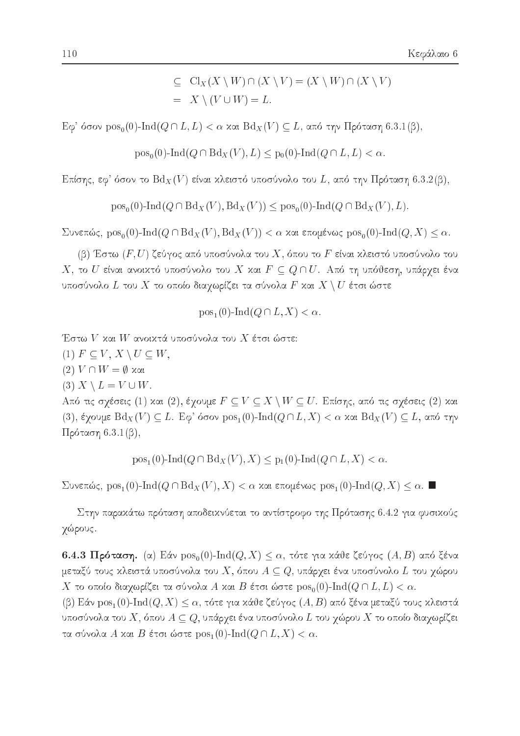$$
\subseteq Cl_X(X \setminus W) \cap (X \setminus V) = (X \setminus W) \cap (X \setminus V)
$$
  
=  $X \setminus (V \cup W) = L.$ 

 $E\varphi'$  όσον pos<sub>0</sub>(0)-Ind( $Q \cap L, L$ ) < α και  $Bd_X(V) \subseteq L$ , από την Πρόταση 6.3.1(β),

 $pos_0(0)$ -Ind $(Q \cap Bd_X(V), L) \leq p_0(0)$ -Ind $(Q \cap L, L) < \alpha$ .

Επίσης, εφ' όσον το  $\text{Bd}_X(V)$  είναι κλειστό υποσύνολο του L, από την Πρόταση 6.3.2(β),

 $pos_0(0)$ -Ind $(Q \cap Bd_X(V), Bd_X(V)) \leq pos_0(0)$ -Ind $(Q \cap Bd_X(V), L)$ .

 $\sum$ υνεπώς,  $pos_0(0)$ -Ind $(Q \cap Bd_X(V), Bd_X(V)) < \alpha$  και επομένως  $pos_0(0)$ -Ind $(Q, X) \leq \alpha$ .

(β) Έστω  $(F,U)$  ζεύγος από υποσύνολα του  $X,$  όπου το  $F$  είναι κλειστό υποσύνολο του  $X,$  το  $U$  είναι ανοιχτό υποσύνολο του  $X$  χαι  $F \subseteq Q \cap U$ . Από τη υπόθεση, υπάρχει ένα υποσύνολο  $L$  του  $X$  το οποίο διαχωρίζει τα σύνολα  $F$  και  $X\setminus U$  έτσι ώστε

$$
pos_1(0)
$$
- $Ind(Q \cap L, X) < \alpha$ 

Έστω  $V$  και  $W$  ανοικτά υποσύνολα του  $X$  έτσι ώστε:

- $(1)$   $F \subseteq V, X \setminus U \subseteq W$ ,
- $(2) V \cap W = \emptyset$  και
- (3)  $X \setminus L = V \cup W$ .

Από τις σχέσεις (1) και (2), έχουμε  $F \subseteq V \subseteq X \setminus W \subseteq U$ . Επίσης, από τις σχέσεις (2) και (3), έγουμε  $Bd_X(V) \subseteq L$ . Εφ' όσον  $pos_1(0)$ -Ind $(Q \cap L, X) < \alpha$  και  $Bd_X(V) \subseteq L$ , από την  $\Pi$ ρόταση 6.3.1(β),

 $pos_1(0)$ -Ind $(Q \cap Bd_X(V), X) \leq p_1(0)$ -Ind $(Q \cap L, X) < \alpha$ .

Συνεπώς, pos<sub>1</sub>(0)-Ind( $Q \cap Bd_X(V), X$ ) < α και επομένως pos<sub>1</sub>(0)-Ind( $Q, X$ ) ≤ α.

Στην παρακάτω πρόταση αποδεικνύεται το αντίστροφο της Πρότασης 6.4.2 για φυσικούς χώρους.

6.4.3 Πρόταση. (α) Εάν  $pos_0(0)$ -Ind $(Q, X) \leq \alpha$ , τότε για κάθε ζεύγος  $(A, B)$  από ξένα μεταξύ τους κλειστά υποσύνολα του  $X$ , όπου  $A\subseteq Q$ , υπάρχει ένα υποσύνολο  $L$  του χώρου  $X$  το οποίο διαχωρίζει τα σύνολα  $A$  και  $B$  έτσι ώστε  $\mathrm{pos}_0(0)\text{-}\mathrm{Ind}(Q\cap L,L)<\alpha.$ 

(β) Εάν  $pos_1(0)$ -Ind $(Q, X) \leq \alpha$ , τότε για κάθε ζεύγος  $(A, B)$  από ξένα μεταξύ τους κλειστά υποσύνολα του  $X,$  όπου  $A \subseteq Q$ , υπάρχει ένα υποσύνολο  $L$  του χώρου  $X$  το οποίο διαχωρίζει τα σύνολα Α και Β έτσι ώστε  $\text{pos}_1(0)\text{-}\text{Ind}(Q \cap L, X) < \alpha$ .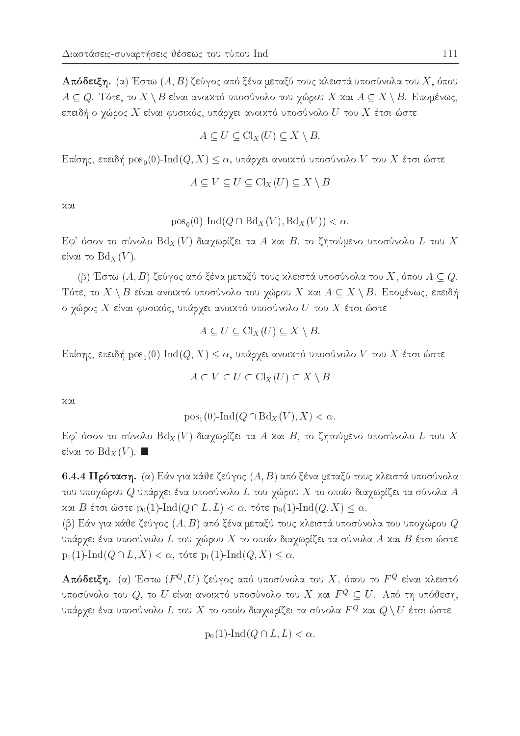**Απόδειξη.** (α) Έστω  $(A, B)$  ζεύγος από ξένα μεταξύ τους κλειστά υποσύνολα του  $X,$  όπου  $A \subseteq Q$ . Τότε, το  $X \setminus B$  είναι ανοικτό υποσύνολο του χώρου X και  $A \subseteq X \setminus B$ . Επομένως, επειδή ο χώρος  $X$  είναι φυσιχός, υπάρχει ανοιχτό υποσύνολο  $U$  του  $X$  έτσι ώστε

$$
A \subseteq U \subseteq \mathrm{Cl}_X(U) \subseteq X \setminus B.
$$

Επίσης, επειδή  $pos_0(0)$ -Ind $(Q, X) \leq \alpha$ , υπάρχει ανοικτό υποσύνολο V του X έτσι ώστε

$$
A \subseteq V \subseteq U \subseteq \text{Cl}_X(U) \subseteq X \setminus B
$$

χαι

$$
pos_0(0)-Ind(Q \cap Bd_X(V), Bd_X(V)) < \alpha.
$$

 ${\rm E} \phi^*$  όσον το σύνολο  ${\rm Bd}_X(V)$  διαχωρίζει τα  $A$  χαι  $B,$  το ζητούμενο υποσύνολο  $L$  του  $X$ είναι το  $\mathrm{Bd}_X(V).$ 

(β) Έστω  $(A, B)$  ζεύγος από ξένα μεταξύ τους κλειστά υποσύνολα του X, όπου  $A \subseteq Q$ . Τότε, το  $X \setminus B$  είναι ανοικτό υποσύνολο του χώρου X και  $A \subseteq X \setminus B$ . Επομένως, επειδή ο χώρος  $X$  είναι φυσιχός, υπάρχει ανοιχτό υποσύνολο  $U$  του  $X$  έτσι ώστε

$$
A \subseteq U \subseteq \mathrm{Cl}_X(U) \subseteq X \setminus B.
$$

 $\mathop{\mathtt{Ext}}\nolimits$ σης, επειδή  $\mathop{\mathtt{pos}}\nolimits_1(0)\text{-}\mathop{\mathtt{Ind}}\nolimits(Q,X)\leq \alpha,$  υπάρχει ανοιχτό υποσύνολο  $V$  του  $X$  έτσι ώστε

$$
A \subseteq V \subseteq U \subseteq \text{Cl}_X(U) \subseteq X \setminus B
$$

 $X(1)$ 

$$
pos_1(0)-Ind(Q \cap Bd_X(V), X) < \alpha.
$$

 ${\rm E} \phi^\ast$  όσον το σύνολο  ${\rm Bd}_X(V)$  διαχωρίζει τα  $A$  και  $B,$  το ζητούμενο υποσύνολο  $L$  του  $X$ είναι το  $\mathrm{Bd}_X(V).$  ■

6.4.4 Πρόταση. (α) Εάν για κάθε ζεύγος  $(A, B)$  από ξένα μεταξύ τους κλειστά υποσύνολα του υποχώρου  $Q$  υπάρχει ένα υποσύνολο  $L$  του χώρου  $X$  το οποίο διαχωρίζει τα σύνολα  $A$ και Β έτσι ώστε  $p_0(1)$ -Ind $(Q \cap L, L) < \alpha$ , τότε  $p_0(1)$ -Ind $(Q, X) \leq \alpha$ .

(β) Εάν για κάθε ζεύγος  $(A,B)$  από ξένα μεταξύ τους κλειστά υποσύνολα του υποχώρου  $Q$ υπάρχει ένα υποσύνολο  $L$  του χώρου  $X$  το οποίο διαχωρίζει τα σύνολα  $A$  και  $B$  έτσι ώστε  $p_1(1)$ -Ind $(Q \cap L, X) < \alpha$ , τότε  $p_1(1)$ -Ind $(Q, X) \leq \alpha$ .

**Απόδειξη.** (α) Έστω  $(F^{Q},U)$  ζεύγος από υποσύνολα του  $X,$  όπου το  $F^{Q}$  είναι χλειστό υποσύνολο του  $Q,$  το  $U$  είναι ανοικτό υποσύνολο του  $X$  και  $F^Q \subseteq U.$  Από τη υπόθεση, υπάρχει ένα υποσύνολο  $L$  του  $X$  το οποίο διαχωρίζει τα σύνολα  $F^Q$  και  $Q \setminus U$  έτσι ώστε

$$
p_0(1)-\mathrm{Ind}(Q\cap L,L)<\alpha.
$$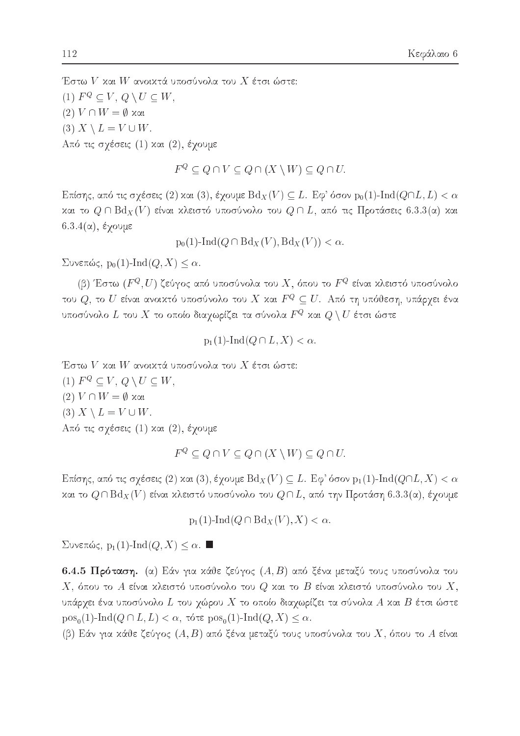Έστω $V$ και $W$ ανοικτά υποσύνολα του $X$ έτσι ώστε: (1)  $F^Q \subset V$ ,  $Q \setminus U \subset W$ ,  $(2) V ∩ W = ∅ xαi$ (3)  $X \setminus L = V \cup W$ . Από τις σχέσεις (1) και (2), έχουμε

 $F^Q \subset Q \cap V \subset Q \cap (X \setminus W) \subset Q \cap U.$ 

Επίσης, από τις σχέσεις (2) και (3), έχουμε  $Bd_X(V) \subseteq L$ . Εφ' όσον  $p_0(1)$ -Ind $(Q \cap L, L) < \alpha$ και το  $Q \cap Bd_X(V)$  είναι κλειστό υποσύνολο του  $Q \cap L$ , από τις Προτάσεις 6.3.3(α) και  $6.3.4(α)$ , έγουμε

 $p_0(1)$ -Ind $(Q \cap Bd_X(V), Bd_X(V)) < \alpha$ .

 $\Sigma$ υνεπώς, p<sub>0</sub>(1)-Ind(*Q*, *X*) < α.

(β) Έστω  $(F^{Q}, U)$  ζεύγος από υποσύνολα του  $X$ , όπου το  $F^{Q}$  είναι κλειστό υποσύνολο του  $Q$ , το  $U$  είναι ανοικτό υποσύνολο του  $X$  και  $F^Q \subseteq U$ . Από τη υπόθεση, υπάρχει ένα υποσύνολο  $L$  του  $X$  το οποίο διαχωρίζει τα σύνολα  $F^Q$  και  $Q \setminus U$  έτσι ώστε

$$
p_1(1)-\text{Ind}(Q \cap L, X) < \alpha.
$$

Έστω
$$
V
$$
χαι  $W$ ανοιχτά υποσύνολα του  $X$ έτσι ώστε:

(1)  $F^Q \subseteq V, Q \setminus U \subseteq W$ ,  $(2) V \cap W = \emptyset$  και (3)  $X \setminus L = V \cup W$ . Από τις σχέσεις (1) και (2), έχουμε

$$
F^Q \subseteq Q \cap V \subseteq Q \cap (X \setminus W) \subseteq Q \cap U.
$$

Επίσης, από τις σχέσεις (2) και (3), έχουμε  $\text{Bd}_X(V) \subseteq L$ . Εφ' όσον  $p_1(1)\text{-}\text{Ind}(Q \cap L, X) < \alpha$ και το  $Q \cap \text{Bd}_X(V)$  είναι κλειστό υποσύνολο του  $Q \cap L$ , από την Προτάση 6.3.3(α), έχουμε

$$
p_1(1)-\mathrm{Ind}(Q\cap \mathrm{Bd}_X(V),X)<\alpha.
$$

Συνεπώς, p<sub>1</sub>(1)-Ind( $Q, X$ ) ≤ α. ■

6.4.5 Πρόταση. (α) Εάν για κάθε ζεύγος  $(A, B)$  από ξένα μεταξύ τους υποσύνολα του  $X,$ όπου το  $A$  είναι κλειστό υποσύνολο του  $Q$  και το  $B$  είναι κλειστό υποσύνολο του  $X,$ υπάρχει ένα υποσύνολο  $L$  του χώρου  $X$  το οποίο διαχωρίζει τα σύνολα  $A$  και  $B$  έτσι ώστε  $pos_0(1)$ -Ind( $Q \cap L, L$ ) <  $\alpha$ , τότε  $pos_0(1)$ -Ind( $Q, X$ )  $\leq \alpha$ .

(β) Εάν για κάθε ζεύγος  $(A, B)$  από ξένα μεταξύ τους υποσύνολα του X, όπου το A είναι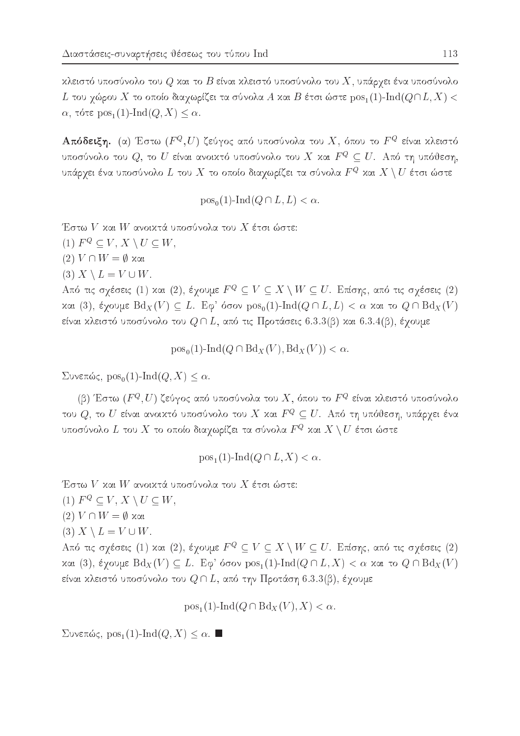κλειστό υποσύνολο του  $Q$  και το  $B$  είναι κλειστό υποσύνολο του  $X$ , υπάργει ένα υποσύνολο  $L$  του χώρου  $X$  το οποίο διαχωρίζει τα σύνολα  $A$  και  $B$  έτσι ώστε  ${\rm pos}_1(1)\text{-}{\rm Ind}(Q\cap L, X) < 0$  $\alpha$ , τότε pos<sub>1</sub>(1)-Ind(*Q*, *X*)  $\leq \alpha$ .

**Απόδειξη.** (α) Έστω ( $F^Q$ , *U*) ζεύγος από υποσύνολα του X, όπου το  $F^Q$  είναι κλειστό υποσύνολο του  $Q$ , το  $U$  είναι ανοικτό υποσύνολο του  $X$  και  $F^Q \subseteq U$ . Από τη υπόθεση, υπάργει ένα υποσύνολο  $L$  του  $X$  το οποίο διαγωρίζει τα σύνολα  $F^Q$  και  $X\setminus U$  έτσι ώστε

$$
pos_0(1)-Ind(Q \cap L, L) < \alpha.
$$

Έστω V και W ανοικτά υποσύνολα του X έτσι ώστε:

(1)  $F^Q \subseteq V$ ,  $X \setminus U \subseteq W$ ,

 $(2) V ∩ W = ∅ xαi$ 

(3)  $X \setminus L = V \cup W$ .

Από τις σχέσεις (1) και (2), έχουμε  $F^Q \subseteq V \subseteq X \setminus W \subseteq U$ . Επίσης, από τις σχέσεις (2) και (3), έχουμε  $Bd_X(V) \subseteq L$ . Εφ' όσον  $pos_0(1)$ -Ind $(Q \cap L, L) < \alpha$  και το  $Q \cap Bd_X(V)$ είναι χλειστό υποσύνολο του  $Q \cap L,$  από τις Προτάσεις  $6.3.3(\beta)$  χαι  $6.3.4(\beta),$  έχουμε

 $pos_{0}(1)$ -Ind $(Q \cap Bd_{X}(V), Bd_{X}(V)) < \alpha$ .

 $\Sigma$ υνεπώς, pos<sub>0</sub>(1)-Ind(*Q*, *X*)  $\leq \alpha$ .

(β) Έστω  $(F^{Q}, U)$  ζεύγος από υποσύνολα του X, όπου το  $F^{Q}$  είναι κλειστό υποσύνολο του $Q,$ το  $U$  είναι ανοικτό υποσύνολο του  $X$  και  $F^Q \subseteq U.$  Από τη υπόθεση, υπάρχει ένα υποσύνολο $L$ του $X$ το οποίο διαχωρίζει τα σύνολα $F^Q$  και  $X\setminus U$ έτσι ώστε

 $pos_1(1)$ -Ind $(Q \cap L, X) < \alpha$ .

Έστω $V$ και $W$ ανοικτά υποσύνολα του $X$ έτσι ώστε:

(1)  $F^Q \subseteq V$ ,  $X \setminus U \subseteq W$ ,

 $(2) V ∩ W = ∅ xαi$ 

(3)  $X \setminus L = V \cup W$ .

Από τις σχέσεις (1) και (2), έχουμε  $F^Q \subseteq V \subseteq X \setminus W \subseteq U$ . Επίσης, από τις σχέσεις (2) και (3), έχουμε  $Bd_X(V) ⊆ L$ . Εφ' όσον  $pos_1(1)$ -Ind( $Q ∩ L$ , X) < α και το  $Q ∩ Bd_X(V)$ είναι χλειστό υποσύνολο του  $Q \cap L$ , από την Προτάση 6.3.3(β), έγουμε

$$
pos_1(1)-Ind(Q \cap Bd_X(V), X) < \alpha.
$$

Συνεπώς, pos<sub>1</sub>(1)-Ind(*Q*, *X*) ≤ α. ■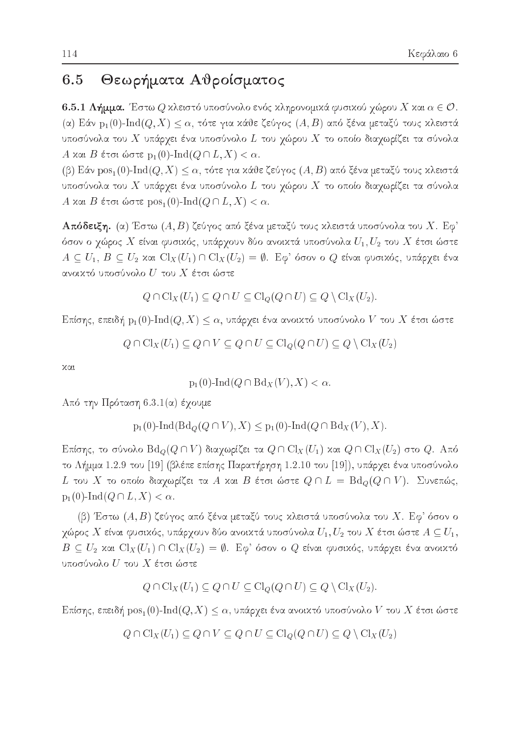#### 6.5 Θεωρήματα Αθροίσματος

**6.5.1 Λήμμα.** Έστω  $Q$  κλειστό υποσύνολο ενός κληρονομικά φυσικού χώρου  $X$  και  $\alpha \in \mathcal{O}$ . (α) Εάν  $p_1(0)$ -Ind $(Q, X) \leq \alpha$ , τότε για κάθε ζεύγος  $(A, B)$  από ξένα μεταξύ τους κλειστά υποσύνολα του  $X$  υπάρχει ένα υποσύνολο  $L$  του χώρου  $X$  το οποίο διαχωρίζει τα σύνολα A και B έτσι ώστε p<sub>1</sub>(0)-Ind( $Q \cap L, X$ ) <  $\alpha$ .

(β) Εάν  $pos_1(0)$ -Ind $(Q, X) \leq \alpha$ , τότε για κάθε ζεύγος  $(A, B)$  από ξένα μεταξύ τους κλειστά υποσύνολα του  $X$  υπάρχει ένα υποσύνολο  $L$  του χώρου  $X$  το οποίο διαχωρίζει τα σύνολα A και B έτσι ώστε  $\mathrm{pos}_1(0)\text{-}\mathrm{Ind}(Q\cap L, X)<\alpha$ .

**Απόδειξη.** (α) Έστω (A, B) ζεύγος από ξένα μεταξύ τους κλειστά υποσύνολα του Χ. Εφ' όσον ο χώρος  $X$  είναι φυσιχός, υπάρχουν δύο ανοιχτά υποσύνολα  $U_1,U_2$  του  $X$  έτσι ώστε  $A \subseteq U_1, B \subseteq U_2$  και  $\text{Cl}_X(U_1) \cap \text{Cl}_X(U_2) = \emptyset$ . Εφ' όσον ο  $Q$  είναι φυσικός, υπάρχει ένα ανοικτό υποσύνολο  $U$  του  $X$  έτσι ώστε

$$
Q \cap \mathrm{Cl}_X(U_1) \subseteq Q \cap U \subseteq \mathrm{Cl}_Q(Q \cap U) \subseteq Q \setminus \mathrm{Cl}_X(U_2).
$$

Επίσης, επειδή  $p_1(0)$ -Ind $(Q, X) \leq \alpha$ , υπάρχει ένα ανοικτό υποσύνολο V του X έτσι ώστε

$$
Q \cap \mathrm{Cl}_X(U_1) \subseteq Q \cap V \subseteq Q \cap U \subseteq \mathrm{Cl}_Q(Q \cap U) \subseteq Q \setminus \mathrm{Cl}_X(U_2)
$$

χαι

$$
p_1(0)-\mathrm{Ind}(Q\cap \mathrm{Bd}_X(V),X)<\alpha.
$$

 $A\pi$ ό την Πρόταση 6.3.1(α) έχουμε

$$
p_1(0)-\text{Ind}(\text{Bd}_Q(Q \cap V), X) \leq p_1(0)-\text{Ind}(Q \cap \text{Bd}_X(V), X).
$$

Επίσης, το σύνολο  ${\rm Bd}_Q(Q\cap V)$  διαχωρίζει τα  $Q\cap\operatorname{Cl}_X(U_1)$  και  $Q\cap\operatorname{Cl}_X(U_2)$  στο  $Q.$  Από το Λήμμα 1.2.9 του [19] (βλέπε επίσης Παρατήρηση 1.2.10 του [19]), υπάρχει ένα υποσύνολο  $L$  του  $X$  το οποίο διαχωρίζει τα  $A$  και  $B$  έτσι ώστε  $Q \cap L \,=\, \text{Bd}_Q(Q \cap V).$   $\,$   $\,\Sigma$ υνεπώς,  $p_1(0)$ -Ind $(Q \cap L, X) < \alpha$ 

(β) Έστω  $(A, B)$  ζεύγος από ξένα μεταξύ τους κλειστά υποσύνολα του  $X$ . Εφ' όσον ο χώρος  $X$  είναι φυσικός, υπάρχουν δύο ανοικτά υποσύνολα  $U_1,U_2$  του  $X$  έτσι ώστε  $A\subseteq U_1,$  $B\, \subseteq\, U_2$  και  $\text{\rm Cl}_X(U_1)\cap\text{\rm Cl}_X(U_2)\,=\,\emptyset.$  Εφ' όσον ο  $Q$  είναι φυσικός, υπάρχει ένα ανοικτό υποσύνολο  $U$  του  $X$  έτσι ώστε

$$
Q \cap \mathrm{Cl}_X(U_1) \subseteq Q \cap U \subseteq \mathrm{Cl}_Q(Q \cap U) \subseteq Q \setminus \mathrm{Cl}_X(U_2).
$$

Επίσης, επειδή  $\mathrm{pos}_1(0)\text{-}\mathrm{Ind}(Q,X)\leq \alpha$ , υπάρχει ένα ανοικτό υποσύνολο  $V$  του  $X$  έτσι ώστε

$$
Q \cap \mathrm{Cl}_X(U_1) \subseteq Q \cap V \subseteq Q \cap U \subseteq \mathrm{Cl}_Q(Q \cap U) \subseteq Q \setminus \mathrm{Cl}_X(U_2)
$$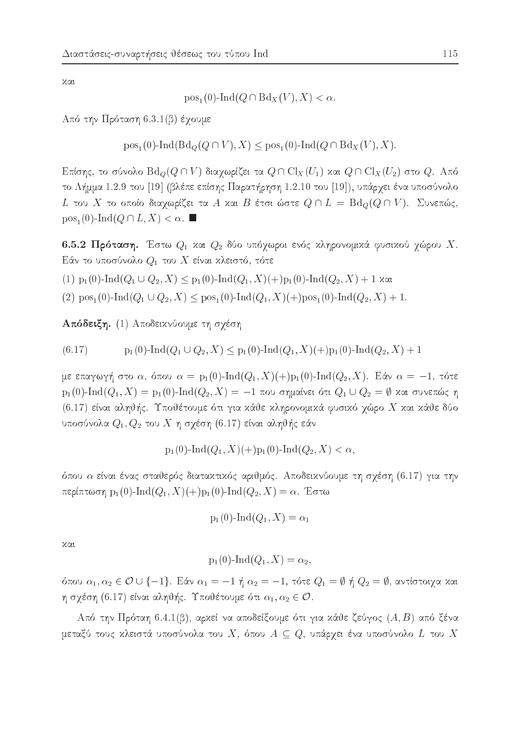χαι

 $pos_1(0)$ -Ind $(Q \cap Bd_X(V), X) < \alpha$ .

Από την Πρόταση 6.3.1(β) έχουμε

 $pos_1(0)$ -Ind(Bd<sub>Q</sub>(Q  $\cap$  V), X)  $\leq pos_1(0)$ -Ind(Q  $\cap$ Bd<sub>X</sub>(V), X).

Επίσης, το σύνολο  $\text{Bd}_Q(Q \cap V)$  διαχωρίζει τα  $Q \cap \text{Cl}_X(U_1)$  και  $Q \cap \text{Cl}_X(U_2)$  στο  $Q$ . Από το Λήμμα 1.2.9 του [19] (βλέπε επίσης Παρατήρηση 1.2.10 του [19]), υπάρχει ένα υποσύνολο  $L$  του  $X$  το οποίο διαχωρίζει τα  $A$  χαι  $B$  έτσι ώστε  $Q \cap L = \operatorname{Bd}_O(Q \cap V)$ . Συνεπώς,  $pos_1(0)$ -Ind $(Q \cap L, X) < \alpha$ .

6.5.2 Πρόταση. Έστω  $Q_1$  και  $Q_2$  δύο υπόχωροι ενός κληρονομικά φυσικού χώρου X. Εάν το υποσύνολο  $Q_1$  του  $X$  είναι κλειστό, τότε

 $(1)$   $p_1(0)$ -Ind $(Q_1 \cup Q_2, X) \leq p_1(0)$ -Ind $(Q_1, X)(+)p_1(0)$ -Ind $(Q_2, X) + 1$  zat

(2)  $pos_1(0)$ -Ind $(Q_1 \cup Q_2, X) \leq pos_1(0)$ -Ind $(Q_1, X)(+)pos_1(0)$ -Ind $(Q_2, X) + 1$ .

Απόδειξη. (1) Αποδεικνύουμε τη σχέση

 $p_1(0)$ -Ind $(Q_1 \cup Q_2, X) \leq p_1(0)$ -Ind $(Q_1, X)(+)p_1(0)$ -Ind $(Q_2, X) + 1$  $(6.17)$ 

με επαγωγή στο α, όπου  $\alpha = p_1(0)$ -Ind $(Q_1, X)(+)p_1(0)$ -Ind $(Q_2, X)$ . Εάν  $\alpha = -1$ , τότε  $p_1(0)$ -Ind $(Q_1, X) = p_1(0)$ -Ind $(Q_2, X) = -1$  που σημαίνει ότι  $Q_1 \cup Q_2 = \emptyset$  και συνεπώς η  $(6.17)$  είναι αληθής. Υποθέτουμε ότι για κάθε κληρονομικά φυσικό χώρο X και κάθε δύο υποσύνολα  $Q_1,Q_2$  του  $X$  η σχέση (6.17) είναι αληθής εάν

$$
p_1(0)-\text{Ind}(Q_1, X)(+)p_1(0)-\text{Ind}(Q_2, X) < \alpha,
$$

όπου α είναι ένας σταθερός διατακτικός αριθμός. Αποδεικνύουμε τη σχέση (6.17) για την περίπτωση  $p_1(0)$ -Ind $(Q_1, X)(+)p_1(0)$ -Ind $(Q_2, X) = \alpha$ . Έστω

$$
p_1(0)-\mathrm{Ind}(Q_1,X)=\alpha_1
$$

χαι

$$
p_1(0)-\mathrm{Ind}(Q_1,X)=\alpha_2,
$$

όπου  $\alpha_1, \alpha_2 \in \mathcal{O} \cup \{-1\}$ . Εάν  $\alpha_1 = -1$  ή  $\alpha_2 = -1$ , τότε  $Q_1 = \emptyset$  ή  $Q_2 = \emptyset$ , αντίστοιχα και η σχέση (6.17) είναι αληθής. Υποθέτουμε ότι  $\alpha_1, \alpha_2 \in \mathcal{O}$ .

Από την Πρόταη 6.4.1(β), αρκεί να αποδείξουμε ότι για κάθε ζεύγος  $(A, B)$  από ξένα μεταξύ τους κλειστά υποσύνολα του  $X,$  όπου  $A \subseteq Q,$  υπάρχει ένα υποσύνολο  $L$  του  $X$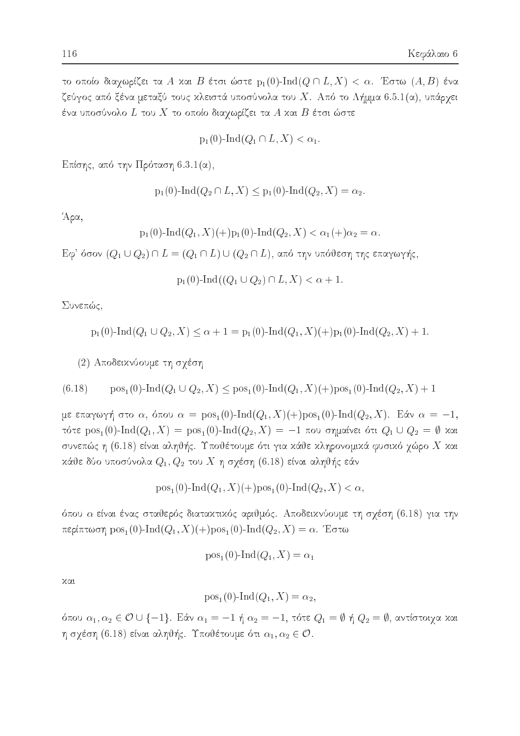το οποίο διαχωρίζει τα A και B έτσι ώστε  $p_1(0)$ -Ind $(Q \cap L, X) < \alpha$ . Έστω  $(A, B)$  ένα ζεύγος από ξένα μεταξύ τους κλειστά υποσύνολα του Χ. Από το Λήμμα 6.5.1(α), υπάρχει ένα υποσύνολο  $L$  του  $X$  το οποίο διαχωρίζει τα  $A$  και  $B$  έτσι ώστε

$$
p_1(0)-\mathrm{Ind}(Q_1\cap L,X)<\alpha_1.
$$

Επίσης, από την Πρόταση 6.3.1(α),

$$
p_1(0)
$$
-Ind $(Q_2 \cap L, X) \leq p_1(0)$ -Ind $(Q_2, X) = \alpha_2$ .

Άρα,

$$
p_1(0)-\text{Ind}(Q_1, X)(+)p_1(0)-\text{Ind}(Q_2, X) < \alpha_1(+)\alpha_2 = \alpha
$$

 $E\varphi'$  όσον  $(Q_1 \cup Q_2) \cap L = (Q_1 \cap L) \cup (Q_2 \cap L)$ , από την υπόθεση της επαγωγής,

$$
p_1(0)-\text{Ind}((Q_1\cup Q_2)\cap L,X)<\alpha+1
$$

Συνεπώς,

$$
\mathrm{p}_1(0)\text{-}\!\operatorname{Ind}(Q_1\cup Q_2,X)\leq \alpha+1=\mathrm{p}_1(0)\text{-}\!\operatorname{Ind}(Q_1,X)(+)\mathrm{p}_1(0)\text{-}\!\operatorname{Ind}(Q_2,X)+1
$$

(2) Αποδεικνύουμε τη σχέση

$$
(6.18) \qquad \text{pos}_1(0)\text{-}\text{Ind}(Q_1 \cup Q_2, X) \leq \text{pos}_1(0)\text{-}\text{Ind}(Q_1, X)(\text{+})\text{pos}_1(0)\text{-}\text{Ind}(Q_2, X) + 1
$$

με επαγωγή στο α, όπου  $\alpha = \text{pos}_1(0)$ -Ind $(Q_1, X)(+)$ pos<sub>1</sub>(0)-Ind $(Q_2, X)$ . Εάν  $\alpha = -1$ , τότε pos<sub>1</sub>(0)-Ind(Q<sub>1</sub>, X) = pos<sub>1</sub>(0)-Ind(Q<sub>2</sub>, X) = -1 που σημαίνει ότι Q<sub>1</sub> U Q<sub>2</sub> = Ø και συνεπώς η (6.18) είναι αληθής. Υποθέτουμε ότι για κάθε κληρονομικά φυσικό χώρο  $X$  και κάθε δύο υποσύνολα  $Q_1, Q_2$  του X η σχέση (6.18) είναι αληθής εάν

$$
pos1(0)-Ind(Q1, X)(+)pos1(0)-Ind(Q2, X) < \alpha
$$

όπου α είναι ένας σταθερός διατακτικός αριθμός. Αποδεικνύουμε τη σχέση (6.18) για την περίπτωση  $pos_1(0)$ -Ind $(Q_1, X)(+)pos_1(0)$ -Ind $(Q_2, X) = \alpha$ . Έστω

$$
pos_1(0)-Ind(Q_1, X) = \alpha_1
$$

χαι

$$
pos1(0)-Ind(Q1, X) = \alpha2,
$$

όπου  $\alpha_1, \alpha_2 \in \mathcal{O} \cup \{-1\}$ . Εάν  $\alpha_1 = -1$  ή  $\alpha_2 = -1$ , τότε  $Q_1 = \emptyset$  ή  $Q_2 = \emptyset$ , αντίστοιχα και η σχέση (6.18) είναι αληθής. Υποθέτουμε ότι  $\alpha_1, \alpha_2 \in \mathcal{O}$ .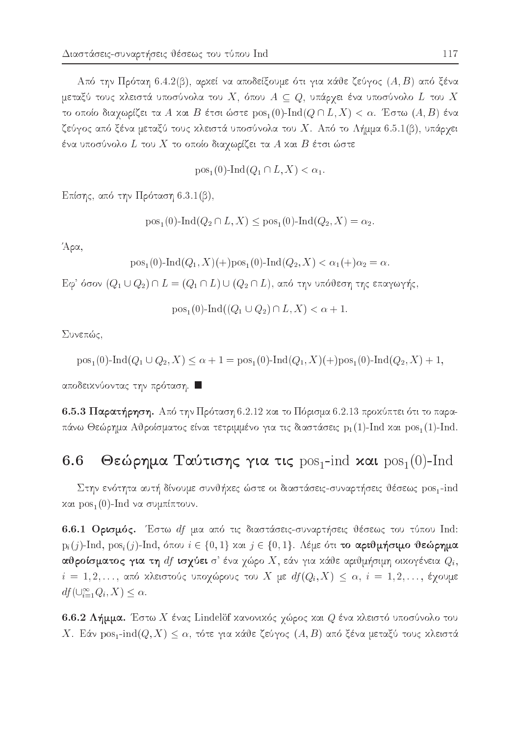Από την Πρόταη 6.4.2(β), αρκεί να αποδείξουμε ότι για κάθε ζεύγος  $(A, B)$  από ξένα μεταξύ τους κλειστά υποσύνολα του  $X$ , όπου  $A \subseteq Q$ , υπάρχει ένα υποσύνολο  $L$  του  $X$ το οποίο διαγωρίζει τα A και B έτσι ώστε  $pos_1(0)$ -Ind $(Q \cap L, X) < \alpha$ . Έστω  $(A, B)$  ένα ζεύγος από ξένα μεταξύ τους κλειστά υποσύνολα του  $X$ . Από το Λήμμα 6.5.1(β), υπάρχει ένα υποσύνολο  $L$  του  $X$  το οποίο διαχωρίζει τα  $A$  και  $B$  έτσι ώστε

$$
pos_1(0)-Ind(Q_1 \cap L, X) < \alpha_1.
$$

Επίσης, από την Πρόταση 6.3.1(β),

$$
pos1(0)-Ind(Q2 \cap L, X) \leq pos1(0)-Ind(Q2, X) = \alpha2.
$$

Άρα,

$$
pos_1(0)
$$
-Ind $(Q_1, X)$ (+)  $pos_1(0)$ -Ind $(Q_2, X) < α_1(+)α_2 = α$ 

 $E\varphi$ ' όσον  $(Q_1 \cup Q_2) \cap L = (Q_1 \cap L) \cup (Q_2 \cap L)$ , από την υπόθεση της επαγωγής,

$$
pos1(0)-Ind((Q1 \cup Q2) \cap L, X) < \alpha + 1
$$

Συνεπώς,

$$
pos1(0)-Ind(Q1 \cup Q2, X) \le \alpha + 1 = pos1(0)-Ind(Q1, X)(+)pos1(0)-Ind(Q2, X) + 1,
$$

αποδεικνύοντας την πρόταση. ■

6.5.3 Παρατήρηση. Από την Πρόταση 6.2.12 και το Πόρισμα 6.2.13 προχύπτει ότι το παραπάνω Θεώρημα Αθροίσματος είναι τετριμμένο για τις διαστάσεις  $p_1(1)$ -Ind και  $pos_1(1)$ -Ind.

### Θεώρημα Ταύτισης για τις  $pos_1$ -ind και  $pos_1(0)$ -Ind 6.6

Στην ενότητα αυτή δίνουμε συνθήχες ώστε οι διαστάσεις-συναρτήσεις θέσεως pos<sub>1</sub>-ind και  $pos_1(0)$ -Ind να συμπίπτουν.

6.6.1 Ορισμός. Έστω df μια από τις διαστάσεις-συναρτήσεις θέσεως του τύπου Ind:  $p_i(j)$ -Ind,  $pos_i(j)$ -Ind, όπου  $i \in \{0,1\}$  και  $j \in \{0,1\}$ . Λέμε ότι το αριθμήσιμο θεώρημα αθροίσματος για τη  $df$  ισχύει σ' ένα χώρο  $X$ , εάν για κάθε αριθμήσιμη οικογένεια  $Q_i$ ,  $i = 1, 2, ..., \alpha$ πό κλειστούς υποχώρους του X με  $df(Q_i, X) \leq \alpha, i = 1, 2, ..., \xi$ χουμε  $df(\cup_{i=1}^{\infty} Q_i, X) \leq \alpha.$ 

6.6.2 Λήμμα. Έστω Χ ένας Lindelöf κανονικός χώρος και  $Q$  ένα κλειστό υποσύνολο του X. Εάν  $pos_1$ -ind $(Q, X) \leq \alpha$ , τότε για κάθε ζεύγος  $(A, B)$  από ξένα μεταξύ τους κλειστά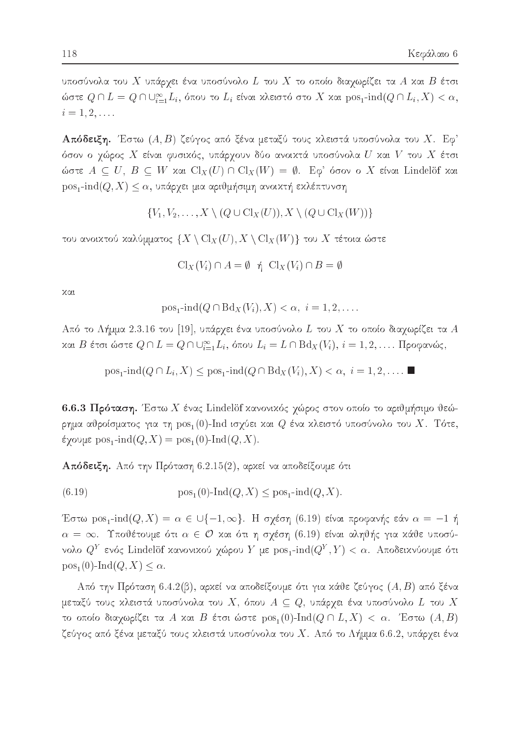υποσύνολα του  $X$  υπάρχει ένα υποσύνολο  $L$  του  $X$  το οποίο διαχωρίζει τα  $A$  και  $B$  έτσι ώστε  $Q \cap L = Q \cap \bigcup_{i=1}^{\infty} L_i$ , όπου το  $L_i$  είναι κλειστό στο X και  $\text{pos}_1\text{-}\text{ind}(Q \cap L_i, X) < \alpha$ ,  $i = 1, 2, \ldots$ 

**Απόδειξη.** Έστω (A, B) ζεύγος από ξένα μεταξύ τους κλειστά υποσύνολα του X. Εφ' όσον ο χώρος  $X$  είναι φυσικός, υπάρχουν δύο ανοικτά υποσύνολα  $U$  και  $V$  του  $X$  έτσι ώστε  $A \subseteq U$ ,  $B \subseteq W$  και  $Cl_X(U) \cap Cl_X(W) = \emptyset$ . Εφ' όσον ο X είναι Lindelöf και  $pos_1$ -ind $(Q, X) \leq \alpha$ , υπάρχει μια αριθμήσιμη ανοικτή εκλέπτυνση

$$
\{V_1, V_2, \ldots, X \setminus (Q \cup \mathrm{Cl}_X(U)), X \setminus (Q \cup \mathrm{Cl}_X(W))\}
$$

του ανοικτού καλύμματος  $\{X \setminus \operatorname{Cl}_X(U), X \setminus \operatorname{Cl}_X(W)\}$  του  $X$  τέτοια ώστε

$$
\mathrm{Cl}_X(V_i)\cap A=\emptyset\ \ \text{\'q}\ \ \mathrm{Cl}_X(V_i)\cap B=\emptyset
$$

χαι

$$
\operatorname{pos}_{1} \text{-} \operatorname{ind}(Q \cap \operatorname{Bd}_{X}(V_{i}), X) < \alpha, \ i = 1, 2, \dots
$$

Από το Λήμμα 2.3.16 του [19], υπάρχει ένα υποσύνολο L του X το οποίο διαχωρίζει τα A και Β έτσι ώστε  $Q \cap L = Q \cap \bigcup_{i=1}^{\infty} L_i$ , όπου  $L_i = L \cap \text{Bd}_X(V_i)$ ,  $i = 1, 2, \ldots$ . Προφανώς,

$$
pos_1\text{-}\!\operatorname{ind}(Q \cap L_i, X) \le pos_1\text{-}\!\operatorname{ind}(Q \cap Bd_X(V_i), X) < \alpha, \ i = 1, 2, \dots.
$$

6.6.3 Πρόταση. Έστω Χ ένας Lindelöf κανονικός χώρος στον οποίο το αριθμήσιμο θεώρημα αθροίσματος για τη  $\mathrm{pos}_1(0)$ -Ind ισχύει και  $Q$  ένα κλειστό υποσύνολο του  $X.$  Τότε, έχουμε  $pos_1$ -ind $(Q, X) = pos_1(0)$ -Ind $(Q, X)$ .

**Απόδειξη.** Από την Πρόταση 6.2.15(2), αρχεί να αποδείξουμε ότι

(6.19) 
$$
\text{pos}_1(0)\text{-}\text{Ind}(Q, X) \leq \text{pos}_1\text{-}\text{ind}(Q, X).
$$

Έστω pos<sub>1</sub>-ind(Q, X) =  $\alpha \in \bigcup \{-1, \infty\}$ . Η σχέση (6.19) είναι προφανής εάν  $\alpha = -1$  ή  $\alpha = \infty$ . Υποθέτουμε ότι  $\alpha \in \mathcal{O}$  και ότι η σχέση (6.19) είναι αληθής για κάθε υποσύνολο  $Q^Y$  ενός Lindelöf κανονικού χώρου  $Y$  με  $\text{pos}_1\text{-}\!\operatorname{ind}(Q^Y,Y)<\alpha$ . Αποδεικνύουμε ότι  $pos_1(0)$ -Ind $(Q, X) \leq \alpha$ .

Από την Πρόταση 6.4.2(β), αρκεί να αποδείξουμε ότι για κάθε ζεύγος  $(A, B)$  από ξένα μεταξύ τους κλειστά υποσύνολα του  $X,$  όπου  $A \subseteq Q,$  υπάρχει ένα υποσύνολο  $L$  του  $X$ το οποίο διαχωρίζει τα A και B έτσι ώστε  $pos_1(0)$ -Ind $(Q \cap L, X) < \alpha$ . Έστω  $(A, B)$ ζεύγος από ξένα μεταξύ τους κλειστά υποσύνολα του Χ. Από το Λήμμα 6.6.2, υπάρχει ένα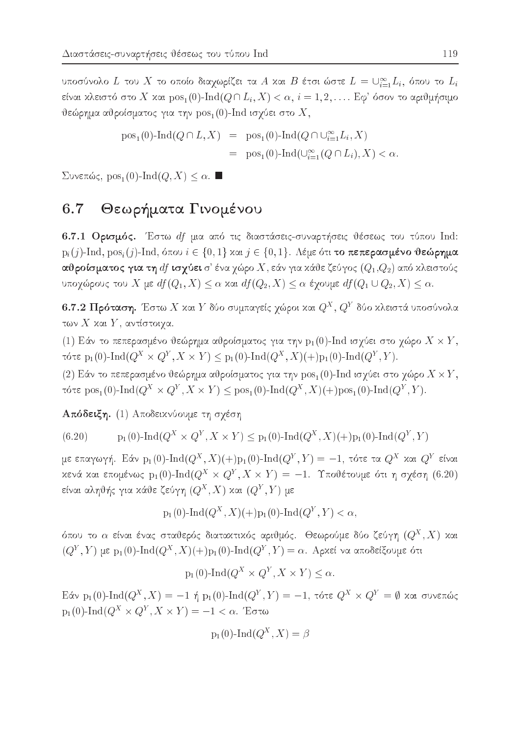υποσύνολο L του X το οποίο διαχωρίζει τα A και B έτσι ώστε  $L = \bigcup_{i=1}^{\infty} L_i$ , όπου το  $L_i$ είναι κλειστό στο X και  $pos_1(0)$ -Ind $(Q \cap L_i, X) < \alpha$ ,  $i = 1, 2, \ldots$  Εφ' όσον το αριθμήσιμο θεώρημα αθροίσματος για την  $pos_1(0)$ -Ind ισχύει στο X,

$$
pos1(0)-Ind(Q \cap L, X) = pos1(0)-Ind(Q \cap \bigcup_{i=1}^{\infty} L_i, X)
$$
  
= pos<sub>1</sub>(0)-Ind(\bigcup\_{i=1}^{\infty} (Q \cap L\_i), X) < \alpha.

Συνεπώς,  $pos_1(0)$ -Ind $(Q, X) \leq \alpha$ . ■

### Θεωρήματα Γινομένου 6.7

6.7.1 Ορισμός. Έστω df μια από τις διαστάσεις-συναρτήσεις θέσεως του τύπου Ind:  $p_i(j)$ -Ind,  $pos_i(j)$ -Ind, όπου  $i \in \{0,1\}$  και  $j \in \{0,1\}$ . Λέμε ότι το πεπερασμένο θεώρημα αθροίσματος για τη  $df$  ισχύει σ' ένα χώρο  $X$ , εάν για κάθε ζεύγος  $(Q_1,Q_2)$  από κλειστούς υποχώρους του X με  $df(Q_1, X) \leq \alpha$  και  $df(Q_2, X) \leq \alpha$  έχουμε  $df(Q_1 \cup Q_2, X) \leq \alpha$ .

6.7.2 Πρόταση. Έστω Χ και Υ δύο συμπαγείς χώροι και  $Q^X, Q^Y$  δύο κλειστά υποσύνολα των  $X$  και  $Y$ , αντίστοιγα.

(1) Εάν το πεπερασμένο θεώρημα αθροίσματος για την  $p_1(0)$ -Ind ισχύει στο χώρο  $X \times Y$ , TÓTE  $p_1(0)$ -Ind $(Q^X \times Q^Y, X \times Y) \leq p_1(0)$ -Ind $(Q^X, X)(+)p_1(0)$ -Ind $(Q^Y, Y)$ .

(2) Εάν το πεπερασμένο θεώρημα αθροίσματος για την  $pos_1(0)$ -Ind ισχύει στο χώρο  $X \times Y$ , τότε  $pos_1(0)$ -Ind $(Q^X \times Q^Y, X \times Y) \leq pos_1(0)$ -Ind $(Q^X, X)(+)pos_1(0)$ -Ind $(Q^Y, Y)$ .

Απόδειξη. (1) Αποδεικνύουμε τη σχέση

(6.20) 
$$
p_1(0)\text{-}\text{Ind}(Q^X \times Q^Y, X \times Y) \leq p_1(0)\text{-}\text{Ind}(Q^X, X)(+)p_1(0)\text{-}\text{Ind}(Q^Y, Y)
$$

με επαγωγή. Εάν  $p_1(0)$ -Ind $(Q^X, X)(+)p_1(0)$ -Ind $(Q^Y, Y) = -1$ , τότε τα  $Q^X$  και  $Q^Y$  είναι κενά και επομένως  $p_1(0)$ -Ind $(Q^X \times Q^Y, X \times Y) = -1$ . Υποθέτουμε ότι η σγέση (6.20) είναι αληθής για κάθε ζεύγη $(Q^X,X)$ και $(Q^Y,Y)$ με

$$
p_1(0)\text{-}\mathrm{Ind}(Q^X, X)(+)p_1(0)\text{-}\mathrm{Ind}(Q^Y, Y) < \alpha,
$$

όπου το  $\alpha$  είναι ένας σταθερός διαταχτιχός αριθμός. Θεωρούμε δύο ζεύγη  $(Q^X,X)$  χαι  $(Q<sup>Y</sup>, Y)$  με p<sub>1</sub>(0)-Ind( $Q<sup>X</sup>, X$ )(+)p<sub>1</sub>(0)-Ind( $Q<sup>Y</sup>, Y$ ) = α. Αρχεί να αποδείξουμε ότι

$$
p_1(0) \text{-} \operatorname{Ind}(Q^X \times Q^Y, X \times Y) \le \alpha.
$$

Eάν p<sub>1</sub>(0)-Ind( $Q^X$ , X) = -1 ή p<sub>1</sub>(0)-Ind( $Q^Y$ , Y) = -1, τότε  $Q^X \times Q^Y = \emptyset$  και συνεπώς  $p_1(0)$ -Ind( $Q^X \times Q^Y$ ,  $X \times Y$ ) = -1 < α. Έστω

$$
p_1(0)-\mathrm{Ind}(Q^X,X)=\beta
$$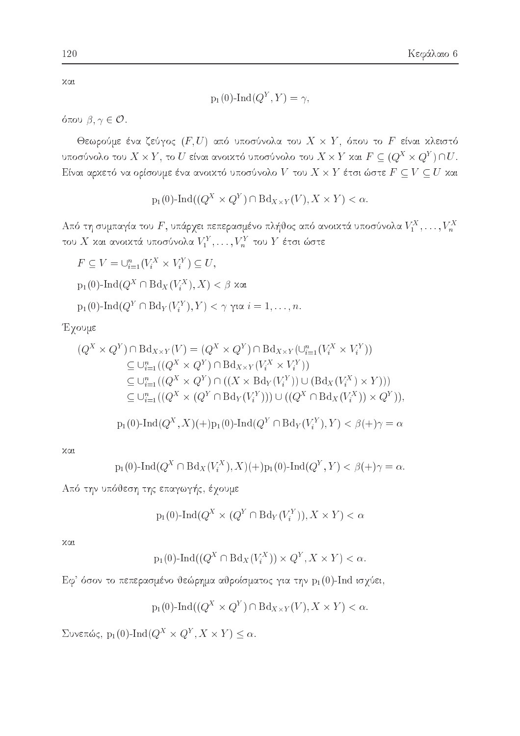χαι

$$
p_1(0)-\mathrm{Ind}(Q^Y,Y)=\gamma,
$$

όπου  $\beta, \gamma \in \mathcal{O}$ .

Θεωρούμε ένα ζεύγος  $(F, U)$  από υποσύνολα του  $X \times Y$ , όπου το F είναι κλειστό υποσύνολο του  $X \times Y$ , το  $U$  είναι ανοικτό υποσύνολο του  $X \times Y$  και  $F \subseteq (Q^X \times Q^Y) \cap U$ . Είναι αρκετό να ορίσουμε ένα ανοικτό υποσύνολο  $V$  του  $X \times Y$  έτσι ώστε  $F \subseteq V \subseteq U$  και

$$
p_1(0)-\text{Ind}((Q^X \times Q^Y) \cap \text{Bd}_{X \times Y}(V), X \times Y) < \alpha.
$$

Από τη συμπαγία του F, υπάρχει πεπερασμένο πλήθος από ανοικτά υποσύνολα  $V_1^X, \ldots, V_n^X$ του $X$ και ανοικτά υποσύνολα $V^Y_1,\ldots,V^Y_n$ του $Y$ έτσι ώστε

$$
F \subseteq V = \bigcup_{i=1}^{n} (V_i^X \times V_i^Y) \subseteq U,
$$

- $p_1(0)$ -Ind( $Q^X \cap Bd_X(V_i^X), X$ ) < β και
- $p_1(0)$ -Ind $(Q^Y \cap Bd_Y(V_i^Y), Y) < \gamma$  yi $\alpha$   $i = 1, \ldots, n$ .

Έχουμε

$$
(Q^X \times Q^Y) \cap \text{Bd}_{X \times Y}(V) = (Q^X \times Q^Y) \cap \text{Bd}_{X \times Y}(\cup_{i=1}^n (V_i^X \times V_i^Y))
$$
  
\n
$$
\subseteq \cup_{i=1}^n ((Q^X \times Q^Y) \cap \text{Bd}_{X \times Y}(V_i^X \times V_i^Y))
$$
  
\n
$$
\subseteq \cup_{i=1}^n ((Q^X \times Q^Y) \cap ((X \times \text{Bd}_Y(V_i^Y)) \cup (\text{Bd}_X(V_i^X) \times Y)))
$$
  
\n
$$
\subseteq \cup_{i=1}^n ((Q^X \times (Q^Y \cap \text{Bd}_Y(V_i^Y))) \cup ((Q^X \cap \text{Bd}_X(V_i^X)) \times Q^Y)),
$$
  
\n
$$
p_1(0)\text{-Ind}(Q^X, X)(+)p_1(0)\text{-Ind}(Q^Y \cap \text{Bd}_Y(V_i^Y), Y) < \beta(+) \gamma = \alpha
$$

χαι

$$
p_1(0)-\mathrm{Ind}(Q^X\cap \mathrm{Bd}_X(V_i^X),X)(+)p_1(0)-\mathrm{Ind}(Q^Y,Y)<\beta(+)\gamma=\alpha.
$$

Από την υπόθεση της επαγωγής, έχουμε

$$
p_1(0)\text{-}\!\operatorname{Ind}(Q^X\times (Q^Y\cap \text{Bd}_Y(V^Y_i)),X\times Y)<\alpha
$$

 $201$ 

$$
p_1(0)\text{-}\mathrm{Ind}((Q^X \cap \mathrm{Bd}_X(V_i^X)) \times Q^Y, X \times Y) < \alpha.
$$

Εφ' όσον το πεπερασμένο θεώρημα αθροίσματος για την  $p_1(0)$ -Ind ισχύει,

$$
\mathbf{V} = \mathbf{V} \times \mathbf{V} = \mathbf{V} \times \mathbf{V} = \mathbf{V} \times \mathbf{V}
$$

$$
p_1(0)\text{-}\mathrm{Ind}((Q^X \times Q^Y) \cap \mathrm{Bd}_{X \times Y}(V), X \times Y) < \alpha.
$$

 $\Sigma$ υνεπώς, p<sub>1</sub>(0)-Ind( $Q^X \times Q^Y, X \times Y$ )  $\leq \alpha$ .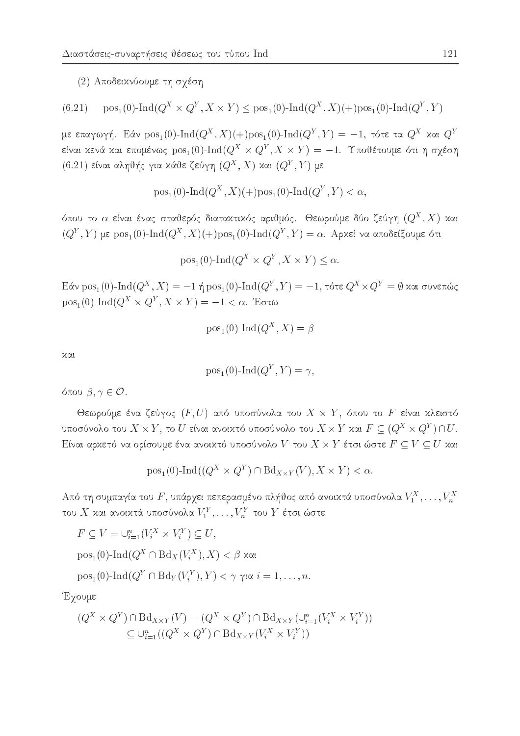(2) Αποδεικνύουμε τη σχέση

$$
(6.21)\quad \text{pos}_1(0)\text{-}\text{Ind}(Q^X \times Q^Y, X \times Y) \leq \text{pos}_1(0)\text{-}\text{Ind}(Q^X, X)(\text{+)pos}_1(0)\text{-}\text{Ind}(Q^Y, Y)
$$

με επαγωγή. Εάν  $pos_1(0)$ -Ind $(Q^X, X)(+)pos_1(0)$ -Ind $(Q^Y, Y) = -1$ , τότε τα  $Q^X$  και  $Q^Y$ είναι κενά και επομένως  $pos_1(0)$ -Ind $(Q^X \times Q^Y, X \times Y) = -1$ . Υποθέτουμε ότι η σχέση (6.21) είναι αληθής για κάθε ζεύγη  $(Q^X, X)$  και  $(Q^Y, Y)$  με

$$
\text{pos}_1(0)\text{-}\text{Ind}(Q^X, X)(+)\text{pos}_1(0)\text{-}\text{Ind}(Q^Y, Y) < \alpha,
$$

όπου το  $\alpha$  είναι ένας σταθερός διαταχτιχός αριθμός. Θεωρούμε δύο ζεύγη  $(Q^X,X)$  χαι  $(Q<sup>Y</sup>, Y)$  με pos<sub>1</sub>(0)-Ind( $Q<sup>X</sup>, X$ )(+)pos<sub>1</sub>(0)-Ind( $Q<sup>Y</sup>, Y$ ) = α. Αρκεί να αποδείξουμε ότι

$$
pos1(0)-Ind(QX × QY, X × Y) ≤ α.
$$

Eάν pos<sub>1</sub>(0)-Ind( $Q^X$ , X) = -1 ή pos<sub>1</sub>(0)-Ind( $Q^Y$ , Y) = -1, τότε  $Q^X \times Q^Y = \emptyset$  και συνεπώς  $pos_1(0)$ -Ind $(Q^X \times Q^Y, X \times Y) = -1 < \alpha$ . Έστω

$$
pos_1(0)-Ind(Q^X, X) = \beta
$$

χαι

$$
pos_1(0)-Ind(Q^Y, Y) = \gamma
$$

όπου  $\beta, \gamma \in \mathcal{O}$ .

Θεωρούμε ένα ζεύγος  $(F, U)$  από υποσύνολα του  $X \times Y$ , όπου το F είναι κλειστό υποσύνολο του  $X \times Y$ , το  $U$  είναι ανοικτό υποσύνολο του  $X \times Y$  και  $F \subseteq (Q^X \times Q^Y) \cap U$ . Είναι αρχετό να ορίσουμε ένα ανοι<br/>χτό υποσύνολο $V$ του $X\times Y$ έτσι ώστε $F\subseteq V\subseteq U$ χαι

$$
pos_1(0)-Ind((Q^X \times Q^Y) \cap Bd_{X \times Y}(V), X \times Y) < \alpha.
$$

Από τη συμπαγία του  $F$ , υπάρχει πεπερασμένο πλήθος από ανοικτά υποσύνολα  $V_1^X, \ldots, V_n^X$ του $X$ και ανοικτά υποσύνολα $V^Y_1,\ldots,V^Y_n$ του  $Y$ έτσι ώστε

$$
F \subseteq V = \bigcup_{i=1}^{n} (V_i^X \times V_i^Y) \subseteq U,
$$
  
\n
$$
pos_1(0)-Ind(Q^X \cap Bd_X(V_i^X), X) < \beta \text{ xat}
$$
  
\n
$$
pos_1(0)-Ind(Q^Y \cap Bd_Y(V_i^Y), Y) < \gamma \text{ yat } i = 1, ..., n.
$$

Έχουμε

$$
(Q^X \times Q^Y) \cap \text{Bd}_{X \times Y}(V) = (Q^X \times Q^Y) \cap \text{Bd}_{X \times Y}(\cup_{i=1}^n (V_i^X \times V_i^Y))
$$
  

$$
\subseteq \cup_{i=1}^n ((Q^X \times Q^Y) \cap \text{Bd}_{X \times Y}(V_i^X \times V_i^Y))
$$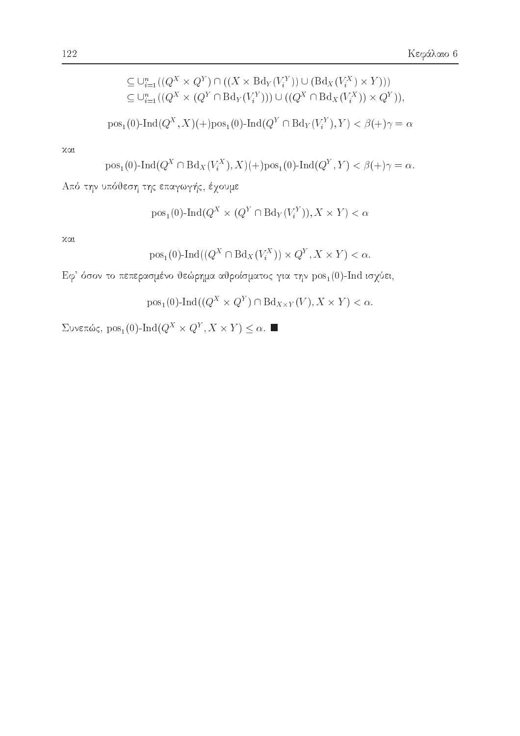Συνεπώς,  $pos_1(0)$ -Ind $(Q^X \times Q^Y, X \times Y) \leq \alpha$ . ■

 $pos_1(0)$ -Ind $((Q^X \times Q^Y) \cap Bd_{X \times Y}(V), X \times Y) < \alpha$ .

Εφ' όσον το πεπερασμένο θεώρημα αθροίσματος για την  $pos_1(0)$ -Ind ισχύει,

$$
pos1(0)-Ind((QX \cap BdX(ViX)) \times QY, X \times Y) < \alpha.
$$

χαι

$$
f_{\rm{max}}
$$

$$
pos1(0)-Ind(QX × (QY ∩ BdY(ViY)), X × Y)
$$

Από την υπόθεση της επαγωγής, έχουμε

$$
\text{pos}_1(0)\text{-}\text{Ind}(Q^X\cap \text{Bd}_X(V_i^X),X)(+)\text{pos}_1(0)\text{-}\text{Ind}(Q^Y,Y)<\beta(+)\gamma=\alpha.
$$

 $χαι$ 

$$
\textrm{pos}_1(0)\textrm{-}\textrm{Ind}(Q^X,X)(+)\textrm{pos}_1(0)\textrm{-}\textrm{Ind}(Q^Y\cap \textrm{Bd}_Y(V^Y_i),Y)<\beta(+)\gamma=\alpha
$$

$$
\subseteq \cup_{i=1}^{n} ((Q^X \times Q^Y) \cap ((X \times \text{Bd}_Y(V_i^Y)) \cup (\text{Bd}_X(V_i^X) \times Y)))
$$
  

$$
\subseteq \cup_{i=1}^{n} ((Q^X \times (Q^Y \cap \text{Bd}_Y(V_i^Y))) \cup ((Q^X \cap \text{Bd}_X(V_i^X)) \times Q^Y)),
$$

 $<$   $\alpha$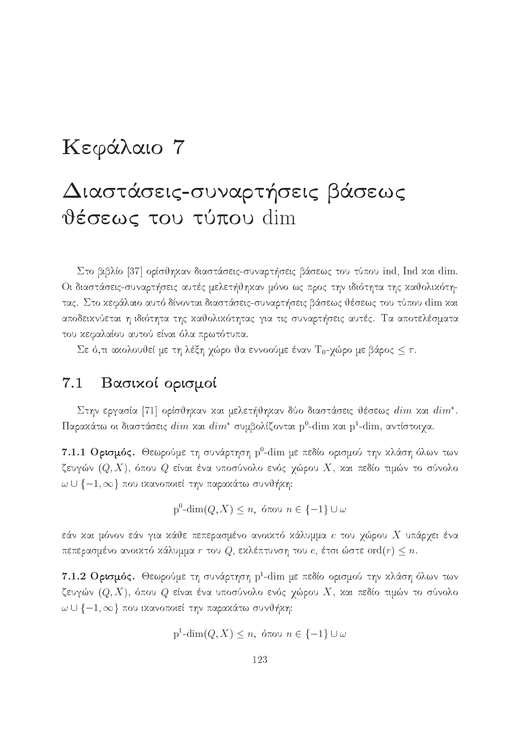# Kεφάλαιο 7

# Διαστάσεις-συναρτήσεις βάσεως θέσεως του τύπου dim

Στο βιβλίο [37] ορίσθηκαν διαστάσεις-συναρτήσεις βάσεως του τύπου ind, Ind και dim. Οι διαστάσεις-συναρτήσεις αυτές μελετήθηκαν μόνο ως προς την ιδιότητα της καθολικότητας. Στο κεφάλαιο αυτό δίνονται διαστάσεις-συναρτήσεις βάσεως θέσεως του τύπου dim και αποδεικνύεται η ιδιότητα της καθολικότητας για τις συναρτήσεις αυτές. Τα αποτελέσματα του κεφαλαίου αυτού είναι όλα πρωτότυπα.

Σε ό,τι ακολουθεί με τη λέξη χώρο θα εννοούμε έναν Τ<sub>0</sub>-χώρο με βάρος  $\leq \tau$ .

## 7.1 Βασιχοί ορισμοί

 $\vartriangle$ την εργασία [71] οριστηχαν χαι μελετητηχαν συσ σιαστασεις τεσεως  $\overline{a}$ τηπ χαι  $\overline{a}$ τηπ .  $\Pi$ αραχάτω οι διαστάσεις  $dim$  χαι  $dim^\ast$  συμβολίζονται  $\mathrm{p}^0\text{-dim}$  χαι  $\mathrm{p}^1\text{-dim}$ , αντίστοιγα.

 $7.1.1$  Ορισμός. Θεωρούμε τη συνάρτηση  $\rm p^0\text{-dim}$  με πεδίο ορισμού την χλάση όλων των ζευγών  $(Q,X)$ , όπου  $Q$  είναι ένα υποσύνολο ενός χώρου  $X$ , και πεδίο τιμών το σύνολο  $\omega \cup \{-1, \infty\}$  που ικανοποιεί την παρακάτω συνθήκη:

$$
p^0\text{-dim}(Q, X) \le n, \text{ ótou } n \in \{-1\} \cup \omega
$$

εάν και μόνον εάν για κάθε πεπερασμένο ανοικτό κάλυμμα  $c$  του χώρου  $X$  υπάρχει ένα πεπερασμένο ανοικτό κάλυμμα r του  $Q$ , εκλέπτυνση του c, έτσι ώστε ord $(r) \leq n$ .

 $7.1.2$   $\rm O$ ρισμός. Θεωρούμε τη συνάρτηση  $\rm p^1\text{-}dim$  με πεδίο ορισμού την χλάση όλων των ζευγών  $(Q,X)$ , όπου  $Q$  είναι ένα υποσύνολο ενός χώρου  $X$ , και πεδίο τιμών το σύνολο  $\omega \cup \{-1, \infty\}$  που ικανοποιεί την παρακάτω συνθήκη:

$$
\text{p}^1\text{-dim}(Q, X) \le n, \text{ for all } n \in \{-1\} \cup \omega
$$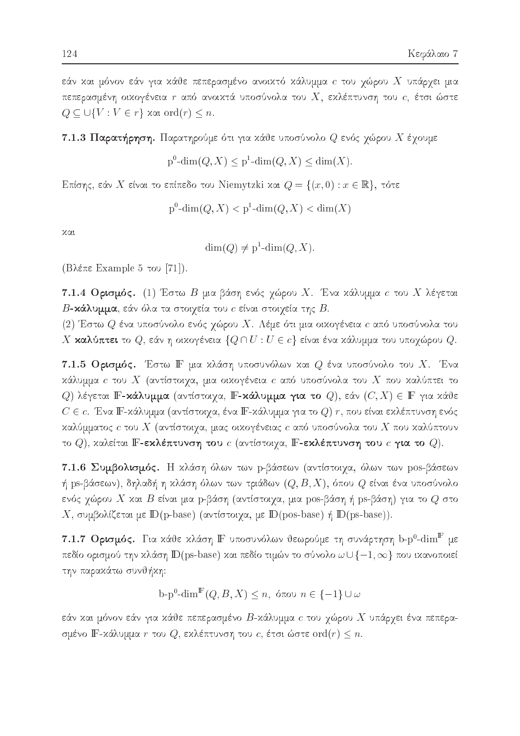εάν και μόνον εάν για κάθε πεπερασμένο ανοικτό κάλυμμα  $c$  του χώρου  $X$  υπάρχει μια πεπερασμένη οικογένεια  $r$  από ανοικτά υποσύνολα του  $X$ , εκλέπτυνση του  $c$ , έτσι ώστε  $Q \subseteq \bigcup \{V : V \in r\}$  xat ord $(r) \leq n$ .

## 7.1.3 Παρατήρηση. Παρατηρούμε ότι για κάθε υποσύνολο  $Q$  ενός χώρου  $X$  έχουμε

 $p^{0}$ -dim(Q, X) <  $p^{1}$ -dim(Q, X) < dim(X).

Επίσης, εάν X είναι το επίπεδο του Niemytzki και  $Q = \{(x, 0) : x \in \mathbb{R}\},\$ τότε

$$
p^0\text{-dim}(Q, X) < p^1\text{-dim}(Q, X) < \text{dim}(X)
$$

χαι

 $\dim(Q) \neq p^1$ -dim $(Q, X)$ .

(Βλέπε Example 5 του [71]).

7.1.4 Ορισμός. (1) Έστω Β μια βάση ενός χώρου Χ. Ένα κάλυμμα  $c$  του Χ λέγεται  $B$ -χάλυμμα, εάν όλα τα στοιχεία του  $c$  είναι στοιχεία της  $B.$ 

(2) Έστω  $Q$  ένα υποσύνολο ενός χώρου X. Λέμε ότι μια οικογένεια  $c$  από υποσύνολα του Χ καλύπτει το  $Q$ , εάν η οικογένεια  $\{Q \cap U : U \in c\}$  είναι ένα κάλυμμα του υποχώρου  $Q$ .

7.1.5 Ορισμός. Έστω Γ μια κλάση υποσυνόλων και  $Q$  ένα υποσύνολο του X. Ένα κάλυμμα  $c$  του  $X$  (αντίστοιχα, μια οικογένεια  $c$  από υποσύνολα του  $X$  που καλύπτει το Q) λέγεται **F-κάλυμμα** (αντίστοιχα, **F-κάλυμμα για το** Q), εάν  $(C, X) \in \mathbb{F}$  για κάθε  $C\in c.$ Ένα Γ-κάλυμμα (αντίστοιχα, ένα Γ-κάλυμμα για το Q) r, που είναι εκλέπτυνση ενός καλύμματος  $c$  του  $X$  (αντίστοιχα, μιας οικογένειας  $c$  από υποσύνολα του  $X$  που καλύπτουν το  $Q$ ), καλείται F-εκλέπτυνση του  $c$  (αντίστοιχα, F-εκλέπτυνση του  $c$  για το  $Q$ ).

7.1.6 Συμβολισμός. Η κλάση όλων των p-βάσεων (αντίστοιχα, όλων των pos-βάσεων ή ps-βάσεων), δηλαδή η κλάση όλων των τριάδων  $(Q, B, X)$ , όπου  $Q$  είναι ένα υποσύνολο ενός χώρου X και B είναι μια p-βάση (αντίστοιχα, μια pos-βάση ή ps-βάση) για το  $Q$  στο X, συμβολίζεται με  $\mathbb{D}(\text{p-base})$  (αντίστοιχα, με  $\mathbb{D}(\text{pos-base})$  ή  $\mathbb{D}(\text{ps-base})$ ).

7.1.7 Ορισμός. Για κάθε κλάση  $\mathbb F$  υποσυνόλων θεωρούμε τη συνάρτηση b-p<sup>0</sup>-dim<sup>F</sup> με πεδίο ορισμού την κλάση  $\mathbb{D}(\text{ps-base})$  και πεδίο τιμών το σύνολο  $\omega \cup \{-1, \infty\}$  που ικανοποιεί την παρακάτω συνθήκη:

 $b-p^0$ -dim<sup>F</sup>(*Q*, *B*, *X*)  $\leq n$ , όπου  $n \in \{-1\}$  ∪ ω

εάν και μόνον εάν για κάθε πεπερασμένο  $B$ -κάλυμμα  $c$  του χώρου  $X$  υπάρχει ένα πεπερασμένο  $\mathbb{F}$ -χάλυμμα  $r$  του  $Q$ , εχλέπτυνση του  $c$ , έτσι ώστε  $\mathrm{ord}(r)\leq n.$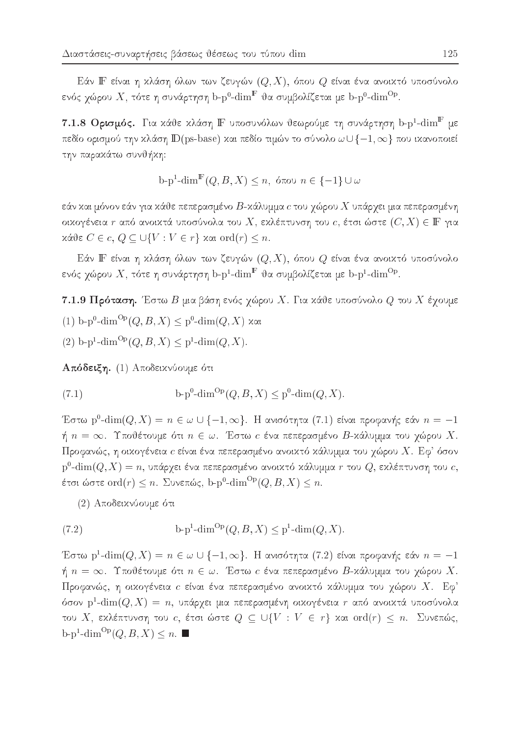Εάν ΙΓ είναι η κλάση όλων των ζευγών  $(Q, X)$ , όπου  $Q$  είναι ένα ανοικτό υποσύνολο ενός χώρου  $X$ , τότε η συνάρτηση b-p<sup>0</sup>-dim<sup>F</sup> θα συμβολίζεται με b-p<sup>0</sup>-dim<sup>Op</sup>.

7.1.8 Ορισμός. Για κάθε κλάση ΙΕ υποσυνόλων θεωρούμε τη συνάρτηση b- $\mathrm{p}^1\text{-dim}^{\mathrm{F}}$  με πεδίο ορισμού την κλάση  $\mathbb{D}(\text{ps-base})$  και πεδίο τιμών το σύνολο  $\omega \cup \{-1, \infty\}$  που ικανοποιεί την παρακάτω συνθήκη:

$$
\mathbf{b}\text{-}\mathbf{p}^1\text{-}\dim^{\mathbb{F}}(Q,B,X) \le n, \text{ for all } n \in \{-1\} \cup \omega
$$

εάν και μόνον εάν για κάθε πεπερασμένο  $B$ -κάλυμμα  $c$  του χώρου  $X$  υπάρχει μια πεπερασμένη οικογένεια  $r$  από ανοικτά υποσύνολα του  $X$ , εκλέπτυνση του  $c$ , έτσι ώστε  $(C, X) \in \mathbb{F}$  για  $x$ άθε  $C \in c, Q \subseteq \bigcup \{V : V \in r\}$  και ord $(r) \leq n$ .

Εάν ΙΓ είναι η κλάση όλων των ζευγών  $(Q, X)$ , όπου  $Q$  είναι ένα ανοικτό υποσύνολο ενός χώρου  $X$ , τότε η συνάρτηση b-p<sup>1</sup>-dim<sup>F</sup> θα συμβολίζεται με b-p<sup>1</sup>-dim<sup>Op</sup>.

7.1.9 Πρόταση. Έστω Β μια βάση ενός χώρου Χ. Για κάθε υποσύνολο  $Q$  του Χ έχουμε (1) b-p<sup>0</sup>-dim<sup>Op</sup>(*Q*, *B*, *X*)  $\le$  p<sup>0</sup>-dim(*Q*, *X*) και

$$
(2) b-p1-dimOp(Q, B, X) \leq p1-dim(Q, X).
$$

Απόδειξη. (1) Αποδεικνύουμε ότι

(7.1) 
$$
b-p^{0} \text{-dim}^{Op}(Q, B, X) \leq p^{0} \text{-dim}(Q, X)
$$

Έστω p<sup>0</sup>-dim(Q, X) =  $n \in \omega \cup \{-1, \infty\}$ . Η ανισότητα (7.1) είναι προφανής εάν  $n = -1$ ή  $n = \infty$ . Υποθέτουμε ότι  $n \in \omega$ . Έστω  $c$  ένα πεπερασμένο  $B$ -κάλυμμα του χώρου Χ. Προφανώς, η οικογένεια  $c$  είναι ένα πεπερασμένο ανοικτό κάλυμμα του χώρου  $X$ . Εφ' όσον  $p^0$ -dim $(Q, X) = n$ , υπάρχει ένα πεπερασμένο ανοικτό κάλυμμα  $r$  του  $Q$ , εκλέπτυνση του  $c$ , έτσι ώστε ord $(r) \leq n$ . Συνεπώς, b-p<sup>0</sup>-dim<sup>Op</sup> $(Q, B, X) \leq n$ .

(2) Αποδεικνύουμε ότι

(7.2) 
$$
b-p^1\text{-dim}^{Op}(Q, B, X) \leq p^1\text{-dim}(Q, X)
$$

Έστω p<sup>1</sup>-dim $(Q, X) = n \in \omega \cup \{-1, \infty\}$ . Η ανισότητα (7.2) είναι προφανής εάν  $n = -1$ ή  $n = \infty$ . Υποθέτουμε ότι  $n \in \omega$ . Έστω c ένα πεπερασμένο Β-κάλυμμα του χώρου X. Προφανώς, η οιχογένεια  $c$  είναι ένα πεπερασμένο ανοιχτό χάλυμμα του χώρου  $X$ . Εφ' όσον p<sup>1</sup>-dim $(Q, X) = n$ , υπάρχει μια πεπερασμένη οικογένεια r από ανοικτά υποσύνολα του Χ, εκλέπτυνση του c, έτσι ώστε  $Q \subseteq \bigcup \{V : V \in r\}$  και ord $(r) \leq n$ . Συνεπώς,  $b-p^1$ -dim<sup>Op</sup> $(Q, B, X) \leq n$ .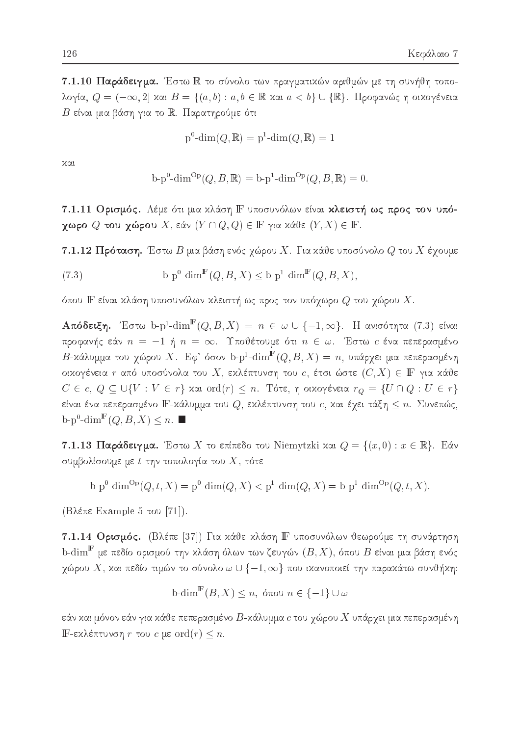7.1.10 Παράδειγμα. Έστω R το σύνολο των πραγματικών αριθμών με τη συνήθη τοπολογία,  $Q = (-\infty, 2]$  και  $B = \{(a, b) : a, b \in \mathbb{R} \text{ and } a < b\} \cup \{\mathbb{R}\}\$ . Προφανώς η οικογένεια  $B$  είναι μια βάση για το  $\mathbb R$ . Παρατηρούμε ότι

$$
p^0\text{-dim}(Q,\mathbb{R}) = p^1\text{-dim}(Q,\mathbb{R}) = 1
$$

χαι

$$
b-p^{0}\text{-dim}^{\text{Op}}(Q, B, \mathbb{R}) = b-p^{1}\text{-dim}^{\text{Op}}(Q, B, \mathbb{R}) = 0.
$$

7.1.11 Ορισμός. Λέμε ότι μια κλάση F υποσυνόλων είναι κλειστή ως προς τον υπό**γωρο**  $Q$  του **γώρο**υ  $X$ , εάν  $(Y \cap Q, Q) \in \mathbb{F}$  για κάθε  $(Y, X) \in \mathbb{F}$ .

7.1.12 Πρόταση. Έστω Β μια βάση ενός χώρου Χ. Για κάθε υποσύνολο  $Q$  του Χ έχουμε

(7.3) 
$$
b \cdot p^0 \cdot \dim^{\mathbb{F}}(Q, B, X) \le b \cdot p^1 \cdot \dim^{\mathbb{F}}(Q, B, X)
$$

όπου  ${\mathbb F}$  είναι χλάση υποσυνόλων χλειστή ως προς τον υπόγωρο  $Q$  του γώρου  $X.$ 

**Απόδειξη.** Έστω b-p<sup>1</sup>-dim<sup>F</sup>(Q, B, X) = n ∈ ω U {-1, ω}. Η ανισότητα (7.3) είναι προφανής εάν  $n = -1$  ή  $n = \infty$ . Υποθέτουμε ότι  $n \in \omega$ . Έστω *c* ένα πεπερασμένο  $B$ -κάλυμμα του χώρου X. Εφ' όσον b-p<sup>1</sup>-dim<sup>F</sup> $(Q, B, X) = n$ , υπάρχει μια πεπερασμένη οικογένεια  $r$  από υποσύνολα του  $X$ , εκλέπτυνση του  $c$ , έτσι ώστε  $(C, X) \in \mathbb{F}$  για κάθε  $C \in c, Q \subseteq \bigcup \{V : V \in r\}$  και ord $(r) \leq n$ . Τότε, η οικογένεια  $r_Q = \{U \cap Q : U \in r\}$ είναι ένα πεπερασμένο  $\mathbb F$ -χάλυμμα του  $Q,$  εχλέπτυνση του  $c,$  χαι έχει τάξη  $\le n.$  Συνεπώς,  $\text{b-p}^0$ -dim<sup>F</sup> $(Q, B, X) \leq n$ .

**7.1.13 Παράδειγμα.** Έστω X το επίπεδο του Niemytzki και  $Q = \{(x, 0) : x \in \mathbb{R}\}$ . Εάν συμβολίσουμε με  $t$  την τοπολογία του  $X$ , τότε

$$
b-p^{0} - \dim^{Op}(Q, t, X) = p^{0} - \dim(Q, X) < p^{1} - \dim(Q, X) = b - p^{1} - \dim^{Op}(Q, t, X).
$$

(Βλέπε Example 5 του [71]).

7.1.14 Ορισμός. (Βλέπε [37]) Για κάθε κλάση ΙΕ υποσυνόλων θεωρούμε τη συνάρτηση b-dim $^{\mathbb{F}}$  με πεδίο ορισμού την χλάση όλων των ζευγών  $(B,X)$ , όπου  $B$  είναι μια βάση ενός χώρου  $X$ , και πεδίο τιμών το σύνολο  $\omega \cup \{-1,\infty\}$  που ικανοποιεί την παρακάτω συνθήκη:

$$
\text{b-dim}^{\mathbb{F}}(B, X) \le n, \text{ ótou } n \in \{-1\} \cup \omega
$$

εάν και μόνον εάν για κάθε πεπερασμένο  $B$ -κάλυμμα  $c$  του χώρου  $X$  υπάρχει μια πεπερασμένη **IF-εχλέπτυνση** r του c με ord $(r) \leq n$ .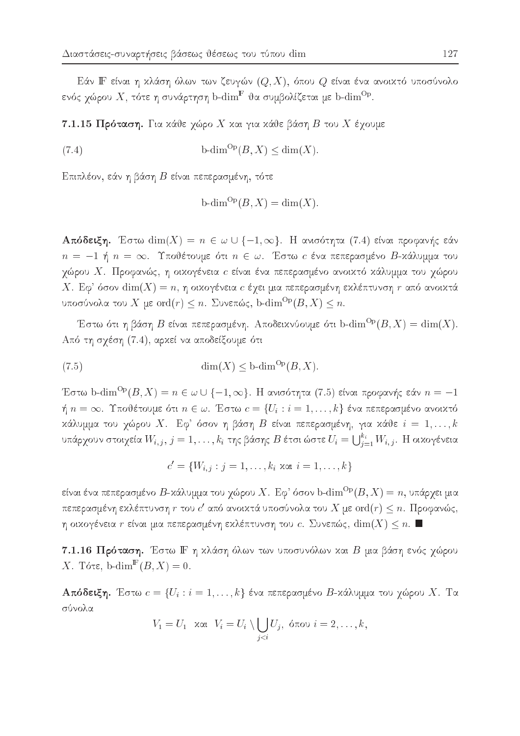Εάν ΙΓ είναι η κλάση όλων των ζευγών  $(Q, X)$ , όπου  $Q$  είναι ένα ανοικτό υποσύνολο ενός χώρου  $X,$  τότε η συνάρτηση b- $\operatorname{dim}^{\mathbb{F}}$  θα συμβολίζεται με b- $\operatorname{dim}^{\mathrm{Op}}.$ 

7.1.15 Πρόταση. Για κάθε χώρο X και για κάθε βάση  $B$  του X έχουμε

(7.4) 
$$
b\text{-dim}^{\text{Op}}(B,X) \le \text{dim}(X).
$$

Επιπλέον, εάν η βάση Β είναι πεπερασμένη, τότε

$$
b\text{-dim}^{\text{Op}}(B,X) = \dim(X).
$$

**Απόδειξη.** Έστω  $dim(X) = n \in \omega \cup \{-1, \infty\}$ . Η ανισότητα (7.4) είναι προφανής εάν  $n = -1$  ή  $n = \infty$ . Υποθέτουμε ότι  $n \in \omega$ . Έστω *c* ένα πεπερασμένο Β-κάλυμμα του χώρου  $X$ . Προφανώς, η οιχογένεια  $c$  είναι ένα πεπερασμένο ανοιχτό χάλυμμα του χώρου X. Εφ' όσον  $\dim(X) = n$ , η οιχογένεια c έχει μια πεπερασμένη εχλέπτυνση r από ανοιχτά υποσύνολα του  $X$  με  $\mathrm{ord}(r)\leq n.$  Συνεπώς, b- $\dim^{ \mathrm{Op}}(B,X)\leq n.$ 

Έστω ότι η βάση Β είναι πεπερασμένη. Αποδεικνύουμε ότι b-dim<sup>Op</sup>( $B, X$ ) = dim(X). Από τη σχέση (7.4), αρκεί να αποδείξουμε ότι

(7.5) 
$$
\dim(X) \leq \text{b-dim}^{\text{Op}}(B, X).
$$

Έστω b-dim<sup>Op</sup>(B, X) =  $n \in \omega \cup \{-1, \infty\}$ . Η ανισότητα (7.5) είναι προφανής εάν  $n = -1$  $\eta$   $n = \infty$ . Υποθέτουμε ότι  $n \in \omega$ . Έστω  $c = \{U_i : i = 1, ..., k\}$  ένα πεπερασμένο ανοικτό κάλυμμα του χώρου Χ. Εφ' όσον η βάση Β είναι πεπερασμένη, για κάθε  $i = 1, ..., k$ υπάρχουν στοιχεία  $W_{i,j}, j = 1, \ldots, k_i$  της βάσης  $B$  έτσι ώστε  $U_i = \bigcup_{i=1}^{k_i} W_{i,j}.$  Η οικογένεια

 $c' = \{W_{i,j} : j = 1, \ldots, k_i \text{ xat } i = 1, \ldots, k\}$ 

είναι ένα πεπερασμένο  $B$ -κάλυμμα του χώρου  $X$ . Εφ' όσον b- $\dim^{\mathrm{Op}}(B,X)=n$ , υπάρχει μια πεπερασμένη εκλέπτυνση  $r$  του  $c'$  από ανοικτά υποσύνολα του  $X$  με  $\text{ord}(r) \leq n$ . Προφανώς,  $\eta$ οικογένεια $r$ είναι μια πεπερασμένη εκλέπτυνση του c. Συνεπώς,  $\dim(X) \leq n.$ 

7.1.16 Πρόταση. Έστω Γ η κλάση όλων των υποσυνόλων και Β μια βάση ενός χώρου X. Tóte, b-dim<sup>F</sup> $(B, X) = 0$ .

**Απόδειξη.** Έστω  $c = \{U_i : i = 1, ..., k\}$  ένα πεπερασμένο Β-κάλυμμα του χώρου Χ. Τα σύνολα

$$
V_1 = U_1 \quad \text{and} \quad V_i = U_i \setminus \bigcup_{j < i} U_j, \ \text{for all} \ i = 2, \dots, k,
$$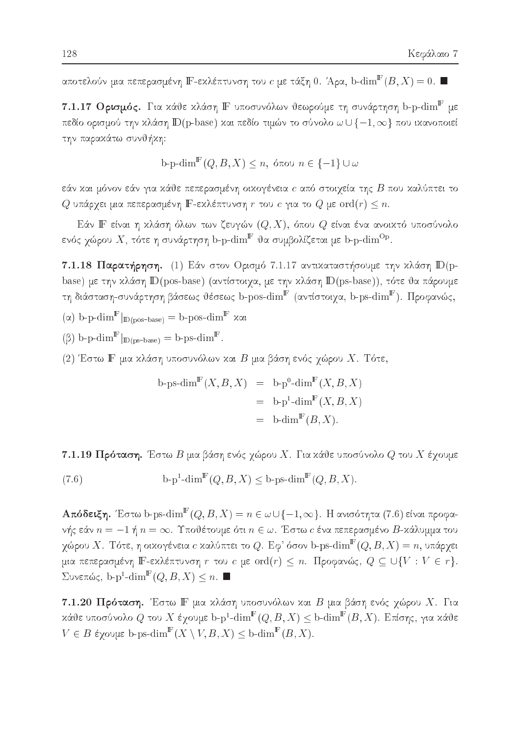αποτελούν μια πεπερασμένη  $\mathbb{F}\text{-}$ εχλέπτυνση του  $c$  με τάξη  $0.$  Άρα,  $\mathrm{b}\text{-}\mathrm{dim}^{\mathbb{F}}(B,X)=0.$   $\blacksquare$ 

7.1.17  $O$ ρισμός. Για χάθε χλάση  $\mathbb F$  υποσυνόλων θεωρούμε τη συνάρτηση b-p- $\dim^{\mathbb F}$  με πεδίο ορισμού την κλάση  $\mathbb{D}(\text{p-base})$  και πεδίο τιμών το σύνολο  $\omega \cup \{-1, \infty\}$  που ικανοποιεί την παρακάτω συνθήκη:

b-p-dim<sup>⊪</sup>(Q, B, X) ≤ n, όπου 
$$
n \in \{-1\} \cup \omega
$$

εάν και μόνον εάν για κάθε πεπερασμένη οικογένεια  $c$  από στοιχεία της  $B$  που καλύπτει το  $Q$  υπάρχει μια πεπερασμένη  $\mathbb F$ -εχλέπτυνση  $r$  του  $c$  για το  $Q$  με  $\mathrm{ord}(r)\leq n.$ 

Εάν Ι<br/><br>Εάν Ι<br/><br> είναι η κλάση όλων των ζευγών  $(Q, X)$ , όπου  $Q$  είναι ένα ανοικτό υποσύνολο ενός χώρου  $X$ , τότε η συνάρτηση b-p- $\operatorname{dim}^{\mathbb{F}}$  θα συμβολίζεται με b-p- $\operatorname{dim}^{\mathrm{Op}}.$ 

7.1.18 Παρατήρηση. (1) Εάν στον Ορισμό 7.1.17 αντικαταστήσουμε την κλάση  $D(p$ base) με την κλάση D(pos-base) (αντίστοιχα, με την κλάση D(ps-base)), τότε θα πάρουμε τη διάσταση-συνάρτηση βάσεως θέσεως b-pos- $\dim^{\mathrm{F}}$  (αντίστοιχα, b-ps- $\dim^{\mathrm{F}}$ ). Προφανώς,

 $(\alpha)$  b-p-dim<sup>F</sup>  $|_{D(pos\text{-}base)} =$  b-pos-dim<sup>F</sup>  $x\alpha$ 

 $(\beta)$  b-p-dim<sup>F</sup>  $|_{\text{D}(ps\text{-}base)} = \text{b-ps-dim}^{\text{F}}$ .

(2) Έστω ΙΓ μια κλάση υποσυνόλων και Β μια βάση ενός χώρου Χ. Τότε,

$$
b\text{-}ps\text{-}\dim^{\mathbb{F}}(X, B, X) = b\text{-}p^0\text{-}\dim^{\mathbb{F}}(X, B, X)
$$
  
= 
$$
b\text{-}p^1\text{-}\dim^{\mathbb{F}}(X, B, X)
$$
  
= 
$$
b\text{-}\dim^{\mathbb{F}}(B, X).
$$

7.1.19 Πρόταση. Έστω Β μια βάση ενός χώρου Χ. Για κάθε υποσύνολο  $Q$  του Χ έχουμε

(7.6) 
$$
b \cdot p^1 \cdot \dim^{\mathbb{F}}(Q, B, X) \leq b \cdot ps \cdot \dim^{\mathbb{F}}(Q, B, X).
$$

**Απόδειξη.** Έστω b-ps-dim $^{\mathbb{F}}(Q, B, X) = n \in \omega \cup \{-1, \infty\}$ . Η ανισότητα (7.6) είναι προφανής εάν  $n = -1$  ή  $n = \infty$ . Υποθέτουμε ότι  $n \in \omega$ . Έστω  $c$  ένα πεπερασμένο  $B$ -κάλυμμα του γώρου  $X.$  Τότε, η οικογένεια  $c$  καλύπτει το  $Q.$  Εφ' όσον b-ps- $\dim^{\rm I\!F}(Q,B,X)=n,$  υπάρχει μια πεπερασμένη Ε-εκλέπτυνση r του c με ord(r)  $\leq n$ . Προφανώς,  $Q \subseteq \bigcup \{V : V \in r\}$ . Συνεπώς, b-p<sup>1</sup>-dim<sup>F</sup>(Q, B, X) ≤ n.

7.1.20 Πρόταση. Έστω Γ μια κλάση υποσυνόλων και Β μια βάση ενός χώρου Χ. Για κάθε υποσύνολο  $Q$  του  $X$  έχουμε b-p<sup>1</sup>-dim<sup>F</sup> $(Q, B, X) \leq$  b-dim<sup>F</sup> $(B, X)$ . Επίσης, για κάθε  $V \in B$  έχουμε b-ps-dim<sup>F</sup> $(X \setminus V, B, X) \leq b$ -dim<sup>F</sup> $(B, X)$ .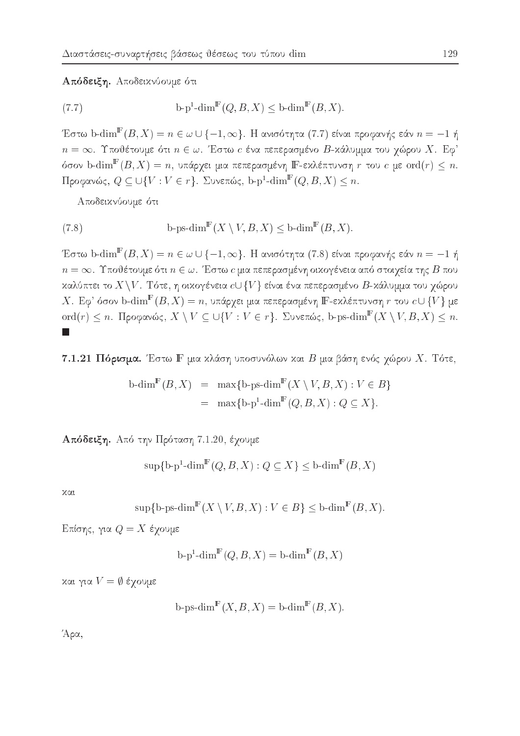### Απόδειξη. Αποδεικνύουμε ότι

(7.7) 
$$
b-p^1\text{-dim}^{\mathbb{F}}(Q, B, X) \leq b\text{-dim}^{\mathbb{F}}(B, X).
$$

Έστω b-dim $^{\mathbb{F}}(B,X)=n\in\omega\cup\{-1,\infty\}.$  Η ανισότητα (7.7) είναι προφανής εάν  $n=-1$  ή  $n = \infty$ . Υποθέτουμε ότι  $n \in \omega$ . Έστω c ένα πεπερασμένο Β-κάλυμμα του χώρου Χ. Εφ' όσον b-dim $^{\mathrm{F}}(B,X)=n$ , υπάρχει μια πεπερασμένη Ε-εκλέπτυνση  $r$  του  $c$  με  $\mathrm{ord}(r)\leq n.$ Προφανώς,  $Q \subseteq \bigcup \{V : V \in r\}$ . Συνεπώς, b-p<sup>1</sup>-dim<sup>F</sup>(Q, B, X)  $\leq n$ .

Αποδεικνύουμε ότι

(7.8) 
$$
b\text{-}ps\text{-}\dim^{\mathbb{F}}(X\setminus V, B, X) \leq b\text{-}\dim^{\mathbb{F}}(B, X).
$$

Έστω b-dim<sup>F</sup>(B, X) =  $n \in \omega \cup \{-1, \infty\}$ . Η ανισότητα (7.8) είναι προφανής εάν  $n = -1$  ή  $n=\infty.$ Υποθέτουμε ότι $n\in\omega.$  Έστω $c$ μια πεπερασμένη οικογένεια από στοιχεία της  $B$ που καλύπτει το  $X\setminus V$ . Τότε, η οικογένεια  $c\cup\{V\}$  είναι ένα πεπερασμένο  $B$ -κάλυμμα του χώρου X. Εφ' όσον b-dim $^{\mathbb{F}}(B,X)=n$ , υπάρχει μια πεπερασμένη IF-εκλέπτυνση r του  $c\cup\{V\}$  με ord(r)  $\leq n$ . Προφανώς,  $X \setminus V \subseteq \bigcup \{V : V \in r\}$ . Συνεπώς, b-ps-dim<sup>F</sup>( $X \setminus V, B, X$ )  $\leq n$ .  $\Box$ 

7.1.21 Πόρισμα. Έστω Γ μια κλάση υποσυνόλων και Β μια βάση ενός χώρου Χ. Τότε,

$$
\begin{array}{rcl}\n\text{b-dim}^{\mathbb{F}}(B, X) & = & \max\{\text{b-ps-dim}^{\mathbb{F}}(X \setminus V, B, X) : V \in B\} \\
& = & \max\{\text{b-p}^1\text{-dim}^{\mathbb{F}}(Q, B, X) : Q \subseteq X\}.\n\end{array}
$$

Απόδειξη. Από την Πρόταση 7.1.20, έχουμε

$$
\sup\{\mathbf{b}\text{-}\mathbf{p}^1\text{-}\dim^{\mathbb{F}}(Q,B,X):Q\subseteq X\}\le\mathbf{b}\text{-}\dim^{\mathbb{F}}(B,X)
$$

και

$$
\sup\{\text{b-ps-dim}^{\mathbb{F}}(X\setminus V, B, X): V\in B\} \le \text{b-dim}^{\mathbb{F}}(B, X)
$$

Επίσης, για  $Q = X$  έχουμε

$$
b-p^1\text{-dim}^{\mathbb{F}}(Q, B, X) = b\text{-dim}^{\mathbb{F}}(B, X)
$$

και για  $V = \emptyset$  έχουμε

b-ps-dim<sup>$$
\mathbb{F}
$$</sup> $(X, B, X) =$ b-dim <sup>$\mathbb{F}$</sup>  $(B, X)$ .

Άρα,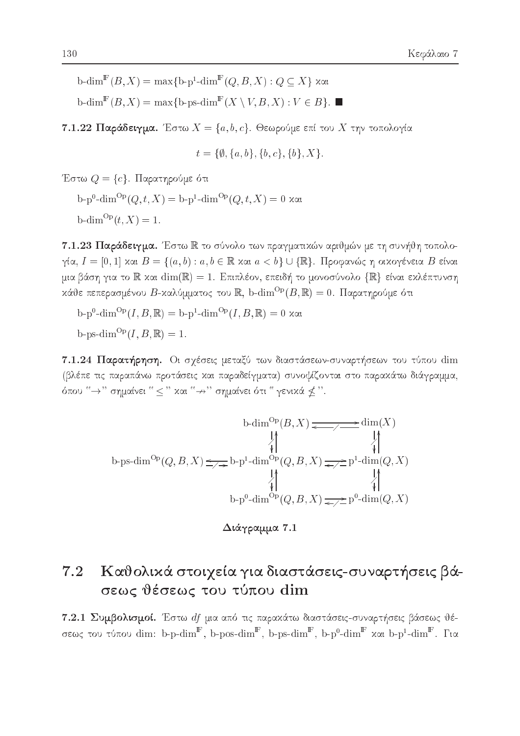$\operatorname{b-dim}^{\mathbb{F}}(B,X) = \max\{\operatorname{b-p}^1\text{-dim}^{\mathbb{F}}(Q,B,X): Q \subseteq X\}$  xat

 $\operatorname{b-dim}^{\mathbb{F}}(B, X) = \max\{\operatorname{b-ps-dim}^{\mathbb{F}}(X \setminus V, B, X) : V \in B\}.$ 

**7.1.22 Παράδειγμα.** Έστω  $X = \{a, b, c\}$ . Θεωρούμε επί του X την τοπολογία

$$
t = \{\emptyset, \{a, b\}, \{b, c\}, \{b\}, X\}.
$$

Έστω  $Q = \{c\}$ . Παρατηρούμε ότι

 $b-p^{0}$ -dim<sup>Op</sup> $(Q, t, X) = b-p^{1}$ -dim<sup>Op</sup> $(Q, t, X) = 0$  xxt  $b\text{-dim}^{\text{Op}}(t, X) = 1.$ 

7.1.23 Παράδειγμα. Έστω R το σύνολο των πραγματικών αριθμών με τη συνήθη τοπολογία,  $I = [0, 1]$  και  $B = \{(a, b) : a, b \in \mathbb{R} \text{ and } a < b\} \cup \{\mathbb{R}\}\$ . Προφανώς η οικογένεια Β είναι μια βάση για το  $\mathbb R$  και  $\dim(\mathbb R)=1$ . Επιπλέον, επειδή το μονοσύνολο  $\{\mathbb R\}$  είναι εκλέπτυνση κάθε πεπερασμένου Β-καλύμματος του R, b-dim<sup>Op</sup>(B, R) = 0. Παρατηρούμε ότι

 $\mathbf{b} - \mathbf{p}^0$ -dim ${}^{Op}(I, B, \mathbb{R}) = \mathbf{b} - \mathbf{p}^1$ -dim ${}^{Op}(I, B, \mathbb{R}) = 0$  xxt

b-ps-dim<sup>Op</sup> $(I, B, \mathbb{R}) = 1$ .

7.1.24 Παρατήρηση. Οι σχέσεις μεταξύ των διαστάσεων-συναρτήσεων του τύπου dim (βλέπε τις παραπάνω προτάσεις και παραδείγματα) συνοψίζονται στο παρακάτω διάγραμμα, όπου " -> " σημαίνει "  $\leq$  " και " -> " σημαίνει ότι " γενικά  $\nleq$  ".

$$
\text{b-dim}^{\text{Op}}(B, X) \xrightarrow{\qquad \qquad \downarrow \qquad \qquad \downarrow \qquad \qquad \downarrow \qquad \qquad \downarrow \qquad \qquad \downarrow \qquad \qquad \downarrow \qquad \qquad \downarrow \qquad \qquad \downarrow \qquad \qquad \downarrow \qquad \qquad \downarrow \qquad \qquad \downarrow \qquad \qquad \downarrow \qquad \qquad \downarrow \qquad \qquad \downarrow \qquad \qquad \downarrow \qquad \qquad \downarrow \qquad \qquad \downarrow \qquad \qquad \downarrow \qquad \qquad \downarrow \qquad \qquad \downarrow \qquad \qquad \downarrow \qquad \qquad \downarrow \qquad \qquad \downarrow \qquad \qquad \downarrow \qquad \qquad \downarrow \qquad \qquad \downarrow \qquad \qquad \downarrow \qquad \qquad \downarrow \qquad \qquad \downarrow \qquad \qquad \downarrow \qquad \qquad \downarrow \qquad \qquad \downarrow \qquad \qquad \downarrow \qquad \qquad \downarrow \qquad \qquad \downarrow \qquad \qquad \downarrow \qquad \qquad \downarrow \qquad \qquad \downarrow \qquad \qquad \downarrow \qquad \qquad \downarrow \qquad \qquad \downarrow \qquad \qquad \downarrow \qquad \qquad \downarrow \qquad \qquad \downarrow \qquad \qquad \downarrow \qquad \qquad \downarrow \qquad \qquad \downarrow \qquad \qquad \downarrow \qquad \qquad \downarrow \qquad \qquad \downarrow \qquad \qquad \downarrow \qquad \qquad \downarrow \qquad \qquad \downarrow \qquad \qquad \downarrow \qquad \qquad \downarrow \qquad \qquad \downarrow \qquad \qquad \downarrow \qquad \qquad \downarrow \qquad \qquad \downarrow \qquad \qquad \downarrow \qquad \qquad \downarrow \qquad \qquad \downarrow \qquad \qquad \downarrow \qquad \qquad \downarrow \qquad \qquad \downarrow \qquad \qquad \downarrow \qquad \qquad \downarrow \qquad \qquad \downarrow \qquad \qquad \downarrow \qquad \qquad \downarrow \qquad \qquad \downarrow \qquad \qquad \downarrow \qquad \qquad \downarrow \qquad \qquad \downarrow \qquad \qquad \downarrow \qquad \qquad \downarrow \qquad \qquad \downarrow \qquad \qquad \downarrow \qquad \qquad \downarrow \qquad \qquad \downarrow \qquad \qquad \downarrow \qquad \qquad \downarrow \
$$

Διάγραμμα 7.1

### Καθολικά στοιχεία για διαστάσεις-συναρτήσεις βά- $7.2$ σεως θέσεως του τύπου dim

7.2.1 Συμβολισμοί. Έστω df μια από τις παρακάτω διαστάσεις-συναρτήσεις βάσεως θέσεως του τύπου dim: b-p-dim<sup>F</sup>, b-pos-dim<sup>F</sup>, b-ps-dim<sup>F</sup>, b-p<sup>0</sup>-dim<sup>F</sup> και b-p<sup>1</sup>-dim<sup>F</sup>. Για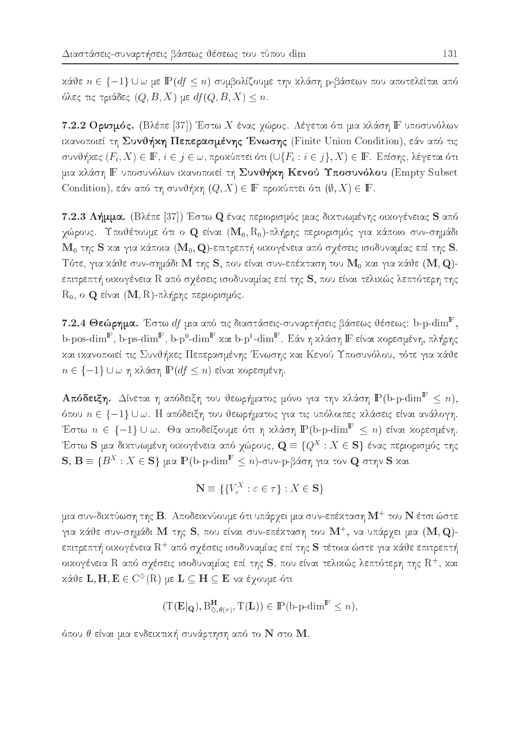κάθε  $n \in \{-1\}$  U ω με  $\mathbb{P}(df \leq n)$  συμβολίζουμε την κλάση p-βάσεων που αποτελείται από όλες τις τριάδες  $(Q, B, X)$  με  $df(Q, B, X) \leq n$ .

7.2.2 Ορισμός. (Βλέπε [37]) Έστω Χ ένας χώρος. Λέγεται ότι μια κλάση  $\mathbb F$  υποσυνόλων ικανοποιεί τη Συνθήκη Πεπερασμένης Ένωσης (Finite Union Condition), εάν από τις συνθήκες  $(F_i, X) \in \mathbb{F}$ ,  $i \in j \in \omega$ , προκύπτει ότι  $(\bigcup \{F_i : i \in j\}, X) \in \mathbb{F}$ . Επίσης, λέγεται ότι μια κλάση Ε υποσυνόλων ικανοποιεί τη Συνθήκη Κενού Υποσυνόλου (Empty Subset Condition), εάν από τη συνθήκη  $(Q, X) \in \mathbb{F}$  προκύπτει ότι  $(\emptyset, X) \in \mathbb{F}$ .

7.2.3 Λήμμα. (Βλέπε [37]) Έστω Q ένας περιορισμός μιας δικτυωμένης οικογένειας S από χώρους. Υποθέτουμε ότι ο Q είναι  $(\mathbf{M}_0,\mathrm{R}_0)$ -πλήρης περιορισμός για κάποιο συν-σημάδι  ${\bf M}_0$  της S και για κάποια  $({\bf M}_0,{\bf Q})$ -επιτρεπτή οικογένεια από σχέσεις ισοδυναμίας επί της S. Τότε, για κάθε συν-σημάδι Μ της S, που είναι συν-επέκταση του  $\mathbf{M}_0$  και για κάθε  $(\mathbf{M}, \mathbf{Q})$ επιτρεπτή οικογένεια R από σχέσεις ισοδυναμίας επί της S, που είναι τελικώς λεπτότερη της  $\mathrm{R}_0$ , ο Q είναι  $(\mathbf{M}, \mathrm{R})$ -πλήρης περιορισμός.

 $7.2.4$  Θεώρημα. Έστω  $df$  μια από τις διαστάσεις-συναρτήσεις βάσεως θέσεως: b-p- $\dim^{\mathbb{F}},$ b-pos-dim $^{\mathbb{F}}$ , b-ps-dim $^{\mathbb{F}}$ , b-p $^0$ -dim $^{\mathbb{F}}$  και b-p $^1$ -dim $^{\mathbb{F}}$ . Εάν η κλάση  $\mathbb{F}$  είναι κορεσμένη, πλήρης και ικανοποιεί τις Συνθήκες Πεπερασμένης Ένωσης και Κενού Υποσυνόλου, τότε για κάθε  $n \in \{-1\} \cup \omega$  η κλάση  $\mathbb{P}(df \leq n)$  είναι κορεσμένη.

 ${\bf A}$ πόδειξη. Δίνεται η απόδειξη του θεωρήματος μόνο για την χλάση  ${\rm I\!P}(\text{b-p-dim}^{\mathbb{F}}\leq n),$ όπου  $n \in \{-1\} \cup \omega$ . Η απόδειξη του θεωρήματος για τις υπόλοιπες κλάσεις είναι ανάλογη. Έστω  $n \, \in \, \{-1\} \cup \omega$ . Θα αποδείξουμε ότι η κλάση  $\mathbb{P}\, ($ b-p- $\dim^{\mathbb{F}}\, \leq\, n)$  είναι κορεσμένη. Έστω  ${\bf S}$  μια διχτυωμένη οιχογένεια από γώρους,  ${\bf Q} \equiv \{Q^X : X \in {\bf S}\}$  ένας περιορισμός της  $\mathbf{S},\,\mathbf{B}\equiv\{B^X:X\in\mathbf{S}\}$  μια  $\mathbb{P}(\text{b-p-dim}^{\mathbb{F}}\leq n)$ -συν-p-βάση για τον  $\mathbf{Q}$  στην  $\mathbf{S}$  χαι

$$
\mathbf{N} \equiv \{ \{ V_{\varepsilon}^{X} : \varepsilon \in \tau \} : X \in \mathbf{S} \}
$$

μια συν-δικτύωση της  $\bf B$ . Αποδεικνύουμε ότι υπάργει μια συν-επέκταση  $\bf M^+$  του  $\bf N$  έτσι ώστε για χάθε συν-σημάδι  $\bf M$  της  $\bf S$ , που είναι συν-επέχταση του  $\bf M^+$ , να υπάργει μια  $(\bf M,\bf Q)$ επιτρεπτή οιχογένεια  $\mathrm{R}^+$  από σγέσεις ισοδυναμίας επί της  $\mathbf S$  τέτοια ώστε για χάθε επιτρεπτή οιχογένεια  $\rm R$  από σγέσεις ισοδυναμίας επί της  $\rm\bf S$ , που είναι τελιχώς λεπτότερη της  $\rm R^+$ , χαι  $x\alpha$  de L;  $\mathbf{H}, \mathbf{E} \in \mathbb{C}^{\times}(\mathbb{R})$  de  $\mathbf{E} \subset \mathbf{H} \subset \mathbf{E}$  va eyouse out

$$
(\mathrm{T}(\mathbf{E}|_{\mathbf{Q}}), \mathrm{B}_{\diamondsuit, \theta(\tau)}^{\mathbf{H}}, \mathrm{T}(\mathbf{L})) \in \mathbb{P}(\mathrm{b}\text{-}\mathrm{p}\text{-}\mathrm{dim}^{\mathbb{F}} \leq n),
$$

όπου θ είναι μια ενδεικτική συνάρτηση από το  $\mathbf N$  στο  $\mathbf M.$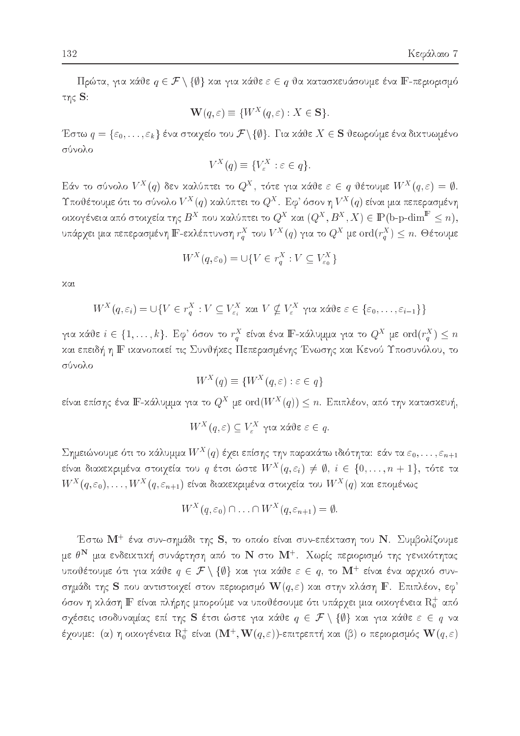Πρώτα, για κάθε $q \in \mathcal{F} \setminus \{\emptyset\}$ και για κάθε $\varepsilon \in q$ θα κατασκευάσουμε ένα ΙΓ-περιορισμό της  $S$ :

$$
\mathbf{W}(q,\varepsilon) \equiv \{W^X(q,\varepsilon) : X \in \mathbf{S}\}\
$$

Έστω  $q = \{\varepsilon_0, \ldots, \varepsilon_k\}$  ένα στοιχείο του  $\mathcal{F}\backslash \{\emptyset\}$ . Για κάθε  $X \in \mathbf{S}$  θεωρούμε ένα δικτυωμένο σύνολο

$$
V^X(q) \equiv \{V^X_{\varepsilon} : \varepsilon \in q\}.
$$

Εάν το σύνολο  $V^X(q)$  δεν καλύπτει το  $Q^X$ , τότε για κάθε  $\varepsilon \in q$  θέτουμε  $W^X(q,\varepsilon) = \emptyset$ . Υποθέτουμε ότι το σύνολο $V^X(q)$  καλύπτει το  $Q^X$ . Εφ' όσον η $V^X(q)$  είναι μια πεπερασμένη οικογένεια από στοιχεία της  $B^X$  που καλύπτει το  $Q^X$  και  $(Q^X, B^X, X) \in \mathbb{P}(\text{b-p-dim}^{\mathbb{F}} \leq n),$ υπάρχει μια πεπερασμένη Ε-εκλέπτυνση $r_q^X$ του  $V^X(q)$  για το  $Q^X$  με  $\text{ord}(r_q^X)\leq n.$  Θέτουμε

$$
W^X(q, \varepsilon_0) = \bigcup \{ V \in r_a^X : V \subseteq V_{\varepsilon_0}^X \}
$$

χαι

$$
W^X(q, \varepsilon_i) = \cup \{ V \in r_q^X : V \subseteq V_{\varepsilon_i}^X \text{ and } V \nsubseteq V_{\varepsilon}^X \text{ and } \text{and } \varepsilon \in \{ \varepsilon_0, \dots, \varepsilon_{i-1} \} \}
$$

για κάθε $i \in \{1, \ldots, k\}$ . Εφ' όσον το  $r_q^X$  είναι ένα Ι<br/>F-κάλυμμα για το  $Q^X$ με  $\text{ord}(r_q^X) \leq n$ και επειδή η ΙΓ ικανοποιεί τις Συνθήκες Πεπερασμένης Ένωσης και Κενού Υποσυνόλου, το σύνολο

$$
W^X(q) \equiv \{W^X(q, \varepsilon) : \varepsilon \in q\}
$$

είναι επίσης ένα  $\mathbb{F}$ -κάλυμμα για το  $Q^X$  με  $\text{ord}(W^X(q)) \leq n$ . Επιπλέον, από την κατασκευή,

$$
W^X(q, ε) ⊆ V_ε^X
$$
για χάθε ε ∈ q.

Σημειώνουμε ότι το κάλυμμα  $W^X(q)$  έχει επίσης την παρακάτω ιδιότητα: εάν τα  $\varepsilon_0,\ldots,\varepsilon_{n+1}$ είναι διαχεχριμένα στοιχεία του  $q$  έτσι ώστε  $W^X(q, \varepsilon_i) \neq \emptyset$ ,  $i \in \{0, \ldots, n+1\}$ , τότε τα  $W^X(q,\varepsilon_0),\ldots,W^X(q,\varepsilon_{n+1})$  είναι διακεκριμένα στοιχεία του  $W^X(q)$  και επομένως

$$
W^X(q,\varepsilon_0)\cap\ldots\cap W^X(q,\varepsilon_{n+1})=\emptyset
$$

Έστω Μ<sup>+</sup> ένα συν-σημάδι της S, το οποίο είναι συν-επέκταση του Ν. Συμβολίζουμε

με θΝ μια ενδεικτική συνάρτηση από το Ν στο Μ<sup>+</sup>. Χωρίς περιορισμό της γενικότητας υποθέτουμε ότι για κάθε $q\,\in\,\mathcal{F}\setminus\{\emptyset\}$ και για κάθε $\varepsilon\,\in\,q,$ το  $\mathbf{M}^+$  είναι ένα αρχικό συνσημάδι της S που αντιστοιχεί στον περιορισμό  $\mathbf{W}(q,\varepsilon)$  και στην κλάση F. Επιπλέον, εφ' όσον η κλάση ΙΓ είναι πλήρης μπορούμε να υποθέσουμε ότι υπάρχει μια οικογένεια  $R_0^+$  από σχέσεις ισοδυναμίας επί της S έτσι ώστε για κάθε  $q \in \mathcal{F} \setminus \{\emptyset\}$  και για κάθε  $\varepsilon \in q$  να έχουμε: (α) η οικογένεια  $R_0^+$  είναι  $(\mathbf{M}^+, \mathbf{W}(q, \varepsilon))$ -επιτρεπτή και (β) ο περιορισμός  $\mathbf{W}(q, \varepsilon)$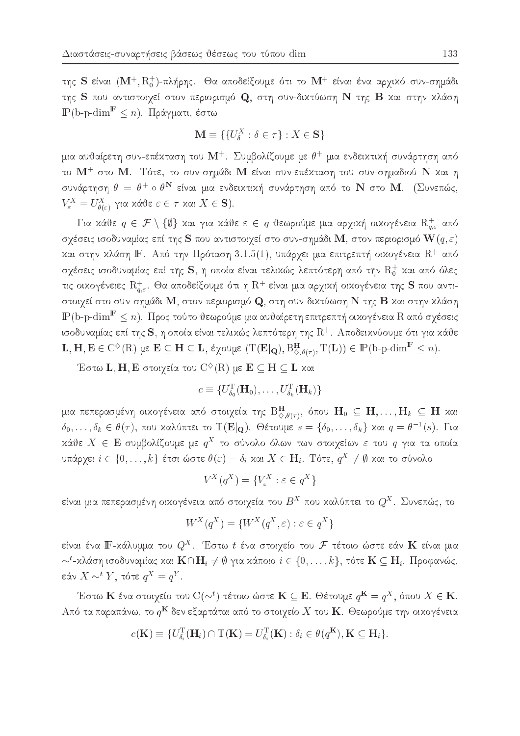της S είναι  $(M^+, R_0^+)$ -πλήρης. Θα αποδείξουμε ότι το  $M^+$  είναι ένα αρχικό συν-σημάδι της S που αντιστοιχεί στον περιορισμό Q, στη συν-δικτύωση N της B και στην κλάση  $\mathbb{P}(\text{b-p-dim}^{\mathbb{F}} \leq n)$ . Πράγματι, έστω

$$
\mathbf{M} \equiv \{ \{ U_{\delta}^X : \delta \in \tau \} : X \in \mathbf{S} \}
$$

μια αυθαίρετη συν-επέχταση του  $\mathbf{M}^{+}$ . Συμβολίζουμε με  $\theta^{+}$  μια ενδειχτιχή συνάρτηση από το  $\mathbf{M}^+$  στο  $\mathbf{M}$ . Τότε, το συν-σημάδι  $\mathbf{M}$  είναι συν-επέχταση του συν-σημαδιού  $\mathbf{N}$  χαι η συνάρτηση  $\theta = \theta^+ \circ \theta^N$  είναι μια ενδεικτική συνάρτηση από το N στο M. (Συνεπώς,  $V_{\varepsilon}^X = U_{\theta(\varepsilon)}^X$  για κάθε  $\varepsilon \in \tau$  και  $X \in S$ ).

Για κάθε  $q \in \mathcal{F} \setminus \{\emptyset\}$  και για κάθε  $\varepsilon \in q$  θεωρούμε μια αρχική οικογένεια  $\mathrm{R}^+_{q,\varepsilon}$  από σχέσεις ισοδυναμίας επί της  ${\bf S}$  που αντιστοιχεί στο συν-σημάδι  ${\bf M},$  στον περιορισμό  ${\bf W}(q,\varepsilon)$ και στην κλάση ΙΕ. Από την Πρόταση 3.1.5(1), υπάρχει μια επιτρεπτή οικογένεια  $R^+$  από σχέσεις ισοδυναμίας επί της S, η οποία είναι τελικώς λεπτότερη από την  $\mathrm{R_{0}^{+}}$  και από όλες τις οικογένειες  $\mathrm{R}_{q,\varepsilon}^+$ . Θα αποδείξουμε ότι η  $\mathrm{R}^+$  είναι μια αρχική οικογένεια της  ${\bf S}$  που αντιστοιχεί στο συν-σημάδι Μ, στον περιορισμό Q, στη συν-δικτύωση N της B και στην κλάση  $\mathbb{P}(\text{b-p-dim}^{\mathbb{F}} \leq n)$ . Προς τούτο θεωρούμε μια αυθαίρετη επιτρεπτή οικογένεια R από σχέσεις ισοδυναμίας επί της S, η οποία είναι τελικώς λεπτότερη της  $\mathrm{R}^+$ . Αποδεικνύουμε ότι για κάθε L, H, E  $\in C^{\diamond}(R)$  με  $E \subseteq H \subseteq L$ , έχουμε  $(T(E|_{Q}), B_{\diamondsuit, \theta(\tau)}^H, T(L)) \in \mathbb{P}(b\text{-}p\text{-dim}^F \leq n)$ .

Έστω L, H, Ε στοιχεία του  $C^{\diamond}(R)$  με  $E \subseteq H \subseteq L$  και

$$
c \equiv \{U_{\delta_0}^{\mathrm{T}}(\mathbf{H}_0), \ldots, U_{\delta_k}^{\mathrm{T}}(\mathbf{H}_k)\}
$$

μια πεπερασμένη οιχογένεια από στοιχεία της  $\mathrm B^{H}_{\Diamond,\theta(\tau)},$  όπου  $\mathrm H_0\ \subseteq\ \mathrm H,\ldots,\mathrm H_k\ \subseteq\ \mathrm H$  χαι  $\delta_0,\ldots,\delta_k\in\theta(\tau)$ , που καλύπτει το T(E|Q). Θέτουμε  $s=\{\delta_0,\ldots,\delta_k\}$  και  $q=\theta^{-1}(s)$ . Για κάθε  $X \in \mathbf{E}$  συμβολίζουμε με  $q^X$  το σύνολο όλων των στοιχείων ε του  $q$  για τα οποία υπάρχει  $i \in \{0, \ldots, k\}$  έτσι ώστε  $\theta(\varepsilon) = \delta_i$  και  $X \in \mathbf{H}_i$ . Τότε,  $q^X \neq \emptyset$  και το σύνολο

$$
V^X(q^X) = \{V^X_{\varepsilon} : \varepsilon \in q^X\}
$$

είναι μια πεπερασμένη οιχογένεια από στοιχεία του  $B^X$  που χαλύπτει το  $Q^X.$  Συνεπώς, το

$$
W^X(q^X) = \{ W^X(q^X, \varepsilon) : \varepsilon \in q^X \}
$$

είναι ένα Ι<br>F-κάλυμμα του $Q^X.$  Έστω<br/>  $t$ ένα στοιχείο του  ${\mathcal F}$ τέτοιο ώστε εάν<br/>  ${\bf K}$ είναι μια  $\sim^t$ -κλάση ισοδυναμίας και $\mathbf{K}\cap\mathbf{H}_i\neq\emptyset$ για κάποιο $i\in\{0,\ldots,k\},$ τότε $\mathbf{K}\subseteq\mathbf{H}_i.$ Προφανώς, εάν $X \sim^t Y$ , τότε $q^X = q^Y.$ 

Έστω Κ ένα στοιχείο του  $C(\sim^t)$  τέτοιο ώστε Κ  $\subseteq$  Ε. Θέτουμε  $q^K = q^X$ , όπου  $X \in K$ . Από τα παραπάνω, το  $q^{\mathbf{K}}$  δεν εξαρτάται από το στοιχείο  $X$  του  $\mathbf{K}$ . Θεωρούμε την οικογένεια

$$
c(\mathbf{K}) \equiv \{ U_{\delta_i}^{\mathrm{T}}(\mathbf{H}_i) \cap \mathrm{T}(\mathbf{K}) = U_{\delta_i}^{\mathrm{T}}(\mathbf{K}) : \delta_i \in \theta(q^{\mathbf{K}}), \mathbf{K} \subseteq \mathbf{H}_i \}
$$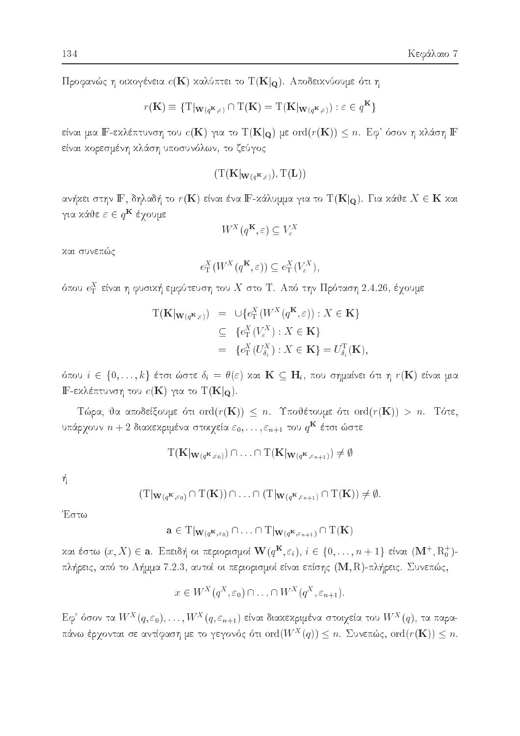Προφανώς η οικογένεια  $c(K)$  καλύπτει το  $T(K|_{Q})$ . Αποδεικνύουμε ότι η

$$
r(\mathbf{K}) \equiv \{ \mathrm{T}|\mathbf{w}_{(q^{\mathbf{K}}, \varepsilon)} \cap \mathrm{T}(\mathbf{K}) = \mathrm{T}(\mathbf{K}|\mathbf{w}_{(q^{\mathbf{K}}, \varepsilon)}) : \varepsilon \in q^{\mathbf{K}} \}
$$

είναι μια Ε-εκλέπτυνση του  $c(K)$  για το  $T(K|_{\mathbf{Q}})$  με  $ord(r(K)) \leq n$ . Εφ' όσον η κλάση Ε είναι κορεσμένη κλάση υποσυνόλων, το ζεύγος

$$
(\mathrm{T}(\mathbf{K}|_{\mathbf{W}(q^{\mathbf{K}},\varepsilon)}),\mathrm{T}(\mathbf{L}))
$$

ανήχει στην  $\mathbb{F},$  δηλαδή το  $r(\mathbf{K})$  είναι ένα  $\mathbb{F}$ -χάλυμμα για το  $\mathrm{T}(\mathbf{K}|_{\mathbf{Q}}).$  Για χάθε  $X \in \mathbf{K}$  χαι για κάθε  $\varepsilon \in q^{\mathbf{K}}$  έχουμε

$$
W^X(q^K, \varepsilon) \subseteq V^X_{\varepsilon}
$$

και συνεπώς

$$
e_{\mathrm{T}}^{X}(W^{X}(q^{\mathbf{K}},\varepsilon)) \subseteq e_{\mathrm{T}}^{X}(V_{\varepsilon}^{X})
$$

όπου  $e_\textrm{\tiny T}^X$  είναι η φυσική εμφύτευση του  $X$  στο Τ. Από την Πρόταση 2.4.26, έχουμε

$$
T(\mathbf{K}|\mathbf{w}_{(q^{\mathbf{K}},\varepsilon)}) = \cup \{e_{\mathrm{T}}^{X}(W^{X}(q^{\mathbf{K}},\varepsilon)) : X \in \mathbf{K}\}
$$
  
\n
$$
\subseteq \{e_{\mathrm{T}}^{X}(V_{\varepsilon}^{X}) : X \in \mathbf{K}\}
$$
  
\n
$$
= \{e_{\mathrm{T}}^{X}(U_{\delta_{i}}^{X}) : X \in \mathbf{K}\} = U_{\delta_{i}}^{T}(\mathbf{K}),
$$

όπου  $i \in \{0, ..., k\}$  έτσι ώστε  $\delta_i = \theta(\varepsilon)$  και  $\mathbf{K} \subseteq \mathbf{H}_i$ , που σημαίνει ότι η  $r(\mathbf{K})$  είναι μια IF-εκλέπτυνση του  $c(\mathbf{K})$  για το  $T(\mathbf{K}|_{\mathbf{Q}})$ .

Τώρα, θα αποδείξουμε ότι ord( $r(K)$ )  $\leq n$ . Υποθέτουμε ότι ord( $r(K)$ ) > n. Τότε, υπάρχουν  $n+2$  διακεκριμένα στοιχεία  $\varepsilon_0,\ldots,\varepsilon_{n+1}$  του  $q^{\mathbf{K}}$  έτσι ώστε

$$
\mathrm{T}(\mathbf{K}|_{\mathbf{W}(q^{\mathbf{K}},\varepsilon_0)})\cap\ldots\cap\mathrm{T}(\mathbf{K}|_{\mathbf{W}(q^{\mathbf{K}},\varepsilon_{n+1})})\neq\emptyset
$$

ή

$$
(T|_{\mathbf{W}(q^{\mathbf{K}},\varepsilon_0)} \cap T(\mathbf{K})) \cap \ldots \cap (T|_{\mathbf{W}(q^{\mathbf{K}},\varepsilon_{n+1})} \cap T(\mathbf{K})) \neq \emptyset.
$$

Έστω

 $\mathbf{a} \in \mathrm{T} |_{\mathbf{W}(\mathfrak{g}^{\mathbf{K}}, \varepsilon_0)} \cap \ldots \cap \mathrm{T} |_{\mathbf{W}(\mathfrak{g}^{\mathbf{K}}, \varepsilon_{n+1})} \cap \mathrm{T}(\mathbf{K})$ 

και έστω  $(x, X) \in \mathbf{a}$ . Επειδή οι περιορισμοί  $\mathbf{W}(q^{\mathbf{K}}, \varepsilon_i)$ ,  $i \in \{0, ..., n+1\}$  είναι  $(\mathbf{M}^+, R_0^+)$ πλήρεις, από το Λήμμα 7.2.3, αυτοί οι περιορισμοί είναι επίσης (Μ, R)-πλήρεις. Συνεπώς,

$$
x \in W^X(q^X, \varepsilon_0) \cap \ldots \cap W^X(q^X, \varepsilon_{n+1}).
$$

Εφ' όσον τα  $W^X(q,\varepsilon_0),\ldots,W^X(q,\varepsilon_{n+1})$  είναι διαχεχριμένα στοιχεία του  $W^X(q),$  τα παραπάνω έρχονται σε αντίφαση με το γεγονός ότι  $\text{ord}(W^X(q)) \leq n$ . Συνεπώς,  $\text{ord}(r(\mathbf{K})) \leq n$ .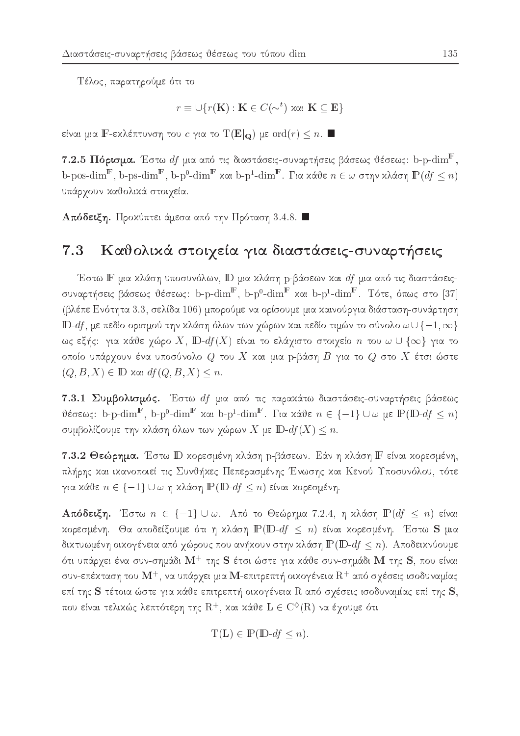Τέλος, παρατηρούμε ότι το

$$
r \equiv \cup \{r(\mathbf{K}) : \mathbf{K} \in C(\sim^t) \text{ and } \mathbf{K} \subseteq \mathbf{E}\}
$$

είναι μια Γ-εκλέπτυνση του *c* για το T(E|<sub>Q</sub>) με ord(r)  $\leq n$ . ■

 $7.2.5$  Πόρισμα. Έστω  $df$  μια από τις διαστάσεις-συναρτήσεις βάσεως θέσεως: b-p- $\dim^{\mathbb{F}},$ b-pos-dim<sup>F</sup>, b-ps-dim<sup>F</sup>, b-p<sup>0</sup>-dim<sup>F</sup> και b-p<sup>1</sup>-dim<sup>F</sup>. Για κάθε  $n \in \omega$  στην κλάση  $P(df \leq n)$ υπάρχουν καθολικά στοιχεία.

 ${\bf A}$ πόδειξη. Προχύπτει άμεσα από την Πρόταση 3.4.8.  $\blacksquare$ 

#### Καθολικά στοιχεία για διαστάσεις-συναρτήσεις  $7.3$

Έστω ΙΓ μια κλάση υποσυνόλων, ΙD μια κλάση p-βάσεων και df μια από τις διαστάσειςσυναρτήσεις βάσεως θέσεως: b-p-dim<sup>F</sup>, b-p<sup>0</sup>-dim<sup>F</sup> και b-p<sup>1</sup>-dim<sup>F</sup>. Τότε, όπως στο [37] (βλέπε Ενότητα 3.3, σελίδα 106) μπορούμε να ορίσουμε μια καινούργια διάσταση-συνάρτηση **ID**-df, με πεδίο ορισμού την κλάση όλων των χώρων και πεδίο τιμών το σύνολο  $\omega \cup \{-1, \infty\}$ ως εξής: για κάθε χώρο X, D-df(X) είναι το ελάχιστο στοιχείο n του  $\omega \cup \{\infty\}$  για το οποίο υπάρχουν ένα υποσύνολο  $Q$  του  $X$  και μια p-βάση  $B$  για το  $Q$  στο  $X$  έτσι ώστε  $(Q, B, X) \in \mathbb{D}$  και  $df(Q, B, X) \leq n$ .

7.3.1 Συμβολισμός. Έστω df μια από τις παρακάτω διαστάσεις-συναρτήσεις βάσεως θέσεως: b-p-dim<sup>F</sup>, b-p<sup>0</sup>-dim<sup>F</sup> και b-p<sup>1</sup>-dim<sup>F</sup>. Για κάθε  $n \in \{-1\} \cup \omega$  με  $\mathbb{P}(\mathbb{D} - df \leq n)$ συμβολίζουμε την κλάση όλων των χώρων  $X$  με  $\mathbb{D}\text{-}df(X) \leq n$ .

7.3.2 Θεώρημα. Έστω D χορεσμένη χλάση p-βάσεων. Εάν η χλάση F είναι χορεσμένη, πλήρης και ικανοποιεί τις Συνθήκες Πεπερασμένης Ένωσης και Κενού Υποσυνόλου, τότε για κάθε  $n \in \{-1\} \cup \omega$  η κλάση  $\mathbb{P}(\mathbb{D} - df \leq n)$  είναι κορεσμένη.

Aπόδειξη. Έστω  $n \in \{-1\} \cup \omega$ . Από το Θεώρημα 7.2.4, η κλάση  $\mathbb{P}(df \leq n)$  είναι κορεσμένη. Θα αποδείξουμε ότι η κλάση  $\mathbb{P}(\mathbb{D}\text{-}df \leq n)$  είναι κορεσμένη. Έστω S μια δικτυωμένη οικογένεια από χώρους που ανήκουν στην κλάση  $\mathbb{P}(\mathbb{D}\text{-}df\leq n)$ . Αποδεικνύουμε ότι υπάρχει ένα συν-σημάδι  $\mathbf{M}^+$  της S έτσι ώστε για κάθε συν-σημάδι M της S, που είναι συν-επέκταση του  $\mathbf{M}^+$ , να υπάρχει μια  $\mathbf{M}$ -επιτρεπτή οικογένεια  $\mathrm{R}^+$  από σχέσεις ισοδυναμίας επί της S τέτοια ώστε για κάθε επιτρεπτή οικογένεια R από σχέσεις ισοδυναμίας επί της S, που είναι τελικώς λεπτότερη της  $\mathrm{R}^+$ , και κάθε  $\mathbf{L}\in\mathrm{C}^{\diamondsuit}(\mathrm{R})$  να έχουμε ότι

$$
T(\mathbf{L}) \in \mathbb{P}(\mathbb{D} \text{-}df \le n).
$$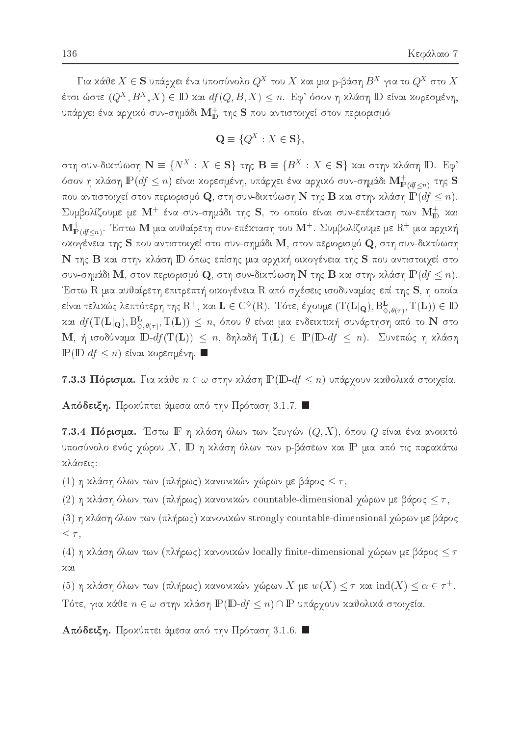$\Gamma$ ια κανε $\Lambda \in \mathcal{S}$  υπαργει ενα υποσυνολοί $Q \cap \Omega$ χαι μια p-pαση  $D \cap \gamma$ ια το  $Q \cap \Omega$ ετοιωστεί $Q_{\rightarrow}$  ,  $D_{\rightarrow}$   $\Lambda$  )  $\in$  ID xαι  $a_{I}$  ( $Q$ ,  $D$ ,  $\Lambda$  )  $\leq n$ . Eq. 000) η χλαση ID ειναι χορεσμένη, υπάρχει ένα αρχικό συν-σημάδι  $\mathbf{M}^+_{\mathbf{D}}$  της  $\mathbf S$  που αντιστοιχεί στον περιορισμό

$$
\mathbf{Q} \equiv \{Q^X : X \in \mathbf{S}\},\
$$

 $S$ un ovv-olxtv $\omega$ on IN  $\equiv$  { $N$   $\rightarrow$   $\Lambda$   $\in$  3} the  $\equiv$  { $D$   $\rightarrow$   $\Lambda$   $\in$  3} xxl othv xaxon ID. Eq. όσον η κλάση  $\mathbb{P}(df\leq n)$  είναι κορεσμένη, υπάρχει ένα αρχικό συν-σημάδι  $\mathbf{M}_{\mathbb{P}(df\leq n)}^+$  της  $\mathbf S$ που αντιστοιχεί στον περιορισμό  $\mathbf Q$ , στη συν-δικτύωση  $\mathbf N$  της  $\mathbf B$  και στην κλάση  $\mathbb P(df\leq n).$  $\Sigma$ υμβολίζουμε με  $\mathbf{M}^+$  ένα συν-σημάδι της  $\mathbf{S},$  το οποίο είναι συν-επέχταση των  $\mathbf{M}^+_{\mathbf{D}}$  χαι  $\mathbf{M}_{\mathbf{P}(df \leq n)}^+$ . Έστω  $\mathbf{M}$  μια αυθαίρετη συν-επέχταση του  $\mathbf{M}^+$ . Συμβολίζουμε με  $\mathrm{R}^+$  μια αρχιχή οκογένεια της S που αντιστοιχεί στο συν-σημάδι M, στον περιορισμό Q, στη συν-δικτύωση Ν της Β και στην κλάση ID όπως επίσης μια αρχική οικογένεια της S που αντιστοιχεί στο συν-σημάδι  $\mathbf M$ , στον περιορισμό  $\mathbf Q$ , στη συν-δικτύωση  $\mathbf N$  της  $\mathbf B$  και στην κλάση  $\mathbb P(df\leq n).$ Έστω R μια αυθαίρετη επιτρεπτή οικογένεια R από σχέσεις ισοδυναμίας επί της S, η οποία είναι τελικώς λεπτότερη της  $\mathrm{R}^+$ , και  $\mathbf{L}\in\mathrm{C}^{\diamondsuit}(\mathrm{R})$ . Τότε, έχουμε  $(\mathrm{T}(\mathbf{L}|_{\mathbf{Q}}), \mathrm{B}^{\mathbf{L}}_{\diamondsuit,\theta(\tau)}, \mathrm{T}(\mathbf{L}))\in \mathbb{D}$ και  $a$ j ( 1 ( $\mathbf{L}|\mathbf{Q}$ ),  $\mathbf{B}_{\infty,\theta(\tau)},$  1 ( $\mathbf{L}$ ))  $\leq n,$  οπου θ ειναι μια ενοεικτική συναρτήση από το 1ν στο  $\mathbf{M}$ , ή ισοδύναμα  $\mathbb{D}\text{-}df(\mathbf{T}(\mathbf{L})) \leq n$ , δηλαδή  $\mathbf{T}(\mathbf{L}) \in \mathbb{P}(\mathbb{D}\text{-}df \leq n)$ . Συνεπώς η κλάση  $P(D-df \leq n)$  είναι κορεσμένη.  $\blacksquare$ 

7.3.3 Πόρισμα. Για κάθε  $n \in \omega$  στην κλάση  $\mathbb{P}(\mathbb{D}\text{-}df \leq n)$  υπάρχουν καθολικά στοιχεία.

 $A\pi$ όδειξη. Προκύπτει άμεσα από την Πρόταση 3.1.7.  $\blacksquare$ 

 $\bf 7.3.4$   $\bf\Pi$ όρισμα. Έστω  $\bf I\bf$  η χλάση όλων των ζευγών  $(Q,X)$ , όπου  $Q$  είναι ένα ανοιχτό υποσύνολο ενός χώρου  $X, \mathop{\mathrm{I\!D}}$  η κλάση όλων των p-βάσεων και  $\mathop{\mathrm{I\!P}}$  μια από τις παρακάτω κλάσεις:

(1) η κλάση όλων των (πλήρως) κανονικών χώρων με βάρος  $\leq \tau$ ,

(2) η κλάση όλων των (πλήρως) κανονικών countable-dimensional χώρων με βάρος  $\leq \tau$ ,

 $(3)$  η κλάση όλων των (πλήρως) κανονικών strongly countable-dimensional χώρων με βάρος  $\leq \tau$ ,

(4) η κλάση όλων των (πλήρως) κανονικών locally finite-dimensional χώρων με βάρος  $\leq \tau$  $x\alpha$ 

(5) η χλάση όλων των (πλήρως) χανονικών γώρων  $X$  με  $w(X) \leq \tau$  χαι  $\mathrm{ind}(X) \leq \alpha \in \tau^+.$ Τότε, για κάθε  $n \in \omega$  στην κλάση  $\mathbb{P}(\mathbb{D}-df \leq n) \cap \mathbb{P}$  υπάρχουν καθολικά στοιχεία.

 $\mathtt{A}$ πόδειξη. Προχύπτει άμεσα από την Πρόταση 3.1.6.  $\blacksquare$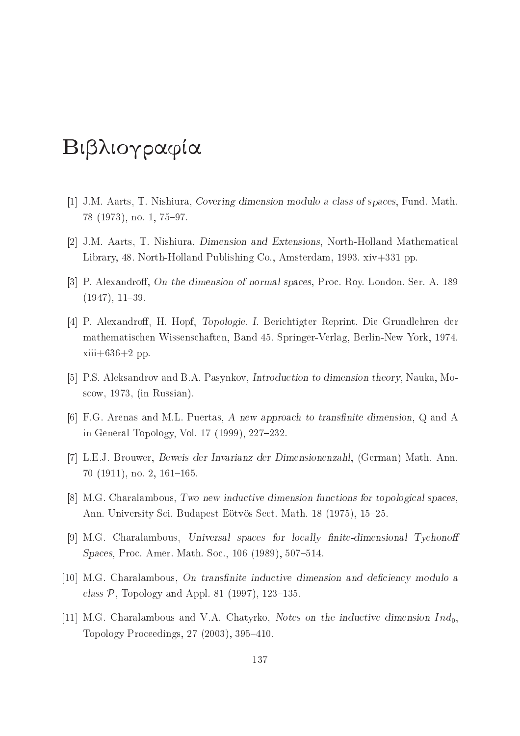# Βιβλιογραφία

- [1] J.M. Aarts, T. Nishiura, Covering dimension modulo a class of spaces, Fund. Math.  $78$   $(1973)$ , no. 1,  $75-97$ .
- [2] J.M. Aarts, T. Nishiura, Dimension and Extensions, North-Holland Mathematical Library, 48. North-Holland Publishing Co., Amsterdam, 1993. xiv+331 pp.
- [3] P. Alexandroff, On the dimension of normal spaces, Proc. Roy. London. Ser. A. 189  $(1947), 11-39.$
- [4] P. Alexandroff, H. Hopf, *Topologie. I.* Berichtigter Reprint. Die Grundlehren der mathematis
hen Wissens
haften, Band 45. Springer-Verlag, Berlin-New York, 1974.  $xiii+636+2$  pp.
- [5] P.S. Aleksandrov and B.A. Pasynkov, *Introduction to dimension theory*, Nauka, Mos
ow, 1973, (in Russian).
- [6] F.G. Arenas and M.L. Puertas, A new approach to transfinite dimension,  $Q$  and A in General Topology, Vol.  $17$  (1999),  $227-232$ .
- [7] L.E.J. Brouwer, Beweis der Invarianz der Dimensionenzahl, (German) Math. Ann.  $70$  (1911), no. 2, 161-165.
- [8] M.G. Charalambous, Two new inductive dimension functions for topological spaces, Ann. University Sci. Budapest Eötvös Sect. Math. 18 (1975), 15–25.
- [9] M.G. Charalambous, Universal spaces for locally finite-dimensional Tychonoff Spaces, Proc. Amer. Math. Soc., 106 (1989), 507-514.
- $[10]$  M.G. Charalambous, On transfinite inductive dimension and deficiency modulo a class  $P$ , Topology and Appl. 81 (1997), 123–135.
- [11] M.G. Charalambous and V.A. Chatyrko, Notes on the inductive dimension  $Ind_0$ , Topology Proceedings, 27 (2003), 395-410.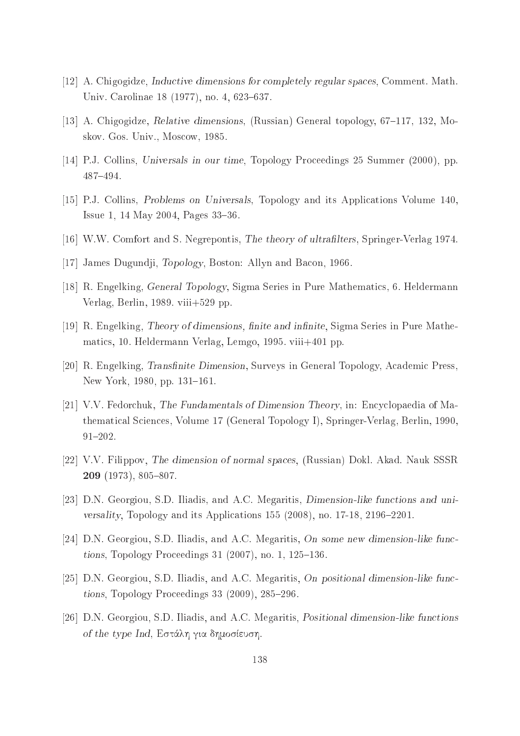- [12] A. Chigogidze, *Inductive dimensions for completely regular spaces*, Comment. Math. Univ. Carolinae 18 (1977), no. 4, 623-637.
- [13] A. Chigogidze, Relative dimensions, (Russian) General topology,  $67{\text -}117$ , 132, Moskov. Gos. Univ., Mos
ow, 1985.
- [14] P.J. Collins, Universals in our time, Topology Proceedings 25 Summer (2000), pp. 487-494.
- [15] P.J. Collins, Problems on Universals, Topology and its Applications Volume 140, Issue 1, 14 May 2004, Pages  $33-36$ .
- [16] W.W. Comfort and S. Negrepontis, The theory of ultrafilters, Springer-Verlag 1974.
- [17] James Dugundji, Topology, Boston: Allyn and Bacon, 1966.
- [18] R. Engelking, General Topology, Sigma Series in Pure Mathematics, 6. Heldermann Verlag, Berlin, 1989. viii+529 pp.
- [19] R. Engelking, Theory of dimensions, finite and infinite, Sigma Series in Pure Mathemati
s, 10. Heldermann Verlag, Lemgo, 1995. viii+401 pp.
- [20] R. Engelking, Transfinite Dimension, Surveys in General Topology, Academic Press, New York, 1980, pp. 131-161.
- [21] V.V. Fedorchuk, The Fundamentals of Dimension Theory, in: Encyclopaedia of Mathematical Sciences, Volume 17 (General Topology I), Springer-Verlag, Berlin, 1990,  $91 - 202$ .
- [22] V.V. Filippov, The dimension of normal spaces, (Russian) Dokl. Akad. Nauk SSSR 209 (1973), 805-807.
- [23] D.N. Georgiou, S.D. Iliadis, and A.C. Megaritis, *Dimension-like functions and uni*versality, Topology and its Applications  $155$  (2008), no. 17-18, 2196-2201.
- [24] D.N. Georgiou, S.D. Iliadis, and A.C. Megaritis, On some new dimension-like functions, Topology Proceedings  $31$  (2007), no. 1, 125–136.
- [25] D.N. Georgiou, S.D. Iliadis, and A.C. Megaritis, On positional dimension-like func $tions$ , Topology Proceedings 33 (2009), 285–296.
- [26] D.N. Georgiou, S.D. Iliadis, and A.C. Megaritis, *Positional dimension-like functions* of the type Ind, Εστάλη για δημοσίευση.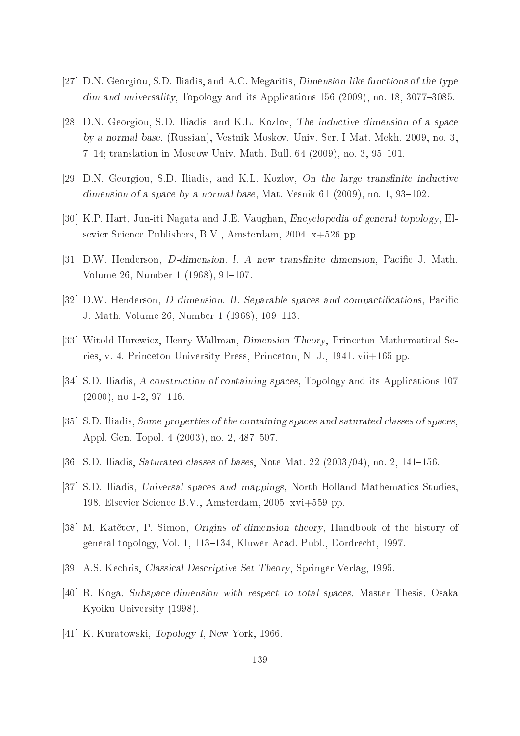- [27] D.N. Georgiou, S.D. Iliadis, and A.C. Megaritis, *Dimension-like functions of the type*  $\dim$  and universality, Topology and its Applications 156 (2009), no. 18, 3077-3085.
- [28] D.N. Georgiou, S.D. Iliadis, and K.L. Kozlov, The inductive dimension of a space by a normal base, (Russian), Vestnik Moskov. Univ. Ser. I Mat. Mekh. 2009, no. 3, 7–14; translation in Moscow Univ. Math. Bull. 64 (2009), no. 3, 95–101.
- [29] D.N. Georgiou, S.D. Iliadis, and K.L. Kozlov, On the large transfinite inductive dimension of a space by a normal base, Mat. Vesnik  $61$  (2009), no. 1, 93–102.
- [30] K.P. Hart, Jun-iti Nagata and J.E. Vaughan, Encyclopedia of general topology, Elsevier Science Publishers, B.V., Amsterdam, 2004. x+526 pp.
- [31] D.W. Henderson, *D*-dimension. I. A new transfinite dimension, Pacific J. Math. Volume 26, Number 1 (1968), 91-107.
- [32] D.W. Henderson, *D*-dimension. II. Separable spaces and compactifications, Pacific J. Math. Volume 26, Number 1 (1968), 109-113.
- [33] Witold Hurewicz, Henry Wallman, Dimension Theory, Princeton Mathematical Series, v. 4. Prin
eton University Press, Prin
eton, N. J., 1941. vii+165 pp.
- [34] S.D. Iliadis, A construction of containing spaces, Topology and its Applications 107  $(2000)$ , no 1-2, 97-116.
- [35] S.D. Iliadis, Some properties of the containing spaces and saturated classes of spaces, Appl. Gen. Topol. 4 (2003), no. 2, 487-507.
- [36] S.D. Iliadis, Saturated classes of bases, Note Mat. 22 (2003/04), no. 2, 141–156.
- [37] S.D. Iliadis, Universal spaces and mappings, North-Holland Mathematics Studies, 198. Elsevier S
ien
e B.V., Amsterdam, 2005. xvi+559 pp.
- [38] M. Katětov, P. Simon, Origins of dimension theory, Handbook of the history of general topology, Vol. 1, 113–134, Kluwer Acad. Publ., Dordrecht, 1997.
- [39] A.S. Kechris, *Classical Descriptive Set Theory*, Springer-Verlag, 1995.
- [40] R. Koga, Subspace-dimension with respect to total spaces, Master Thesis, Osaka Kyoiku University (1998).
- [41] K. Kuratowski, Topology I, New York, 1966.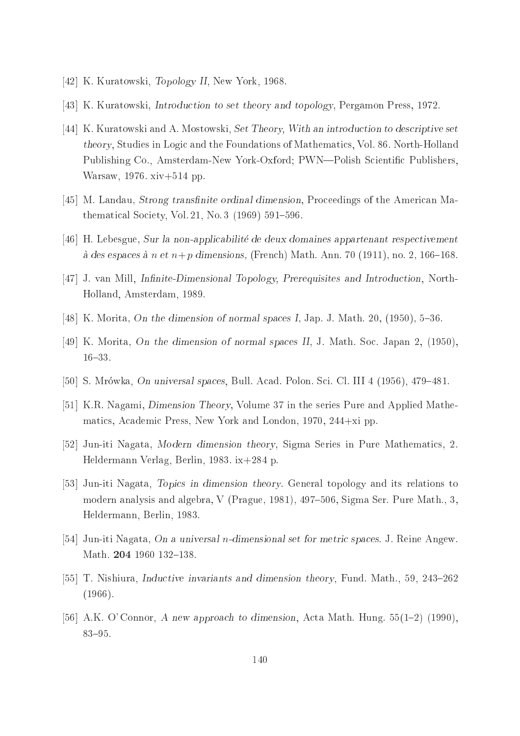- [42] K. Kuratowski, Topology II, New York, 1968.
- [43] K. Kuratowski, *Introduction to set theory and topology*, Pergamon Press, 1972.
- [44] K. Kuratowski and A. Mostowski, Set Theory, With an introduction to descriptive set theory, Studies in Logi and the Foundations of Mathemati
s, Vol. 86. North-Holland Publishing Co., Amsterdam-New York-Oxford; PWN—Polish Scientific Publishers, Warsaw, 1976. xiv+514 pp.
- [45] M. Landau, Strong transfinite ordinal dimension, Proceedings of the American Mathematical Society, Vol. 21, No. 3  $(1969)$  591-596.
- [46] H. Lebesgue, Sur la non-applicabilité de deux domaines appartenant respectivement à des espaces à  $n \text{ et } n+p$  dimensions, (French) Math. Ann. 70 (1911), no. 2, 166–168.
- [47] J. van Mill, Infinite-Dimensional Topology, Prerequisites and Introduction, North-Holland, Amsterdam, 1989.
- [48] K. Morita, On the dimension of normal spaces I, Jap. J. Math. 20, (1950), 5-36.
- [49] K. Morita, On the dimension of normal spaces II, J. Math. Soc. Japan 2,  $(1950)$ ,  $16{-}33.$
- [50] S. Mrówka, *On universal spaces*, Bull. Acad. Polon. Sci. Cl. III  $4$  (1956), 479–481.
- [51] K.R. Nagami, *Dimension Theory*, Volume 37 in the series Pure and Applied Mathematics, Academic Press, New York and London, 1970, 244+xi pp.
- [52] Jun-iti Nagata, Modern dimension theory, Sigma Series in Pure Mathematics, 2. Heldermann Verlag, Berlin, 1983. ix+284 p.
- [53] Jun-iti Nagata, Topics in dimension theory. General topology and its relations to modern analysis and algebra, V (Prague, 1981),  $497-506$ , Sigma Ser. Pure Math., 3. Heldermann, Berlin, 1983.
- [54] Jun-iti Nagata, On a universal *n*-dimensional set for metric spaces. J. Reine Angew. Math. 204 1960 132-138.
- [55] T. Nishiura, Inductive invariants and dimension theory, Fund. Math., 59, 243–262 (1966).
- [56] A.K. O' Connor, A new approach to dimension, Acta Math. Hung.  $55(1-2)$  (1990), 83-95.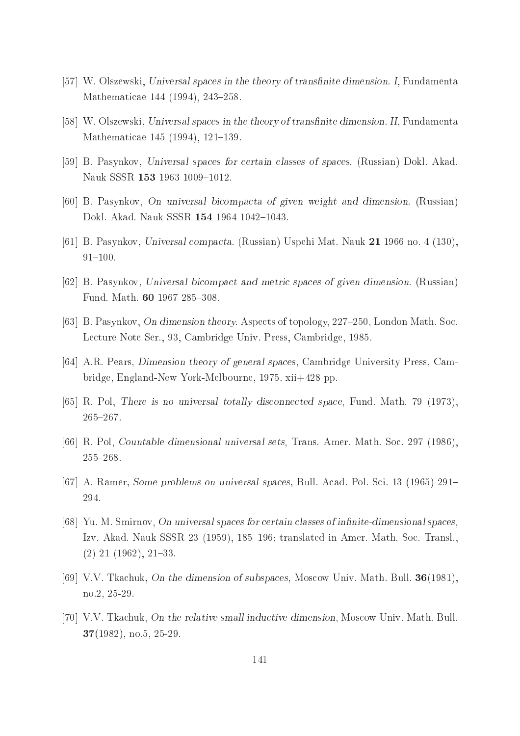- [57] W. Olszewski, Universal spaces in the theory of transfinite dimension. I, Fundamenta Mathematicae 144 (1994), 243-258.
- [58] W. Olszewski, Universal spaces in the theory of transfinite dimension. II, Fundamenta Mathematicae 145 (1994), 121–139.
- [59] B. Pasynkov, Universal spaces for certain classes of spaces. (Russian) Dokl. Akad. Nauk SSSR 153 1963 1009-1012.
- [60] B. Pasynkov, On universal bicompacta of given weight and dimension. (Russian) Dokl. Akad. Nauk SSSR 154 1964 1042-1043.
- [61] B. Pasynkov, Universal compacta. (Russian) Uspehi Mat. Nauk 21 1966 no. 4 (130),  $91{-}100.$
- [62] B. Pasynkov, Universal bicompact and metric spaces of given dimension. (Russian) Fund. Math. 60 1967 285-308.
- [63] B. Pasynkov, On dimension theory. Aspects of topology, 227-250, London Math. Soc. Le
ture Note Ser., 93, Cambridge Univ. Press, Cambridge, 1985.
- [64] A.R. Pears, Dimension theory of general spaces, Cambridge University Press, Cambridge, England-New York-Melbourne, 1975. xii+428 pp.
- [65] R. Pol, There is no universal totally disconnected space, Fund. Math. 79 (1973),  $265 - 267.$
- [66] R. Pol, *Countable dimensional universal sets*, Trans. Amer. Math. Soc. 297 (1986), 255-268.
- [67] A. Ramer, Some problems on universal spaces, Bull. Acad. Pol. Sci. 13 (1965)  $291-$ 294.
- $[68]$  Yu. M. Smirnov, On universal spaces for certain classes of infinite-dimensional spaces, Izv. Akad. Nauk SSSR 23 (1959), 185–196; translated in Amer. Math. Soc. Transl.,  $(2)$  21  $(1962)$ , 21–33.
- [69] V.V. Tkachuk, On the dimension of subspaces, Moscow Univ. Math. Bull.  $36(1981)$ , no.2, 25-29.
- [70] V.V. Tkachuk, On the relative small inductive dimension, Moscow Univ. Math. Bull. 37(1982), no.5, 25-29.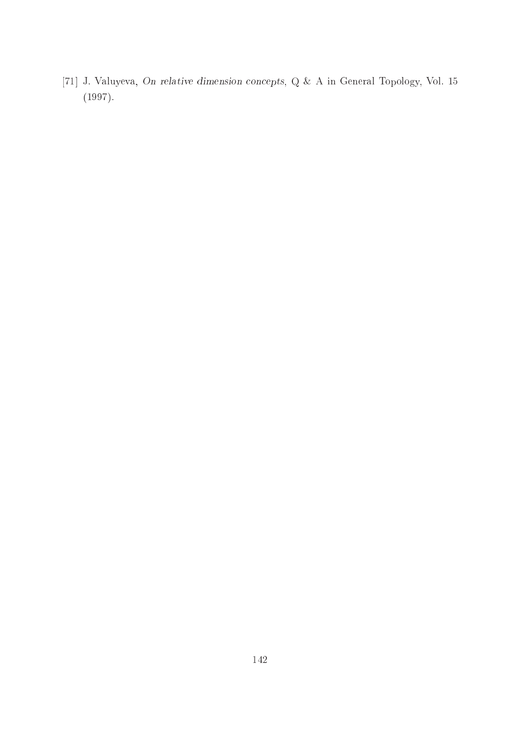[71] J. Valuyeva, On relative dimension concepts, Q & A in General Topology, Vol. 15 (1997).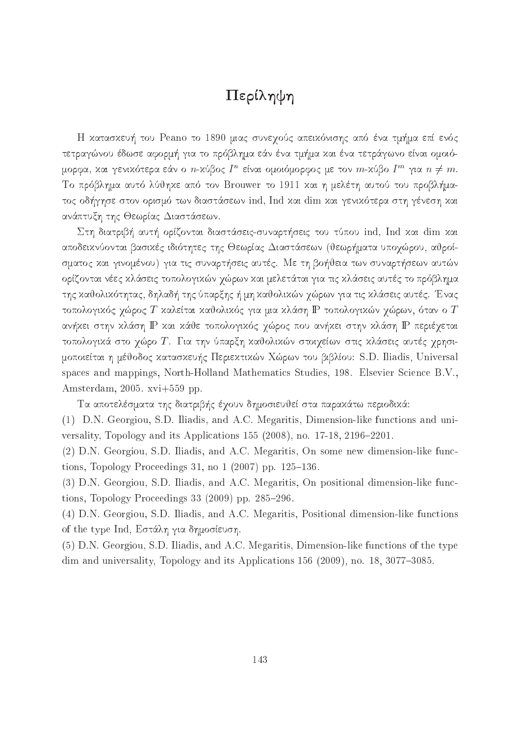# Περίληψη

Η κατασκευή του Peano το 1890 μιας συνεχούς απεικόνισης από ένα τμήμα επί ενός τετραγώνου έδωσε αφορμή για το πρόβλημα εάν ένα τμήμα και ένα τετράγωνο είναι ομοιόμορφα, και γενικοτερα εαν ο  $n$ -κύρος  $I$  -ειναι ομοιομορφος με τον  $m$ -κύρο  $I$  - για  $n\neq m.$ Το πρόβλημα αυτό λύθηκε από τον Brouwer το 1911 και η μελέτη αυτού του προβλήματος οδήγησε στον ορισμό των διαστάσεων ind, Ind και dim και γενικότερα στη γένεση και ανάπτυξη της Θεωρίας Διαστάσεων.

Στη διατριβή αυτή ορίζονται διαστάσεις-συναρτήσεις του τύπου ind, Ind και dim και αποδεικνύονται βασικές ιδιότητες της Θεωρίας Διαστάσεων (θεωρήματα υποχώρου, αθροίσματος και γινομένου) για τις συναρτήσεις αυτές. Με τη βοήθεια των συναρτήσεων αυτών ορίζονται νέες χλάσεις τοπολογιχών χώρων χαι μελετάται για τις χλάσεις αυτές το πρόβλημα της καθολικότητας, δηλαδή της ύπαρξης ή μη καθολικών χώρων για τις κλάσεις αυτές. Ένας τοπολογικός χώρος  $T$  καλείται καθολικός για μια κλάση  $\mathbb P$  τοπολογικών χώρων, όταν ο  $T$ ανήχει στην χλάση IP χαι χάθε τοπολογιχός χώρος που ανήχει στην χλάση IP περιέχεται τοπολογικά στο χώρο Τ. Για την ύπαρξη καθολικών στοιχείων στις κλάσεις αυτές χρησιμοποιείται η μέθοδος κατασκευής Περιεκτικών Χώρων του βιβλίου: S.D. Iliadis, Universal spaces and mappings, North-Holland Mathematics Studies, 198. Elsevier Science B.V., Amsterdam, 2005. xvi+559 pp.

Τα αποτελέσματα της διατριβής έχουν δημοσιευθεί στα παρακάτω περιοδικά:

(1) D.N. Georgiou, S.D. Iliadis, and A.C. Megaritis, Dimension-like functions and universality, Topology and its Applications  $155$  (2008), no.  $17-18$ ,  $2196-2201$ .

(2) D.N. Georgiou, S.D. Iliadis, and A.C. Megaritis, On some new dimension-like fun
 tions, Topology Proceedings 31, no  $1(2007)$  pp.  $125-136$ .

(3) D.N. Georgiou, S.D. Iliadis, and A.C. Megaritis, On positional dimension-like functions, Topology Proceedings  $33$  (2009) pp.  $285-296$ .

(4) D.N. Georgiou, S.D. Iliadis, and A.C. Megaritis, Positional dimension-like fun
tions of the type Ind, Εστάλη για δημοσίευση.

(5) D.N. Georgiou, S.D. Iliadis, and A.C. Megaritis, Dimension-like functions of the type dim and universality, Topology and its Applications  $156$  (2009), no.  $18$ ,  $3077-3085$ .